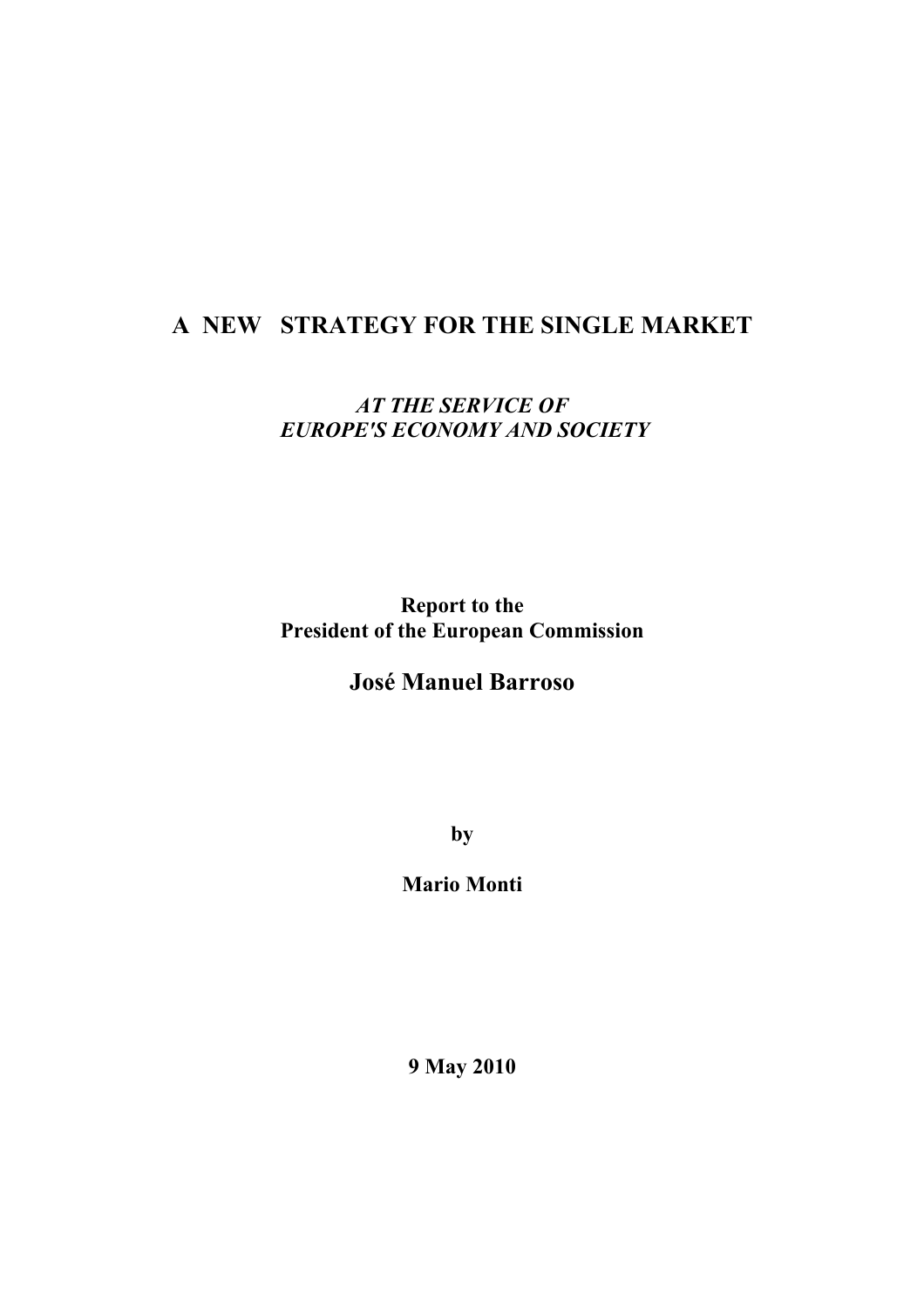# **A NEW STRATEGY FOR THE SINGLE MARKET**

## *AT THE SERVICE OF EUROPE'S ECONOMY AND SOCIETY*

**Report to the President of the European Commission** 

# **José Manuel Barroso**

**by** 

**Mario Monti** 

**9 May 2010**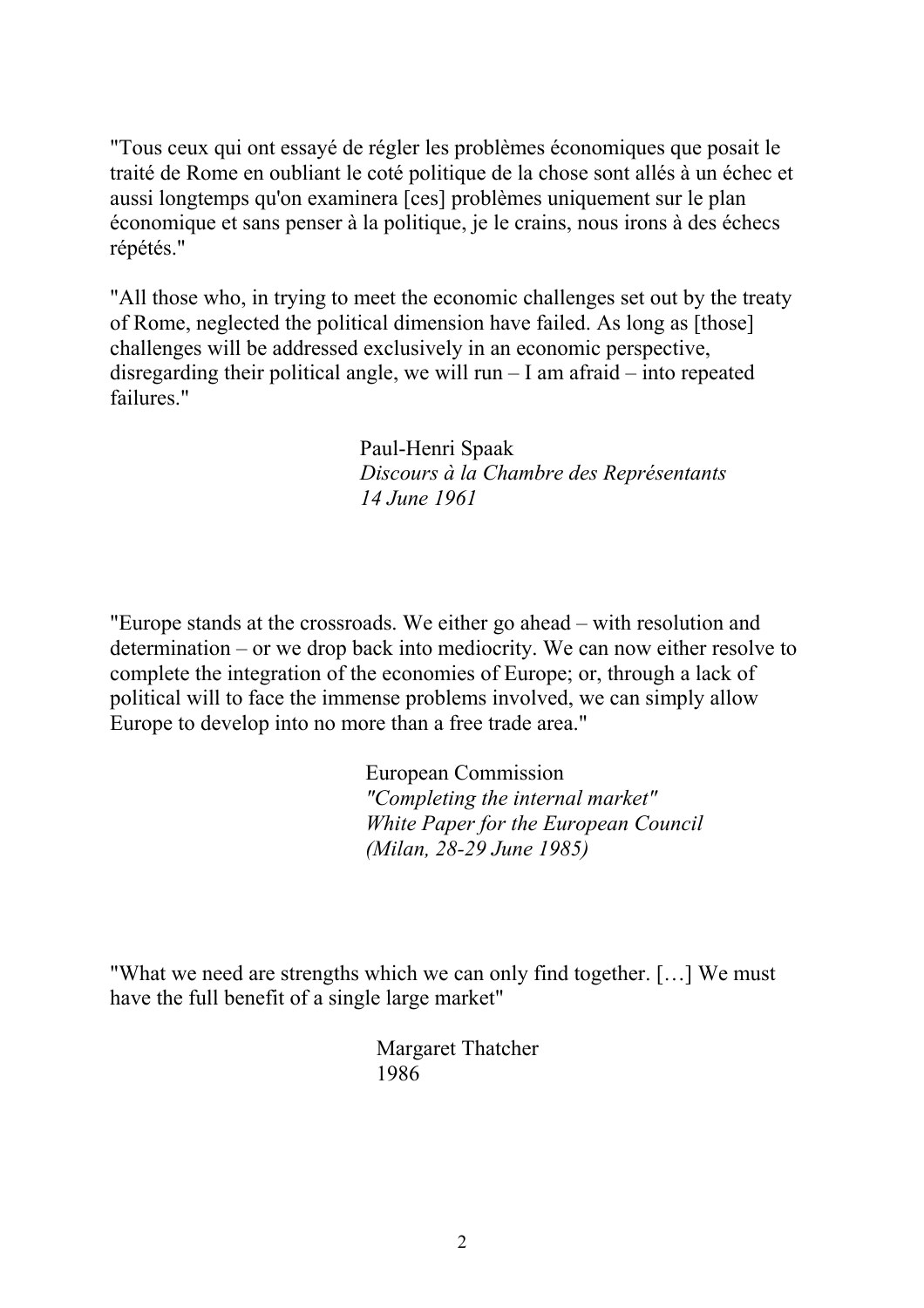"Tous ceux qui ont essayé de régler les problèmes économiques que posait le traité de Rome en oubliant le coté politique de la chose sont allés à un échec et aussi longtemps qu'on examinera [ces] problèmes uniquement sur le plan économique et sans penser à la politique, je le crains, nous irons à des échecs répétés."

"All those who, in trying to meet the economic challenges set out by the treaty of Rome, neglected the political dimension have failed. As long as [those] challenges will be addressed exclusively in an economic perspective, disregarding their political angle, we will run  $-I$  am afraid  $-$  into repeated failures."

> Paul-Henri Spaak *Discours à la Chambre des Représentants 14 June 1961*

"Europe stands at the crossroads. We either go ahead – with resolution and determination – or we drop back into mediocrity. We can now either resolve to complete the integration of the economies of Europe; or, through a lack of political will to face the immense problems involved, we can simply allow Europe to develop into no more than a free trade area."

> European Commission *"Completing the internal market" White Paper for the European Council (Milan, 28-29 June 1985)*

"What we need are strengths which we can only find together. […] We must have the full benefit of a single large market"

> Margaret Thatcher 1986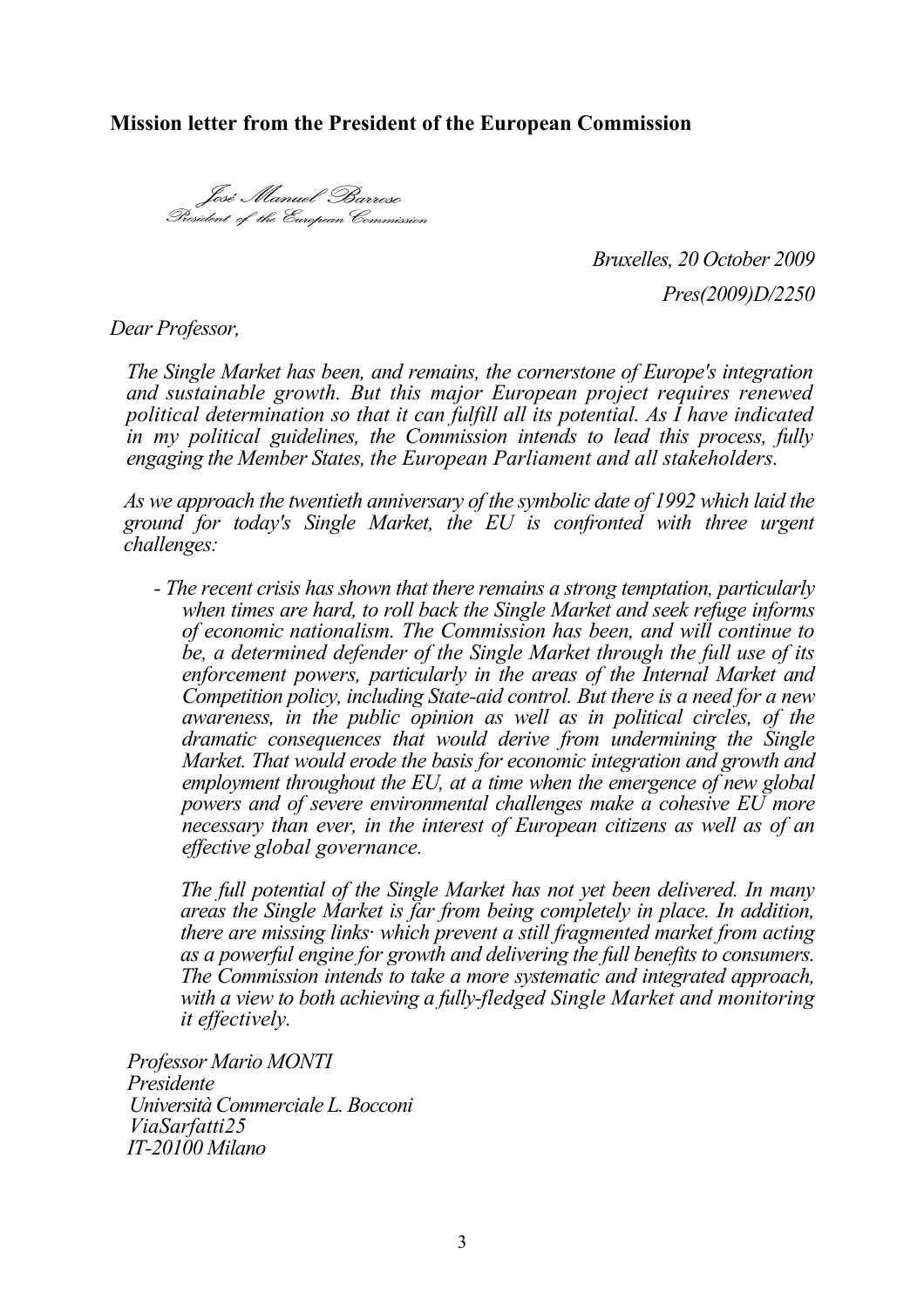#### **Mission letter from the President of the European Commission**

José Manuel Barroso President of the European Commission

*Bruxelles, 20 October 2009 Pres(2009)D/2250* 

*Dear Professor,*

*The Single Market has been, and remains, the cornerstone of Europe's integration and sustainable growth. But this major European project requires renewed political determination so that it can fulfill all its potential. As I have indicated in my political guidelines, the Commission intends to lead this process, fully engaging the Member States, the European Parliament and all stakeholders.*

*As we approach the twentieth anniversary of the symbolic date of 1992 which laid the ground for today's Single Market, the EU is confronted with three urgent challenges:*

*- The recent crisis has shown that there remains a strong temptation, particularly when times are hard, to roll back the Single Market and seek refuge informs of economic nationalism. The Commission has been, and will continue to be, a determined defender of the Single Market through the full use of its enforcement powers, particularly in the areas of the Internal Market and Competition policy, including State-aid control. But there is a need for a new awareness, in the public opinion as well as in political circles, of the dramatic consequences that would derive from undermining the Single Market. That would erode the basis for economic integration and growth and employment throughout the EU, at a time when the emergence of new global powers and of severe environmental challenges make a cohesive EU more necessary than ever, in the interest of European citizens as well as of an effective global governance.*

*The full potential of the Single Market has not yet been delivered. In many areas the Single Market is far from being completely in place. In addition, there are missing links· which prevent a still fragmented market from acting as a powerful engine for growth and delivering the full benefits to consumers. The Commission intends to take a more systematic and integrated approach, with a view to both achieving a fully-fledged Single Market and monitoring it effectively.*

*Professor Mario MONTI Presidente Università Commerciale L. Bocconi ViaSarfatti25 IT-20100 Milano*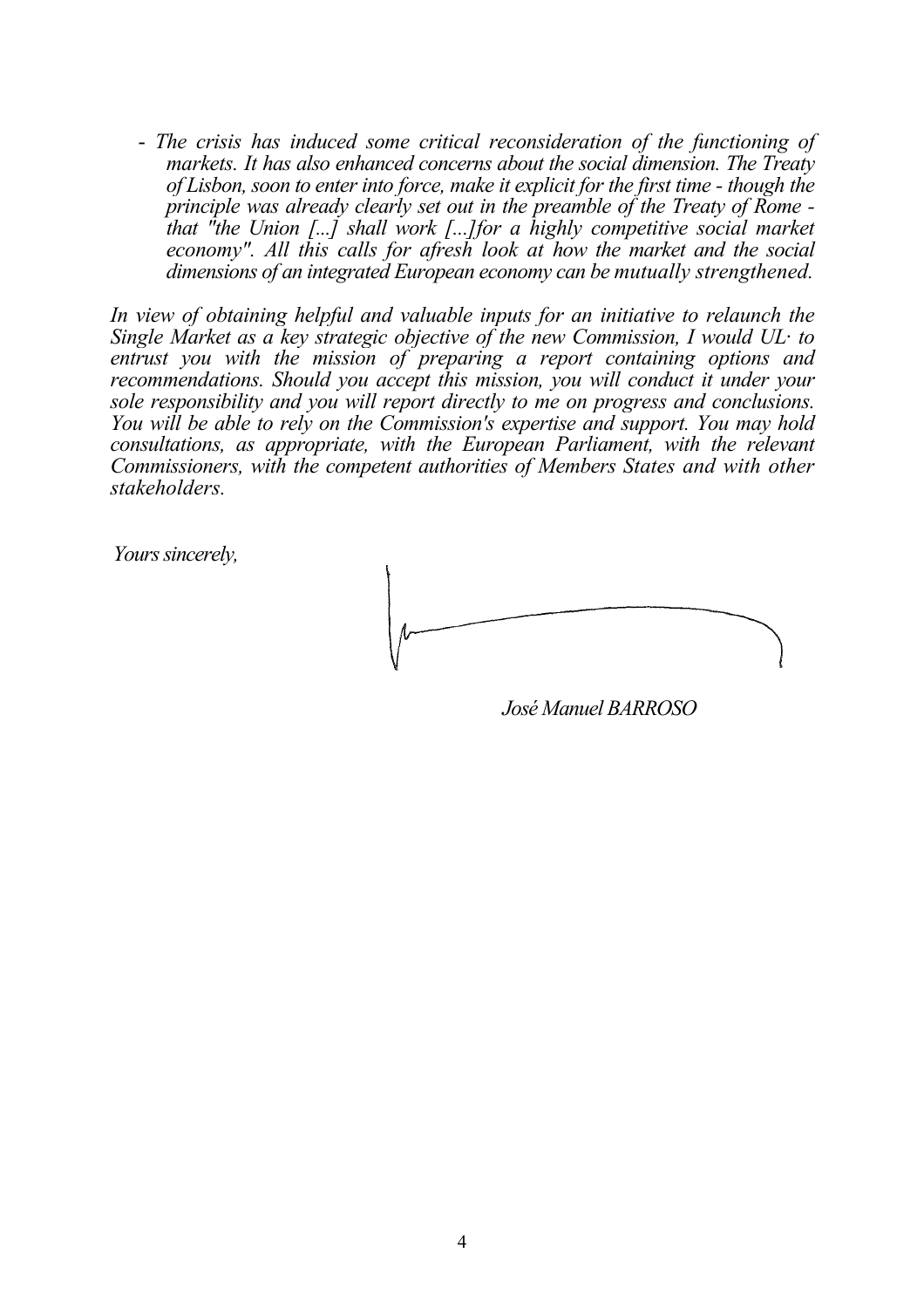- *The crisis has induced some critical reconsideration of the functioning of markets. It has also enhanced concerns about the social dimension. The Treaty of Lisbon, soon to enter into force, make it explicit for the first time - though the principle was already clearly set out in the preamble of the Treaty of Rome that "the Union [...] shall work [...]for a highly competitive social market economy". All this calls for afresh look at how the market and the social dimensions of an integrated European economy can be mutually strengthened.*

*In view of obtaining helpful and valuable inputs for an initiative to relaunch the Single Market as a key strategic objective of the new Commission, I would UL· to entrust you with the mission of preparing a report containing options and recommendations. Should you accept this mission, you will conduct it under your sole responsibility and you will report directly to me on progress and conclusions. You will be able to rely on the Commission's expertise and support. You may hold consultations, as appropriate, with the European Parliament, with the relevant Commissioners, with the competent authorities of Members States and with other stakeholders.*

*Yours sincerely,*

*José Manuel BARROSO*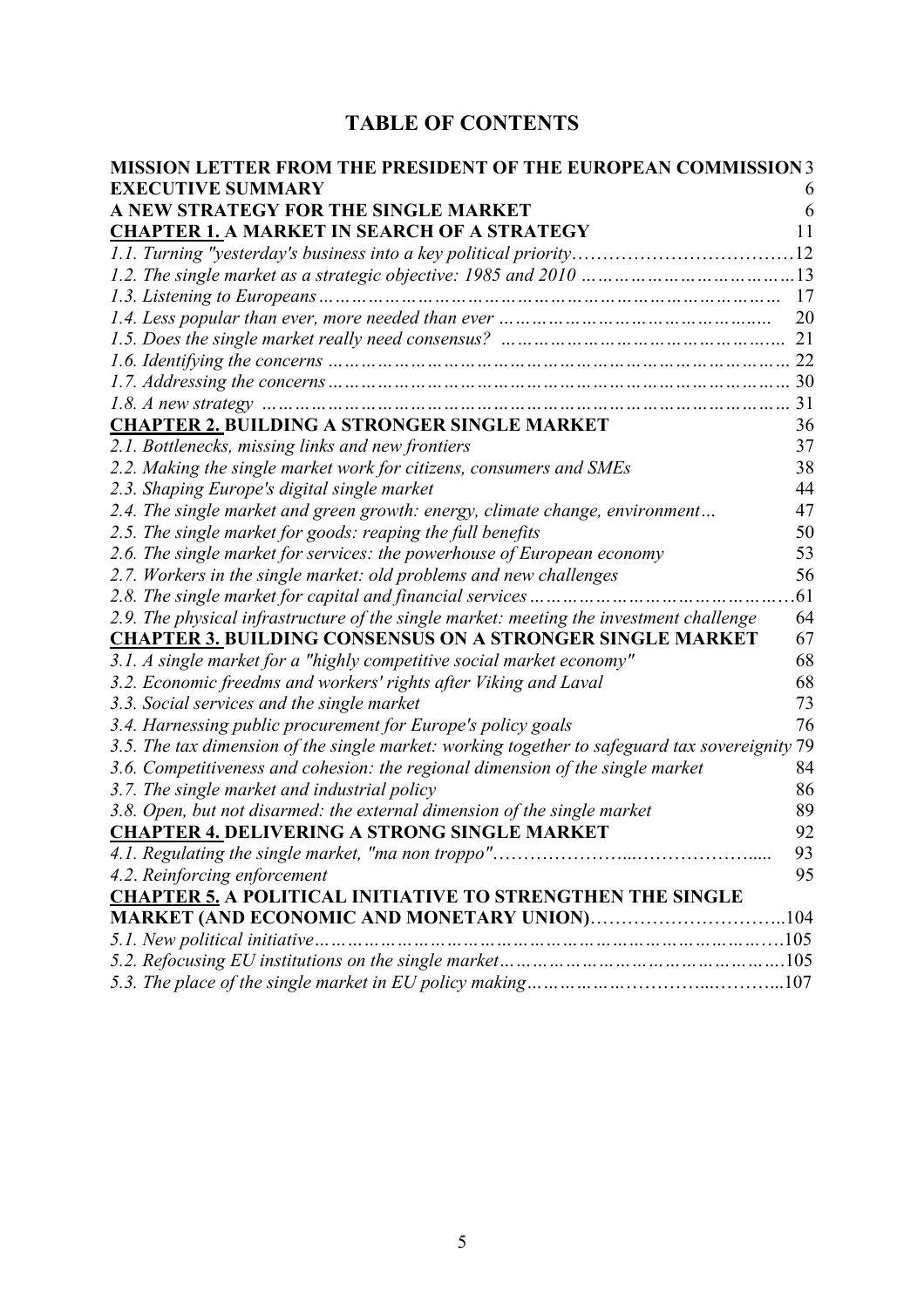## **TABLE OF CONTENTS**

| <b>MISSION LETTER FROM THE PRESIDENT OF THE EUROPEAN COMMISSION 3</b>                       |    |
|---------------------------------------------------------------------------------------------|----|
| <b>EXECUTIVE SUMMARY</b>                                                                    | 6  |
| A NEW STRATEGY FOR THE SINGLE MARKET                                                        | 6  |
| <b>CHAPTER 1. A MARKET IN SEARCH OF A STRATEGY</b>                                          | 11 |
|                                                                                             |    |
|                                                                                             |    |
|                                                                                             | 17 |
|                                                                                             | 20 |
|                                                                                             |    |
|                                                                                             |    |
|                                                                                             |    |
|                                                                                             |    |
| <b>CHAPTER 2. BUILDING A STRONGER SINGLE MARKET</b>                                         | 36 |
| 2.1. Bottlenecks, missing links and new frontiers                                           | 37 |
| 2.2. Making the single market work for citizens, consumers and SMEs                         | 38 |
| 2.3. Shaping Europe's digital single market                                                 | 44 |
| 2.4. The single market and green growth: energy, climate change, environment                | 47 |
| 2.5. The single market for goods: reaping the full benefits                                 | 50 |
| 2.6. The single market for services: the powerhouse of European economy                     | 53 |
| 2.7. Workers in the single market: old problems and new challenges                          | 56 |
|                                                                                             | 61 |
| 2.9. The physical infrastructure of the single market: meeting the investment challenge     | 64 |
| <b>CHAPTER 3. BUILDING CONSENSUS ON A STRONGER SINGLE MARKET</b>                            | 67 |
| 3.1. A single market for a "highly competitive social market economy"                       | 68 |
| 3.2. Economic freedms and workers' rights after Viking and Laval                            | 68 |
| 3.3. Social services and the single market                                                  | 73 |
| 3.4. Harnessing public procurement for Europe's policy goals                                | 76 |
| 3.5. The tax dimension of the single market: working together to safeguard tax sovereignity | 79 |
| 3.6. Competitiveness and cohesion: the regional dimension of the single market              | 84 |
| 3.7. The single market and industrial policy                                                | 86 |
| 3.8. Open, but not disarmed: the external dimension of the single market                    | 89 |
| <b>CHAPTER 4. DELIVERING A STRONG SINGLE MARKET</b>                                         | 92 |
|                                                                                             | 93 |
| 4.2. Reinforcing enforcement                                                                | 95 |
| <b>CHAPTER 5. A POLITICAL INITIATIVE TO STRENGTHEN THE SINGLE</b>                           |    |
| <b>MARKET (AND ECONOMIC AND MONETARY UNION)104</b>                                          |    |
|                                                                                             |    |
|                                                                                             |    |
|                                                                                             |    |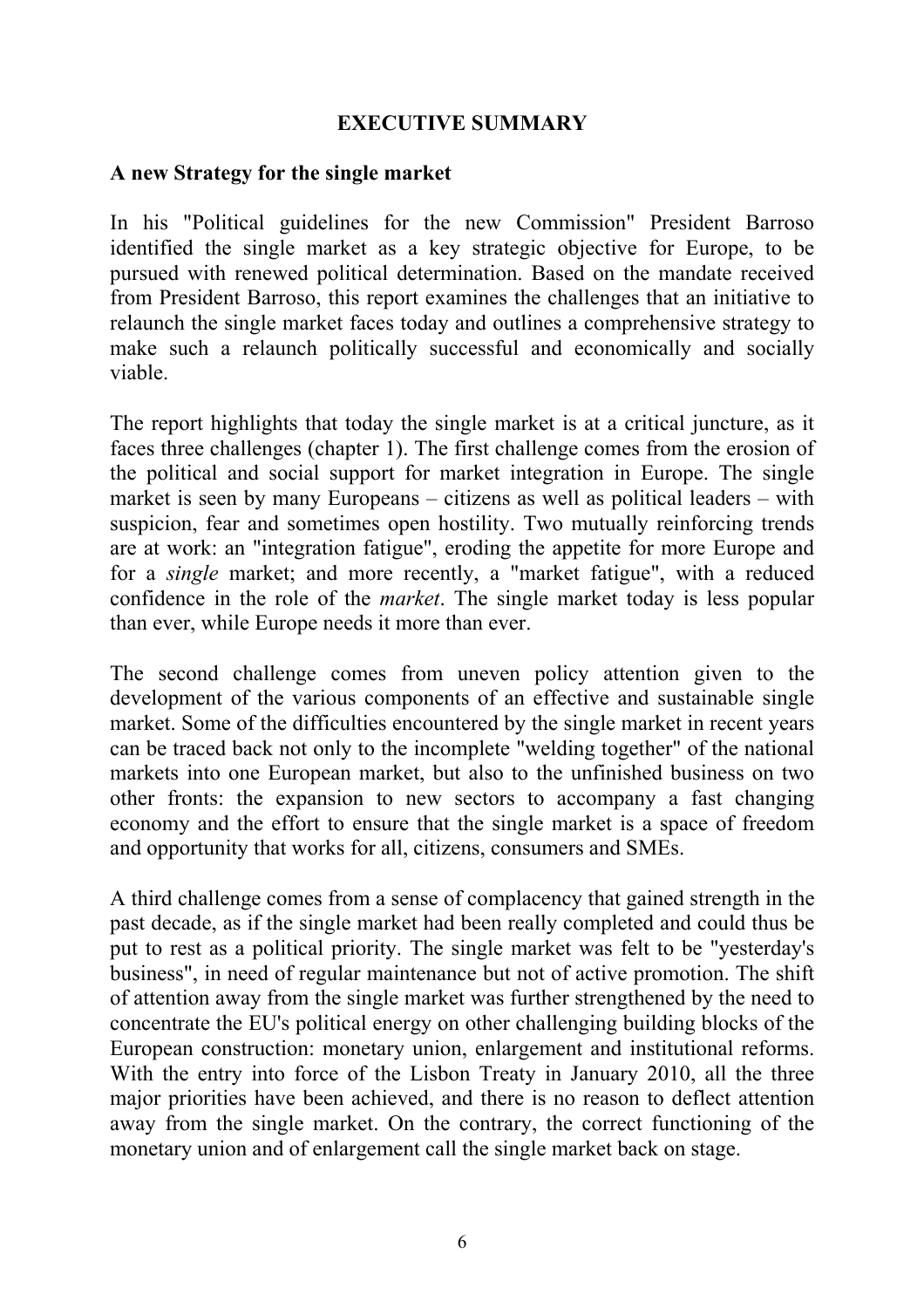#### **EXECUTIVE SUMMARY**

#### **A new Strategy for the single market**

In his "Political guidelines for the new Commission" President Barroso identified the single market as a key strategic objective for Europe, to be pursued with renewed political determination. Based on the mandate received from President Barroso, this report examines the challenges that an initiative to relaunch the single market faces today and outlines a comprehensive strategy to make such a relaunch politically successful and economically and socially viable.

The report highlights that today the single market is at a critical juncture, as it faces three challenges (chapter 1). The first challenge comes from the erosion of the political and social support for market integration in Europe. The single market is seen by many Europeans – citizens as well as political leaders – with suspicion, fear and sometimes open hostility. Two mutually reinforcing trends are at work: an "integration fatigue", eroding the appetite for more Europe and for a *single* market; and more recently, a "market fatigue", with a reduced confidence in the role of the *market*. The single market today is less popular than ever, while Europe needs it more than ever.

The second challenge comes from uneven policy attention given to the development of the various components of an effective and sustainable single market. Some of the difficulties encountered by the single market in recent years can be traced back not only to the incomplete "welding together" of the national markets into one European market, but also to the unfinished business on two other fronts: the expansion to new sectors to accompany a fast changing economy and the effort to ensure that the single market is a space of freedom and opportunity that works for all, citizens, consumers and SMEs.

A third challenge comes from a sense of complacency that gained strength in the past decade, as if the single market had been really completed and could thus be put to rest as a political priority. The single market was felt to be "yesterday's business", in need of regular maintenance but not of active promotion. The shift of attention away from the single market was further strengthened by the need to concentrate the EU's political energy on other challenging building blocks of the European construction: monetary union, enlargement and institutional reforms. With the entry into force of the Lisbon Treaty in January 2010, all the three major priorities have been achieved, and there is no reason to deflect attention away from the single market. On the contrary, the correct functioning of the monetary union and of enlargement call the single market back on stage.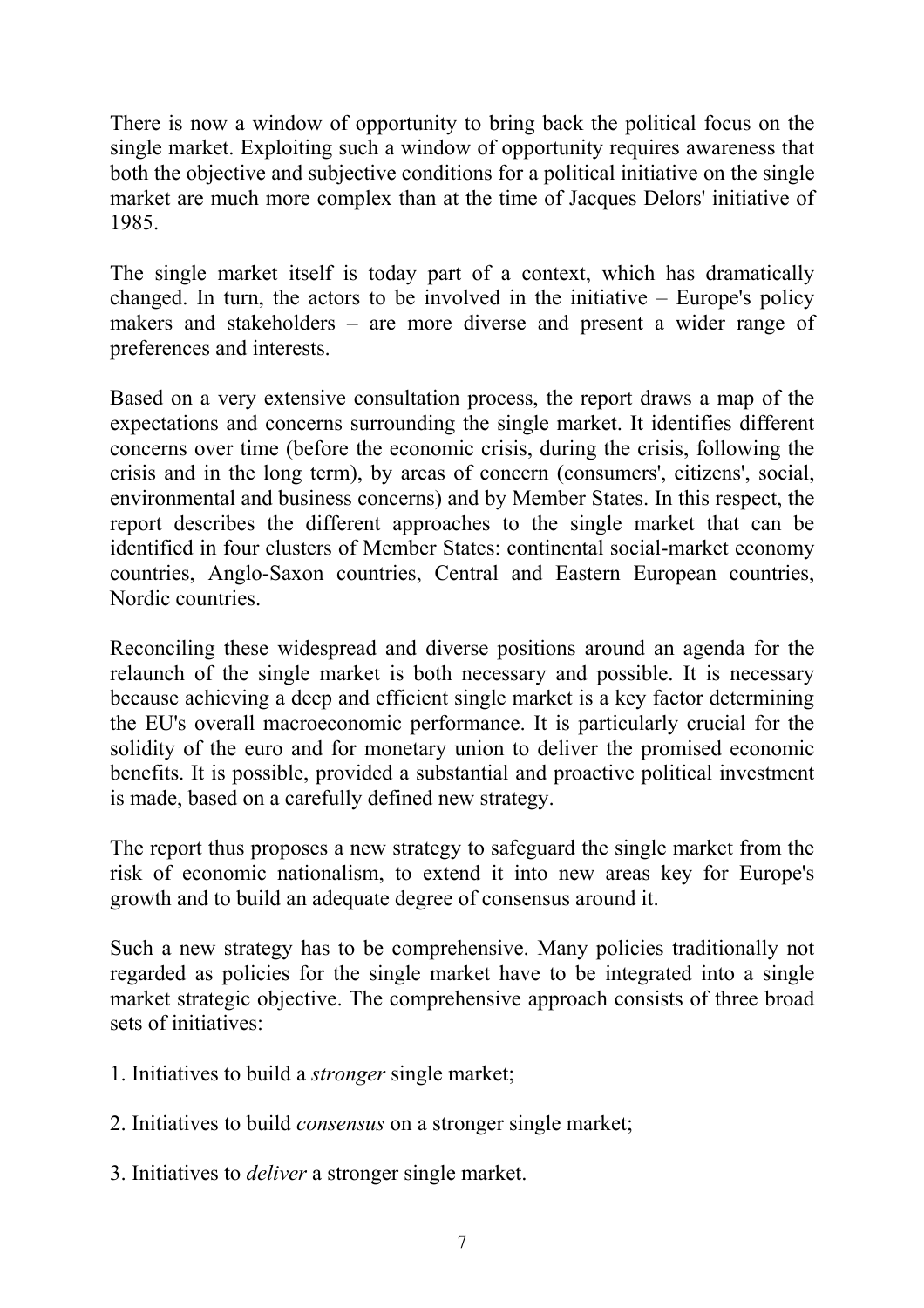There is now a window of opportunity to bring back the political focus on the single market. Exploiting such a window of opportunity requires awareness that both the objective and subjective conditions for a political initiative on the single market are much more complex than at the time of Jacques Delors' initiative of 1985.

The single market itself is today part of a context, which has dramatically changed. In turn, the actors to be involved in the initiative – Europe's policy makers and stakeholders – are more diverse and present a wider range of preferences and interests.

Based on a very extensive consultation process, the report draws a map of the expectations and concerns surrounding the single market. It identifies different concerns over time (before the economic crisis, during the crisis, following the crisis and in the long term), by areas of concern (consumers', citizens', social, environmental and business concerns) and by Member States. In this respect, the report describes the different approaches to the single market that can be identified in four clusters of Member States: continental social-market economy countries, Anglo-Saxon countries, Central and Eastern European countries, Nordic countries.

Reconciling these widespread and diverse positions around an agenda for the relaunch of the single market is both necessary and possible. It is necessary because achieving a deep and efficient single market is a key factor determining the EU's overall macroeconomic performance. It is particularly crucial for the solidity of the euro and for monetary union to deliver the promised economic benefits. It is possible, provided a substantial and proactive political investment is made, based on a carefully defined new strategy.

The report thus proposes a new strategy to safeguard the single market from the risk of economic nationalism, to extend it into new areas key for Europe's growth and to build an adequate degree of consensus around it.

Such a new strategy has to be comprehensive. Many policies traditionally not regarded as policies for the single market have to be integrated into a single market strategic objective. The comprehensive approach consists of three broad sets of initiatives:

- 1. Initiatives to build a *stronger* single market;
- 2. Initiatives to build *consensus* on a stronger single market;
- 3. Initiatives to *deliver* a stronger single market.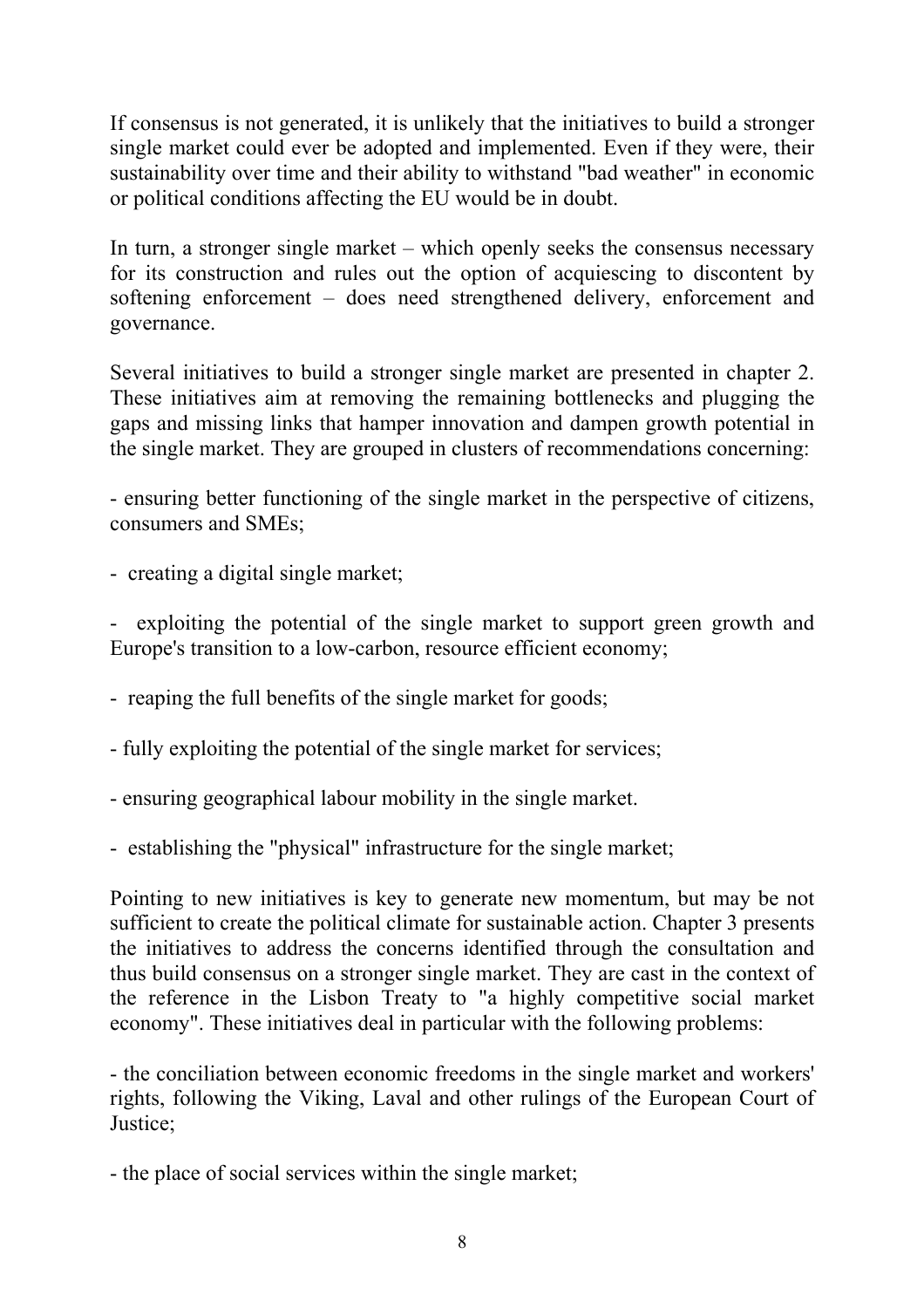If consensus is not generated, it is unlikely that the initiatives to build a stronger single market could ever be adopted and implemented. Even if they were, their sustainability over time and their ability to withstand "bad weather" in economic or political conditions affecting the EU would be in doubt.

In turn, a stronger single market – which openly seeks the consensus necessary for its construction and rules out the option of acquiescing to discontent by softening enforcement – does need strengthened delivery, enforcement and governance.

Several initiatives to build a stronger single market are presented in chapter 2. These initiatives aim at removing the remaining bottlenecks and plugging the gaps and missing links that hamper innovation and dampen growth potential in the single market. They are grouped in clusters of recommendations concerning:

- ensuring better functioning of the single market in the perspective of citizens, consumers and SMEs;

- creating a digital single market;

exploiting the potential of the single market to support green growth and Europe's transition to a low-carbon, resource efficient economy;

- reaping the full benefits of the single market for goods;

- fully exploiting the potential of the single market for services;
- ensuring geographical labour mobility in the single market.
- establishing the "physical" infrastructure for the single market;

Pointing to new initiatives is key to generate new momentum, but may be not sufficient to create the political climate for sustainable action. Chapter 3 presents the initiatives to address the concerns identified through the consultation and thus build consensus on a stronger single market. They are cast in the context of the reference in the Lisbon Treaty to "a highly competitive social market economy". These initiatives deal in particular with the following problems:

- the conciliation between economic freedoms in the single market and workers' rights, following the Viking, Laval and other rulings of the European Court of Justice;

- the place of social services within the single market;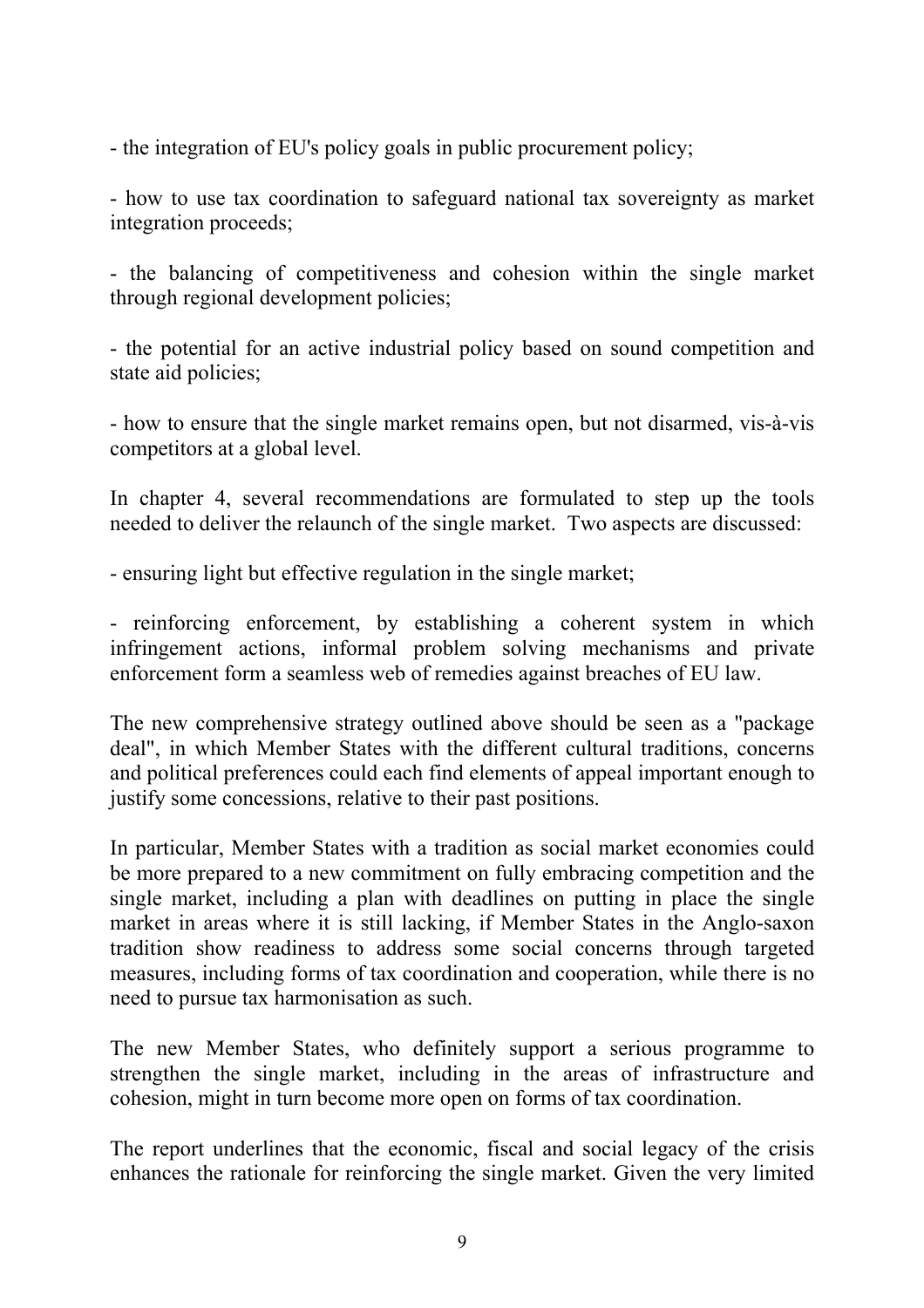- the integration of EU's policy goals in public procurement policy;

- how to use tax coordination to safeguard national tax sovereignty as market integration proceeds;

- the balancing of competitiveness and cohesion within the single market through regional development policies;

- the potential for an active industrial policy based on sound competition and state aid policies;

- how to ensure that the single market remains open, but not disarmed, vis-à-vis competitors at a global level.

In chapter 4, several recommendations are formulated to step up the tools needed to deliver the relaunch of the single market. Two aspects are discussed:

- ensuring light but effective regulation in the single market;

- reinforcing enforcement, by establishing a coherent system in which infringement actions, informal problem solving mechanisms and private enforcement form a seamless web of remedies against breaches of EU law.

The new comprehensive strategy outlined above should be seen as a "package deal", in which Member States with the different cultural traditions, concerns and political preferences could each find elements of appeal important enough to justify some concessions, relative to their past positions.

In particular, Member States with a tradition as social market economies could be more prepared to a new commitment on fully embracing competition and the single market, including a plan with deadlines on putting in place the single market in areas where it is still lacking, if Member States in the Anglo-saxon tradition show readiness to address some social concerns through targeted measures, including forms of tax coordination and cooperation, while there is no need to pursue tax harmonisation as such.

The new Member States, who definitely support a serious programme to strengthen the single market, including in the areas of infrastructure and cohesion, might in turn become more open on forms of tax coordination.

The report underlines that the economic, fiscal and social legacy of the crisis enhances the rationale for reinforcing the single market. Given the very limited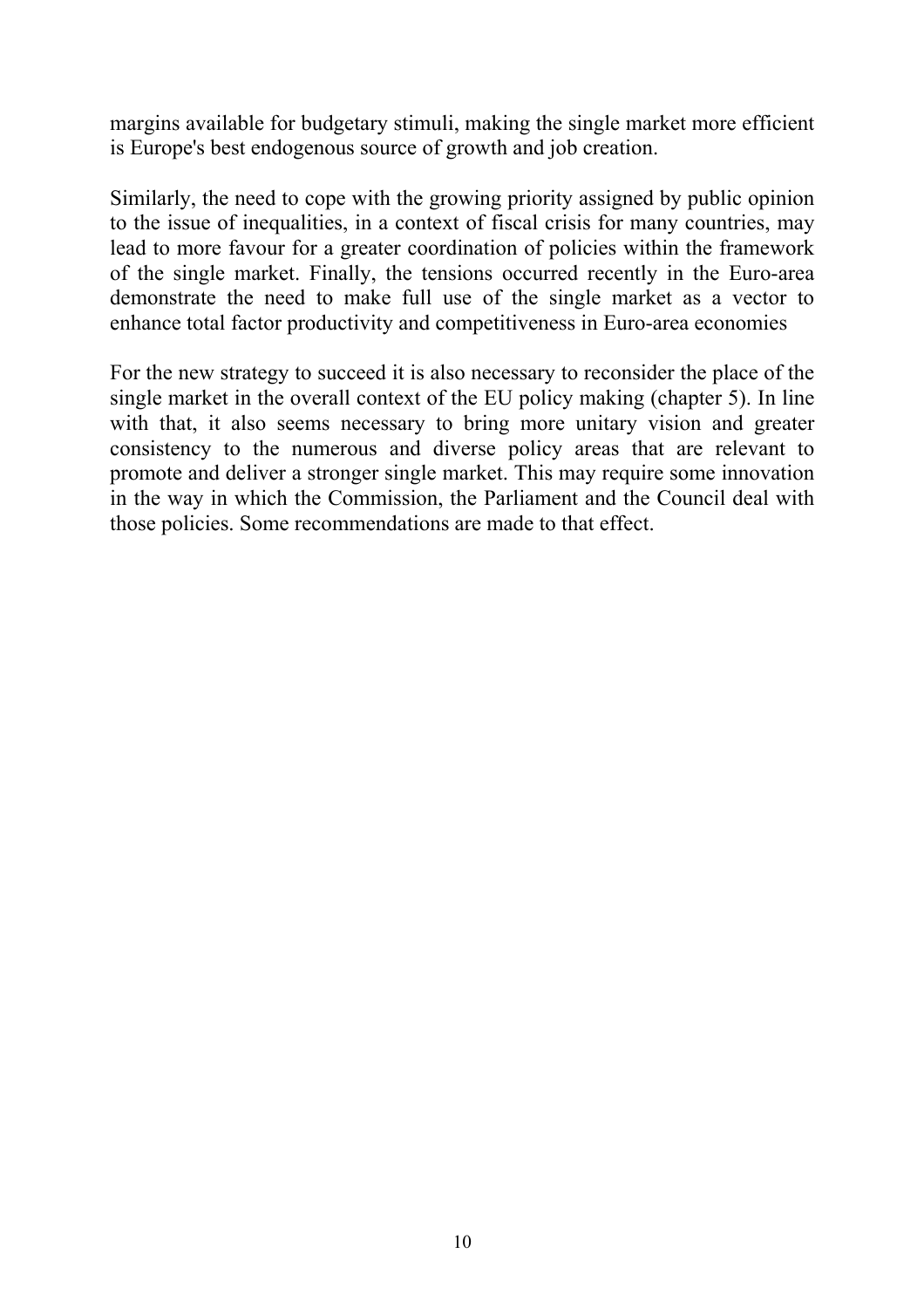margins available for budgetary stimuli, making the single market more efficient is Europe's best endogenous source of growth and job creation.

Similarly, the need to cope with the growing priority assigned by public opinion to the issue of inequalities, in a context of fiscal crisis for many countries, may lead to more favour for a greater coordination of policies within the framework of the single market. Finally, the tensions occurred recently in the Euro-area demonstrate the need to make full use of the single market as a vector to enhance total factor productivity and competitiveness in Euro-area economies

For the new strategy to succeed it is also necessary to reconsider the place of the single market in the overall context of the EU policy making (chapter 5). In line with that, it also seems necessary to bring more unitary vision and greater consistency to the numerous and diverse policy areas that are relevant to promote and deliver a stronger single market. This may require some innovation in the way in which the Commission, the Parliament and the Council deal with those policies. Some recommendations are made to that effect.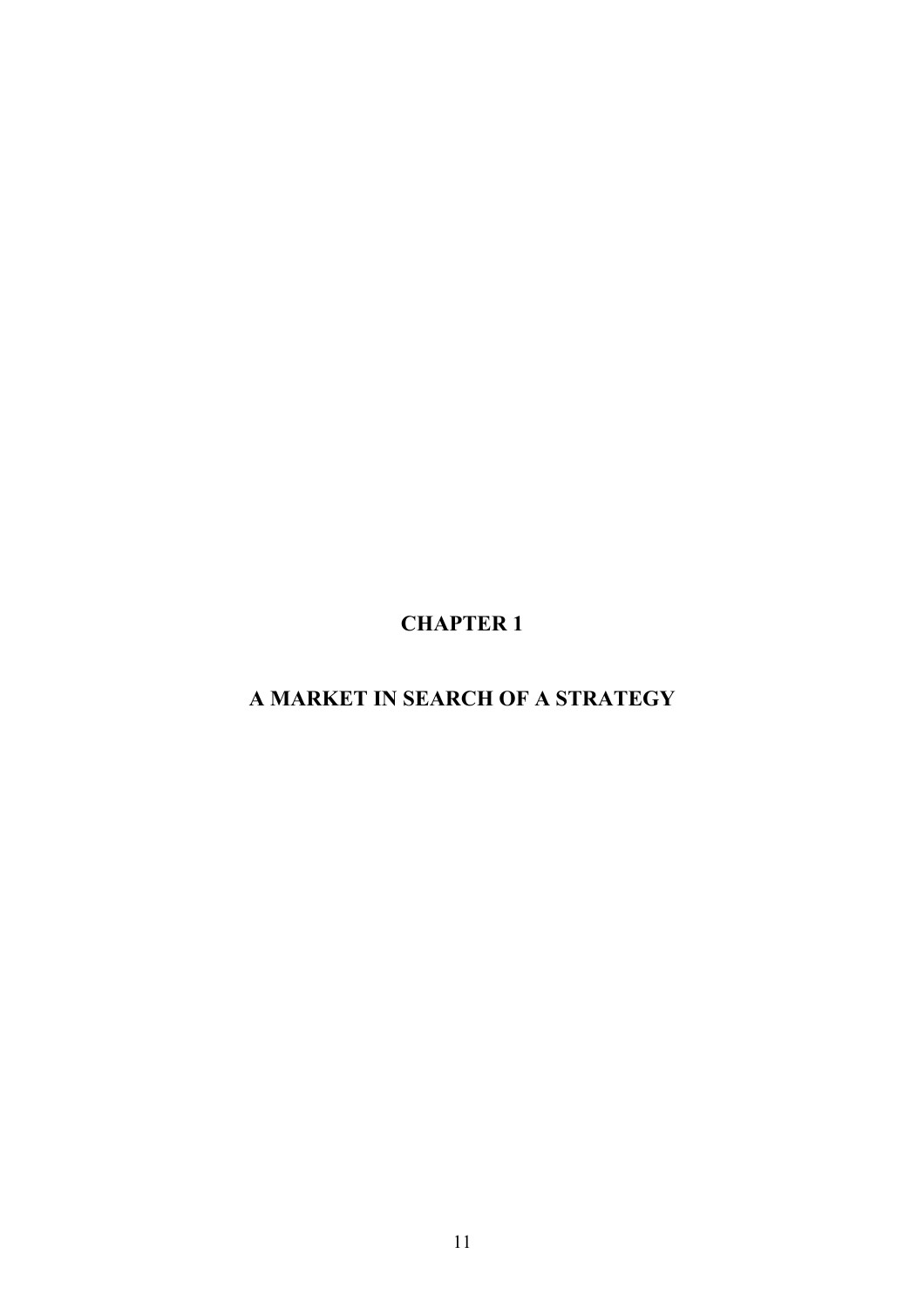**CHAPTER 1** 

# **A MARKET IN SEARCH OF A STRATEGY**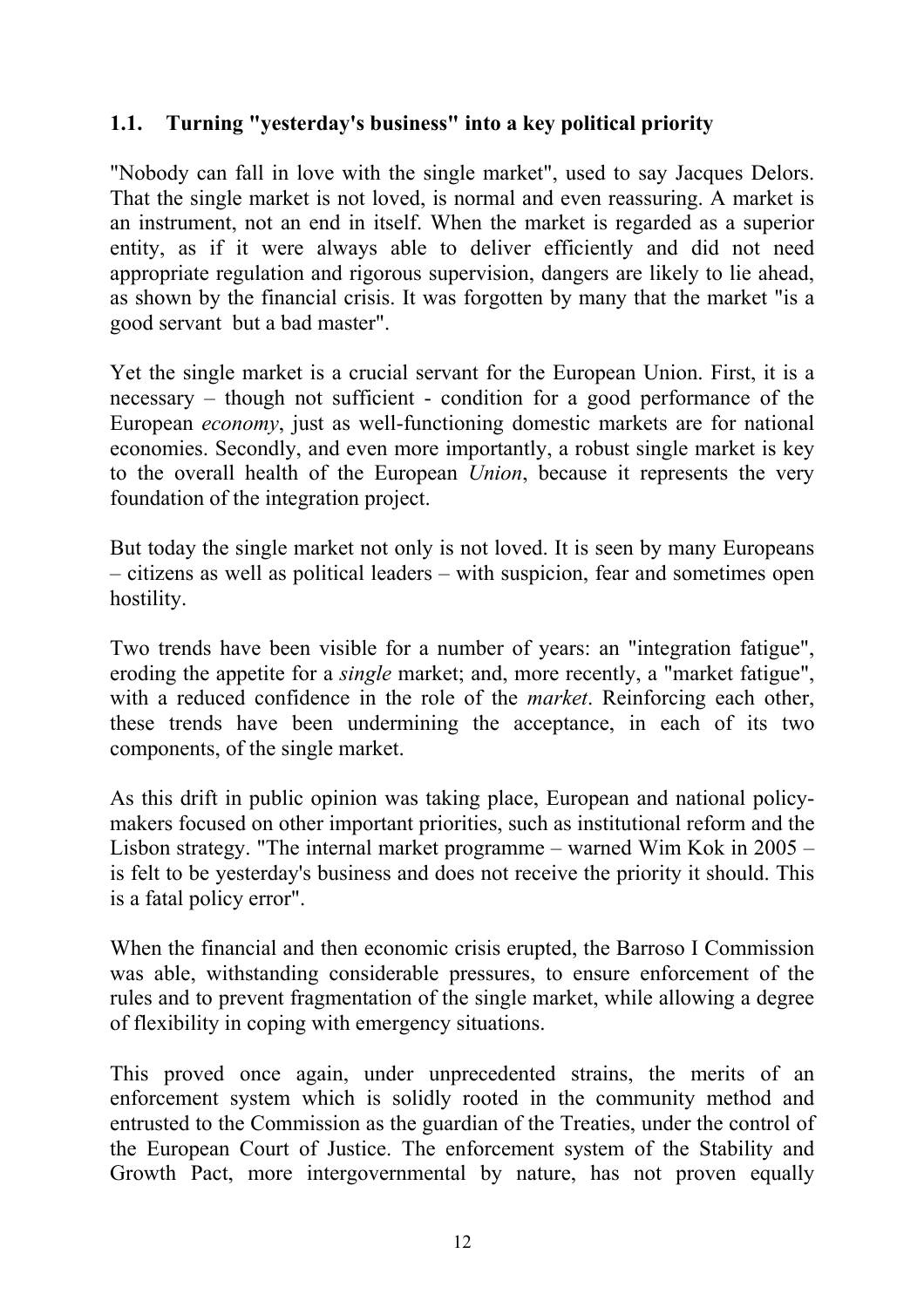## **1.1. Turning "yesterday's business" into a key political priority**

"Nobody can fall in love with the single market", used to say Jacques Delors. That the single market is not loved, is normal and even reassuring. A market is an instrument, not an end in itself. When the market is regarded as a superior entity, as if it were always able to deliver efficiently and did not need appropriate regulation and rigorous supervision, dangers are likely to lie ahead, as shown by the financial crisis. It was forgotten by many that the market "is a good servant but a bad master".

Yet the single market is a crucial servant for the European Union. First, it is a necessary – though not sufficient - condition for a good performance of the European *economy*, just as well-functioning domestic markets are for national economies. Secondly, and even more importantly, a robust single market is key to the overall health of the European *Union*, because it represents the very foundation of the integration project.

But today the single market not only is not loved. It is seen by many Europeans – citizens as well as political leaders – with suspicion, fear and sometimes open hostility.

Two trends have been visible for a number of years: an "integration fatigue", eroding the appetite for a *single* market; and, more recently, a "market fatigue", with a reduced confidence in the role of the *market*. Reinforcing each other, these trends have been undermining the acceptance, in each of its two components, of the single market.

As this drift in public opinion was taking place, European and national policymakers focused on other important priorities, such as institutional reform and the Lisbon strategy. "The internal market programme – warned Wim Kok in 2005 – is felt to be yesterday's business and does not receive the priority it should. This is a fatal policy error".

When the financial and then economic crisis erupted, the Barroso I Commission was able, withstanding considerable pressures, to ensure enforcement of the rules and to prevent fragmentation of the single market, while allowing a degree of flexibility in coping with emergency situations.

This proved once again, under unprecedented strains, the merits of an enforcement system which is solidly rooted in the community method and entrusted to the Commission as the guardian of the Treaties, under the control of the European Court of Justice. The enforcement system of the Stability and Growth Pact, more intergovernmental by nature, has not proven equally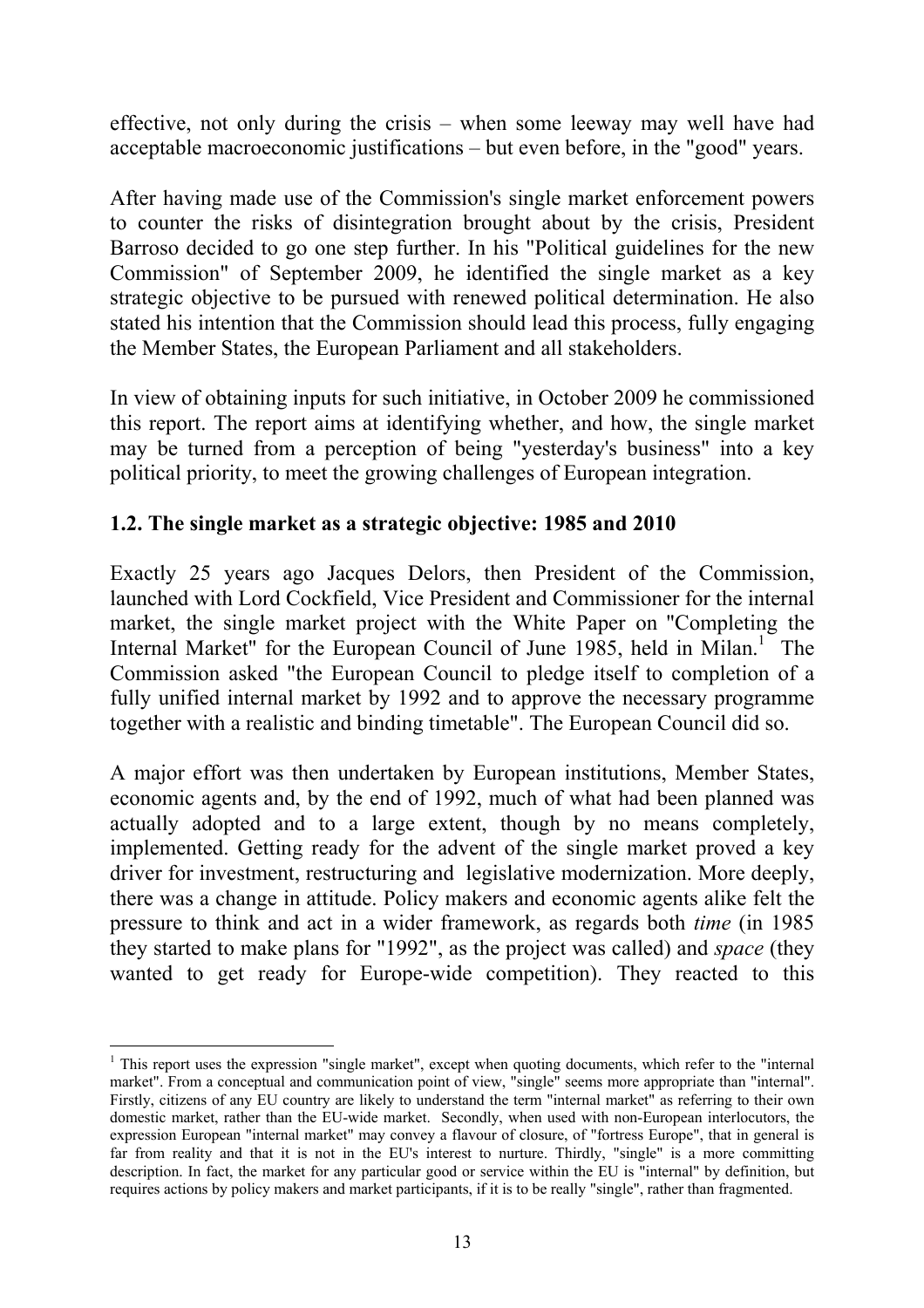effective, not only during the crisis – when some leeway may well have had acceptable macroeconomic justifications – but even before, in the "good" years.

After having made use of the Commission's single market enforcement powers to counter the risks of disintegration brought about by the crisis, President Barroso decided to go one step further. In his "Political guidelines for the new Commission" of September 2009, he identified the single market as a key strategic objective to be pursued with renewed political determination. He also stated his intention that the Commission should lead this process, fully engaging the Member States, the European Parliament and all stakeholders.

In view of obtaining inputs for such initiative, in October 2009 he commissioned this report. The report aims at identifying whether, and how, the single market may be turned from a perception of being "yesterday's business" into a key political priority, to meet the growing challenges of European integration.

#### **1.2. The single market as a strategic objective: 1985 and 2010**

Exactly 25 years ago Jacques Delors, then President of the Commission, launched with Lord Cockfield, Vice President and Commissioner for the internal market, the single market project with the White Paper on "Completing the Internal Market" for the European Council of June 1985, held in Milan.<sup>1</sup> The Commission asked "the European Council to pledge itself to completion of a fully unified internal market by 1992 and to approve the necessary programme together with a realistic and binding timetable". The European Council did so.

A major effort was then undertaken by European institutions, Member States, economic agents and, by the end of 1992, much of what had been planned was actually adopted and to a large extent, though by no means completely, implemented. Getting ready for the advent of the single market proved a key driver for investment, restructuring and legislative modernization. More deeply, there was a change in attitude. Policy makers and economic agents alike felt the pressure to think and act in a wider framework, as regards both *time* (in 1985 they started to make plans for "1992", as the project was called) and *space* (they wanted to get ready for Europe-wide competition). They reacted to this

1

<sup>&</sup>lt;sup>1</sup> This report uses the expression "single market", except when quoting documents, which refer to the "internal" market". From a conceptual and communication point of view, "single" seems more appropriate than "internal". Firstly, citizens of any EU country are likely to understand the term "internal market" as referring to their own domestic market, rather than the EU-wide market. Secondly, when used with non-European interlocutors, the expression European "internal market" may convey a flavour of closure, of "fortress Europe", that in general is far from reality and that it is not in the EU's interest to nurture. Thirdly, "single" is a more committing description. In fact, the market for any particular good or service within the EU is "internal" by definition, but requires actions by policy makers and market participants, if it is to be really "single", rather than fragmented.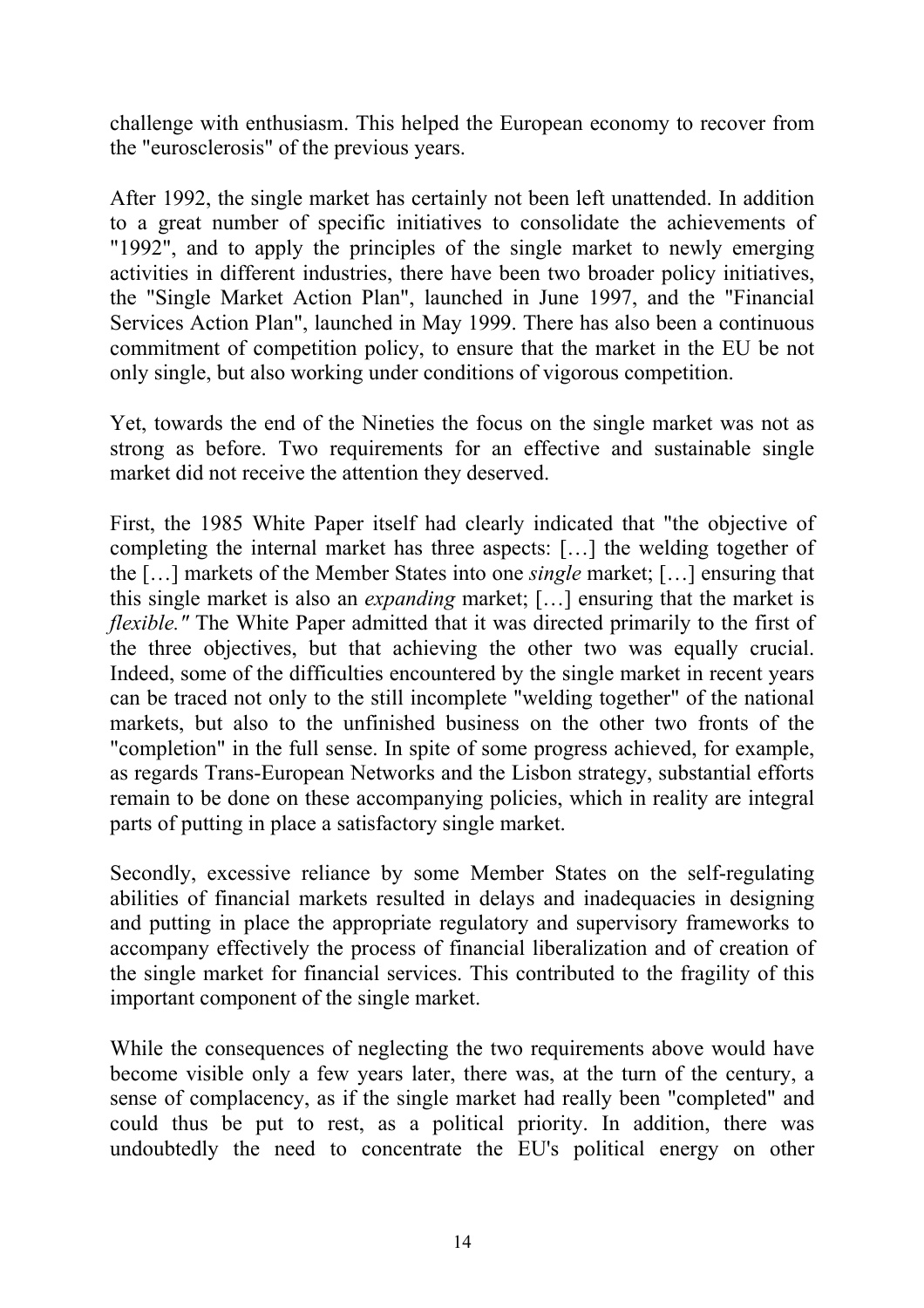challenge with enthusiasm. This helped the European economy to recover from the "eurosclerosis" of the previous years.

After 1992, the single market has certainly not been left unattended. In addition to a great number of specific initiatives to consolidate the achievements of "1992", and to apply the principles of the single market to newly emerging activities in different industries, there have been two broader policy initiatives, the "Single Market Action Plan", launched in June 1997, and the "Financial Services Action Plan", launched in May 1999. There has also been a continuous commitment of competition policy, to ensure that the market in the EU be not only single, but also working under conditions of vigorous competition.

Yet, towards the end of the Nineties the focus on the single market was not as strong as before. Two requirements for an effective and sustainable single market did not receive the attention they deserved.

First, the 1985 White Paper itself had clearly indicated that "the objective of completing the internal market has three aspects: […] the welding together of the […] markets of the Member States into one *single* market; […] ensuring that this single market is also an *expanding* market; […] ensuring that the market is *flexible."* The White Paper admitted that it was directed primarily to the first of the three objectives, but that achieving the other two was equally crucial. Indeed, some of the difficulties encountered by the single market in recent years can be traced not only to the still incomplete "welding together" of the national markets, but also to the unfinished business on the other two fronts of the "completion" in the full sense. In spite of some progress achieved, for example, as regards Trans-European Networks and the Lisbon strategy, substantial efforts remain to be done on these accompanying policies, which in reality are integral parts of putting in place a satisfactory single market.

Secondly, excessive reliance by some Member States on the self-regulating abilities of financial markets resulted in delays and inadequacies in designing and putting in place the appropriate regulatory and supervisory frameworks to accompany effectively the process of financial liberalization and of creation of the single market for financial services. This contributed to the fragility of this important component of the single market.

While the consequences of neglecting the two requirements above would have become visible only a few years later, there was, at the turn of the century, a sense of complacency, as if the single market had really been "completed" and could thus be put to rest, as a political priority. In addition, there was undoubtedly the need to concentrate the EU's political energy on other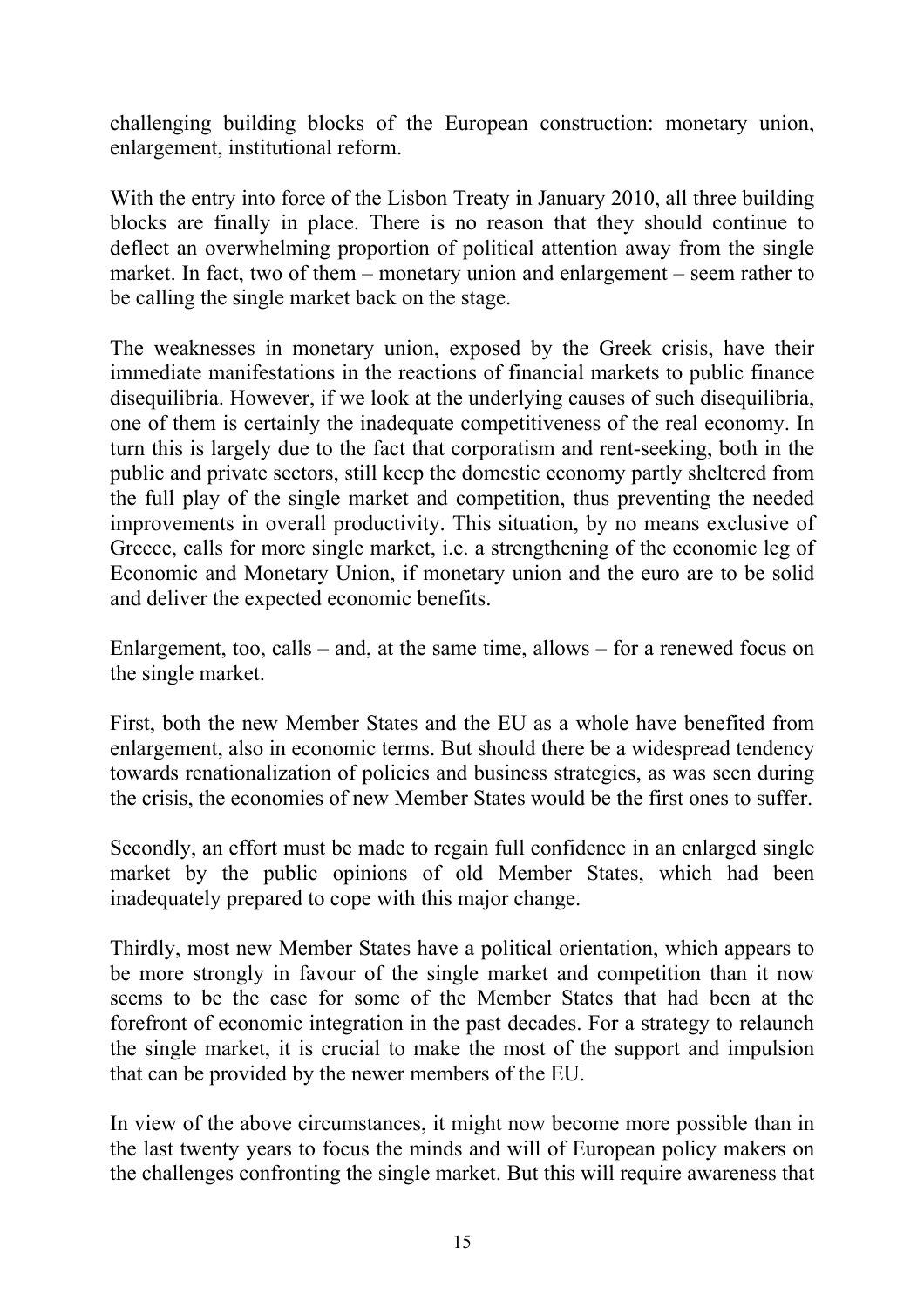challenging building blocks of the European construction: monetary union, enlargement, institutional reform.

With the entry into force of the Lisbon Treaty in January 2010, all three building blocks are finally in place. There is no reason that they should continue to deflect an overwhelming proportion of political attention away from the single market. In fact, two of them – monetary union and enlargement – seem rather to be calling the single market back on the stage.

The weaknesses in monetary union, exposed by the Greek crisis, have their immediate manifestations in the reactions of financial markets to public finance disequilibria. However, if we look at the underlying causes of such disequilibria, one of them is certainly the inadequate competitiveness of the real economy. In turn this is largely due to the fact that corporatism and rent-seeking, both in the public and private sectors, still keep the domestic economy partly sheltered from the full play of the single market and competition, thus preventing the needed improvements in overall productivity. This situation, by no means exclusive of Greece, calls for more single market, i.e. a strengthening of the economic leg of Economic and Monetary Union, if monetary union and the euro are to be solid and deliver the expected economic benefits.

Enlargement, too, calls – and, at the same time, allows – for a renewed focus on the single market.

First, both the new Member States and the EU as a whole have benefited from enlargement, also in economic terms. But should there be a widespread tendency towards renationalization of policies and business strategies, as was seen during the crisis, the economies of new Member States would be the first ones to suffer.

Secondly, an effort must be made to regain full confidence in an enlarged single market by the public opinions of old Member States, which had been inadequately prepared to cope with this major change.

Thirdly, most new Member States have a political orientation, which appears to be more strongly in favour of the single market and competition than it now seems to be the case for some of the Member States that had been at the forefront of economic integration in the past decades. For a strategy to relaunch the single market, it is crucial to make the most of the support and impulsion that can be provided by the newer members of the EU.

In view of the above circumstances, it might now become more possible than in the last twenty years to focus the minds and will of European policy makers on the challenges confronting the single market. But this will require awareness that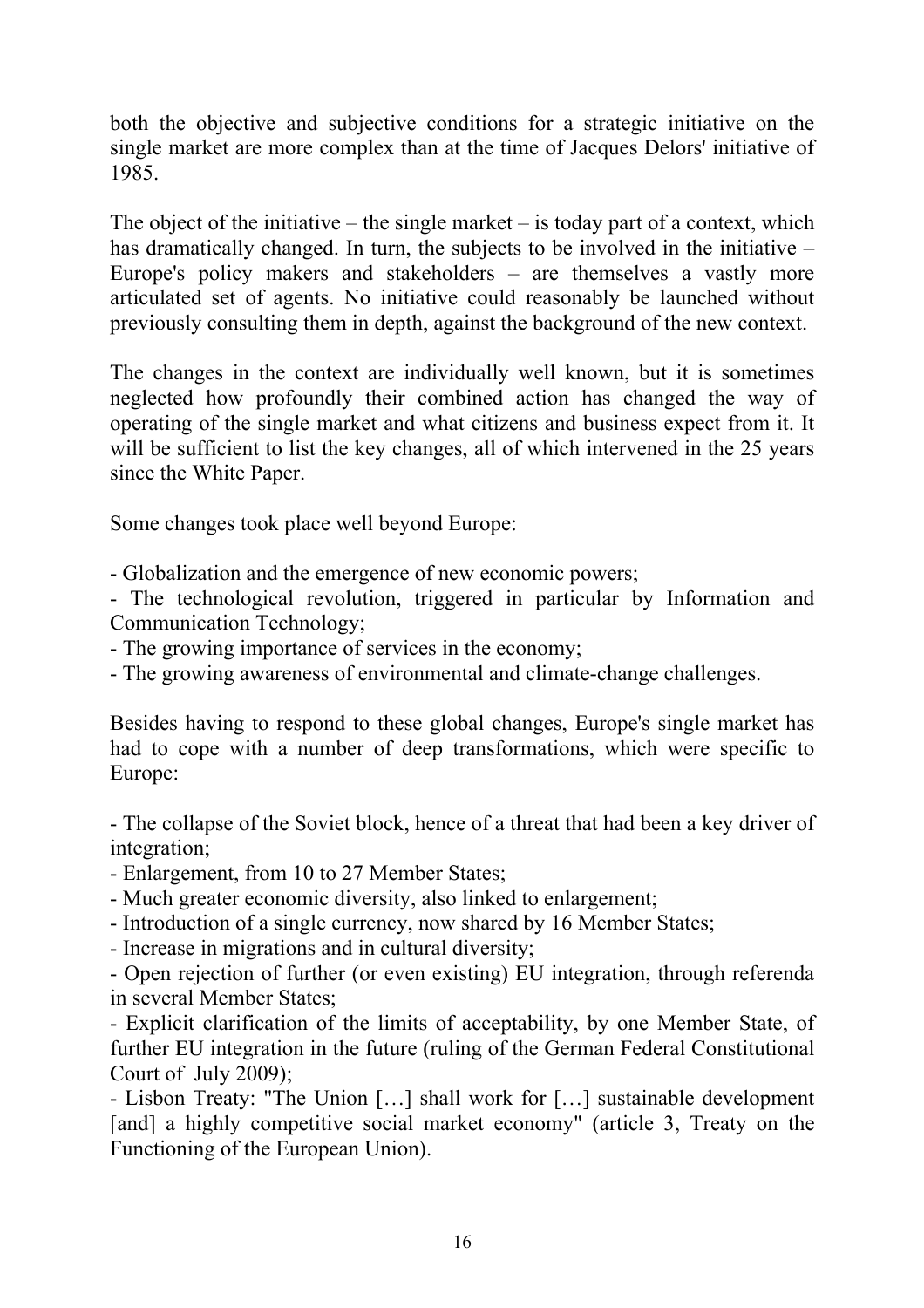both the objective and subjective conditions for a strategic initiative on the single market are more complex than at the time of Jacques Delors' initiative of 1985.

The object of the initiative – the single market – is today part of a context, which has dramatically changed. In turn, the subjects to be involved in the initiative – Europe's policy makers and stakeholders – are themselves a vastly more articulated set of agents. No initiative could reasonably be launched without previously consulting them in depth, against the background of the new context.

The changes in the context are individually well known, but it is sometimes neglected how profoundly their combined action has changed the way of operating of the single market and what citizens and business expect from it. It will be sufficient to list the key changes, all of which intervened in the 25 years since the White Paper.

Some changes took place well beyond Europe:

- Globalization and the emergence of new economic powers;

- The technological revolution, triggered in particular by Information and Communication Technology;

- The growing importance of services in the economy;

- The growing awareness of environmental and climate-change challenges.

Besides having to respond to these global changes, Europe's single market has had to cope with a number of deep transformations, which were specific to Europe:

- The collapse of the Soviet block, hence of a threat that had been a key driver of integration;

- Enlargement, from 10 to 27 Member States;

- Much greater economic diversity, also linked to enlargement;

- Introduction of a single currency, now shared by 16 Member States;

- Increase in migrations and in cultural diversity;

- Open rejection of further (or even existing) EU integration, through referenda in several Member States;

- Explicit clarification of the limits of acceptability, by one Member State, of further EU integration in the future (ruling of the German Federal Constitutional Court of July 2009);

- Lisbon Treaty: "The Union […] shall work for […] sustainable development [and] a highly competitive social market economy" (article 3, Treaty on the Functioning of the European Union).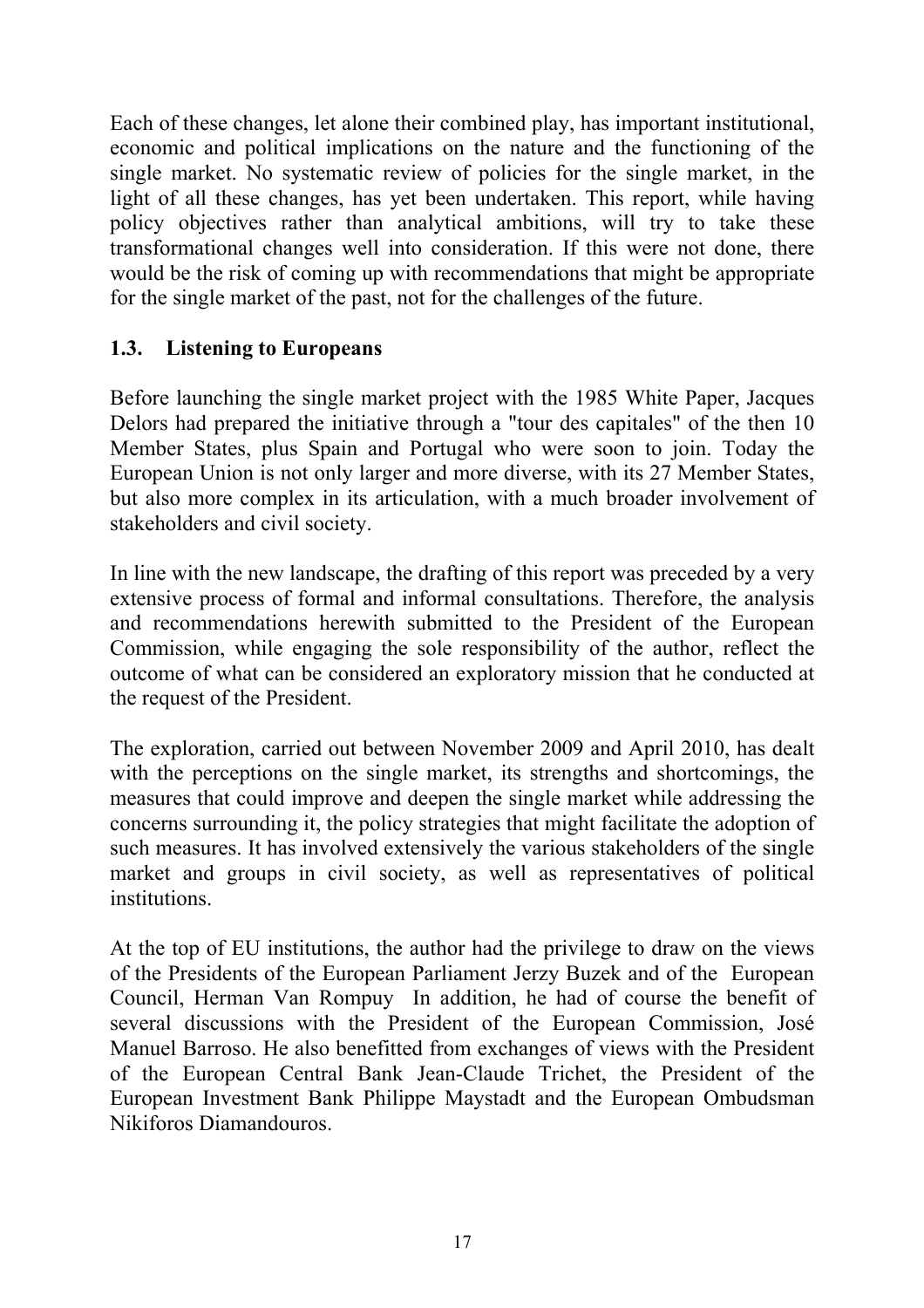Each of these changes, let alone their combined play, has important institutional, economic and political implications on the nature and the functioning of the single market. No systematic review of policies for the single market, in the light of all these changes, has yet been undertaken. This report, while having policy objectives rather than analytical ambitions, will try to take these transformational changes well into consideration. If this were not done, there would be the risk of coming up with recommendations that might be appropriate for the single market of the past, not for the challenges of the future.

## **1.3. Listening to Europeans**

Before launching the single market project with the 1985 White Paper, Jacques Delors had prepared the initiative through a "tour des capitales" of the then 10 Member States, plus Spain and Portugal who were soon to join. Today the European Union is not only larger and more diverse, with its 27 Member States, but also more complex in its articulation, with a much broader involvement of stakeholders and civil society.

In line with the new landscape, the drafting of this report was preceded by a very extensive process of formal and informal consultations. Therefore, the analysis and recommendations herewith submitted to the President of the European Commission, while engaging the sole responsibility of the author, reflect the outcome of what can be considered an exploratory mission that he conducted at the request of the President.

The exploration, carried out between November 2009 and April 2010, has dealt with the perceptions on the single market, its strengths and shortcomings, the measures that could improve and deepen the single market while addressing the concerns surrounding it, the policy strategies that might facilitate the adoption of such measures. It has involved extensively the various stakeholders of the single market and groups in civil society, as well as representatives of political institutions.

At the top of EU institutions, the author had the privilege to draw on the views of the Presidents of the European Parliament Jerzy Buzek and of the European Council, Herman Van Rompuy In addition, he had of course the benefit of several discussions with the President of the European Commission, José Manuel Barroso. He also benefitted from exchanges of views with the President of the European Central Bank Jean-Claude Trichet, the President of the European Investment Bank Philippe Maystadt and the European Ombudsman Nikiforos Diamandouros.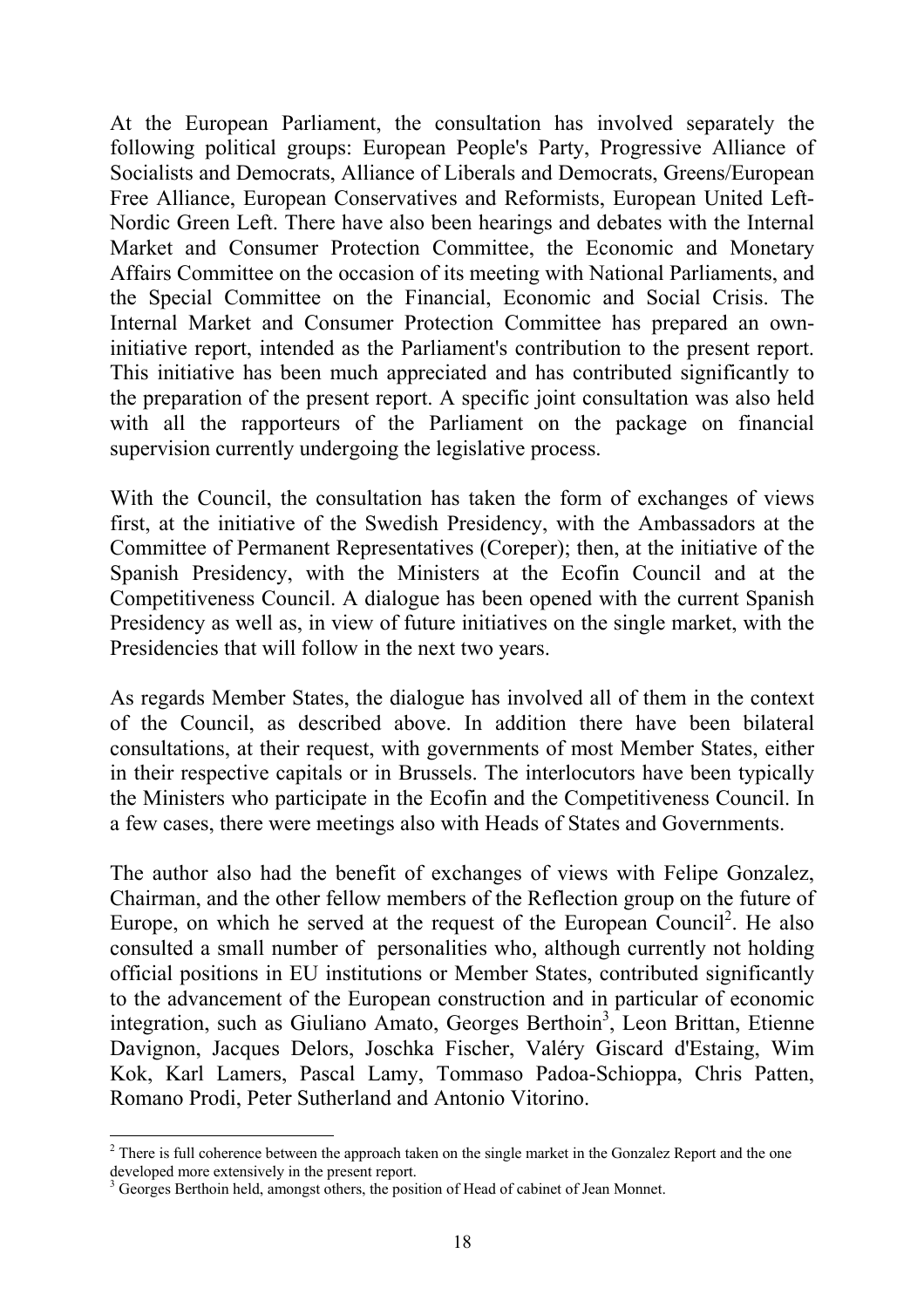At the European Parliament, the consultation has involved separately the following political groups: European People's Party, Progressive Alliance of Socialists and Democrats, Alliance of Liberals and Democrats, Greens/European Free Alliance, European Conservatives and Reformists, European United Left-Nordic Green Left. There have also been hearings and debates with the Internal Market and Consumer Protection Committee, the Economic and Monetary Affairs Committee on the occasion of its meeting with National Parliaments, and the Special Committee on the Financial, Economic and Social Crisis. The Internal Market and Consumer Protection Committee has prepared an owninitiative report, intended as the Parliament's contribution to the present report. This initiative has been much appreciated and has contributed significantly to the preparation of the present report. A specific joint consultation was also held with all the rapporteurs of the Parliament on the package on financial supervision currently undergoing the legislative process.

With the Council, the consultation has taken the form of exchanges of views first, at the initiative of the Swedish Presidency, with the Ambassadors at the Committee of Permanent Representatives (Coreper); then, at the initiative of the Spanish Presidency, with the Ministers at the Ecofin Council and at the Competitiveness Council. A dialogue has been opened with the current Spanish Presidency as well as, in view of future initiatives on the single market, with the Presidencies that will follow in the next two years.

As regards Member States, the dialogue has involved all of them in the context of the Council, as described above. In addition there have been bilateral consultations, at their request, with governments of most Member States, either in their respective capitals or in Brussels. The interlocutors have been typically the Ministers who participate in the Ecofin and the Competitiveness Council. In a few cases, there were meetings also with Heads of States and Governments.

The author also had the benefit of exchanges of views with Felipe Gonzalez, Chairman, and the other fellow members of the Reflection group on the future of Europe, on which he served at the request of the European Council<sup>2</sup>. He also consulted a small number of personalities who, although currently not holding official positions in EU institutions or Member States, contributed significantly to the advancement of the European construction and in particular of economic integration, such as Giuliano Amato, Georges Berthoin<sup>3</sup>, Leon Brittan, Etienne Davignon, Jacques Delors, Joschka Fischer, Valéry Giscard d'Estaing, Wim Kok, Karl Lamers, Pascal Lamy, Tommaso Padoa-Schioppa, Chris Patten, Romano Prodi, Peter Sutherland and Antonio Vitorino.

1

 $2$  There is full coherence between the approach taken on the single market in the Gonzalez Report and the one developed more extensively in the present report.

<sup>&</sup>lt;sup>3</sup> Georges Berthoin held, amongst others, the position of Head of cabinet of Jean Monnet.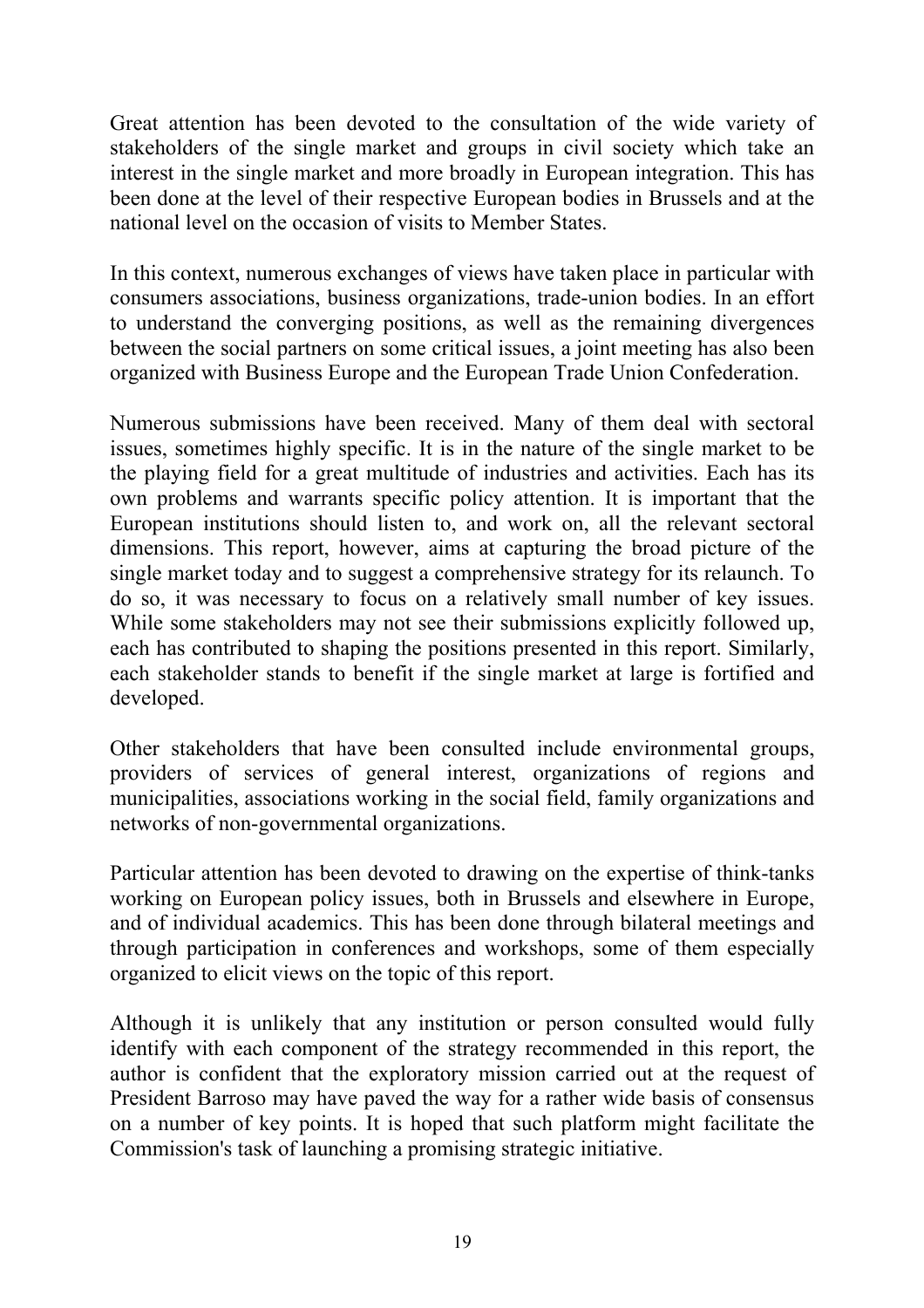Great attention has been devoted to the consultation of the wide variety of stakeholders of the single market and groups in civil society which take an interest in the single market and more broadly in European integration. This has been done at the level of their respective European bodies in Brussels and at the national level on the occasion of visits to Member States.

In this context, numerous exchanges of views have taken place in particular with consumers associations, business organizations, trade-union bodies. In an effort to understand the converging positions, as well as the remaining divergences between the social partners on some critical issues, a joint meeting has also been organized with Business Europe and the European Trade Union Confederation.

Numerous submissions have been received. Many of them deal with sectoral issues, sometimes highly specific. It is in the nature of the single market to be the playing field for a great multitude of industries and activities. Each has its own problems and warrants specific policy attention. It is important that the European institutions should listen to, and work on, all the relevant sectoral dimensions. This report, however, aims at capturing the broad picture of the single market today and to suggest a comprehensive strategy for its relaunch. To do so, it was necessary to focus on a relatively small number of key issues. While some stakeholders may not see their submissions explicitly followed up, each has contributed to shaping the positions presented in this report. Similarly, each stakeholder stands to benefit if the single market at large is fortified and developed.

Other stakeholders that have been consulted include environmental groups, providers of services of general interest, organizations of regions and municipalities, associations working in the social field, family organizations and networks of non-governmental organizations.

Particular attention has been devoted to drawing on the expertise of think-tanks working on European policy issues, both in Brussels and elsewhere in Europe, and of individual academics. This has been done through bilateral meetings and through participation in conferences and workshops, some of them especially organized to elicit views on the topic of this report.

Although it is unlikely that any institution or person consulted would fully identify with each component of the strategy recommended in this report, the author is confident that the exploratory mission carried out at the request of President Barroso may have paved the way for a rather wide basis of consensus on a number of key points. It is hoped that such platform might facilitate the Commission's task of launching a promising strategic initiative.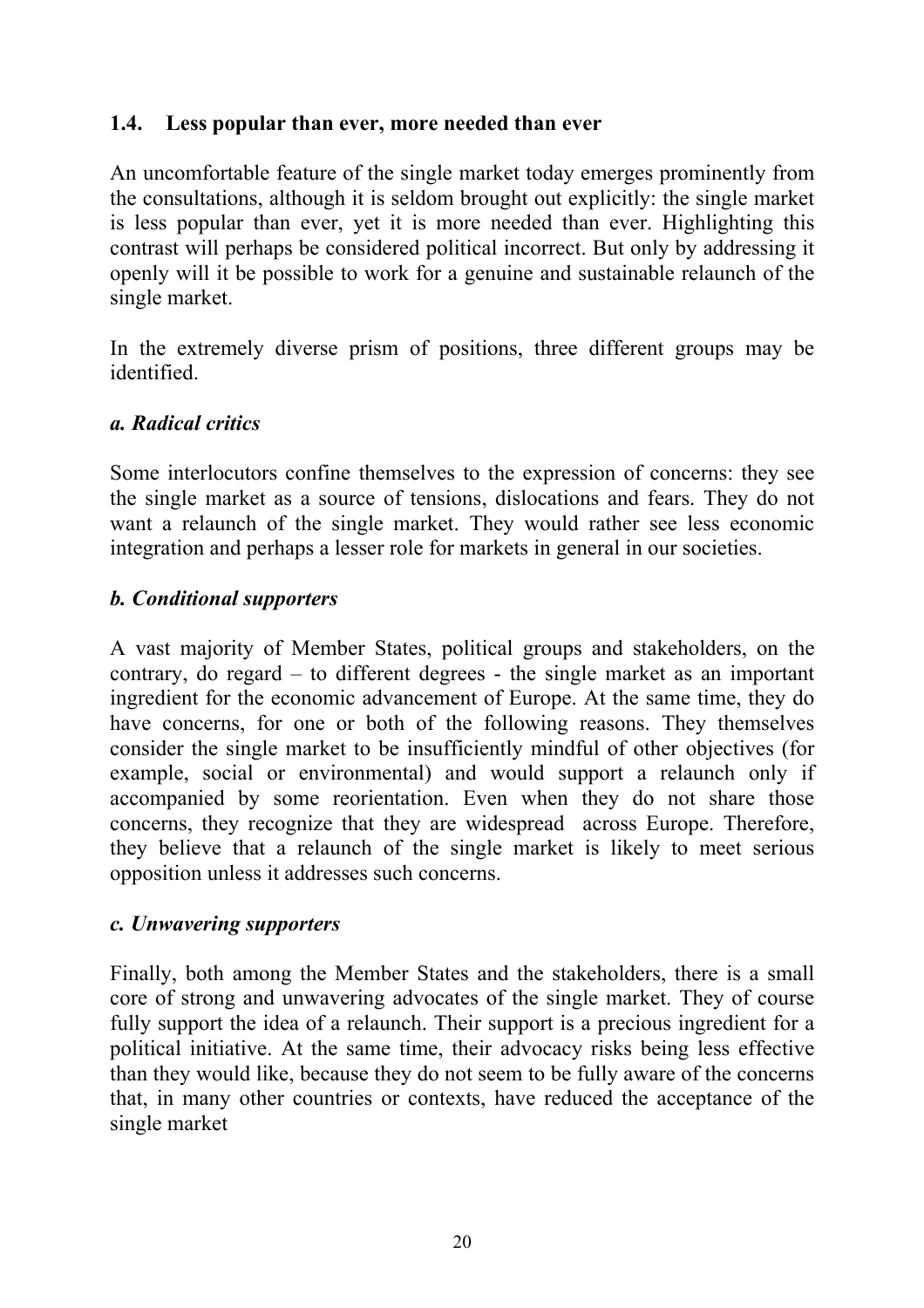#### **1.4. Less popular than ever, more needed than ever**

An uncomfortable feature of the single market today emerges prominently from the consultations, although it is seldom brought out explicitly: the single market is less popular than ever, yet it is more needed than ever. Highlighting this contrast will perhaps be considered political incorrect. But only by addressing it openly will it be possible to work for a genuine and sustainable relaunch of the single market.

In the extremely diverse prism of positions, three different groups may be identified.

## *a. Radical critics*

Some interlocutors confine themselves to the expression of concerns: they see the single market as a source of tensions, dislocations and fears. They do not want a relaunch of the single market. They would rather see less economic integration and perhaps a lesser role for markets in general in our societies.

#### *b. Conditional supporters*

A vast majority of Member States, political groups and stakeholders, on the contrary, do regard – to different degrees - the single market as an important ingredient for the economic advancement of Europe. At the same time, they do have concerns, for one or both of the following reasons. They themselves consider the single market to be insufficiently mindful of other objectives (for example, social or environmental) and would support a relaunch only if accompanied by some reorientation. Even when they do not share those concerns, they recognize that they are widespread across Europe. Therefore, they believe that a relaunch of the single market is likely to meet serious opposition unless it addresses such concerns.

#### *c. Unwavering supporters*

Finally, both among the Member States and the stakeholders, there is a small core of strong and unwavering advocates of the single market. They of course fully support the idea of a relaunch. Their support is a precious ingredient for a political initiative. At the same time, their advocacy risks being less effective than they would like, because they do not seem to be fully aware of the concerns that, in many other countries or contexts, have reduced the acceptance of the single market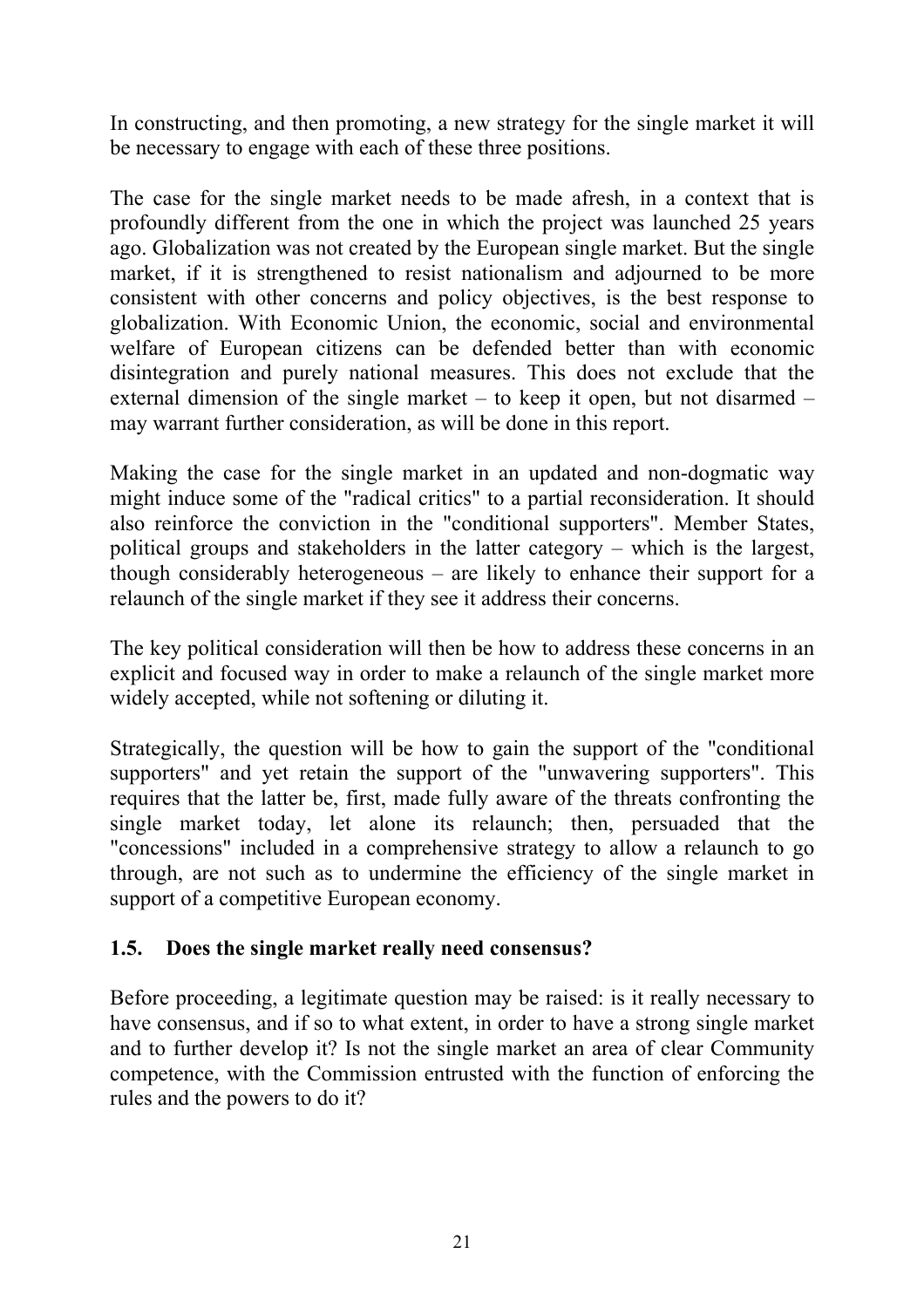In constructing, and then promoting, a new strategy for the single market it will be necessary to engage with each of these three positions.

The case for the single market needs to be made afresh, in a context that is profoundly different from the one in which the project was launched 25 years ago. Globalization was not created by the European single market. But the single market, if it is strengthened to resist nationalism and adjourned to be more consistent with other concerns and policy objectives, is the best response to globalization. With Economic Union, the economic, social and environmental welfare of European citizens can be defended better than with economic disintegration and purely national measures. This does not exclude that the external dimension of the single market – to keep it open, but not disarmed – may warrant further consideration, as will be done in this report.

Making the case for the single market in an updated and non-dogmatic way might induce some of the "radical critics" to a partial reconsideration. It should also reinforce the conviction in the "conditional supporters". Member States, political groups and stakeholders in the latter category – which is the largest, though considerably heterogeneous – are likely to enhance their support for a relaunch of the single market if they see it address their concerns.

The key political consideration will then be how to address these concerns in an explicit and focused way in order to make a relaunch of the single market more widely accepted, while not softening or diluting it.

Strategically, the question will be how to gain the support of the "conditional supporters" and yet retain the support of the "unwavering supporters". This requires that the latter be, first, made fully aware of the threats confronting the single market today, let alone its relaunch; then, persuaded that the "concessions" included in a comprehensive strategy to allow a relaunch to go through, are not such as to undermine the efficiency of the single market in support of a competitive European economy.

#### **1.5. Does the single market really need consensus?**

Before proceeding, a legitimate question may be raised: is it really necessary to have consensus, and if so to what extent, in order to have a strong single market and to further develop it? Is not the single market an area of clear Community competence, with the Commission entrusted with the function of enforcing the rules and the powers to do it?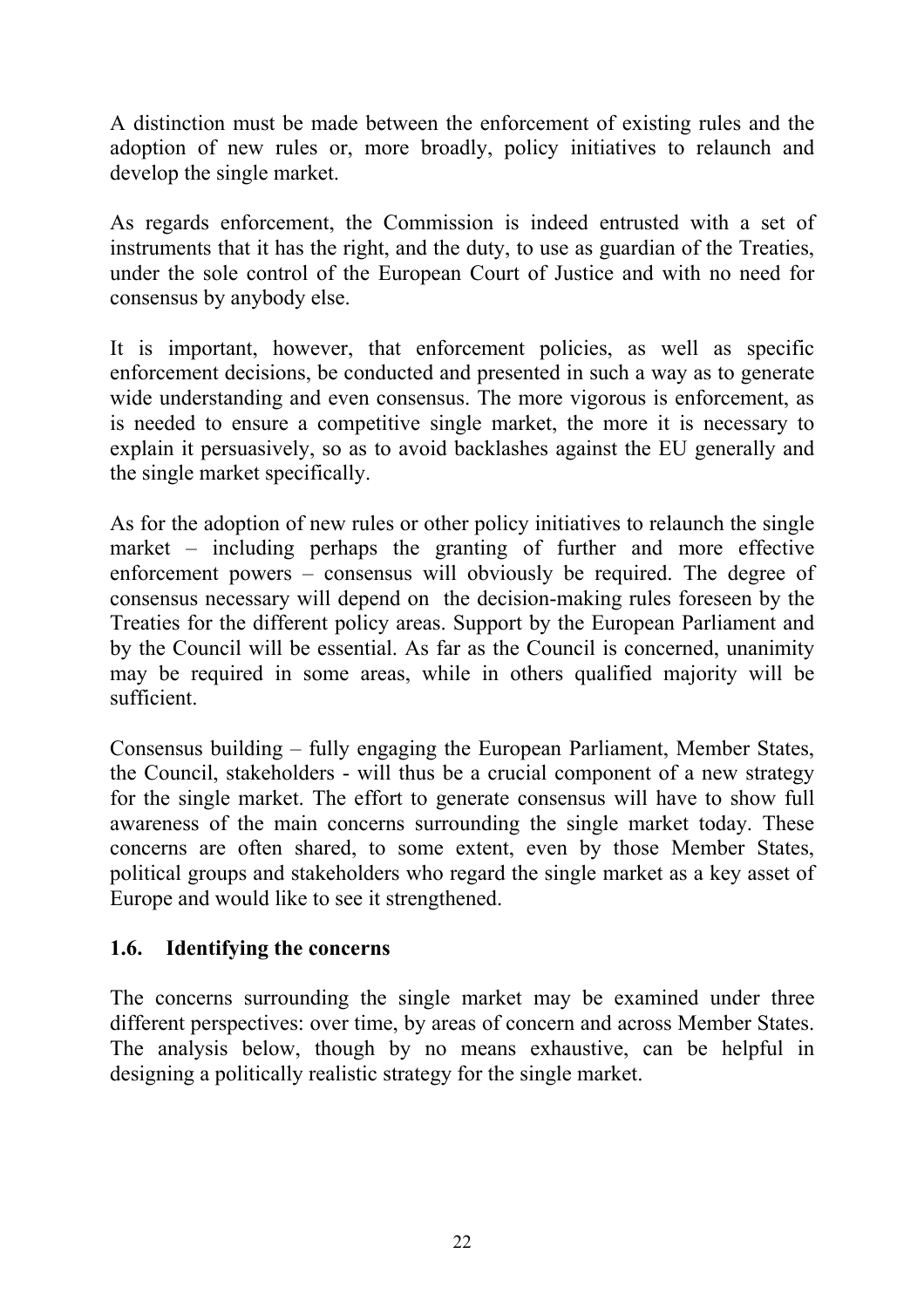A distinction must be made between the enforcement of existing rules and the adoption of new rules or, more broadly, policy initiatives to relaunch and develop the single market.

As regards enforcement, the Commission is indeed entrusted with a set of instruments that it has the right, and the duty, to use as guardian of the Treaties, under the sole control of the European Court of Justice and with no need for consensus by anybody else.

It is important, however, that enforcement policies, as well as specific enforcement decisions, be conducted and presented in such a way as to generate wide understanding and even consensus. The more vigorous is enforcement, as is needed to ensure a competitive single market, the more it is necessary to explain it persuasively, so as to avoid backlashes against the EU generally and the single market specifically.

As for the adoption of new rules or other policy initiatives to relaunch the single market – including perhaps the granting of further and more effective enforcement powers – consensus will obviously be required. The degree of consensus necessary will depend on the decision-making rules foreseen by the Treaties for the different policy areas. Support by the European Parliament and by the Council will be essential. As far as the Council is concerned, unanimity may be required in some areas, while in others qualified majority will be sufficient.

Consensus building – fully engaging the European Parliament, Member States, the Council, stakeholders - will thus be a crucial component of a new strategy for the single market. The effort to generate consensus will have to show full awareness of the main concerns surrounding the single market today. These concerns are often shared, to some extent, even by those Member States, political groups and stakeholders who regard the single market as a key asset of Europe and would like to see it strengthened.

## **1.6. Identifying the concerns**

The concerns surrounding the single market may be examined under three different perspectives: over time, by areas of concern and across Member States. The analysis below, though by no means exhaustive, can be helpful in designing a politically realistic strategy for the single market.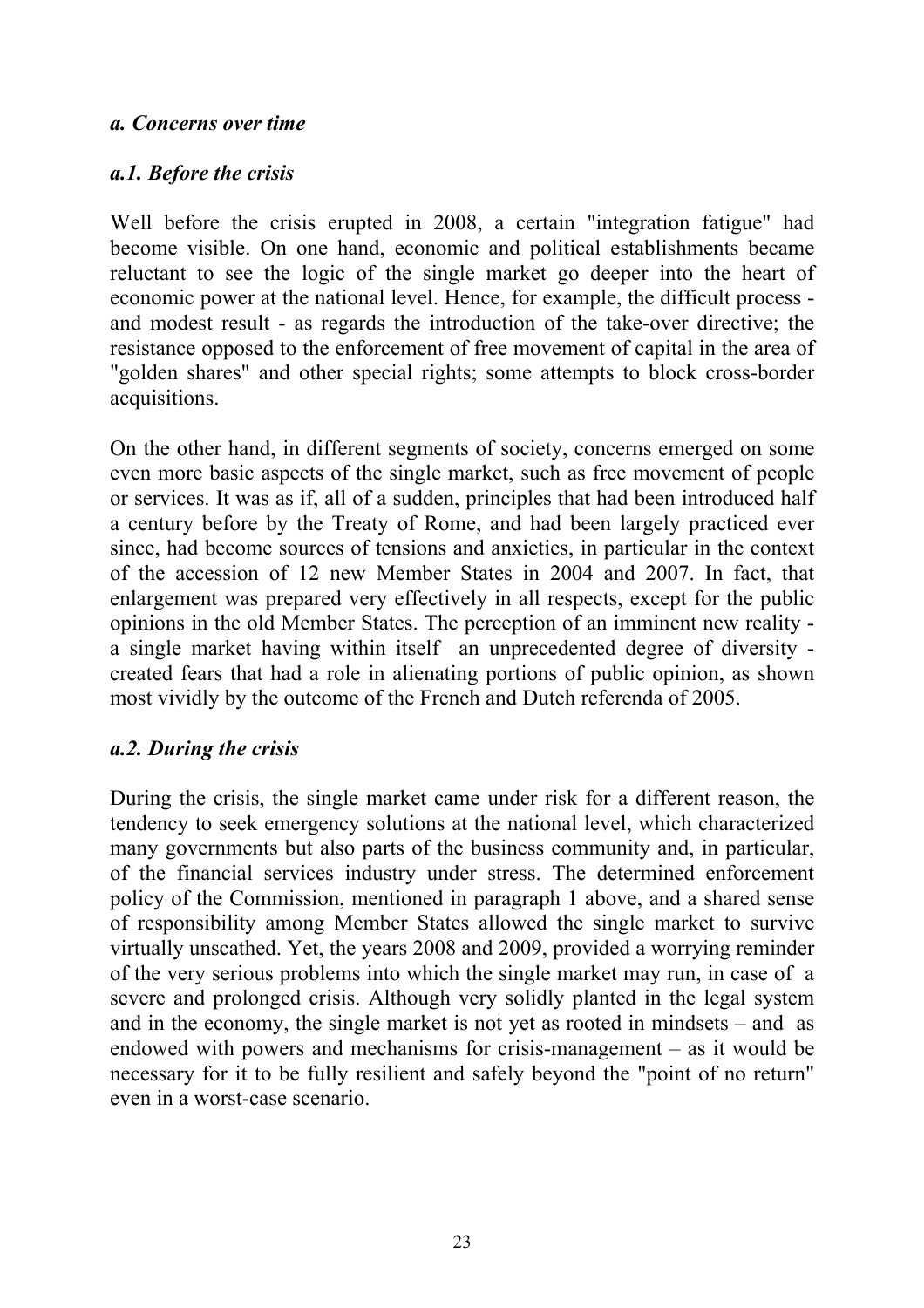#### *a. Concerns over time*

#### *a.1. Before the crisis*

Well before the crisis erupted in 2008, a certain "integration fatigue" had become visible. On one hand, economic and political establishments became reluctant to see the logic of the single market go deeper into the heart of economic power at the national level. Hence, for example, the difficult process and modest result - as regards the introduction of the take-over directive; the resistance opposed to the enforcement of free movement of capital in the area of "golden shares" and other special rights; some attempts to block cross-border acquisitions.

On the other hand, in different segments of society, concerns emerged on some even more basic aspects of the single market, such as free movement of people or services. It was as if, all of a sudden, principles that had been introduced half a century before by the Treaty of Rome, and had been largely practiced ever since, had become sources of tensions and anxieties, in particular in the context of the accession of 12 new Member States in 2004 and 2007. In fact, that enlargement was prepared very effectively in all respects, except for the public opinions in the old Member States. The perception of an imminent new reality a single market having within itself an unprecedented degree of diversity created fears that had a role in alienating portions of public opinion, as shown most vividly by the outcome of the French and Dutch referenda of 2005.

#### *a.2. During the crisis*

During the crisis, the single market came under risk for a different reason, the tendency to seek emergency solutions at the national level, which characterized many governments but also parts of the business community and, in particular, of the financial services industry under stress. The determined enforcement policy of the Commission, mentioned in paragraph 1 above, and a shared sense of responsibility among Member States allowed the single market to survive virtually unscathed. Yet, the years 2008 and 2009, provided a worrying reminder of the very serious problems into which the single market may run, in case of a severe and prolonged crisis. Although very solidly planted in the legal system and in the economy, the single market is not yet as rooted in mindsets – and as endowed with powers and mechanisms for crisis-management – as it would be necessary for it to be fully resilient and safely beyond the "point of no return" even in a worst-case scenario.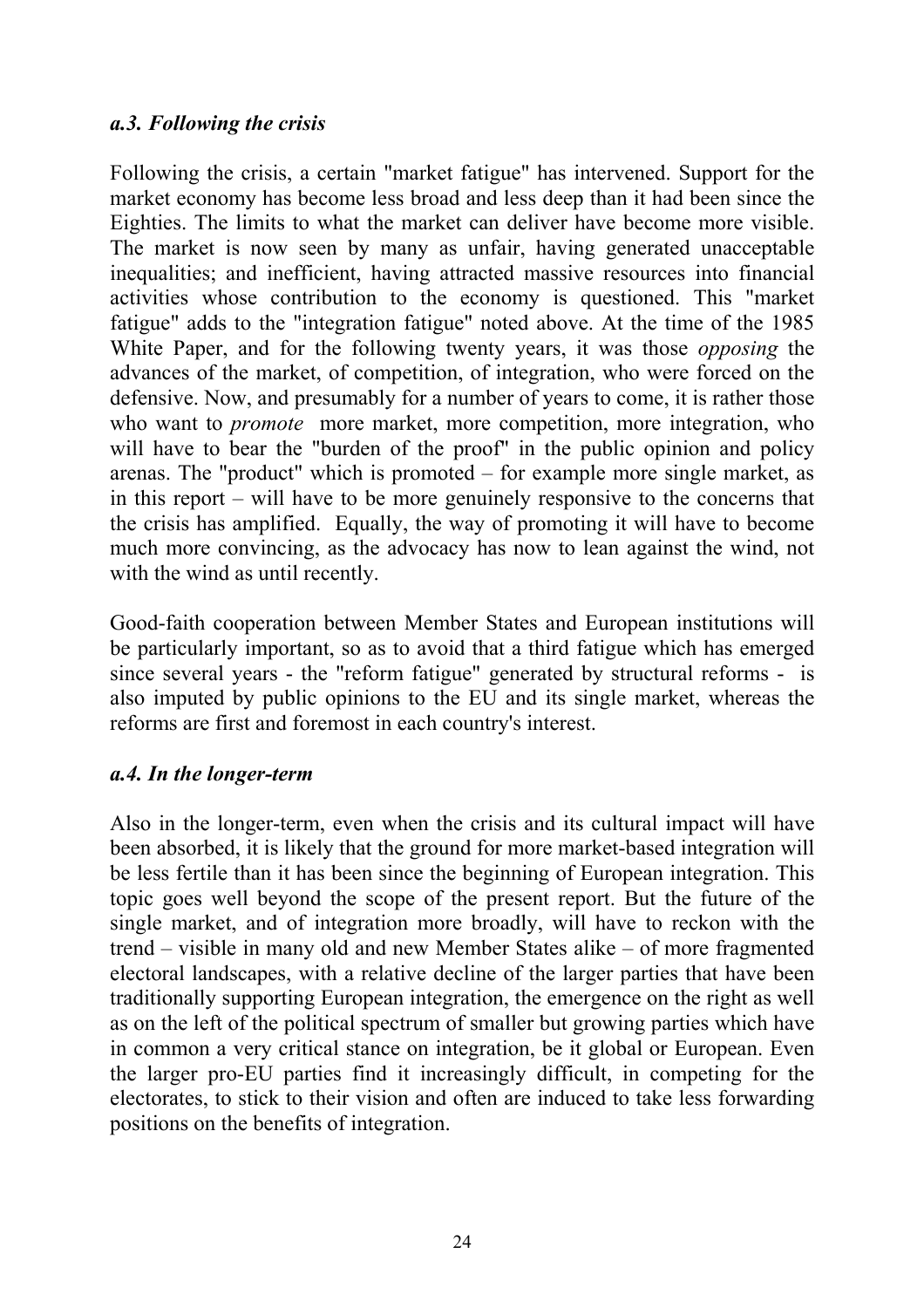#### *a.3. Following the crisis*

Following the crisis, a certain "market fatigue" has intervened. Support for the market economy has become less broad and less deep than it had been since the Eighties. The limits to what the market can deliver have become more visible. The market is now seen by many as unfair, having generated unacceptable inequalities; and inefficient, having attracted massive resources into financial activities whose contribution to the economy is questioned. This "market fatigue" adds to the "integration fatigue" noted above. At the time of the 1985 White Paper, and for the following twenty years, it was those *opposing* the advances of the market, of competition, of integration, who were forced on the defensive. Now, and presumably for a number of years to come, it is rather those who want to *promote* more market, more competition, more integration, who will have to bear the "burden of the proof" in the public opinion and policy arenas. The "product" which is promoted – for example more single market, as in this report – will have to be more genuinely responsive to the concerns that the crisis has amplified. Equally, the way of promoting it will have to become much more convincing, as the advocacy has now to lean against the wind, not with the wind as until recently.

Good-faith cooperation between Member States and European institutions will be particularly important, so as to avoid that a third fatigue which has emerged since several years - the "reform fatigue" generated by structural reforms - is also imputed by public opinions to the EU and its single market, whereas the reforms are first and foremost in each country's interest.

#### *a.4. In the longer-term*

Also in the longer-term, even when the crisis and its cultural impact will have been absorbed, it is likely that the ground for more market-based integration will be less fertile than it has been since the beginning of European integration. This topic goes well beyond the scope of the present report. But the future of the single market, and of integration more broadly, will have to reckon with the trend – visible in many old and new Member States alike – of more fragmented electoral landscapes, with a relative decline of the larger parties that have been traditionally supporting European integration, the emergence on the right as well as on the left of the political spectrum of smaller but growing parties which have in common a very critical stance on integration, be it global or European. Even the larger pro-EU parties find it increasingly difficult, in competing for the electorates, to stick to their vision and often are induced to take less forwarding positions on the benefits of integration.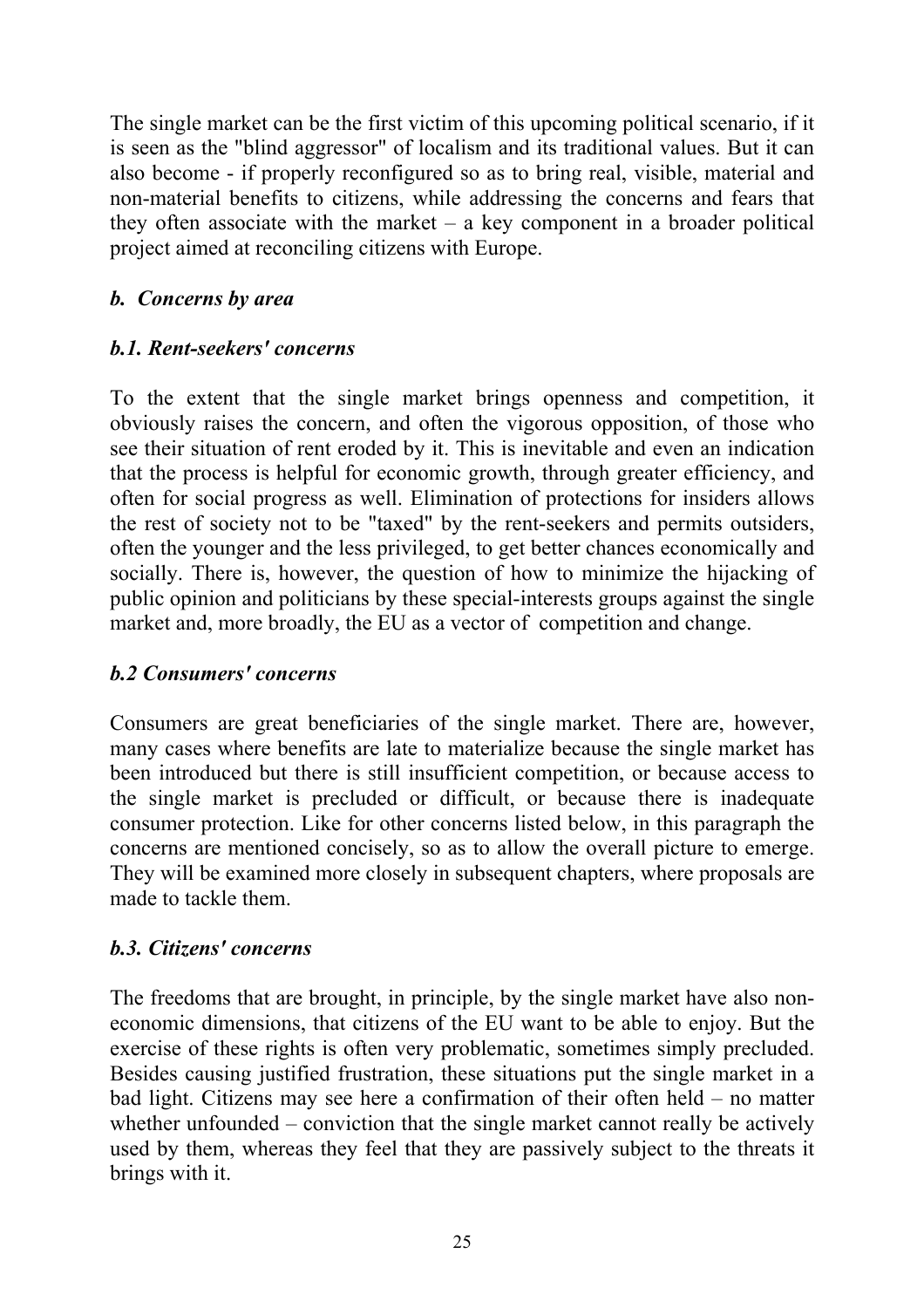The single market can be the first victim of this upcoming political scenario, if it is seen as the "blind aggressor" of localism and its traditional values. But it can also become - if properly reconfigured so as to bring real, visible, material and non-material benefits to citizens, while addressing the concerns and fears that they often associate with the market  $-$  a key component in a broader political project aimed at reconciling citizens with Europe.

## *b. Concerns by area*

## *b.1. Rent-seekers' concerns*

To the extent that the single market brings openness and competition, it obviously raises the concern, and often the vigorous opposition, of those who see their situation of rent eroded by it. This is inevitable and even an indication that the process is helpful for economic growth, through greater efficiency, and often for social progress as well. Elimination of protections for insiders allows the rest of society not to be "taxed" by the rent-seekers and permits outsiders, often the younger and the less privileged, to get better chances economically and socially. There is, however, the question of how to minimize the hijacking of public opinion and politicians by these special-interests groups against the single market and, more broadly, the EU as a vector of competition and change.

## *b.2 Consumers' concerns*

Consumers are great beneficiaries of the single market. There are, however, many cases where benefits are late to materialize because the single market has been introduced but there is still insufficient competition, or because access to the single market is precluded or difficult, or because there is inadequate consumer protection. Like for other concerns listed below, in this paragraph the concerns are mentioned concisely, so as to allow the overall picture to emerge. They will be examined more closely in subsequent chapters, where proposals are made to tackle them.

## *b.3. Citizens' concerns*

The freedoms that are brought, in principle, by the single market have also noneconomic dimensions, that citizens of the EU want to be able to enjoy. But the exercise of these rights is often very problematic, sometimes simply precluded. Besides causing justified frustration, these situations put the single market in a bad light. Citizens may see here a confirmation of their often held – no matter whether unfounded – conviction that the single market cannot really be actively used by them, whereas they feel that they are passively subject to the threats it brings with it.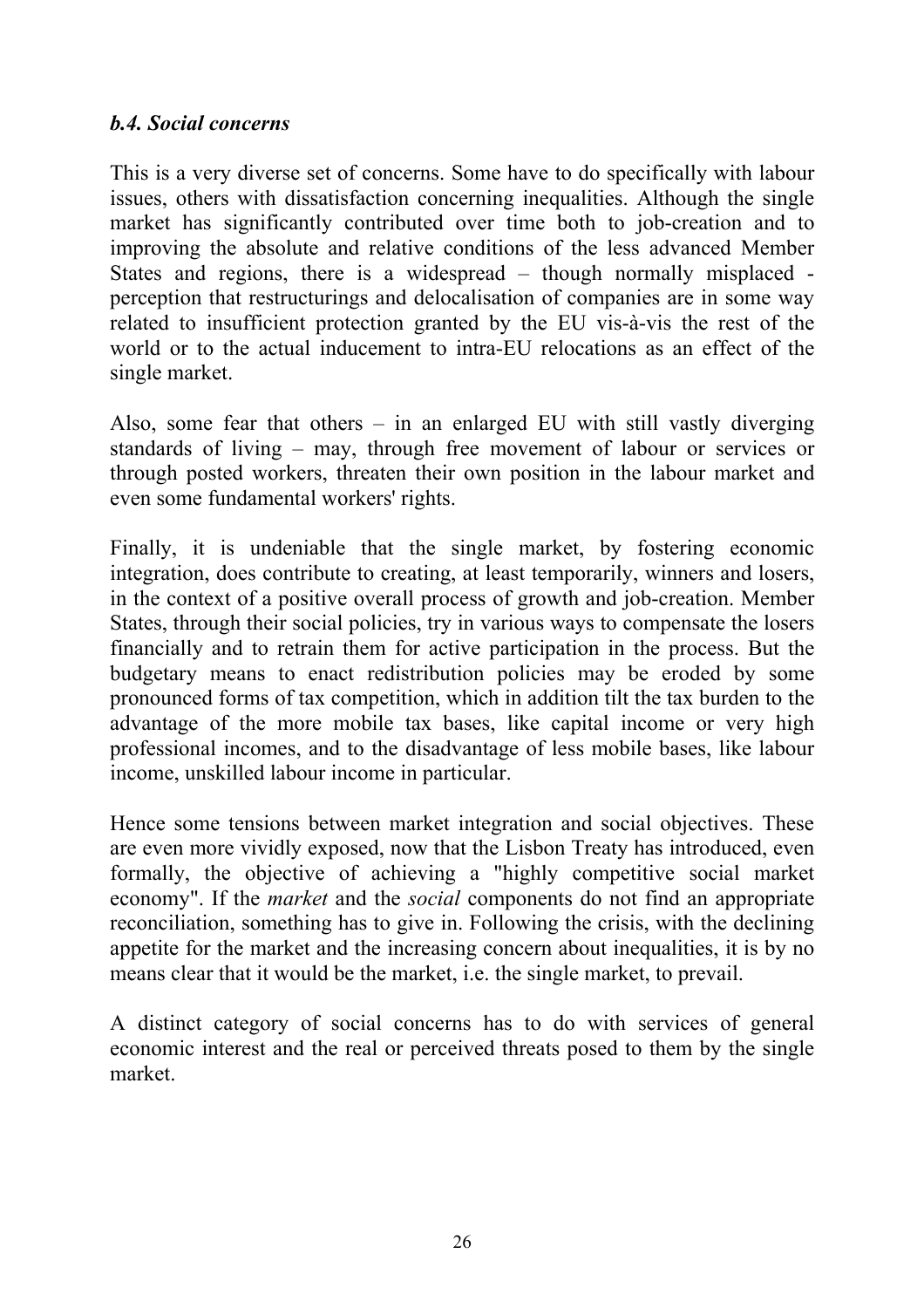#### *b.4. Social concerns*

This is a very diverse set of concerns. Some have to do specifically with labour issues, others with dissatisfaction concerning inequalities. Although the single market has significantly contributed over time both to job-creation and to improving the absolute and relative conditions of the less advanced Member States and regions, there is a widespread – though normally misplaced perception that restructurings and delocalisation of companies are in some way related to insufficient protection granted by the EU vis-à-vis the rest of the world or to the actual inducement to intra-EU relocations as an effect of the single market.

Also, some fear that others – in an enlarged EU with still vastly diverging standards of living – may, through free movement of labour or services or through posted workers, threaten their own position in the labour market and even some fundamental workers' rights.

Finally, it is undeniable that the single market, by fostering economic integration, does contribute to creating, at least temporarily, winners and losers, in the context of a positive overall process of growth and job-creation. Member States, through their social policies, try in various ways to compensate the losers financially and to retrain them for active participation in the process. But the budgetary means to enact redistribution policies may be eroded by some pronounced forms of tax competition, which in addition tilt the tax burden to the advantage of the more mobile tax bases, like capital income or very high professional incomes, and to the disadvantage of less mobile bases, like labour income, unskilled labour income in particular.

Hence some tensions between market integration and social objectives. These are even more vividly exposed, now that the Lisbon Treaty has introduced, even formally, the objective of achieving a "highly competitive social market economy". If the *market* and the *social* components do not find an appropriate reconciliation, something has to give in. Following the crisis, with the declining appetite for the market and the increasing concern about inequalities, it is by no means clear that it would be the market, i.e. the single market, to prevail.

A distinct category of social concerns has to do with services of general economic interest and the real or perceived threats posed to them by the single market.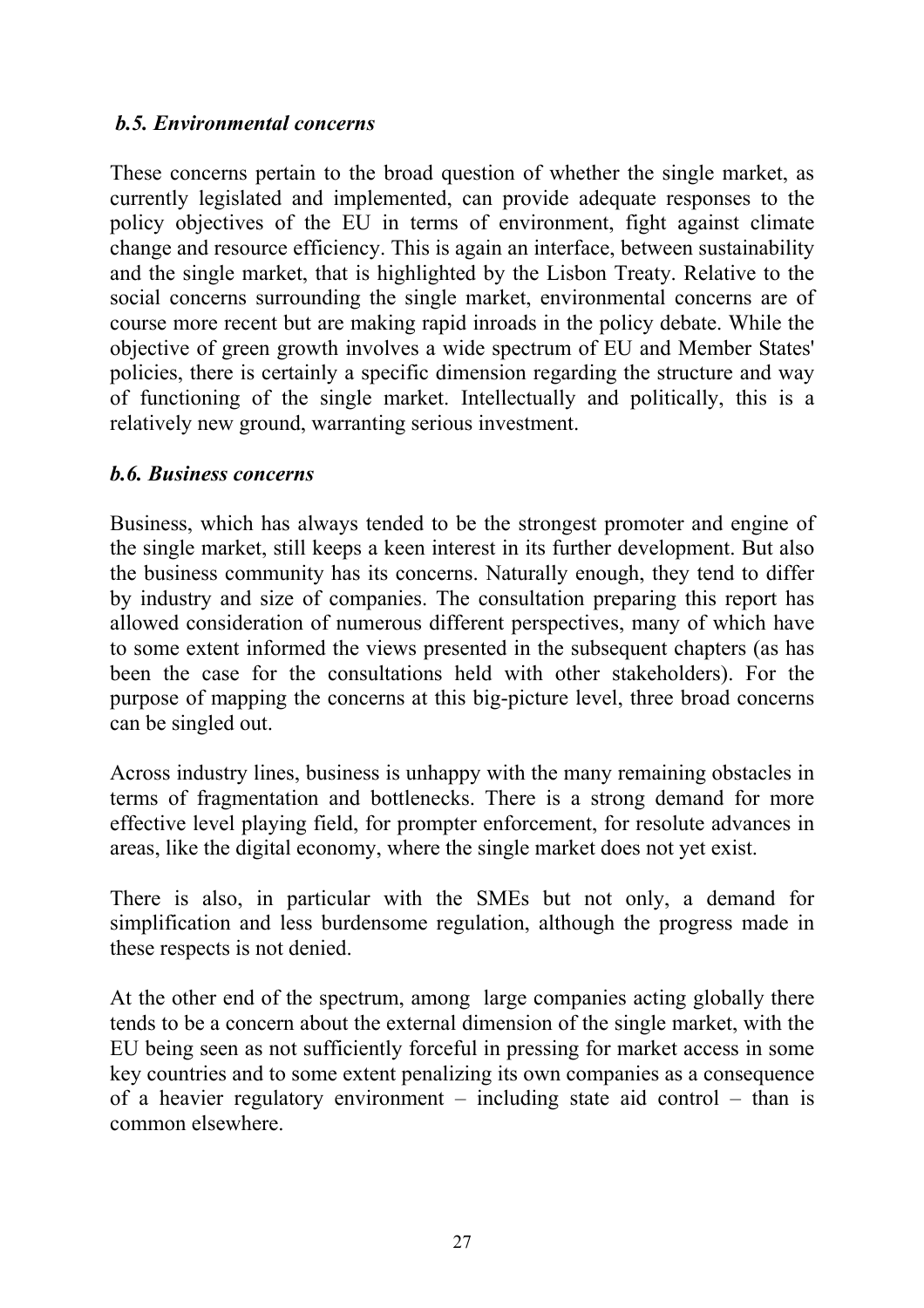## *b.5. Environmental concerns*

These concerns pertain to the broad question of whether the single market, as currently legislated and implemented, can provide adequate responses to the policy objectives of the EU in terms of environment, fight against climate change and resource efficiency. This is again an interface, between sustainability and the single market, that is highlighted by the Lisbon Treaty. Relative to the social concerns surrounding the single market, environmental concerns are of course more recent but are making rapid inroads in the policy debate. While the objective of green growth involves a wide spectrum of EU and Member States' policies, there is certainly a specific dimension regarding the structure and way of functioning of the single market. Intellectually and politically, this is a relatively new ground, warranting serious investment.

#### *b.6. Business concerns*

Business, which has always tended to be the strongest promoter and engine of the single market, still keeps a keen interest in its further development. But also the business community has its concerns. Naturally enough, they tend to differ by industry and size of companies. The consultation preparing this report has allowed consideration of numerous different perspectives, many of which have to some extent informed the views presented in the subsequent chapters (as has been the case for the consultations held with other stakeholders). For the purpose of mapping the concerns at this big-picture level, three broad concerns can be singled out.

Across industry lines, business is unhappy with the many remaining obstacles in terms of fragmentation and bottlenecks. There is a strong demand for more effective level playing field, for prompter enforcement, for resolute advances in areas, like the digital economy, where the single market does not yet exist.

There is also, in particular with the SMEs but not only, a demand for simplification and less burdensome regulation, although the progress made in these respects is not denied.

At the other end of the spectrum, among large companies acting globally there tends to be a concern about the external dimension of the single market, with the EU being seen as not sufficiently forceful in pressing for market access in some key countries and to some extent penalizing its own companies as a consequence of a heavier regulatory environment – including state aid control – than is common elsewhere.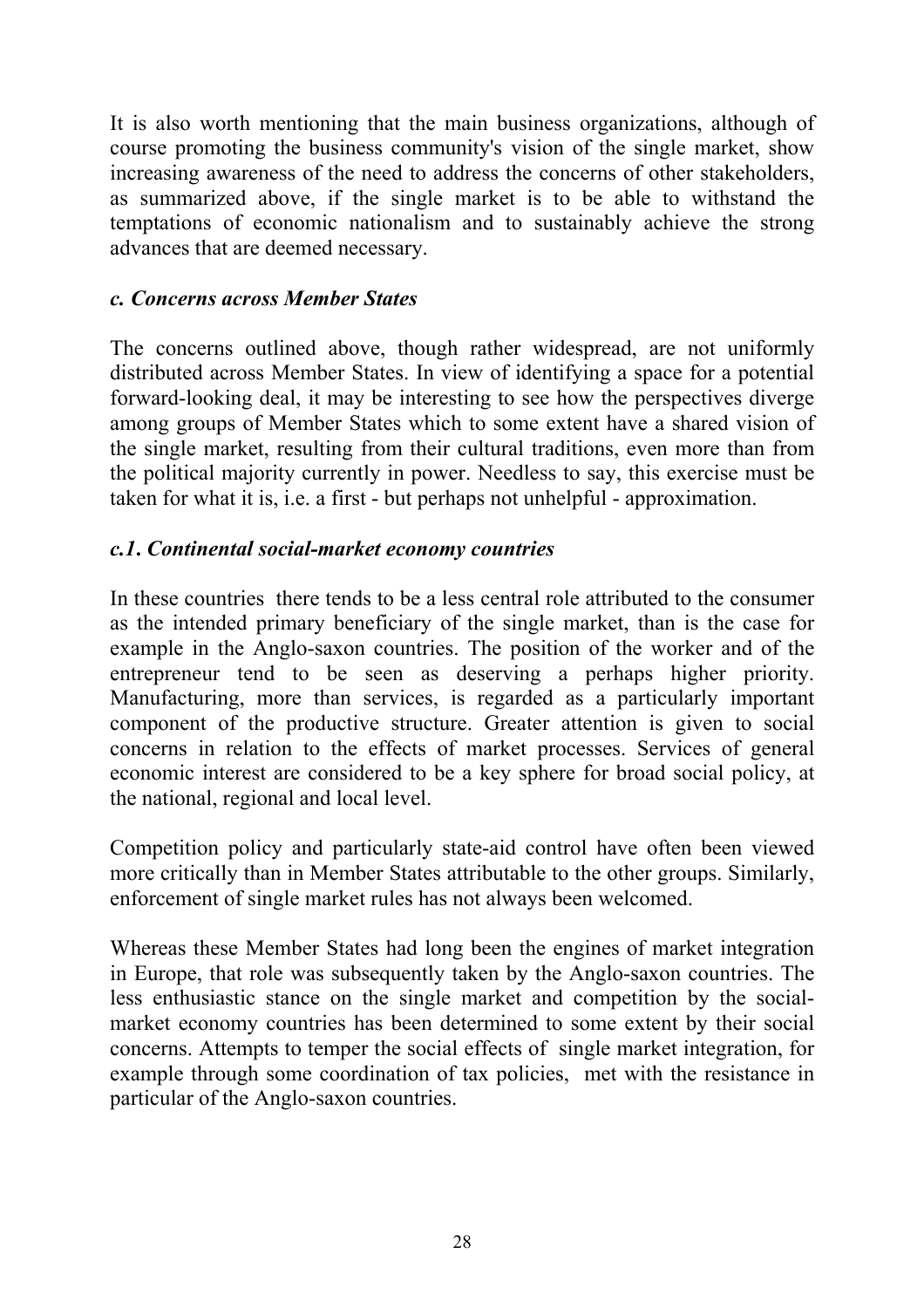It is also worth mentioning that the main business organizations, although of course promoting the business community's vision of the single market, show increasing awareness of the need to address the concerns of other stakeholders, as summarized above, if the single market is to be able to withstand the temptations of economic nationalism and to sustainably achieve the strong advances that are deemed necessary.

## *c. Concerns across Member States*

The concerns outlined above, though rather widespread, are not uniformly distributed across Member States. In view of identifying a space for a potential forward-looking deal, it may be interesting to see how the perspectives diverge among groups of Member States which to some extent have a shared vision of the single market, resulting from their cultural traditions, even more than from the political majority currently in power. Needless to say, this exercise must be taken for what it is, i.e. a first - but perhaps not unhelpful - approximation.

#### *c.1***.** *Continental social-market economy countries*

In these countries there tends to be a less central role attributed to the consumer as the intended primary beneficiary of the single market, than is the case for example in the Anglo-saxon countries. The position of the worker and of the entrepreneur tend to be seen as deserving a perhaps higher priority. Manufacturing, more than services, is regarded as a particularly important component of the productive structure. Greater attention is given to social concerns in relation to the effects of market processes. Services of general economic interest are considered to be a key sphere for broad social policy, at the national, regional and local level.

Competition policy and particularly state-aid control have often been viewed more critically than in Member States attributable to the other groups. Similarly, enforcement of single market rules has not always been welcomed.

Whereas these Member States had long been the engines of market integration in Europe, that role was subsequently taken by the Anglo-saxon countries. The less enthusiastic stance on the single market and competition by the socialmarket economy countries has been determined to some extent by their social concerns. Attempts to temper the social effects of single market integration, for example through some coordination of tax policies, met with the resistance in particular of the Anglo-saxon countries.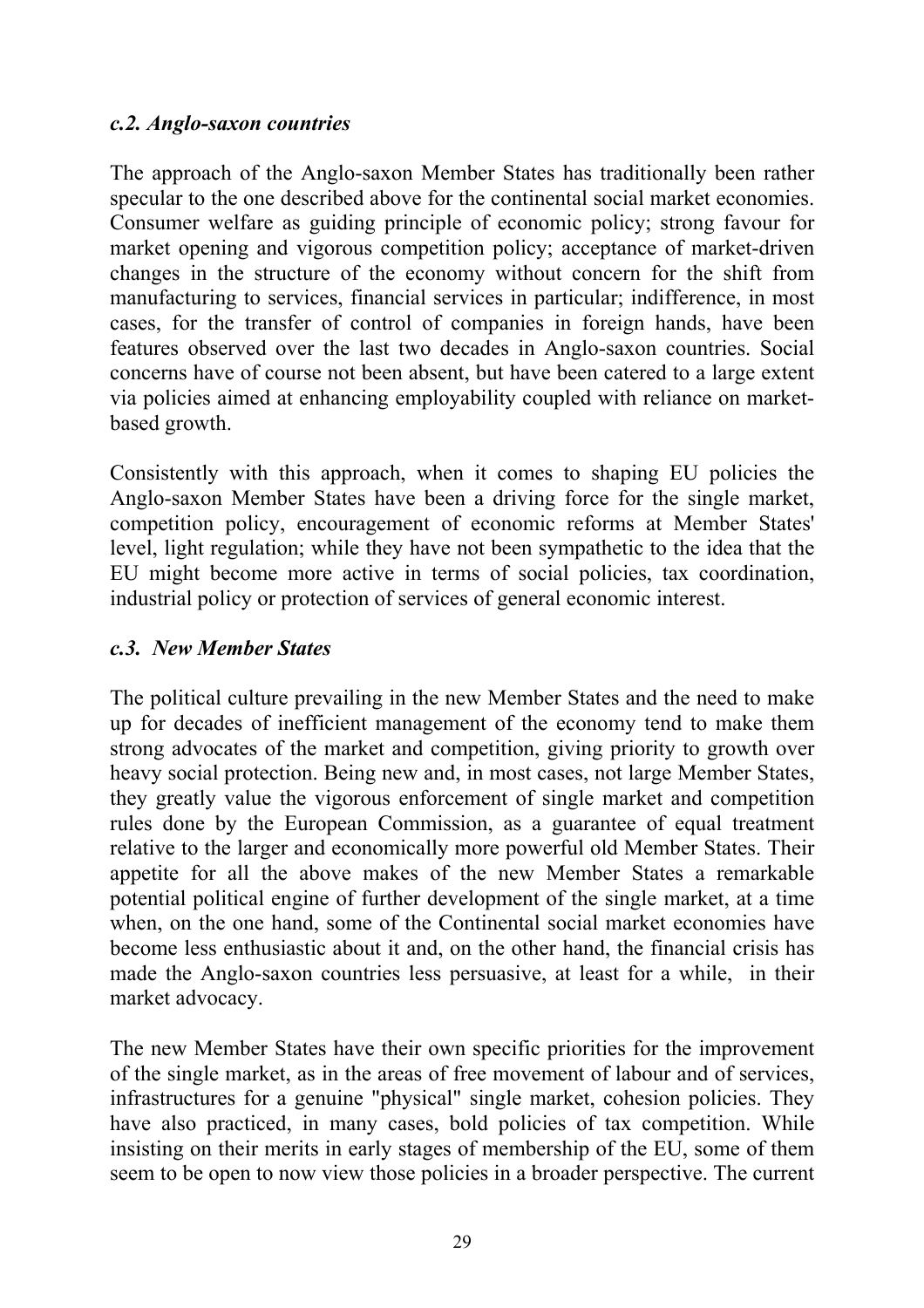## *c.2. Anglo-saxon countries*

The approach of the Anglo-saxon Member States has traditionally been rather specular to the one described above for the continental social market economies. Consumer welfare as guiding principle of economic policy; strong favour for market opening and vigorous competition policy; acceptance of market-driven changes in the structure of the economy without concern for the shift from manufacturing to services, financial services in particular; indifference, in most cases, for the transfer of control of companies in foreign hands, have been features observed over the last two decades in Anglo-saxon countries. Social concerns have of course not been absent, but have been catered to a large extent via policies aimed at enhancing employability coupled with reliance on marketbased growth.

Consistently with this approach, when it comes to shaping EU policies the Anglo-saxon Member States have been a driving force for the single market, competition policy, encouragement of economic reforms at Member States' level, light regulation; while they have not been sympathetic to the idea that the EU might become more active in terms of social policies, tax coordination, industrial policy or protection of services of general economic interest.

## *c.3. New Member States*

The political culture prevailing in the new Member States and the need to make up for decades of inefficient management of the economy tend to make them strong advocates of the market and competition, giving priority to growth over heavy social protection. Being new and, in most cases, not large Member States, they greatly value the vigorous enforcement of single market and competition rules done by the European Commission, as a guarantee of equal treatment relative to the larger and economically more powerful old Member States. Their appetite for all the above makes of the new Member States a remarkable potential political engine of further development of the single market, at a time when, on the one hand, some of the Continental social market economies have become less enthusiastic about it and, on the other hand, the financial crisis has made the Anglo-saxon countries less persuasive, at least for a while, in their market advocacy.

The new Member States have their own specific priorities for the improvement of the single market, as in the areas of free movement of labour and of services, infrastructures for a genuine "physical" single market, cohesion policies. They have also practiced, in many cases, bold policies of tax competition. While insisting on their merits in early stages of membership of the EU, some of them seem to be open to now view those policies in a broader perspective. The current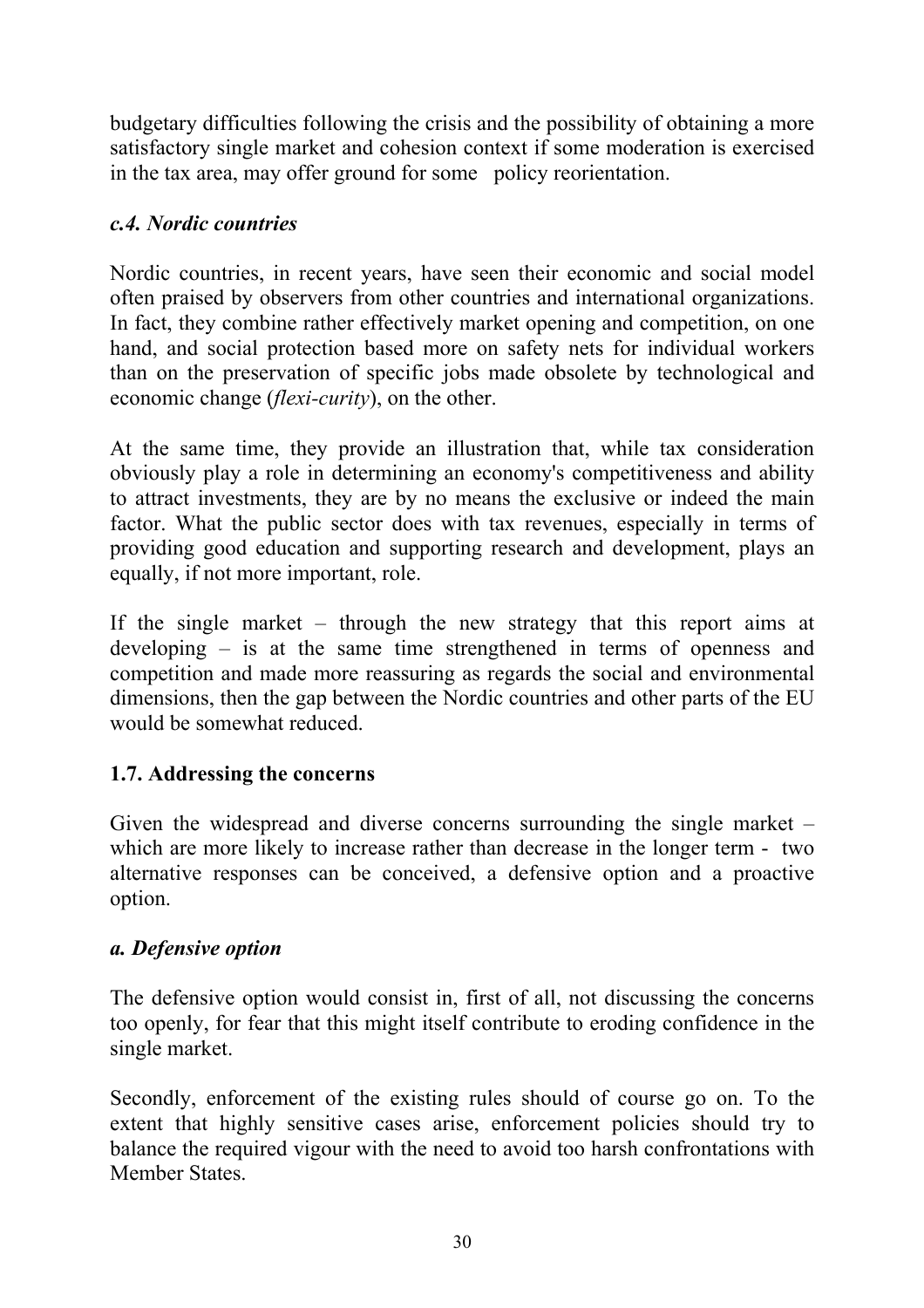budgetary difficulties following the crisis and the possibility of obtaining a more satisfactory single market and cohesion context if some moderation is exercised in the tax area, may offer ground for some policy reorientation.

## *c.4. Nordic countries*

Nordic countries, in recent years, have seen their economic and social model often praised by observers from other countries and international organizations. In fact, they combine rather effectively market opening and competition, on one hand, and social protection based more on safety nets for individual workers than on the preservation of specific jobs made obsolete by technological and economic change (*flexi-curity*), on the other.

At the same time, they provide an illustration that, while tax consideration obviously play a role in determining an economy's competitiveness and ability to attract investments, they are by no means the exclusive or indeed the main factor. What the public sector does with tax revenues, especially in terms of providing good education and supporting research and development, plays an equally, if not more important, role.

If the single market – through the new strategy that this report aims at developing – is at the same time strengthened in terms of openness and competition and made more reassuring as regards the social and environmental dimensions, then the gap between the Nordic countries and other parts of the EU would be somewhat reduced.

## **1.7. Addressing the concerns**

Given the widespread and diverse concerns surrounding the single market – which are more likely to increase rather than decrease in the longer term - two alternative responses can be conceived, a defensive option and a proactive option.

## *a. Defensive option*

The defensive option would consist in, first of all, not discussing the concerns too openly, for fear that this might itself contribute to eroding confidence in the single market.

Secondly, enforcement of the existing rules should of course go on. To the extent that highly sensitive cases arise, enforcement policies should try to balance the required vigour with the need to avoid too harsh confrontations with Member States.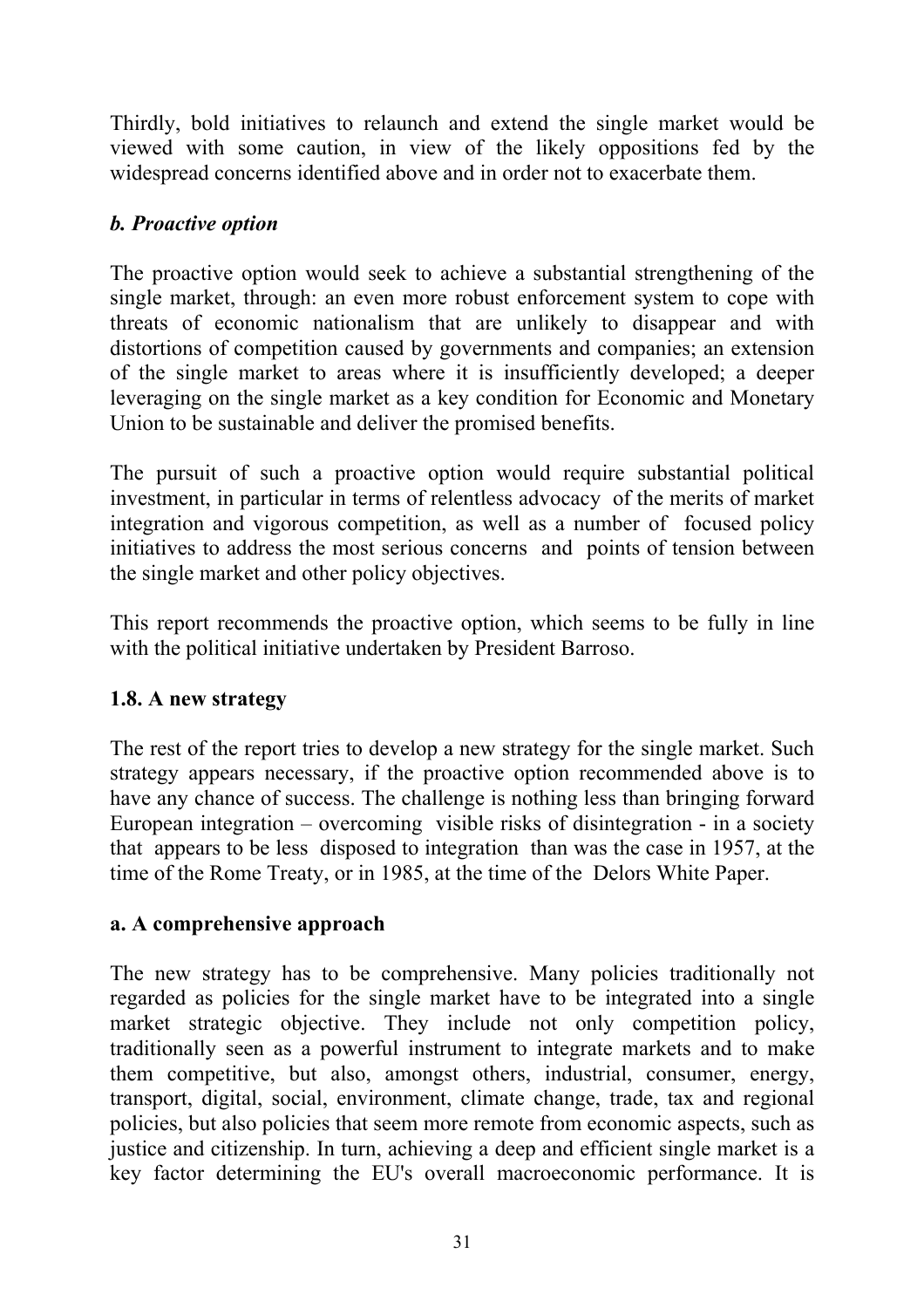Thirdly, bold initiatives to relaunch and extend the single market would be viewed with some caution, in view of the likely oppositions fed by the widespread concerns identified above and in order not to exacerbate them.

## *b. Proactive option*

The proactive option would seek to achieve a substantial strengthening of the single market, through: an even more robust enforcement system to cope with threats of economic nationalism that are unlikely to disappear and with distortions of competition caused by governments and companies; an extension of the single market to areas where it is insufficiently developed; a deeper leveraging on the single market as a key condition for Economic and Monetary Union to be sustainable and deliver the promised benefits.

The pursuit of such a proactive option would require substantial political investment, in particular in terms of relentless advocacy of the merits of market integration and vigorous competition, as well as a number of focused policy initiatives to address the most serious concerns and points of tension between the single market and other policy objectives.

This report recommends the proactive option, which seems to be fully in line with the political initiative undertaken by President Barroso.

## **1.8. A new strategy**

The rest of the report tries to develop a new strategy for the single market. Such strategy appears necessary, if the proactive option recommended above is to have any chance of success. The challenge is nothing less than bringing forward European integration – overcoming visible risks of disintegration - in a society that appears to be less disposed to integration than was the case in 1957, at the time of the Rome Treaty, or in 1985, at the time of the Delors White Paper.

## **a. A comprehensive approach**

The new strategy has to be comprehensive. Many policies traditionally not regarded as policies for the single market have to be integrated into a single market strategic objective. They include not only competition policy, traditionally seen as a powerful instrument to integrate markets and to make them competitive, but also, amongst others, industrial, consumer, energy, transport, digital, social, environment, climate change, trade, tax and regional policies, but also policies that seem more remote from economic aspects, such as justice and citizenship. In turn, achieving a deep and efficient single market is a key factor determining the EU's overall macroeconomic performance. It is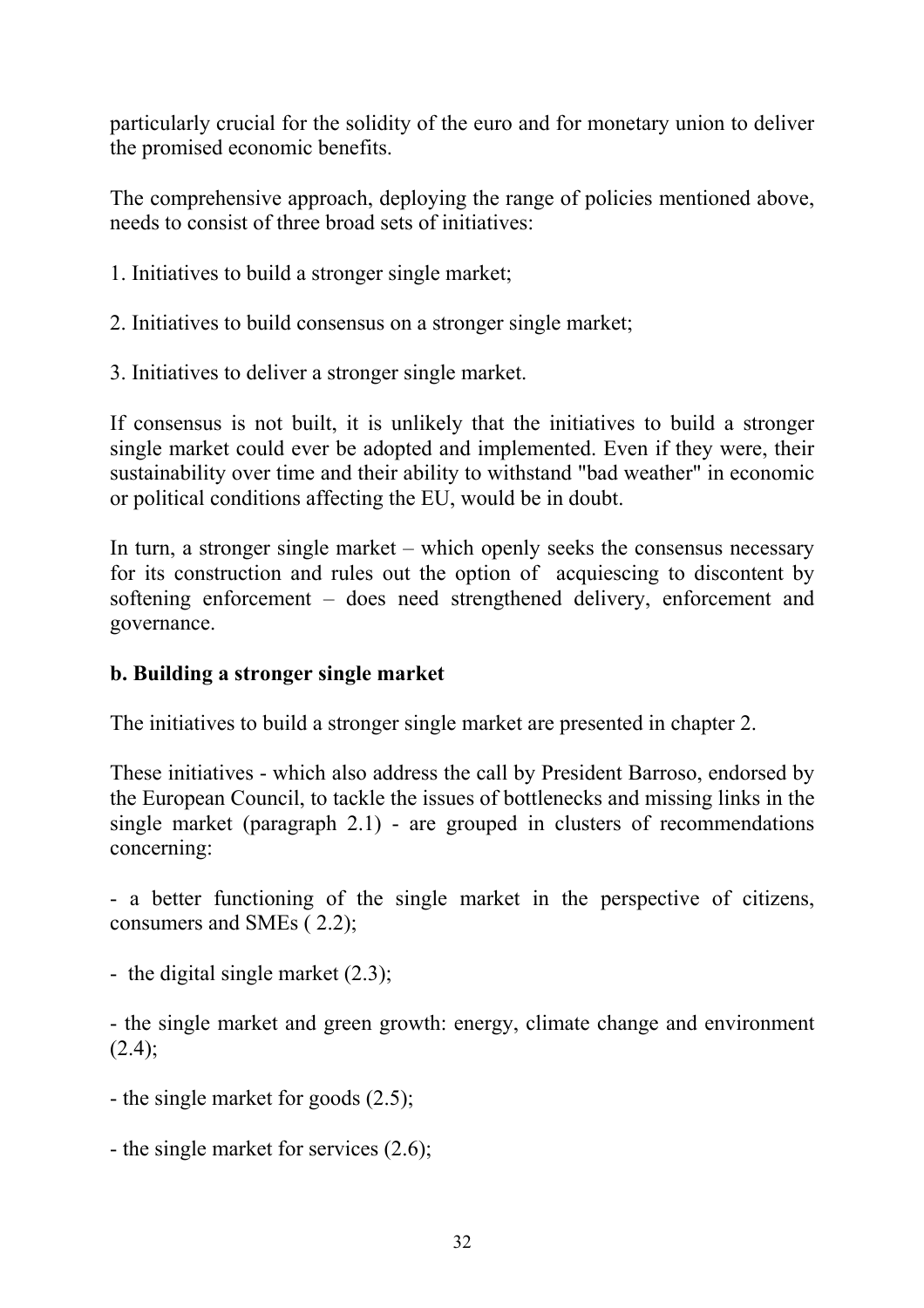particularly crucial for the solidity of the euro and for monetary union to deliver the promised economic benefits.

The comprehensive approach, deploying the range of policies mentioned above, needs to consist of three broad sets of initiatives:

- 1. Initiatives to build a stronger single market;
- 2. Initiatives to build consensus on a stronger single market;
- 3. Initiatives to deliver a stronger single market.

If consensus is not built, it is unlikely that the initiatives to build a stronger single market could ever be adopted and implemented. Even if they were, their sustainability over time and their ability to withstand "bad weather" in economic or political conditions affecting the EU, would be in doubt.

In turn, a stronger single market – which openly seeks the consensus necessary for its construction and rules out the option of acquiescing to discontent by softening enforcement – does need strengthened delivery, enforcement and governance.

#### **b. Building a stronger single market**

The initiatives to build a stronger single market are presented in chapter 2.

These initiatives - which also address the call by President Barroso, endorsed by the European Council, to tackle the issues of bottlenecks and missing links in the single market (paragraph 2.1) - are grouped in clusters of recommendations concerning:

- a better functioning of the single market in the perspective of citizens, consumers and SMEs ( 2.2);

- the digital single market (2.3);

- the single market and green growth: energy, climate change and environment  $(2.4)$ ;

- the single market for goods (2.5);
- the single market for services (2.6);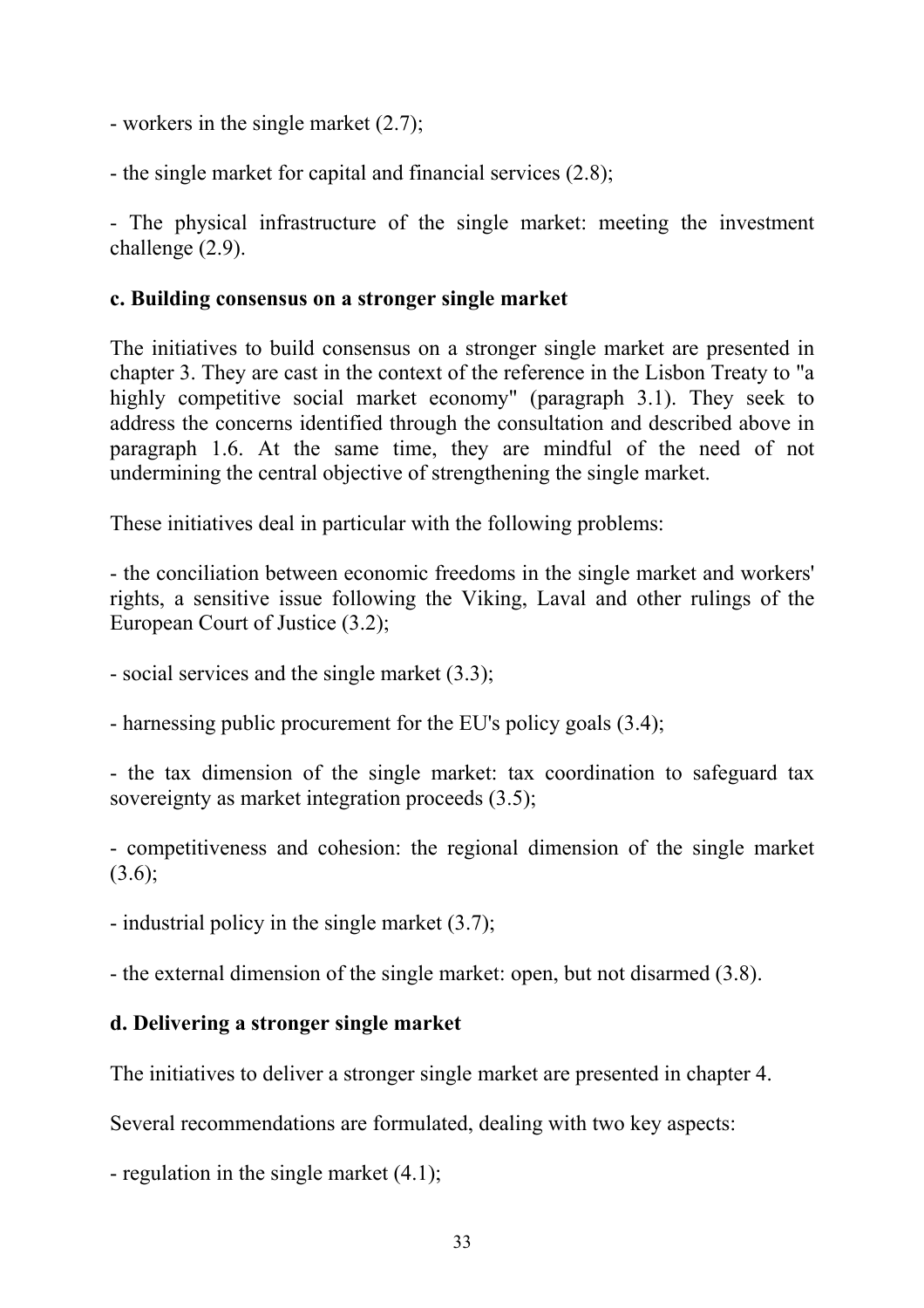- workers in the single market (2.7);

- the single market for capital and financial services (2.8);

- The physical infrastructure of the single market: meeting the investment challenge (2.9).

### **c. Building consensus on a stronger single market**

The initiatives to build consensus on a stronger single market are presented in chapter 3. They are cast in the context of the reference in the Lisbon Treaty to "a highly competitive social market economy" (paragraph 3.1). They seek to address the concerns identified through the consultation and described above in paragraph 1.6. At the same time, they are mindful of the need of not undermining the central objective of strengthening the single market.

These initiatives deal in particular with the following problems:

- the conciliation between economic freedoms in the single market and workers' rights, a sensitive issue following the Viking, Laval and other rulings of the European Court of Justice (3.2);

- social services and the single market (3.3);

- harnessing public procurement for the EU's policy goals (3.4);

- the tax dimension of the single market: tax coordination to safeguard tax sovereignty as market integration proceeds  $(3.5)$ ;

- competitiveness and cohesion: the regional dimension of the single market  $(3.6);$ 

- industrial policy in the single market (3.7);

- the external dimension of the single market: open, but not disarmed (3.8).

## **d. Delivering a stronger single market**

The initiatives to deliver a stronger single market are presented in chapter 4.

Several recommendations are formulated, dealing with two key aspects:

- regulation in the single market (4.1);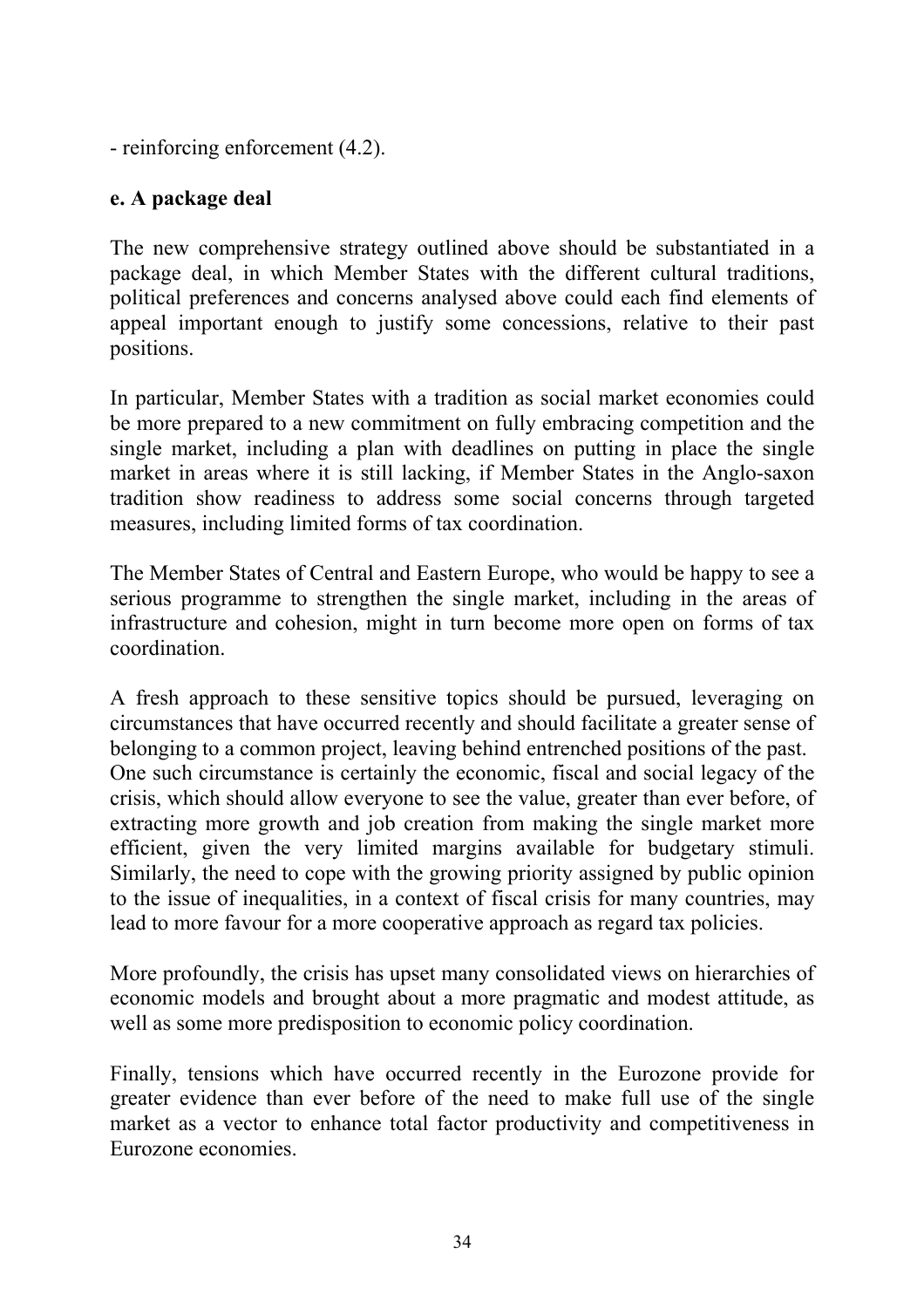- reinforcing enforcement (4.2).

## **e. A package deal**

The new comprehensive strategy outlined above should be substantiated in a package deal, in which Member States with the different cultural traditions, political preferences and concerns analysed above could each find elements of appeal important enough to justify some concessions, relative to their past positions.

In particular, Member States with a tradition as social market economies could be more prepared to a new commitment on fully embracing competition and the single market, including a plan with deadlines on putting in place the single market in areas where it is still lacking, if Member States in the Anglo-saxon tradition show readiness to address some social concerns through targeted measures, including limited forms of tax coordination.

The Member States of Central and Eastern Europe, who would be happy to see a serious programme to strengthen the single market, including in the areas of infrastructure and cohesion, might in turn become more open on forms of tax coordination.

A fresh approach to these sensitive topics should be pursued, leveraging on circumstances that have occurred recently and should facilitate a greater sense of belonging to a common project, leaving behind entrenched positions of the past. One such circumstance is certainly the economic, fiscal and social legacy of the crisis, which should allow everyone to see the value, greater than ever before, of extracting more growth and job creation from making the single market more efficient, given the very limited margins available for budgetary stimuli. Similarly, the need to cope with the growing priority assigned by public opinion to the issue of inequalities, in a context of fiscal crisis for many countries, may lead to more favour for a more cooperative approach as regard tax policies.

More profoundly, the crisis has upset many consolidated views on hierarchies of economic models and brought about a more pragmatic and modest attitude, as well as some more predisposition to economic policy coordination.

Finally, tensions which have occurred recently in the Eurozone provide for greater evidence than ever before of the need to make full use of the single market as a vector to enhance total factor productivity and competitiveness in Eurozone economies.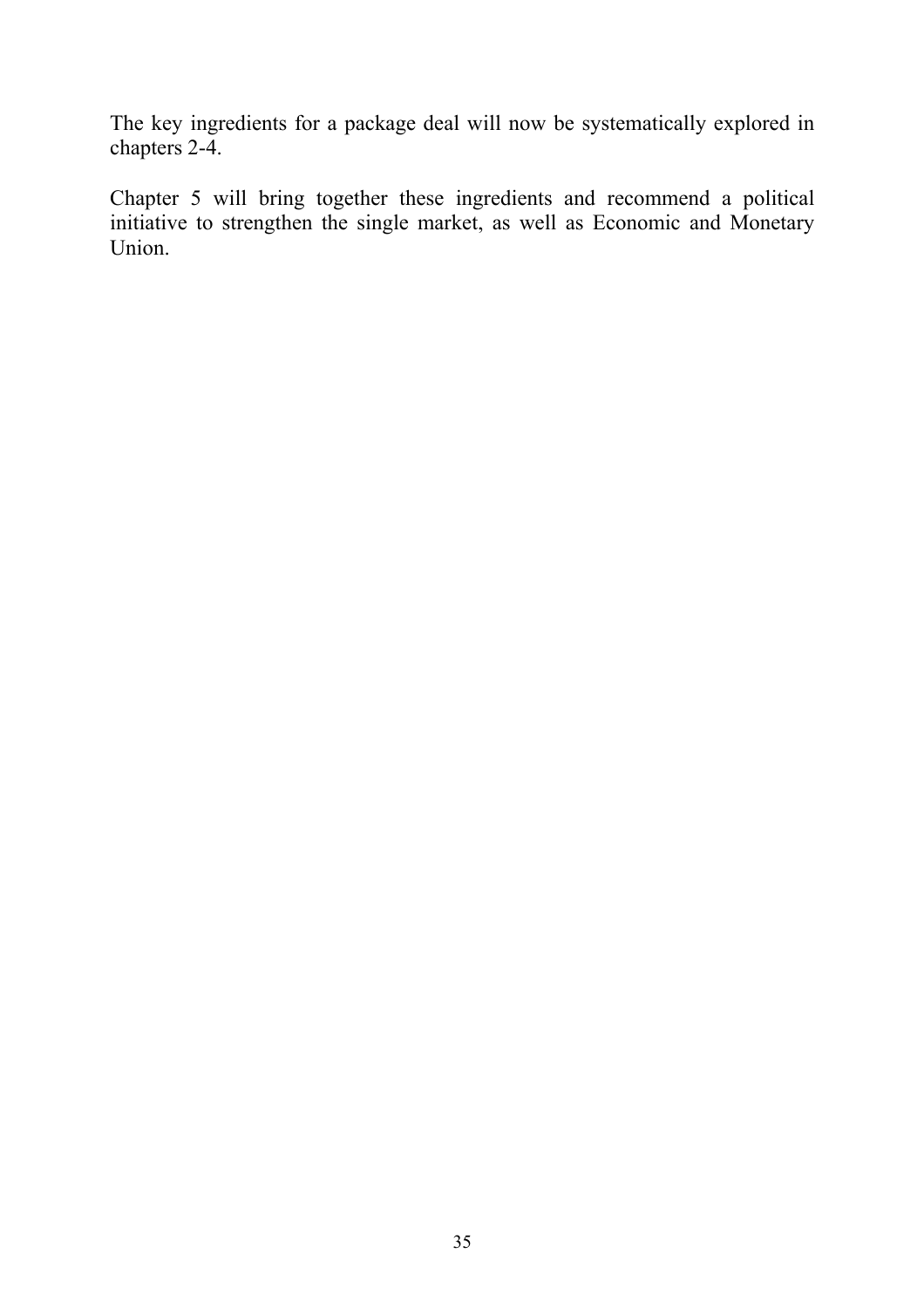The key ingredients for a package deal will now be systematically explored in chapters 2-4.

Chapter 5 will bring together these ingredients and recommend a political initiative to strengthen the single market, as well as Economic and Monetary Union.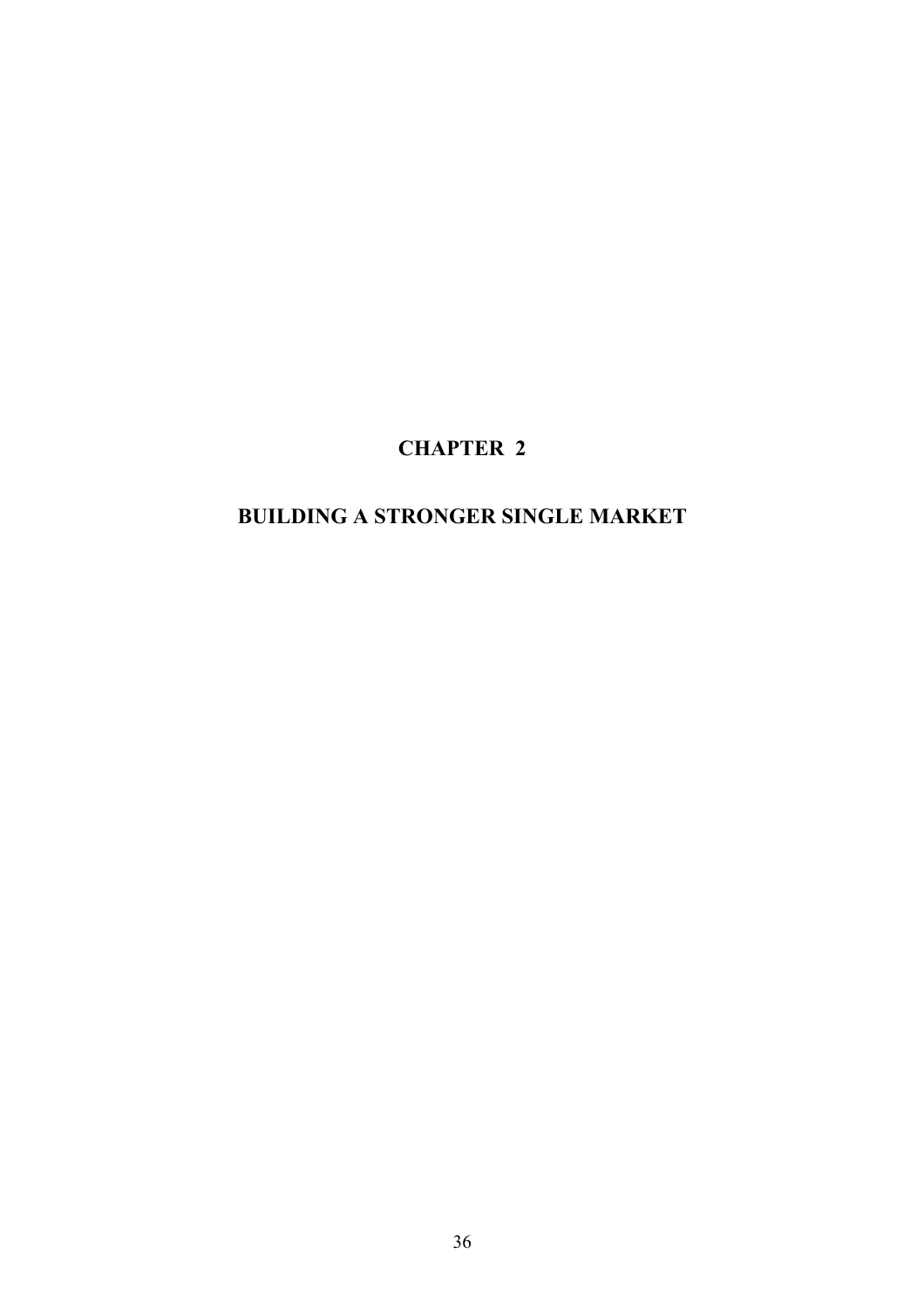# **CHAPTER 2**

## **BUILDING A STRONGER SINGLE MARKET**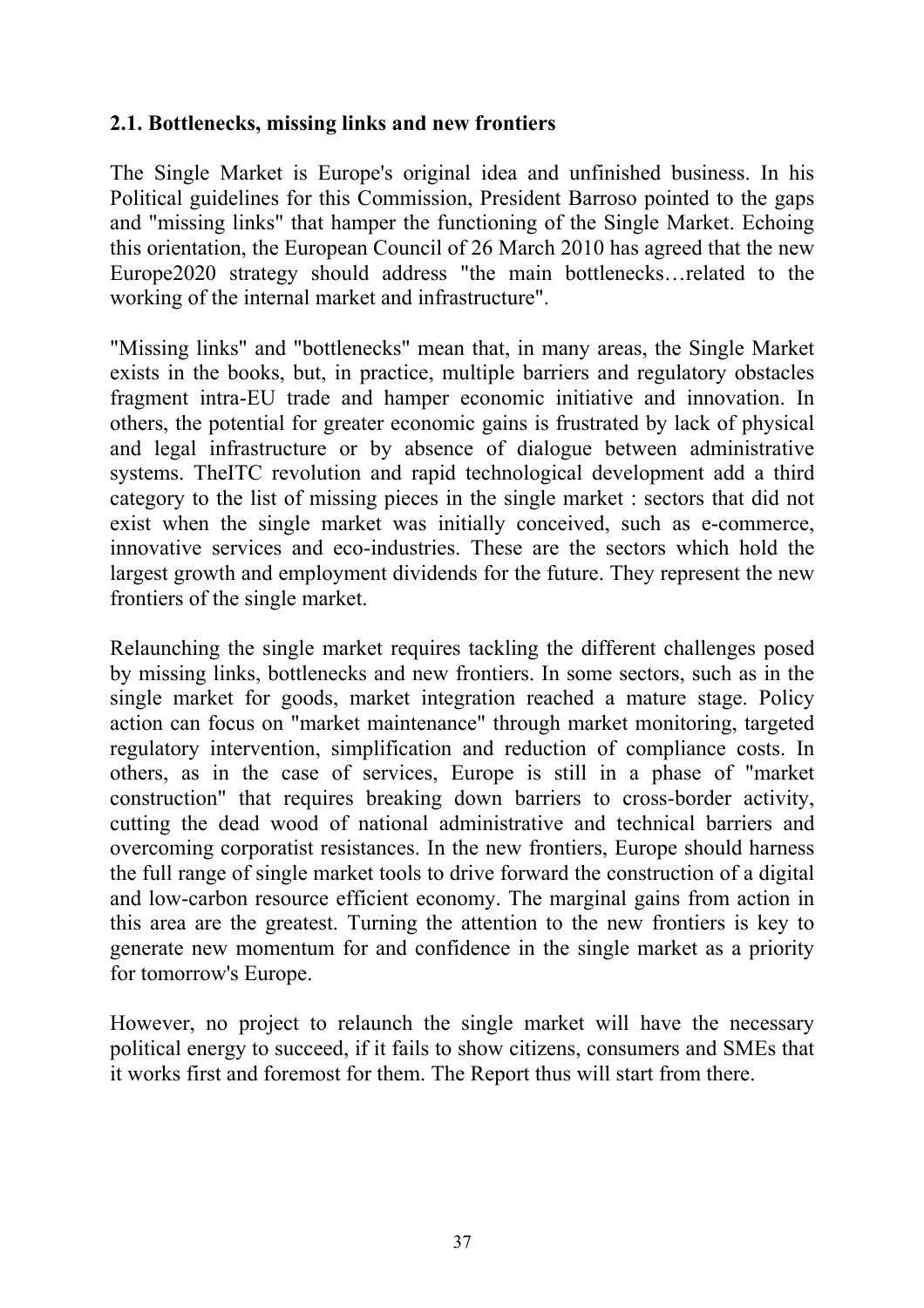## **2.1. Bottlenecks, missing links and new frontiers**

The Single Market is Europe's original idea and unfinished business. In his Political guidelines for this Commission, President Barroso pointed to the gaps and "missing links" that hamper the functioning of the Single Market. Echoing this orientation, the European Council of 26 March 2010 has agreed that the new Europe2020 strategy should address "the main bottlenecks…related to the working of the internal market and infrastructure".

"Missing links" and "bottlenecks" mean that, in many areas, the Single Market exists in the books, but, in practice, multiple barriers and regulatory obstacles fragment intra-EU trade and hamper economic initiative and innovation. In others, the potential for greater economic gains is frustrated by lack of physical and legal infrastructure or by absence of dialogue between administrative systems. TheITC revolution and rapid technological development add a third category to the list of missing pieces in the single market : sectors that did not exist when the single market was initially conceived, such as e-commerce, innovative services and eco-industries. These are the sectors which hold the largest growth and employment dividends for the future. They represent the new frontiers of the single market.

Relaunching the single market requires tackling the different challenges posed by missing links, bottlenecks and new frontiers. In some sectors, such as in the single market for goods, market integration reached a mature stage. Policy action can focus on "market maintenance" through market monitoring, targeted regulatory intervention, simplification and reduction of compliance costs. In others, as in the case of services, Europe is still in a phase of "market construction" that requires breaking down barriers to cross-border activity, cutting the dead wood of national administrative and technical barriers and overcoming corporatist resistances. In the new frontiers, Europe should harness the full range of single market tools to drive forward the construction of a digital and low-carbon resource efficient economy. The marginal gains from action in this area are the greatest. Turning the attention to the new frontiers is key to generate new momentum for and confidence in the single market as a priority for tomorrow's Europe.

However, no project to relaunch the single market will have the necessary political energy to succeed, if it fails to show citizens, consumers and SMEs that it works first and foremost for them. The Report thus will start from there.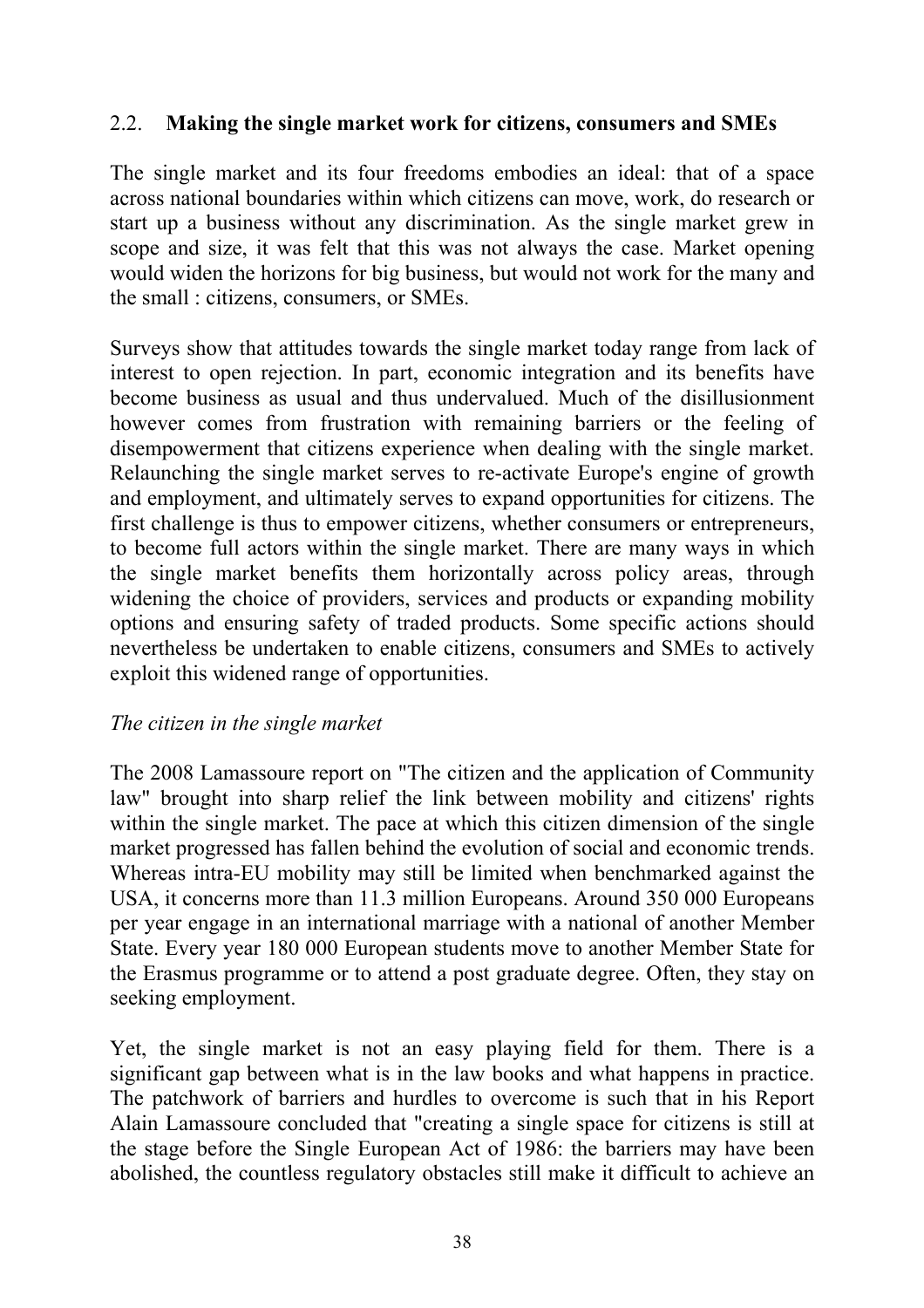#### 2.2. **Making the single market work for citizens, consumers and SMEs**

The single market and its four freedoms embodies an ideal: that of a space across national boundaries within which citizens can move, work, do research or start up a business without any discrimination. As the single market grew in scope and size, it was felt that this was not always the case. Market opening would widen the horizons for big business, but would not work for the many and the small : citizens, consumers, or SMEs.

Surveys show that attitudes towards the single market today range from lack of interest to open rejection. In part, economic integration and its benefits have become business as usual and thus undervalued. Much of the disillusionment however comes from frustration with remaining barriers or the feeling of disempowerment that citizens experience when dealing with the single market. Relaunching the single market serves to re-activate Europe's engine of growth and employment, and ultimately serves to expand opportunities for citizens. The first challenge is thus to empower citizens, whether consumers or entrepreneurs, to become full actors within the single market. There are many ways in which the single market benefits them horizontally across policy areas, through widening the choice of providers, services and products or expanding mobility options and ensuring safety of traded products. Some specific actions should nevertheless be undertaken to enable citizens, consumers and SMEs to actively exploit this widened range of opportunities.

#### *The citizen in the single market*

The 2008 Lamassoure report on "The citizen and the application of Community law" brought into sharp relief the link between mobility and citizens' rights within the single market. The pace at which this citizen dimension of the single market progressed has fallen behind the evolution of social and economic trends. Whereas intra-EU mobility may still be limited when benchmarked against the USA, it concerns more than 11.3 million Europeans. Around 350 000 Europeans per year engage in an international marriage with a national of another Member State. Every year 180 000 European students move to another Member State for the Erasmus programme or to attend a post graduate degree. Often, they stay on seeking employment.

Yet, the single market is not an easy playing field for them. There is a significant gap between what is in the law books and what happens in practice. The patchwork of barriers and hurdles to overcome is such that in his Report Alain Lamassoure concluded that "creating a single space for citizens is still at the stage before the Single European Act of 1986: the barriers may have been abolished, the countless regulatory obstacles still make it difficult to achieve an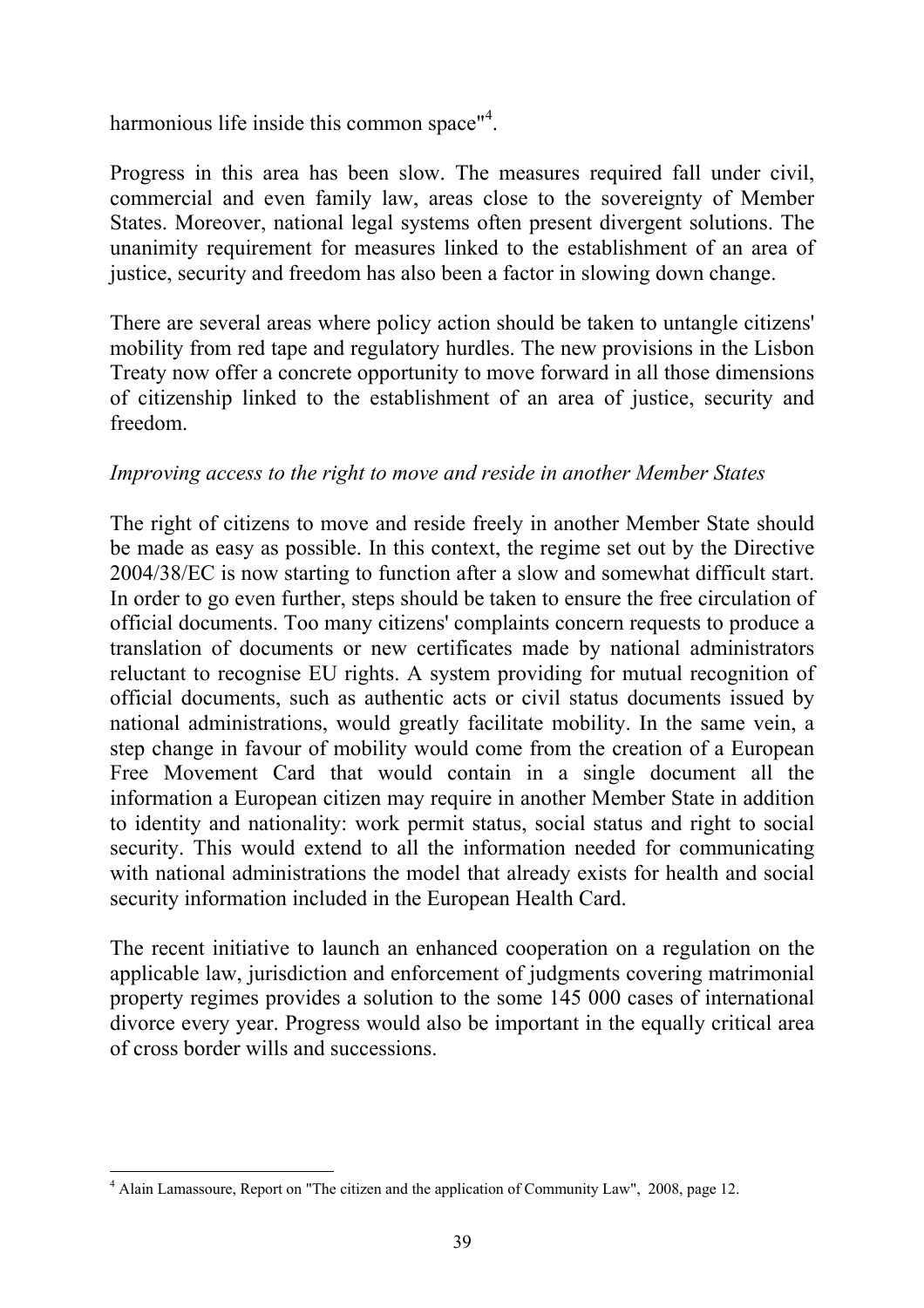harmonious life inside this common space"<sup>4</sup>.

Progress in this area has been slow. The measures required fall under civil, commercial and even family law, areas close to the sovereignty of Member States. Moreover, national legal systems often present divergent solutions. The unanimity requirement for measures linked to the establishment of an area of justice, security and freedom has also been a factor in slowing down change.

There are several areas where policy action should be taken to untangle citizens' mobility from red tape and regulatory hurdles. The new provisions in the Lisbon Treaty now offer a concrete opportunity to move forward in all those dimensions of citizenship linked to the establishment of an area of justice, security and freedom.

## *Improving access to the right to move and reside in another Member States*

The right of citizens to move and reside freely in another Member State should be made as easy as possible. In this context, the regime set out by the Directive 2004/38/EC is now starting to function after a slow and somewhat difficult start. In order to go even further, steps should be taken to ensure the free circulation of official documents. Too many citizens' complaints concern requests to produce a translation of documents or new certificates made by national administrators reluctant to recognise EU rights. A system providing for mutual recognition of official documents, such as authentic acts or civil status documents issued by national administrations, would greatly facilitate mobility. In the same vein, a step change in favour of mobility would come from the creation of a European Free Movement Card that would contain in a single document all the information a European citizen may require in another Member State in addition to identity and nationality: work permit status, social status and right to social security. This would extend to all the information needed for communicating with national administrations the model that already exists for health and social security information included in the European Health Card.

The recent initiative to launch an enhanced cooperation on a regulation on the applicable law, jurisdiction and enforcement of judgments covering matrimonial property regimes provides a solution to the some 145 000 cases of international divorce every year. Progress would also be important in the equally critical area of cross border wills and successions.

 4 Alain Lamassoure, Report on "The citizen and the application of Community Law", 2008, page 12.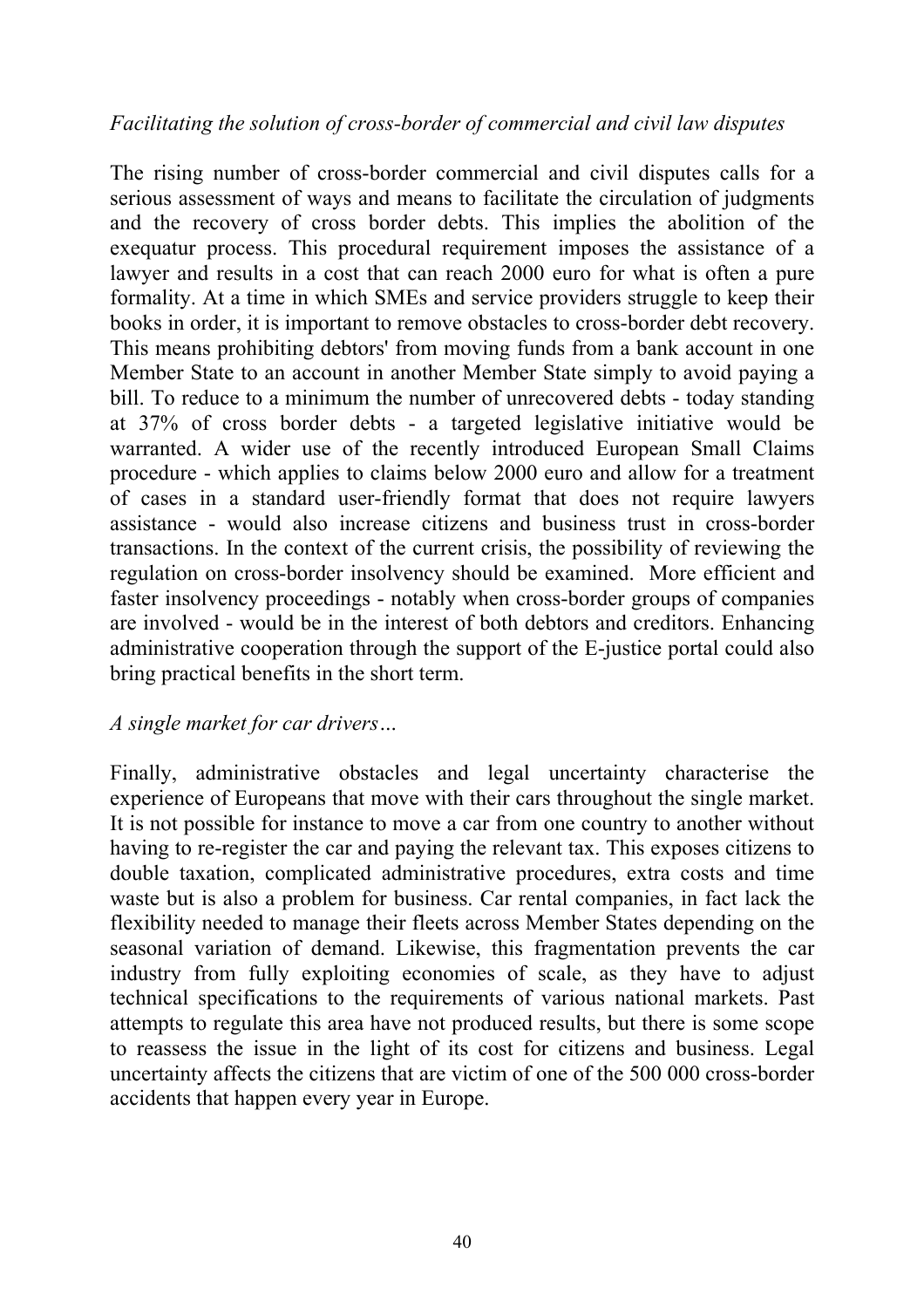#### *Facilitating the solution of cross-border of commercial and civil law disputes*

The rising number of cross-border commercial and civil disputes calls for a serious assessment of ways and means to facilitate the circulation of judgments and the recovery of cross border debts. This implies the abolition of the exequatur process. This procedural requirement imposes the assistance of a lawyer and results in a cost that can reach 2000 euro for what is often a pure formality. At a time in which SMEs and service providers struggle to keep their books in order, it is important to remove obstacles to cross-border debt recovery. This means prohibiting debtors' from moving funds from a bank account in one Member State to an account in another Member State simply to avoid paying a bill. To reduce to a minimum the number of unrecovered debts - today standing at 37% of cross border debts - a targeted legislative initiative would be warranted. A wider use of the recently introduced European Small Claims procedure - which applies to claims below 2000 euro and allow for a treatment of cases in a standard user-friendly format that does not require lawyers assistance - would also increase citizens and business trust in cross-border transactions. In the context of the current crisis, the possibility of reviewing the regulation on cross-border insolvency should be examined. More efficient and faster insolvency proceedings - notably when cross-border groups of companies are involved - would be in the interest of both debtors and creditors. Enhancing administrative cooperation through the support of the E-justice portal could also bring practical benefits in the short term.

#### *A single market for car drivers…*

Finally, administrative obstacles and legal uncertainty characterise the experience of Europeans that move with their cars throughout the single market. It is not possible for instance to move a car from one country to another without having to re-register the car and paying the relevant tax. This exposes citizens to double taxation, complicated administrative procedures, extra costs and time waste but is also a problem for business. Car rental companies, in fact lack the flexibility needed to manage their fleets across Member States depending on the seasonal variation of demand. Likewise, this fragmentation prevents the car industry from fully exploiting economies of scale, as they have to adjust technical specifications to the requirements of various national markets. Past attempts to regulate this area have not produced results, but there is some scope to reassess the issue in the light of its cost for citizens and business. Legal uncertainty affects the citizens that are victim of one of the 500 000 cross-border accidents that happen every year in Europe.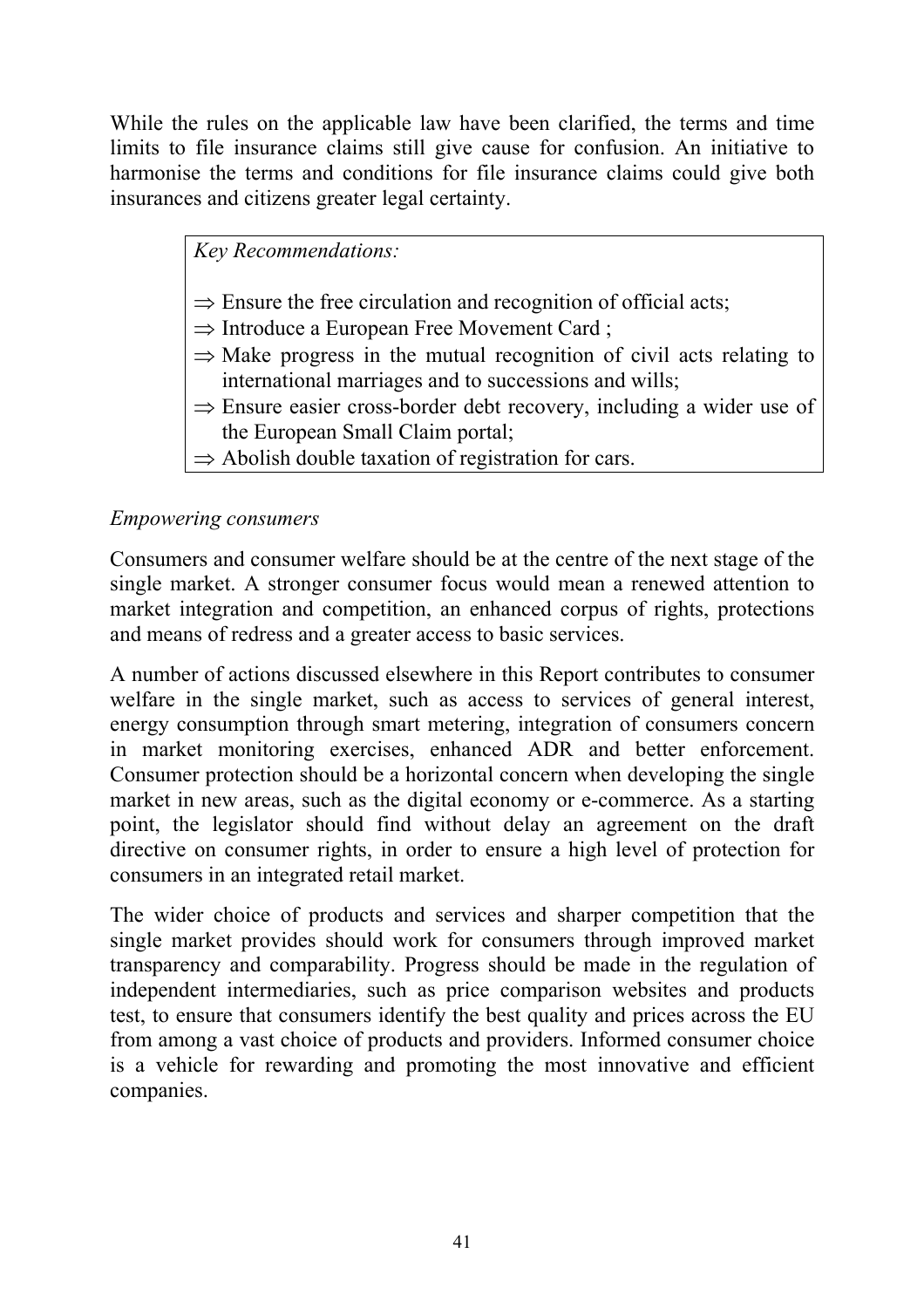While the rules on the applicable law have been clarified, the terms and time limits to file insurance claims still give cause for confusion. An initiative to harmonise the terms and conditions for file insurance claims could give both insurances and citizens greater legal certainty.

*Key Recommendations:* 

- $\Rightarrow$  Ensure the free circulation and recognition of official acts;
- ⇒ Introduce a European Free Movement Card ;
- $\Rightarrow$  Make progress in the mutual recognition of civil acts relating to international marriages and to successions and wills;
- $\Rightarrow$  Ensure easier cross-border debt recovery, including a wider use of the European Small Claim portal;
- $\Rightarrow$  Abolish double taxation of registration for cars.

## *Empowering consumers*

Consumers and consumer welfare should be at the centre of the next stage of the single market. A stronger consumer focus would mean a renewed attention to market integration and competition, an enhanced corpus of rights, protections and means of redress and a greater access to basic services.

A number of actions discussed elsewhere in this Report contributes to consumer welfare in the single market, such as access to services of general interest, energy consumption through smart metering, integration of consumers concern in market monitoring exercises, enhanced ADR and better enforcement. Consumer protection should be a horizontal concern when developing the single market in new areas, such as the digital economy or e-commerce. As a starting point, the legislator should find without delay an agreement on the draft directive on consumer rights, in order to ensure a high level of protection for consumers in an integrated retail market.

The wider choice of products and services and sharper competition that the single market provides should work for consumers through improved market transparency and comparability. Progress should be made in the regulation of independent intermediaries, such as price comparison websites and products test, to ensure that consumers identify the best quality and prices across the EU from among a vast choice of products and providers. Informed consumer choice is a vehicle for rewarding and promoting the most innovative and efficient companies.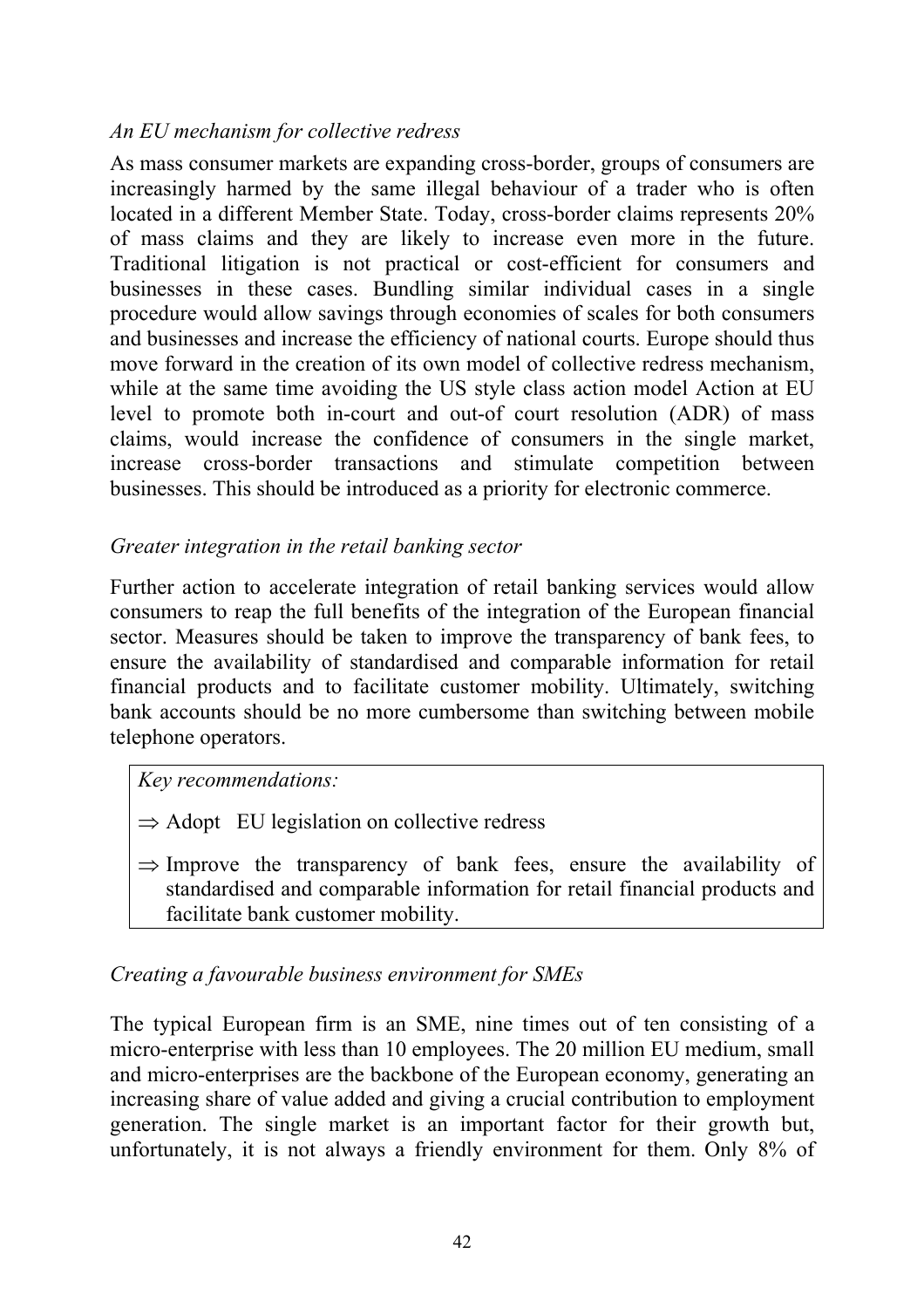## *An EU mechanism for collective redress*

As mass consumer markets are expanding cross-border, groups of consumers are increasingly harmed by the same illegal behaviour of a trader who is often located in a different Member State. Today, cross-border claims represents 20% of mass claims and they are likely to increase even more in the future. Traditional litigation is not practical or cost-efficient for consumers and businesses in these cases. Bundling similar individual cases in a single procedure would allow savings through economies of scales for both consumers and businesses and increase the efficiency of national courts. Europe should thus move forward in the creation of its own model of collective redress mechanism, while at the same time avoiding the US style class action model Action at EU level to promote both in-court and out-of court resolution (ADR) of mass claims, would increase the confidence of consumers in the single market, increase cross-border transactions and stimulate competition between businesses. This should be introduced as a priority for electronic commerce.

## *Greater integration in the retail banking sector*

Further action to accelerate integration of retail banking services would allow consumers to reap the full benefits of the integration of the European financial sector. Measures should be taken to improve the transparency of bank fees, to ensure the availability of standardised and comparable information for retail financial products and to facilitate customer mobility. Ultimately, switching bank accounts should be no more cumbersome than switching between mobile telephone operators.

#### *Key recommendations:*

- $\Rightarrow$  Adopt EU legislation on collective redress
- $\Rightarrow$  Improve the transparency of bank fees, ensure the availability of standardised and comparable information for retail financial products and facilitate bank customer mobility.

## *Creating a favourable business environment for SMEs*

The typical European firm is an SME, nine times out of ten consisting of a micro-enterprise with less than 10 employees. The 20 million EU medium, small and micro-enterprises are the backbone of the European economy, generating an increasing share of value added and giving a crucial contribution to employment generation. The single market is an important factor for their growth but, unfortunately, it is not always a friendly environment for them. Only 8% of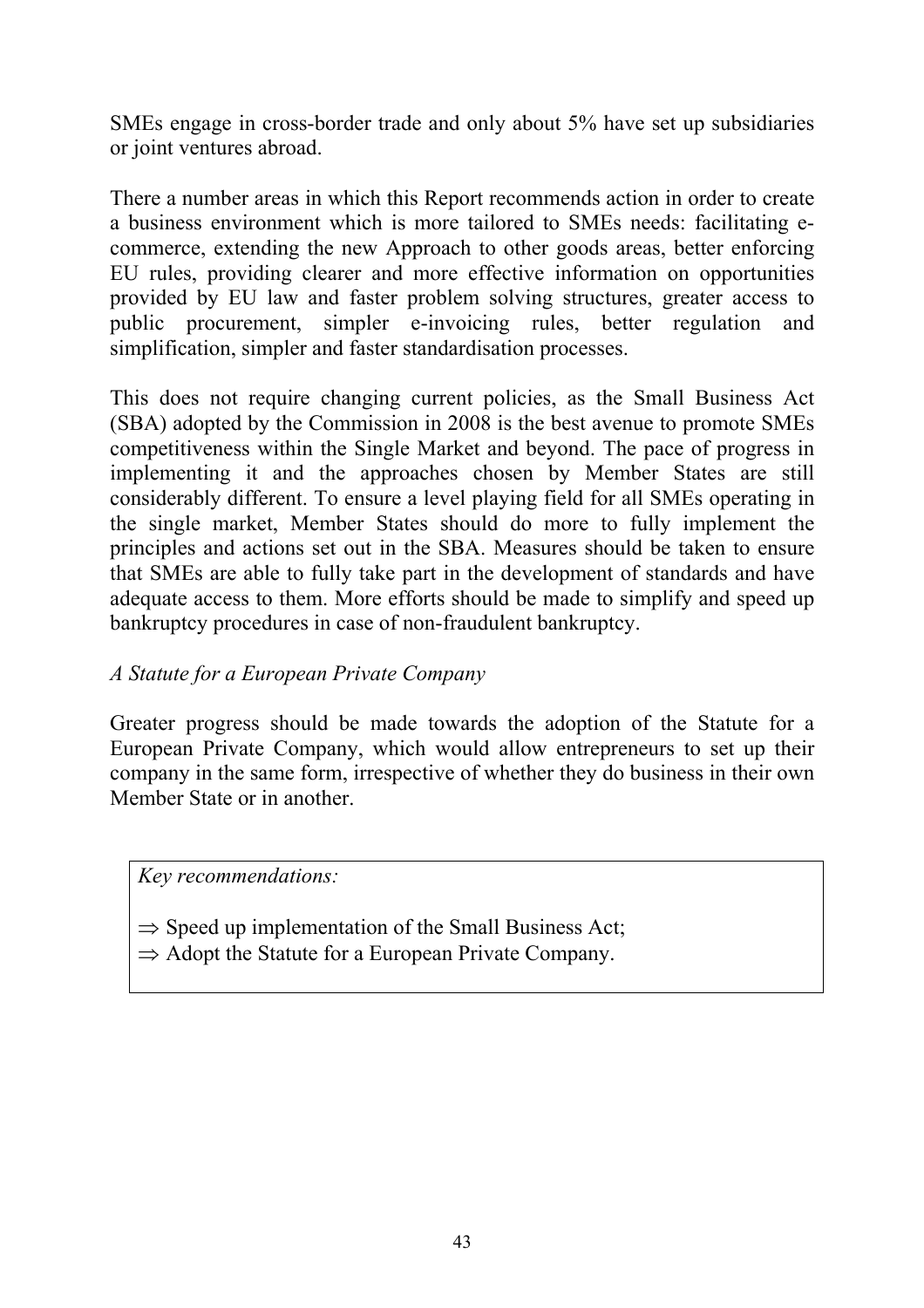SMEs engage in cross-border trade and only about 5% have set up subsidiaries or joint ventures abroad.

There a number areas in which this Report recommends action in order to create a business environment which is more tailored to SMEs needs: facilitating ecommerce, extending the new Approach to other goods areas, better enforcing EU rules, providing clearer and more effective information on opportunities provided by EU law and faster problem solving structures, greater access to public procurement, simpler e-invoicing rules, better regulation and simplification, simpler and faster standardisation processes.

This does not require changing current policies, as the Small Business Act (SBA) adopted by the Commission in 2008 is the best avenue to promote SMEs competitiveness within the Single Market and beyond. The pace of progress in implementing it and the approaches chosen by Member States are still considerably different. To ensure a level playing field for all SMEs operating in the single market, Member States should do more to fully implement the principles and actions set out in the SBA. Measures should be taken to ensure that SMEs are able to fully take part in the development of standards and have adequate access to them. More efforts should be made to simplify and speed up bankruptcy procedures in case of non-fraudulent bankruptcy.

#### *A Statute for a European Private Company*

Greater progress should be made towards the adoption of the Statute for a European Private Company, which would allow entrepreneurs to set up their company in the same form, irrespective of whether they do business in their own Member State or in another.

*Key recommendations:* 

- $\Rightarrow$  Speed up implementation of the Small Business Act;
- $\Rightarrow$  Adopt the Statute for a European Private Company.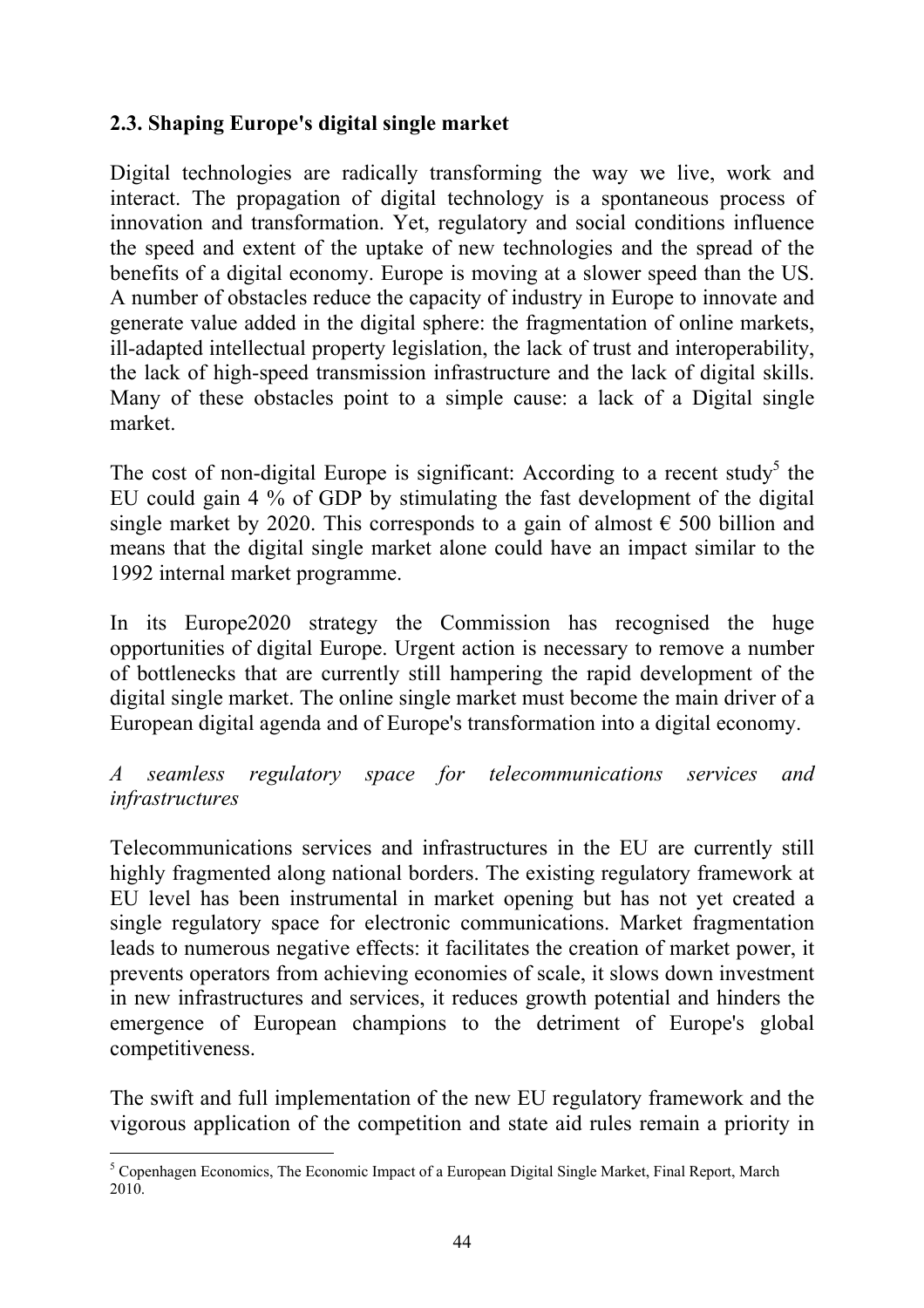## **2.3. Shaping Europe's digital single market**

Digital technologies are radically transforming the way we live, work and interact. The propagation of digital technology is a spontaneous process of innovation and transformation. Yet, regulatory and social conditions influence the speed and extent of the uptake of new technologies and the spread of the benefits of a digital economy. Europe is moving at a slower speed than the US. A number of obstacles reduce the capacity of industry in Europe to innovate and generate value added in the digital sphere: the fragmentation of online markets, ill-adapted intellectual property legislation, the lack of trust and interoperability, the lack of high-speed transmission infrastructure and the lack of digital skills. Many of these obstacles point to a simple cause: a lack of a Digital single market.

The cost of non-digital Europe is significant: According to a recent study<sup>5</sup> the EU could gain 4 % of GDP by stimulating the fast development of the digital single market by 2020. This corresponds to a gain of almost  $\epsilon$  500 billion and means that the digital single market alone could have an impact similar to the 1992 internal market programme.

In its Europe2020 strategy the Commission has recognised the huge opportunities of digital Europe. Urgent action is necessary to remove a number of bottlenecks that are currently still hampering the rapid development of the digital single market. The online single market must become the main driver of a European digital agenda and of Europe's transformation into a digital economy.

## *A seamless regulatory space for telecommunications services and infrastructures*

Telecommunications services and infrastructures in the EU are currently still highly fragmented along national borders. The existing regulatory framework at EU level has been instrumental in market opening but has not yet created a single regulatory space for electronic communications. Market fragmentation leads to numerous negative effects: it facilitates the creation of market power, it prevents operators from achieving economies of scale, it slows down investment in new infrastructures and services, it reduces growth potential and hinders the emergence of European champions to the detriment of Europe's global competitiveness.

The swift and full implementation of the new EU regulatory framework and the vigorous application of the competition and state aid rules remain a priority in

<sup>1</sup> <sup>5</sup> Copenhagen Economics, The Economic Impact of a European Digital Single Market, Final Report, March 2010.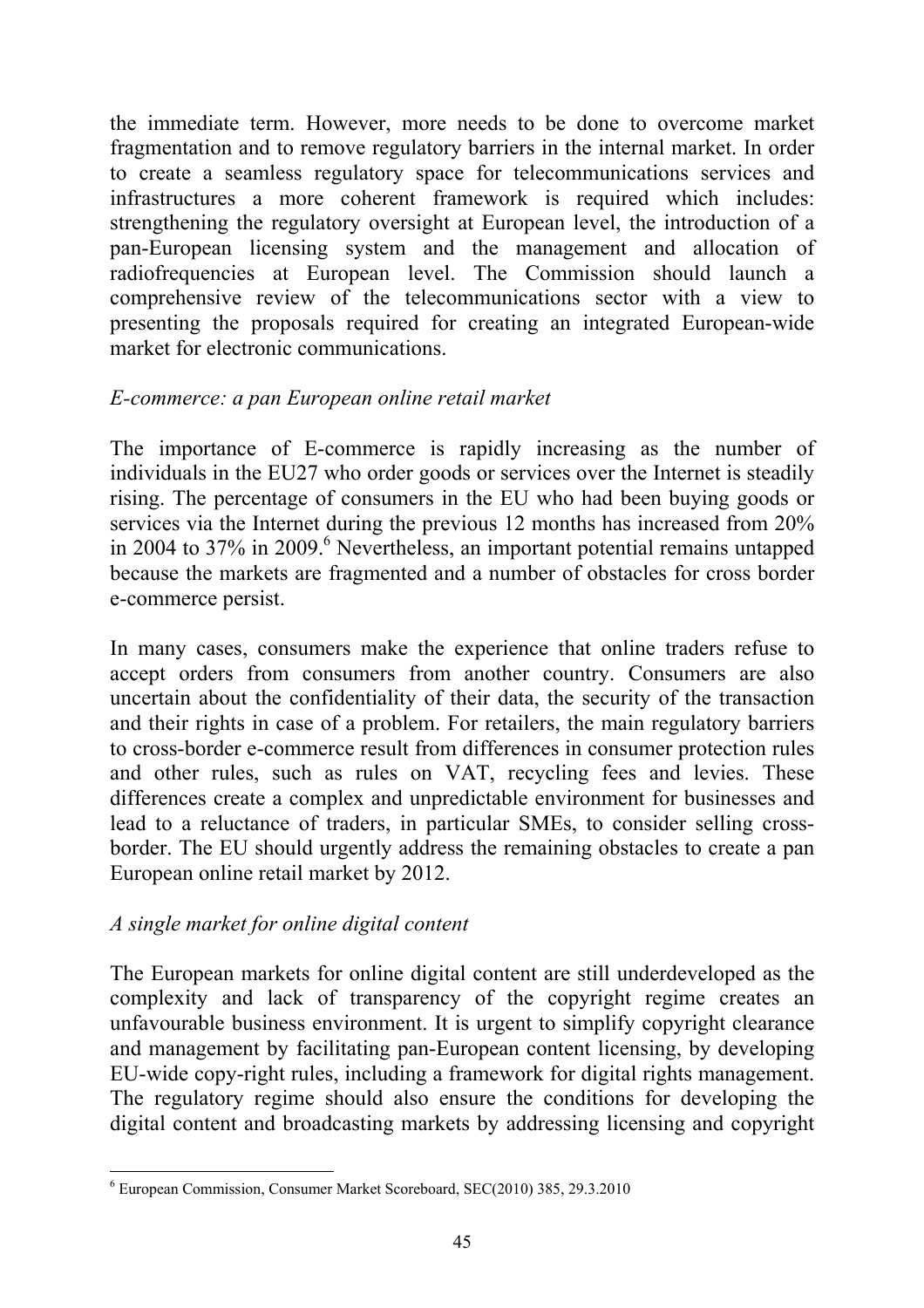the immediate term. However, more needs to be done to overcome market fragmentation and to remove regulatory barriers in the internal market. In order to create a seamless regulatory space for telecommunications services and infrastructures a more coherent framework is required which includes: strengthening the regulatory oversight at European level, the introduction of a pan-European licensing system and the management and allocation of radiofrequencies at European level. The Commission should launch a comprehensive review of the telecommunications sector with a view to presenting the proposals required for creating an integrated European-wide market for electronic communications.

## *E-commerce: a pan European online retail market*

The importance of E-commerce is rapidly increasing as the number of individuals in the EU27 who order goods or services over the Internet is steadily rising. The percentage of consumers in the EU who had been buying goods or services via the Internet during the previous 12 months has increased from 20% in 2004 to 37% in 2009.<sup>6</sup> Nevertheless, an important potential remains untapped because the markets are fragmented and a number of obstacles for cross border e-commerce persist.

In many cases, consumers make the experience that online traders refuse to accept orders from consumers from another country. Consumers are also uncertain about the confidentiality of their data, the security of the transaction and their rights in case of a problem. For retailers, the main regulatory barriers to cross-border e-commerce result from differences in consumer protection rules and other rules, such as rules on VAT, recycling fees and levies. These differences create a complex and unpredictable environment for businesses and lead to a reluctance of traders, in particular SMEs, to consider selling crossborder. The EU should urgently address the remaining obstacles to create a pan European online retail market by 2012.

#### *A single market for online digital content*

The European markets for online digital content are still underdeveloped as the complexity and lack of transparency of the copyright regime creates an unfavourable business environment. It is urgent to simplify copyright clearance and management by facilitating pan-European content licensing, by developing EU-wide copy-right rules, including a framework for digital rights management. The regulatory regime should also ensure the conditions for developing the digital content and broadcasting markets by addressing licensing and copyright

<sup>1</sup> 6 European Commission, Consumer Market Scoreboard, SEC(2010) 385, 29.3.2010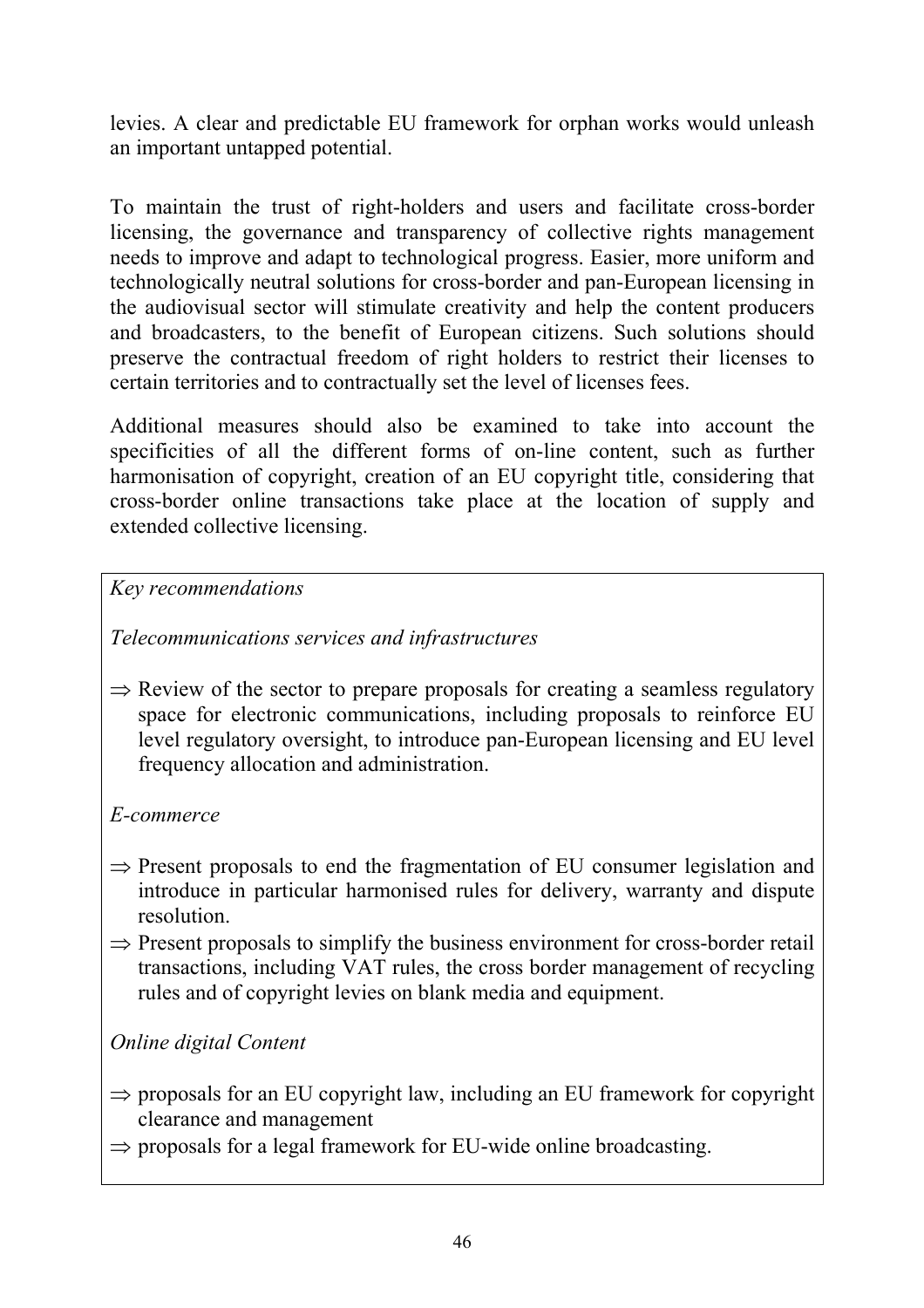levies. A clear and predictable EU framework for orphan works would unleash an important untapped potential.

To maintain the trust of right-holders and users and facilitate cross-border licensing, the governance and transparency of collective rights management needs to improve and adapt to technological progress. Easier, more uniform and technologically neutral solutions for cross-border and pan-European licensing in the audiovisual sector will stimulate creativity and help the content producers and broadcasters, to the benefit of European citizens. Such solutions should preserve the contractual freedom of right holders to restrict their licenses to certain territories and to contractually set the level of licenses fees.

Additional measures should also be examined to take into account the specificities of all the different forms of on-line content, such as further harmonisation of copyright, creation of an EU copyright title, considering that cross-border online transactions take place at the location of supply and extended collective licensing.

#### *Key recommendations*

*Telecommunications services and infrastructures* 

- $\Rightarrow$  Review of the sector to prepare proposals for creating a seamless regulatory space for electronic communications, including proposals to reinforce EU level regulatory oversight, to introduce pan-European licensing and EU level frequency allocation and administration.
- *E-commerce*
- $\Rightarrow$  Present proposals to end the fragmentation of EU consumer legislation and introduce in particular harmonised rules for delivery, warranty and dispute resolution.
- $\Rightarrow$  Present proposals to simplify the business environment for cross-border retail transactions, including VAT rules, the cross border management of recycling rules and of copyright levies on blank media and equipment.

#### *Online digital Content*

- $\Rightarrow$  proposals for an EU copyright law, including an EU framework for copyright clearance and management
- $\Rightarrow$  proposals for a legal framework for EU-wide online broadcasting.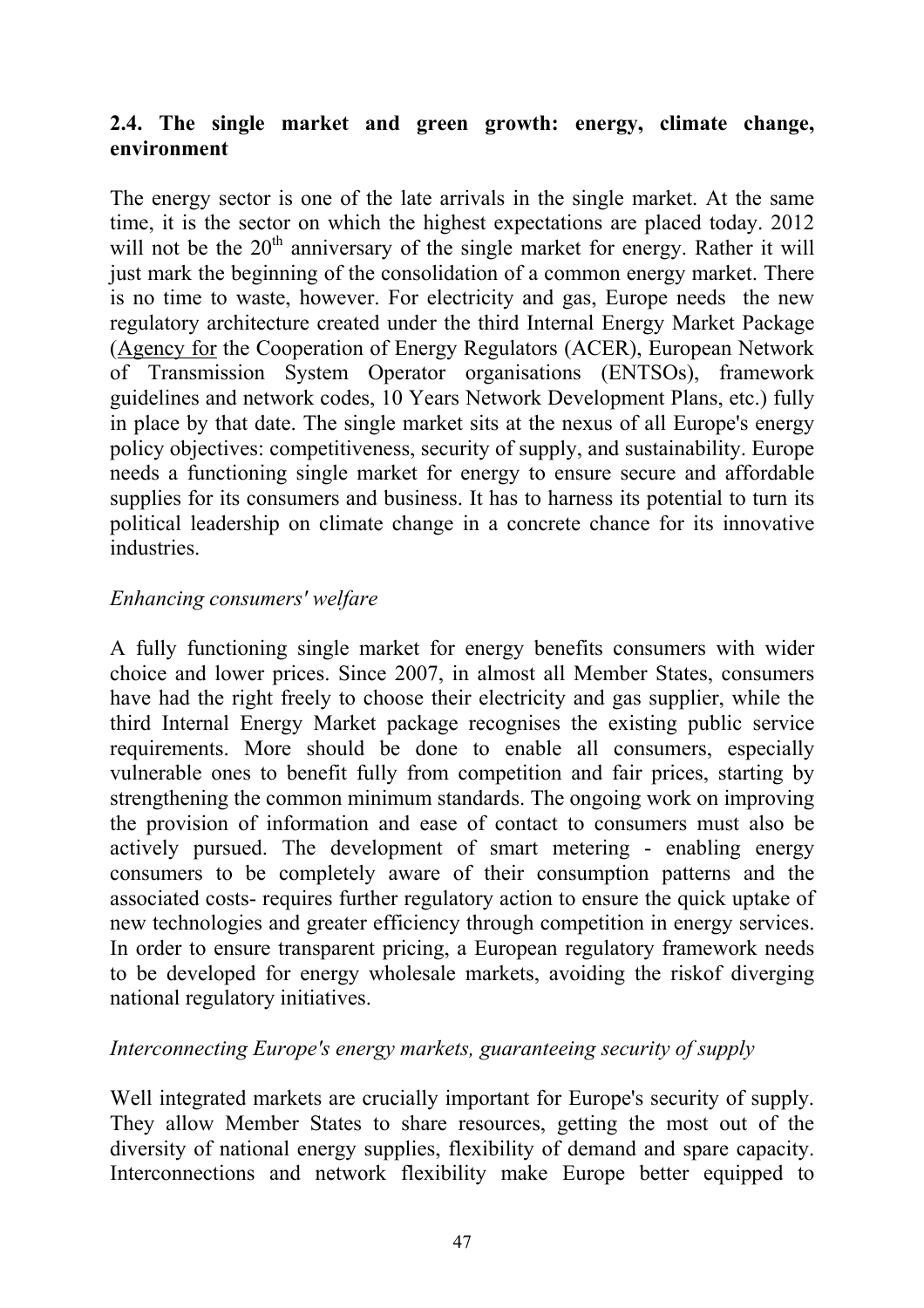## **2.4. The single market and green growth: energy, climate change, environment**

The energy sector is one of the late arrivals in the single market. At the same time, it is the sector on which the highest expectations are placed today. 2012 will not be the  $20<sup>th</sup>$  anniversary of the single market for energy. Rather it will just mark the beginning of the consolidation of a common energy market. There is no time to waste, however. For electricity and gas, Europe needs the new regulatory architecture created under the third Internal Energy Market Package (Agency for the Cooperation of Energy Regulators (ACER), European Network of Transmission System Operator organisations (ENTSOs), framework guidelines and network codes, 10 Years Network Development Plans, etc.) fully in place by that date. The single market sits at the nexus of all Europe's energy policy objectives: competitiveness, security of supply, and sustainability. Europe needs a functioning single market for energy to ensure secure and affordable supplies for its consumers and business. It has to harness its potential to turn its political leadership on climate change in a concrete chance for its innovative industries.

## *Enhancing consumers' welfare*

A fully functioning single market for energy benefits consumers with wider choice and lower prices. Since 2007, in almost all Member States, consumers have had the right freely to choose their electricity and gas supplier, while the third Internal Energy Market package recognises the existing public service requirements. More should be done to enable all consumers, especially vulnerable ones to benefit fully from competition and fair prices, starting by strengthening the common minimum standards. The ongoing work on improving the provision of information and ease of contact to consumers must also be actively pursued. The development of smart metering - enabling energy consumers to be completely aware of their consumption patterns and the associated costs- requires further regulatory action to ensure the quick uptake of new technologies and greater efficiency through competition in energy services. In order to ensure transparent pricing, a European regulatory framework needs to be developed for energy wholesale markets, avoiding the riskof diverging national regulatory initiatives.

#### *Interconnecting Europe's energy markets, guaranteeing security of supply*

Well integrated markets are crucially important for Europe's security of supply. They allow Member States to share resources, getting the most out of the diversity of national energy supplies, flexibility of demand and spare capacity. Interconnections and network flexibility make Europe better equipped to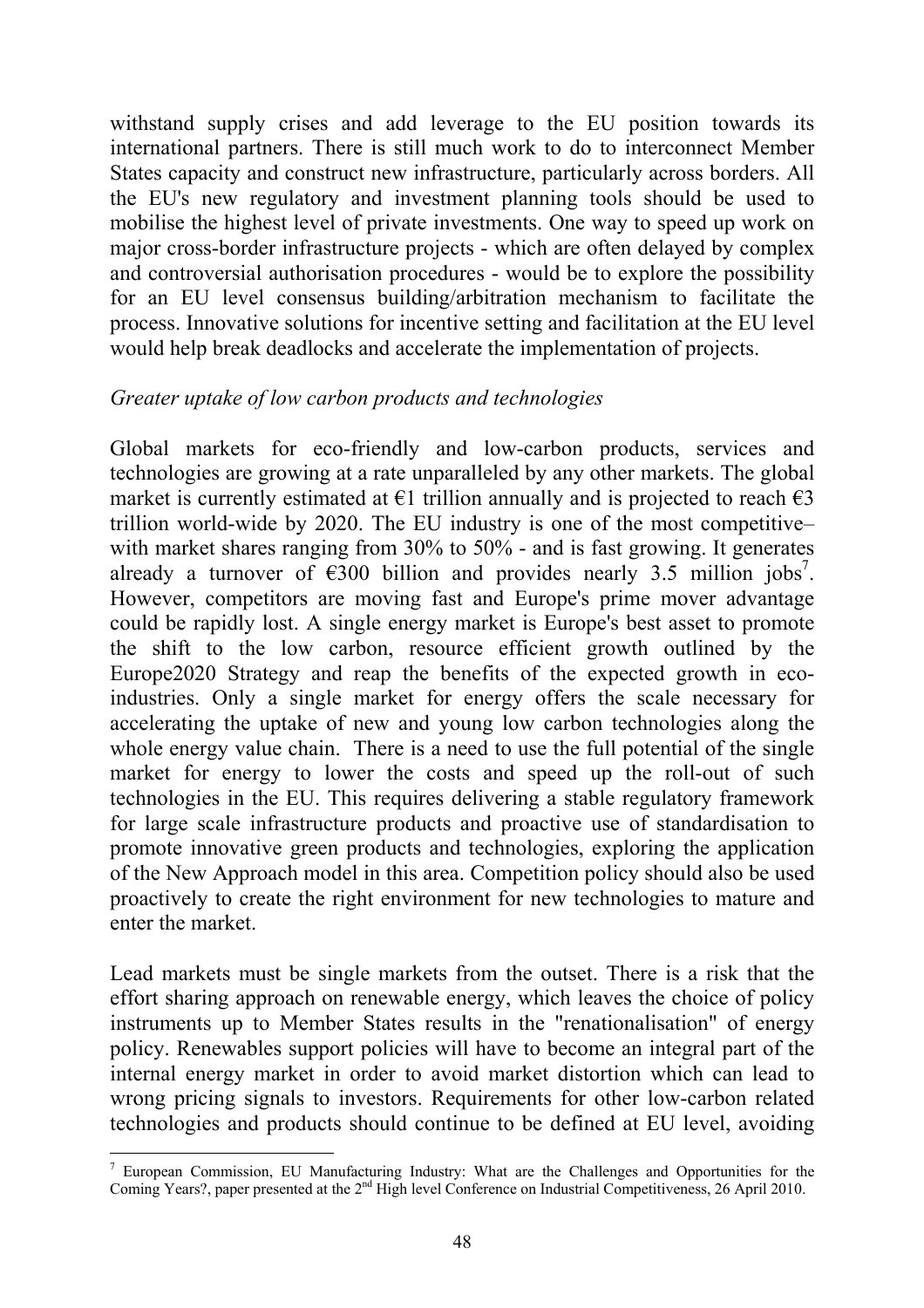withstand supply crises and add leverage to the EU position towards its international partners. There is still much work to do to interconnect Member States capacity and construct new infrastructure, particularly across borders. All the EU's new regulatory and investment planning tools should be used to mobilise the highest level of private investments. One way to speed up work on major cross-border infrastructure projects - which are often delayed by complex and controversial authorisation procedures - would be to explore the possibility for an EU level consensus building/arbitration mechanism to facilitate the process. Innovative solutions for incentive setting and facilitation at the EU level would help break deadlocks and accelerate the implementation of projects.

## *Greater uptake of low carbon products and technologies*

Global markets for eco-friendly and low-carbon products, services and technologies are growing at a rate unparalleled by any other markets. The global market is currently estimated at  $\epsilon$ 1 trillion annually and is projected to reach  $\epsilon$ 3 trillion world-wide by 2020. The EU industry is one of the most competitive– with market shares ranging from 30% to 50% - and is fast growing. It generates already a turnover of  $\epsilon$ 300 billion and provides nearly 3.5 million jobs<sup>7</sup>. However, competitors are moving fast and Europe's prime mover advantage could be rapidly lost. A single energy market is Europe's best asset to promote the shift to the low carbon, resource efficient growth outlined by the Europe2020 Strategy and reap the benefits of the expected growth in ecoindustries. Only a single market for energy offers the scale necessary for accelerating the uptake of new and young low carbon technologies along the whole energy value chain. There is a need to use the full potential of the single market for energy to lower the costs and speed up the roll-out of such technologies in the EU. This requires delivering a stable regulatory framework for large scale infrastructure products and proactive use of standardisation to promote innovative green products and technologies, exploring the application of the New Approach model in this area. Competition policy should also be used proactively to create the right environment for new technologies to mature and enter the market.

Lead markets must be single markets from the outset. There is a risk that the effort sharing approach on renewable energy, which leaves the choice of policy instruments up to Member States results in the "renationalisation" of energy policy. Renewables support policies will have to become an integral part of the internal energy market in order to avoid market distortion which can lead to wrong pricing signals to investors. Requirements for other low-carbon related technologies and products should continue to be defined at EU level, avoiding

<sup>1</sup> 7 European Commission, EU Manufacturing Industry: What are the Challenges and Opportunities for the Coming Years?, paper presented at the 2<sup>nd</sup> High level Conference on Industrial Competitiveness, 26 April 2010.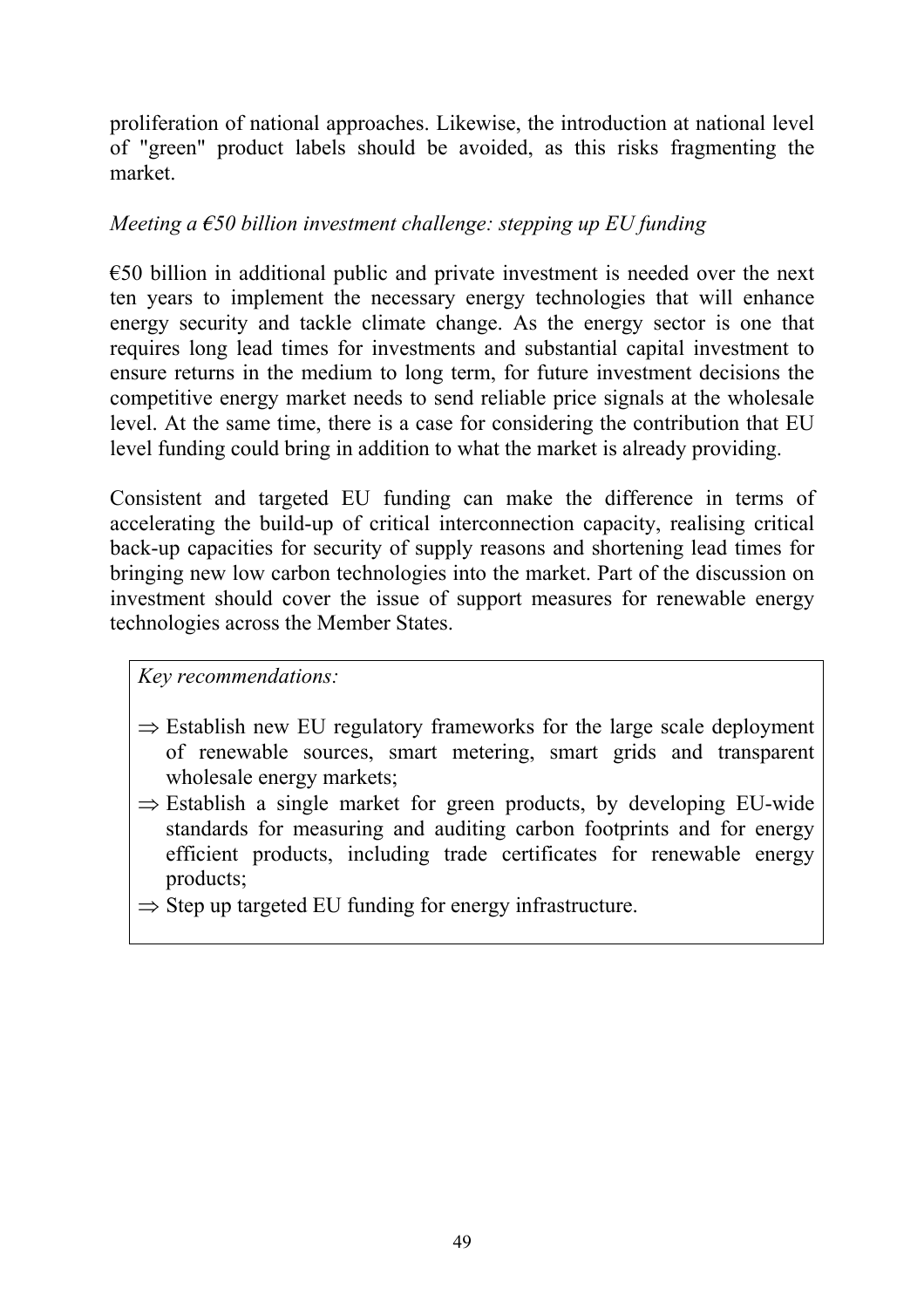proliferation of national approaches. Likewise, the introduction at national level of "green" product labels should be avoided, as this risks fragmenting the market.

## *Meeting a €50 billion investment challenge: stepping up EU funding*

 $\epsilon$ 50 billion in additional public and private investment is needed over the next ten years to implement the necessary energy technologies that will enhance energy security and tackle climate change. As the energy sector is one that requires long lead times for investments and substantial capital investment to ensure returns in the medium to long term, for future investment decisions the competitive energy market needs to send reliable price signals at the wholesale level. At the same time, there is a case for considering the contribution that EU level funding could bring in addition to what the market is already providing.

Consistent and targeted EU funding can make the difference in terms of accelerating the build-up of critical interconnection capacity, realising critical back-up capacities for security of supply reasons and shortening lead times for bringing new low carbon technologies into the market. Part of the discussion on investment should cover the issue of support measures for renewable energy technologies across the Member States.

*Key recommendations:* 

- $\Rightarrow$  Establish new EU regulatory frameworks for the large scale deployment of renewable sources, smart metering, smart grids and transparent wholesale energy markets;
- $\Rightarrow$  Establish a single market for green products, by developing EU-wide standards for measuring and auditing carbon footprints and for energy efficient products, including trade certificates for renewable energy products;
- $\Rightarrow$  Step up targeted EU funding for energy infrastructure.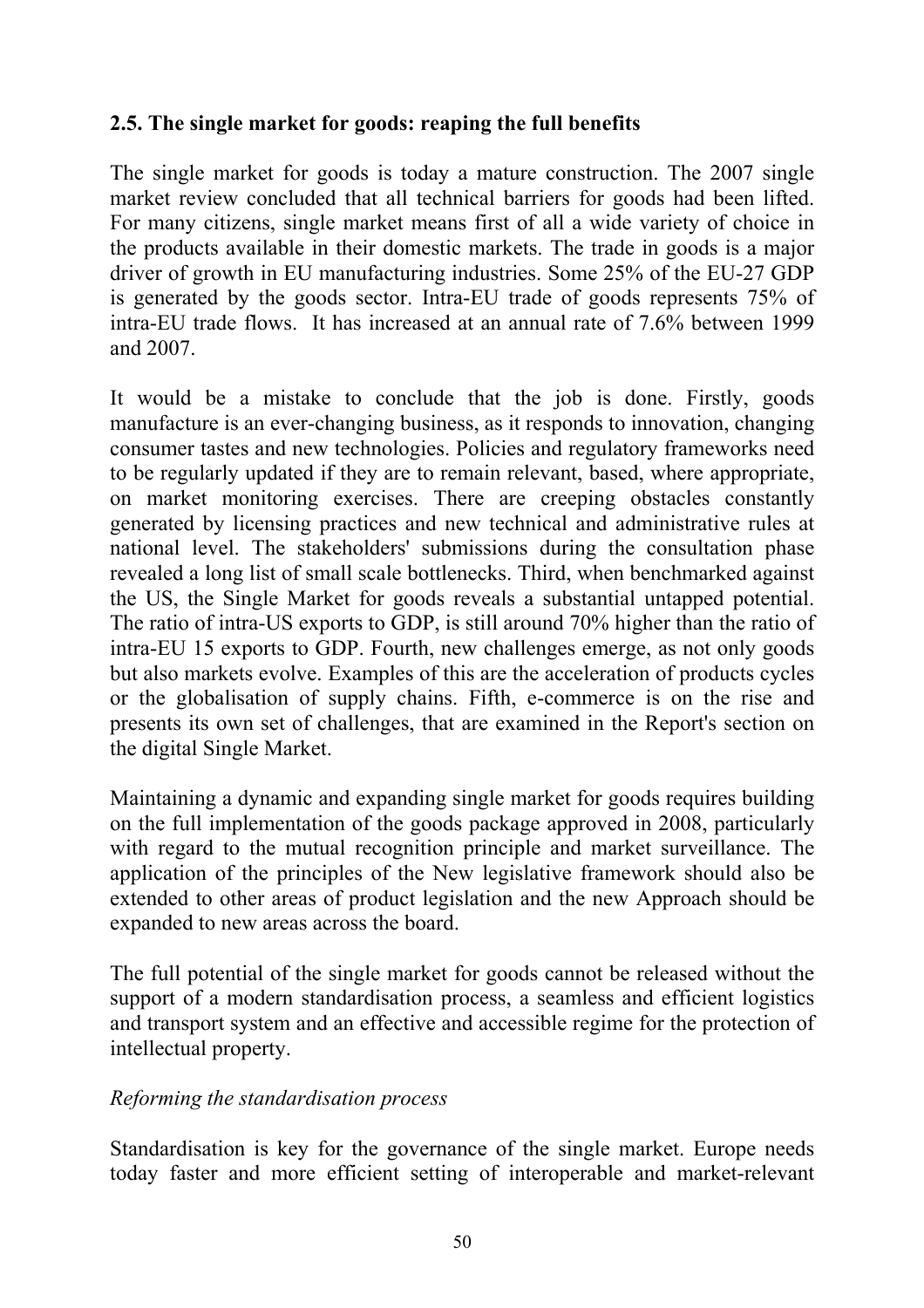## **2.5. The single market for goods: reaping the full benefits**

The single market for goods is today a mature construction. The 2007 single market review concluded that all technical barriers for goods had been lifted. For many citizens, single market means first of all a wide variety of choice in the products available in their domestic markets. The trade in goods is a major driver of growth in EU manufacturing industries. Some 25% of the EU-27 GDP is generated by the goods sector. Intra-EU trade of goods represents 75% of intra-EU trade flows. It has increased at an annual rate of 7.6% between 1999 and 2007.

It would be a mistake to conclude that the job is done. Firstly, goods manufacture is an ever-changing business, as it responds to innovation, changing consumer tastes and new technologies. Policies and regulatory frameworks need to be regularly updated if they are to remain relevant, based, where appropriate, on market monitoring exercises. There are creeping obstacles constantly generated by licensing practices and new technical and administrative rules at national level. The stakeholders' submissions during the consultation phase revealed a long list of small scale bottlenecks. Third, when benchmarked against the US, the Single Market for goods reveals a substantial untapped potential. The ratio of intra-US exports to GDP, is still around 70% higher than the ratio of intra-EU 15 exports to GDP. Fourth, new challenges emerge, as not only goods but also markets evolve. Examples of this are the acceleration of products cycles or the globalisation of supply chains. Fifth, e-commerce is on the rise and presents its own set of challenges, that are examined in the Report's section on the digital Single Market.

Maintaining a dynamic and expanding single market for goods requires building on the full implementation of the goods package approved in 2008, particularly with regard to the mutual recognition principle and market surveillance. The application of the principles of the New legislative framework should also be extended to other areas of product legislation and the new Approach should be expanded to new areas across the board.

The full potential of the single market for goods cannot be released without the support of a modern standardisation process, a seamless and efficient logistics and transport system and an effective and accessible regime for the protection of intellectual property.

#### *Reforming the standardisation process*

Standardisation is key for the governance of the single market. Europe needs today faster and more efficient setting of interoperable and market-relevant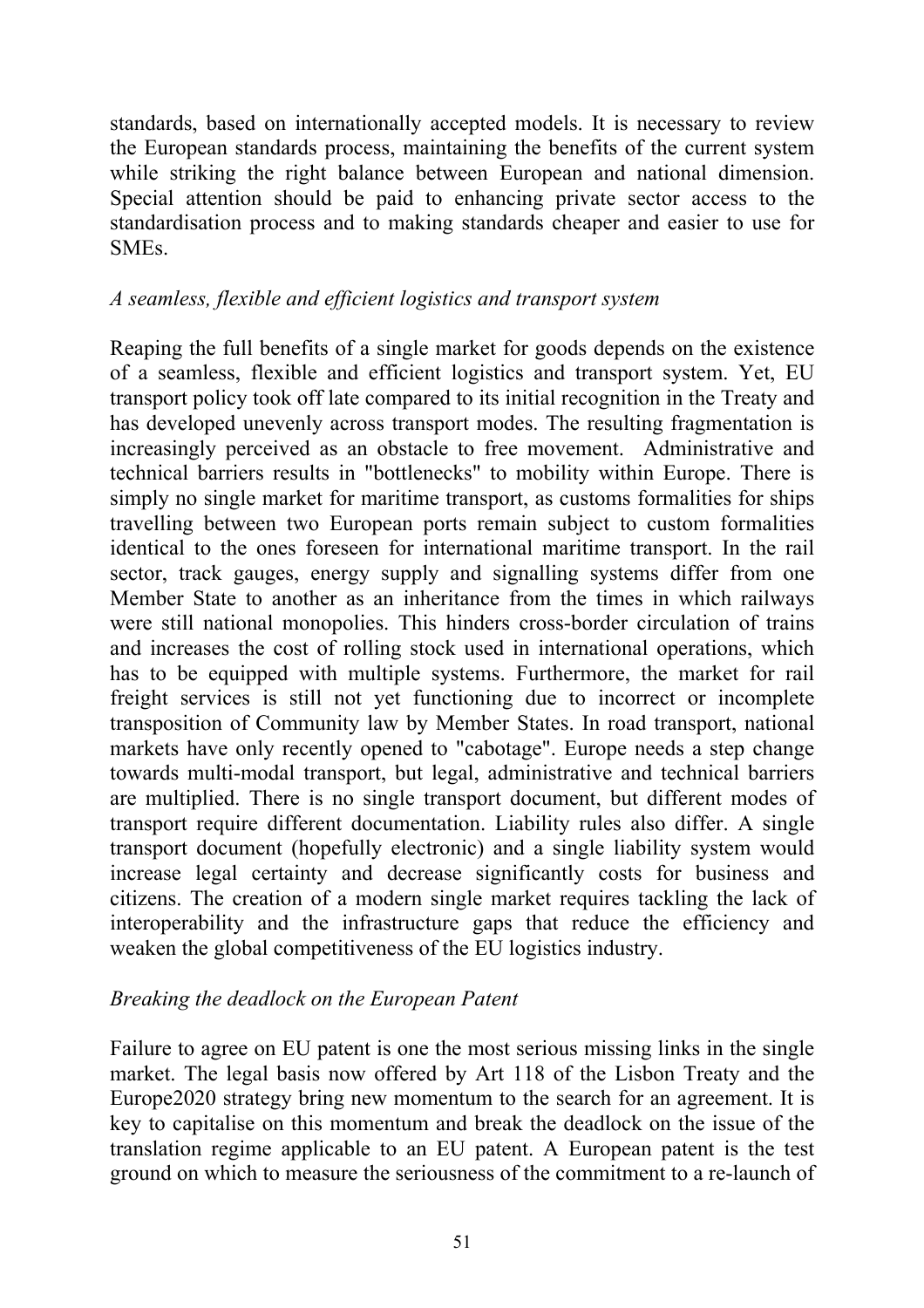standards, based on internationally accepted models. It is necessary to review the European standards process, maintaining the benefits of the current system while striking the right balance between European and national dimension. Special attention should be paid to enhancing private sector access to the standardisation process and to making standards cheaper and easier to use for SMEs.

## *A seamless, flexible and efficient logistics and transport system*

Reaping the full benefits of a single market for goods depends on the existence of a seamless, flexible and efficient logistics and transport system. Yet, EU transport policy took off late compared to its initial recognition in the Treaty and has developed unevenly across transport modes. The resulting fragmentation is increasingly perceived as an obstacle to free movement. Administrative and technical barriers results in "bottlenecks" to mobility within Europe. There is simply no single market for maritime transport, as customs formalities for ships travelling between two European ports remain subject to custom formalities identical to the ones foreseen for international maritime transport. In the rail sector, track gauges, energy supply and signalling systems differ from one Member State to another as an inheritance from the times in which railways were still national monopolies. This hinders cross-border circulation of trains and increases the cost of rolling stock used in international operations, which has to be equipped with multiple systems. Furthermore, the market for rail freight services is still not yet functioning due to incorrect or incomplete transposition of Community law by Member States. In road transport, national markets have only recently opened to "cabotage". Europe needs a step change towards multi-modal transport, but legal, administrative and technical barriers are multiplied. There is no single transport document, but different modes of transport require different documentation. Liability rules also differ. A single transport document (hopefully electronic) and a single liability system would increase legal certainty and decrease significantly costs for business and citizens. The creation of a modern single market requires tackling the lack of interoperability and the infrastructure gaps that reduce the efficiency and weaken the global competitiveness of the EU logistics industry.

#### *Breaking the deadlock on the European Patent*

Failure to agree on EU patent is one the most serious missing links in the single market. The legal basis now offered by Art 118 of the Lisbon Treaty and the Europe2020 strategy bring new momentum to the search for an agreement. It is key to capitalise on this momentum and break the deadlock on the issue of the translation regime applicable to an EU patent. A European patent is the test ground on which to measure the seriousness of the commitment to a re-launch of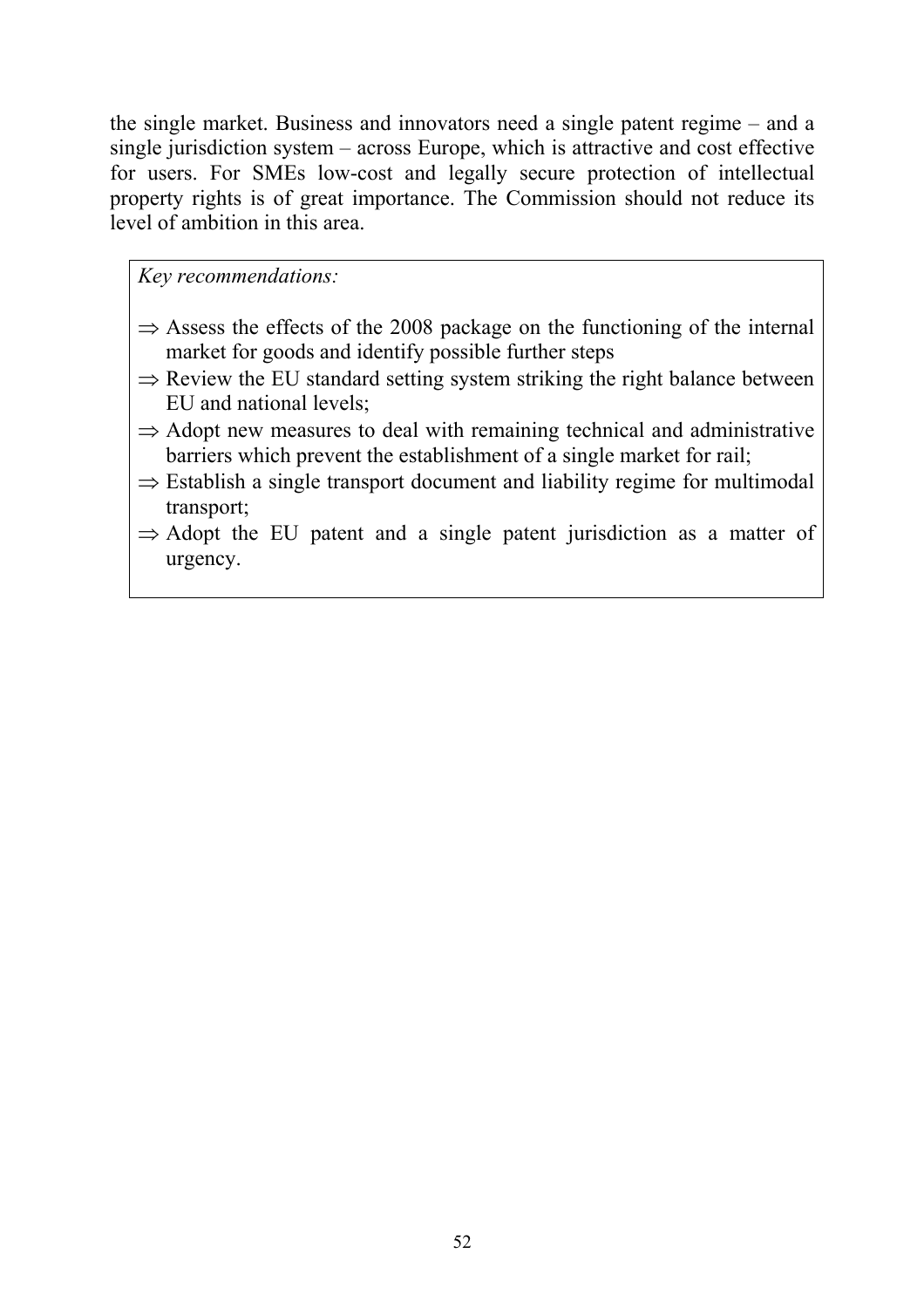the single market. Business and innovators need a single patent regime – and a single jurisdiction system – across Europe, which is attractive and cost effective for users. For SMEs low-cost and legally secure protection of intellectual property rights is of great importance. The Commission should not reduce its level of ambition in this area.

*Key recommendations:* 

- $\Rightarrow$  Assess the effects of the 2008 package on the functioning of the internal market for goods and identify possible further steps
- $\Rightarrow$  Review the EU standard setting system striking the right balance between EU and national levels;
- $\Rightarrow$  Adopt new measures to deal with remaining technical and administrative barriers which prevent the establishment of a single market for rail;
- $\Rightarrow$  Establish a single transport document and liability regime for multimodal transport;
- $\Rightarrow$  Adopt the EU patent and a single patent jurisdiction as a matter of urgency.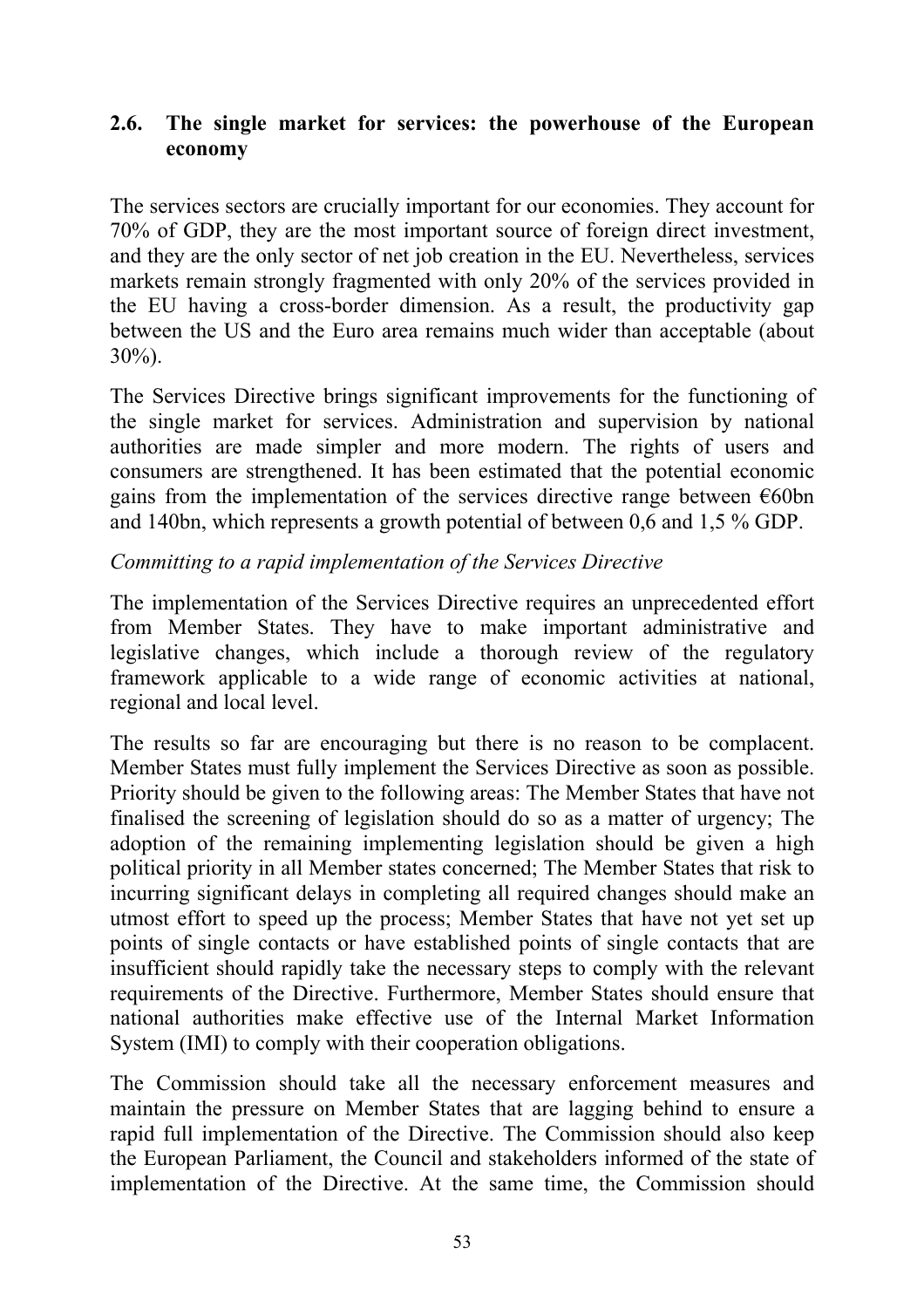## **2.6. The single market for services: the powerhouse of the European economy**

The services sectors are crucially important for our economies. They account for 70% of GDP, they are the most important source of foreign direct investment, and they are the only sector of net job creation in the EU. Nevertheless, services markets remain strongly fragmented with only 20% of the services provided in the EU having a cross-border dimension. As a result, the productivity gap between the US and the Euro area remains much wider than acceptable (about 30%).

The Services Directive brings significant improvements for the functioning of the single market for services. Administration and supervision by national authorities are made simpler and more modern. The rights of users and consumers are strengthened. It has been estimated that the potential economic gains from the implementation of the services directive range between  $\epsilon$ 60bn and 140bn, which represents a growth potential of between 0,6 and 1,5 % GDP.

#### *Committing to a rapid implementation of the Services Directive*

The implementation of the Services Directive requires an unprecedented effort from Member States. They have to make important administrative and legislative changes, which include a thorough review of the regulatory framework applicable to a wide range of economic activities at national, regional and local level.

The results so far are encouraging but there is no reason to be complacent. Member States must fully implement the Services Directive as soon as possible. Priority should be given to the following areas: The Member States that have not finalised the screening of legislation should do so as a matter of urgency; The adoption of the remaining implementing legislation should be given a high political priority in all Member states concerned; The Member States that risk to incurring significant delays in completing all required changes should make an utmost effort to speed up the process; Member States that have not yet set up points of single contacts or have established points of single contacts that are insufficient should rapidly take the necessary steps to comply with the relevant requirements of the Directive. Furthermore, Member States should ensure that national authorities make effective use of the Internal Market Information System (IMI) to comply with their cooperation obligations.

The Commission should take all the necessary enforcement measures and maintain the pressure on Member States that are lagging behind to ensure a rapid full implementation of the Directive. The Commission should also keep the European Parliament, the Council and stakeholders informed of the state of implementation of the Directive. At the same time, the Commission should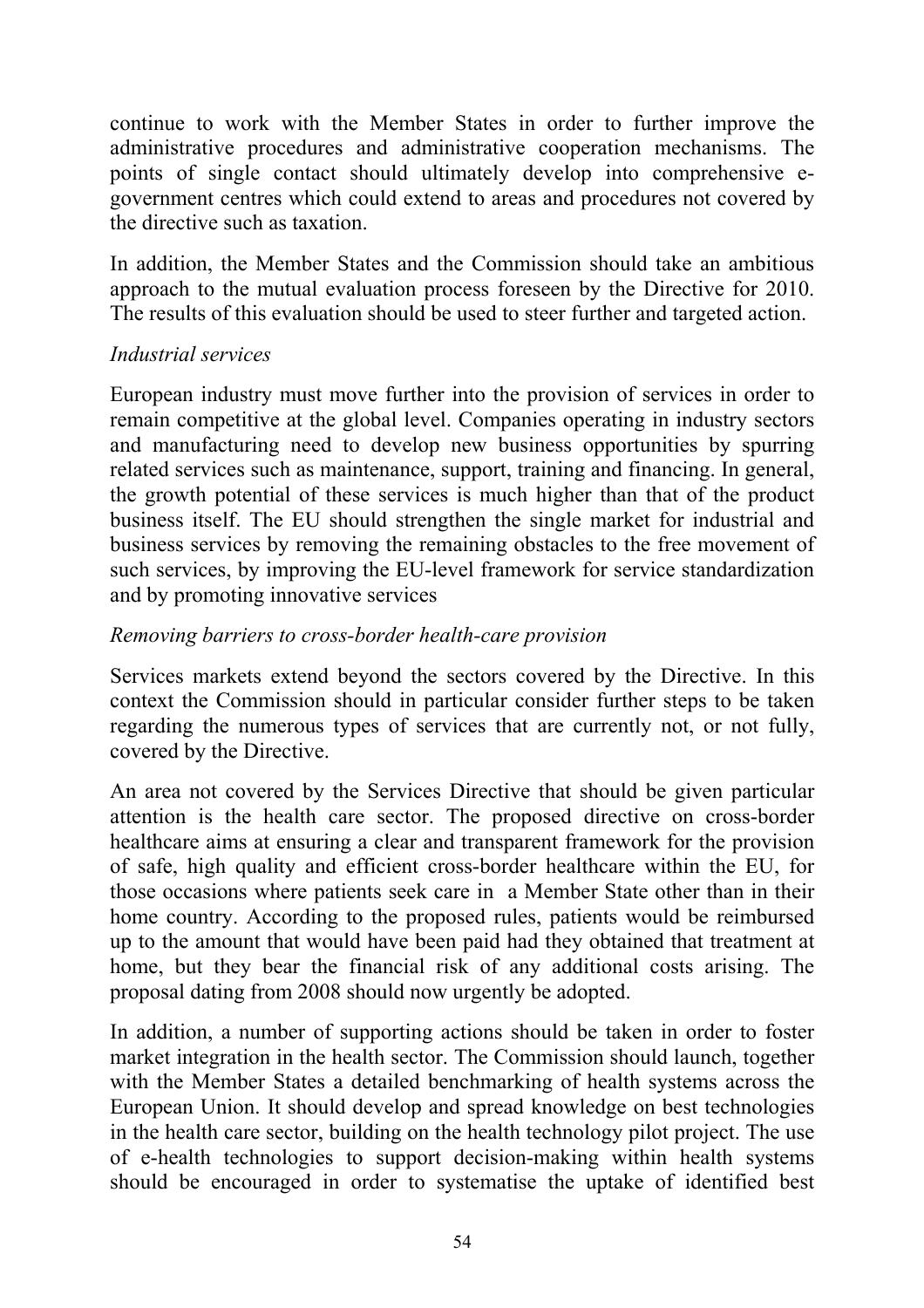continue to work with the Member States in order to further improve the administrative procedures and administrative cooperation mechanisms. The points of single contact should ultimately develop into comprehensive egovernment centres which could extend to areas and procedures not covered by the directive such as taxation.

In addition, the Member States and the Commission should take an ambitious approach to the mutual evaluation process foreseen by the Directive for 2010. The results of this evaluation should be used to steer further and targeted action.

## *Industrial services*

European industry must move further into the provision of services in order to remain competitive at the global level. Companies operating in industry sectors and manufacturing need to develop new business opportunities by spurring related services such as maintenance, support, training and financing. In general, the growth potential of these services is much higher than that of the product business itself. The EU should strengthen the single market for industrial and business services by removing the remaining obstacles to the free movement of such services, by improving the EU-level framework for service standardization and by promoting innovative services

## *Removing barriers to cross-border health-care provision*

Services markets extend beyond the sectors covered by the Directive. In this context the Commission should in particular consider further steps to be taken regarding the numerous types of services that are currently not, or not fully, covered by the Directive.

An area not covered by the Services Directive that should be given particular attention is the health care sector. The proposed directive on cross-border healthcare aims at ensuring a clear and transparent framework for the provision of safe, high quality and efficient cross-border healthcare within the EU, for those occasions where patients seek care in a Member State other than in their home country. According to the proposed rules, patients would be reimbursed up to the amount that would have been paid had they obtained that treatment at home, but they bear the financial risk of any additional costs arising. The proposal dating from 2008 should now urgently be adopted.

In addition, a number of supporting actions should be taken in order to foster market integration in the health sector. The Commission should launch, together with the Member States a detailed benchmarking of health systems across the European Union. It should develop and spread knowledge on best technologies in the health care sector, building on the health technology pilot project. The use of e-health technologies to support decision-making within health systems should be encouraged in order to systematise the uptake of identified best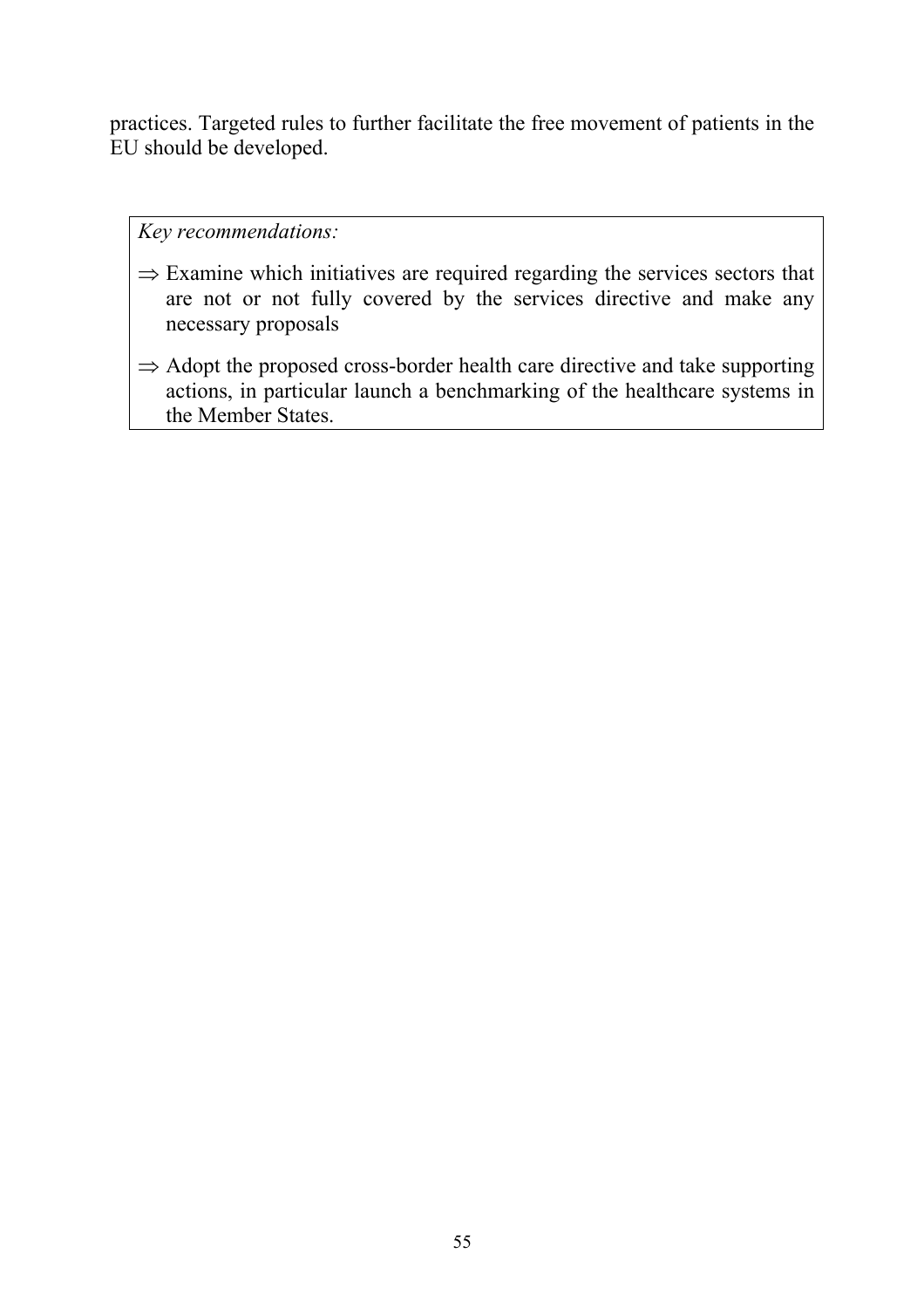practices. Targeted rules to further facilitate the free movement of patients in the EU should be developed.

*Key recommendations:* 

- $\Rightarrow$  Examine which initiatives are required regarding the services sectors that are not or not fully covered by the services directive and make any necessary proposals
- $\Rightarrow$  Adopt the proposed cross-border health care directive and take supporting actions, in particular launch a benchmarking of the healthcare systems in the Member States.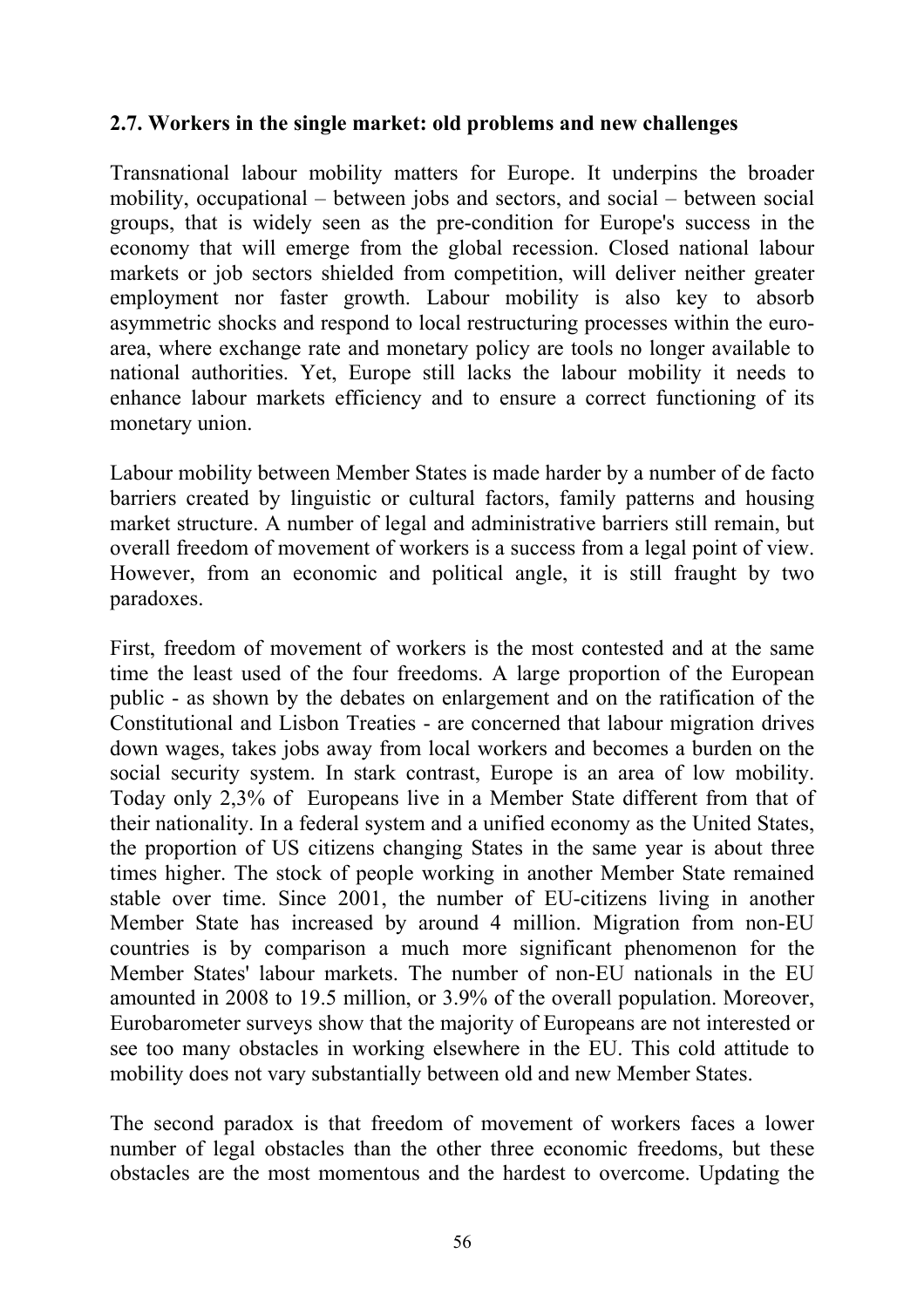#### **2.7. Workers in the single market: old problems and new challenges**

Transnational labour mobility matters for Europe. It underpins the broader mobility, occupational – between jobs and sectors, and social – between social groups, that is widely seen as the pre-condition for Europe's success in the economy that will emerge from the global recession. Closed national labour markets or job sectors shielded from competition, will deliver neither greater employment nor faster growth. Labour mobility is also key to absorb asymmetric shocks and respond to local restructuring processes within the euroarea, where exchange rate and monetary policy are tools no longer available to national authorities. Yet, Europe still lacks the labour mobility it needs to enhance labour markets efficiency and to ensure a correct functioning of its monetary union.

Labour mobility between Member States is made harder by a number of de facto barriers created by linguistic or cultural factors, family patterns and housing market structure. A number of legal and administrative barriers still remain, but overall freedom of movement of workers is a success from a legal point of view. However, from an economic and political angle, it is still fraught by two paradoxes.

First, freedom of movement of workers is the most contested and at the same time the least used of the four freedoms. A large proportion of the European public - as shown by the debates on enlargement and on the ratification of the Constitutional and Lisbon Treaties - are concerned that labour migration drives down wages, takes jobs away from local workers and becomes a burden on the social security system. In stark contrast, Europe is an area of low mobility. Today only 2,3% of Europeans live in a Member State different from that of their nationality. In a federal system and a unified economy as the United States, the proportion of US citizens changing States in the same year is about three times higher. The stock of people working in another Member State remained stable over time. Since 2001, the number of EU-citizens living in another Member State has increased by around 4 million. Migration from non-EU countries is by comparison a much more significant phenomenon for the Member States' labour markets. The number of non-EU nationals in the EU amounted in 2008 to 19.5 million, or 3.9% of the overall population. Moreover, Eurobarometer surveys show that the majority of Europeans are not interested or see too many obstacles in working elsewhere in the EU. This cold attitude to mobility does not vary substantially between old and new Member States.

The second paradox is that freedom of movement of workers faces a lower number of legal obstacles than the other three economic freedoms, but these obstacles are the most momentous and the hardest to overcome. Updating the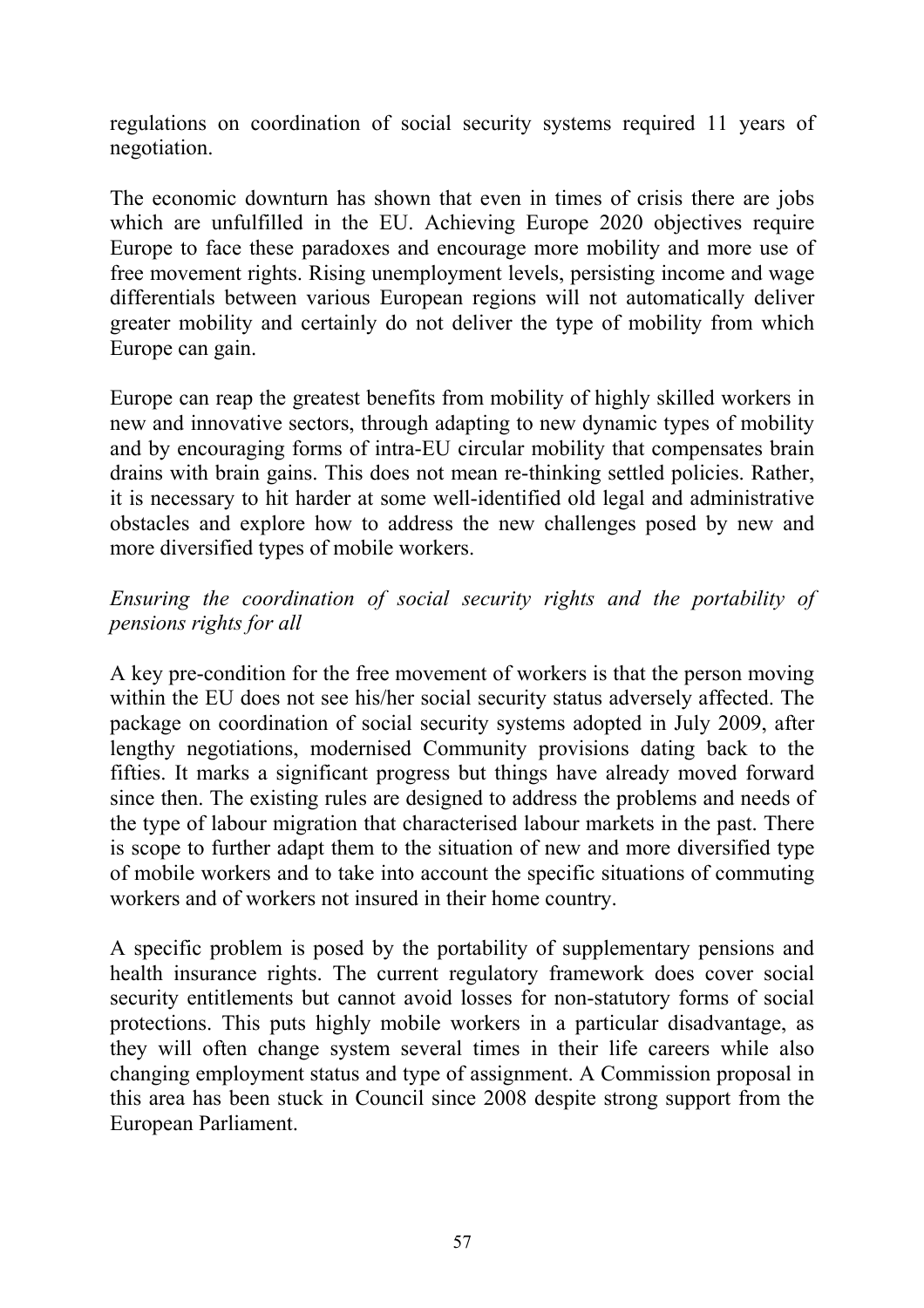regulations on coordination of social security systems required 11 years of negotiation.

The economic downturn has shown that even in times of crisis there are jobs which are unfulfilled in the EU. Achieving Europe 2020 objectives require Europe to face these paradoxes and encourage more mobility and more use of free movement rights. Rising unemployment levels, persisting income and wage differentials between various European regions will not automatically deliver greater mobility and certainly do not deliver the type of mobility from which Europe can gain.

Europe can reap the greatest benefits from mobility of highly skilled workers in new and innovative sectors, through adapting to new dynamic types of mobility and by encouraging forms of intra-EU circular mobility that compensates brain drains with brain gains. This does not mean re-thinking settled policies. Rather, it is necessary to hit harder at some well-identified old legal and administrative obstacles and explore how to address the new challenges posed by new and more diversified types of mobile workers.

## *Ensuring the coordination of social security rights and the portability of pensions rights for all*

A key pre-condition for the free movement of workers is that the person moving within the EU does not see his/her social security status adversely affected. The package on coordination of social security systems adopted in July 2009, after lengthy negotiations, modernised Community provisions dating back to the fifties. It marks a significant progress but things have already moved forward since then. The existing rules are designed to address the problems and needs of the type of labour migration that characterised labour markets in the past. There is scope to further adapt them to the situation of new and more diversified type of mobile workers and to take into account the specific situations of commuting workers and of workers not insured in their home country.

A specific problem is posed by the portability of supplementary pensions and health insurance rights. The current regulatory framework does cover social security entitlements but cannot avoid losses for non-statutory forms of social protections. This puts highly mobile workers in a particular disadvantage, as they will often change system several times in their life careers while also changing employment status and type of assignment. A Commission proposal in this area has been stuck in Council since 2008 despite strong support from the European Parliament.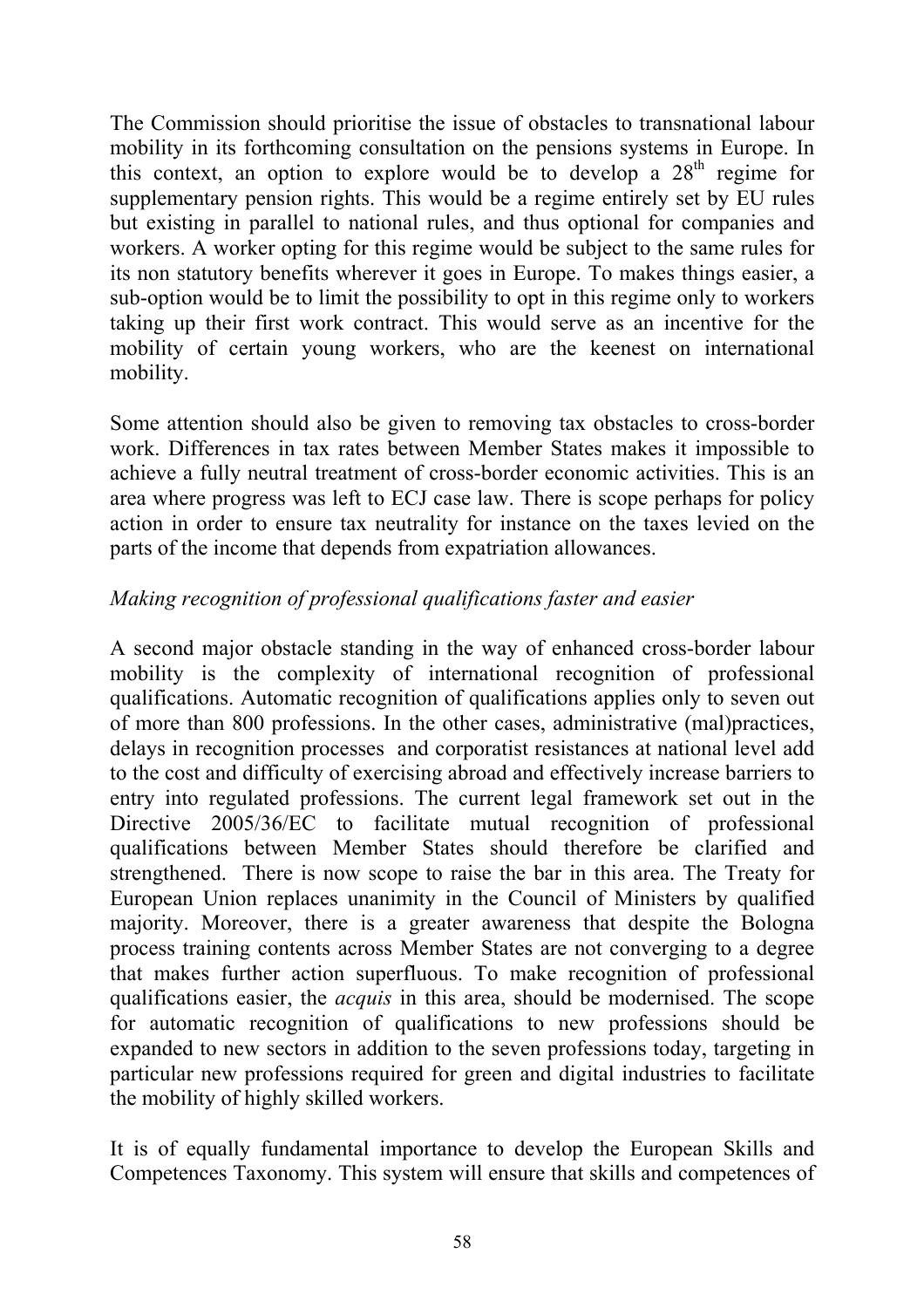The Commission should prioritise the issue of obstacles to transnational labour mobility in its forthcoming consultation on the pensions systems in Europe. In this context, an option to explore would be to develop a  $28<sup>th</sup>$  regime for supplementary pension rights. This would be a regime entirely set by EU rules but existing in parallel to national rules, and thus optional for companies and workers. A worker opting for this regime would be subject to the same rules for its non statutory benefits wherever it goes in Europe. To makes things easier, a sub-option would be to limit the possibility to opt in this regime only to workers taking up their first work contract. This would serve as an incentive for the mobility of certain young workers, who are the keenest on international mobility.

Some attention should also be given to removing tax obstacles to cross-border work. Differences in tax rates between Member States makes it impossible to achieve a fully neutral treatment of cross-border economic activities. This is an area where progress was left to ECJ case law. There is scope perhaps for policy action in order to ensure tax neutrality for instance on the taxes levied on the parts of the income that depends from expatriation allowances.

## *Making recognition of professional qualifications faster and easier*

A second major obstacle standing in the way of enhanced cross-border labour mobility is the complexity of international recognition of professional qualifications. Automatic recognition of qualifications applies only to seven out of more than 800 professions. In the other cases, administrative (mal)practices, delays in recognition processes and corporatist resistances at national level add to the cost and difficulty of exercising abroad and effectively increase barriers to entry into regulated professions. The current legal framework set out in the Directive 2005/36/EC to facilitate mutual recognition of professional qualifications between Member States should therefore be clarified and strengthened. There is now scope to raise the bar in this area. The Treaty for European Union replaces unanimity in the Council of Ministers by qualified majority. Moreover, there is a greater awareness that despite the Bologna process training contents across Member States are not converging to a degree that makes further action superfluous. To make recognition of professional qualifications easier, the *acquis* in this area, should be modernised. The scope for automatic recognition of qualifications to new professions should be expanded to new sectors in addition to the seven professions today, targeting in particular new professions required for green and digital industries to facilitate the mobility of highly skilled workers.

It is of equally fundamental importance to develop the European Skills and Competences Taxonomy. This system will ensure that skills and competences of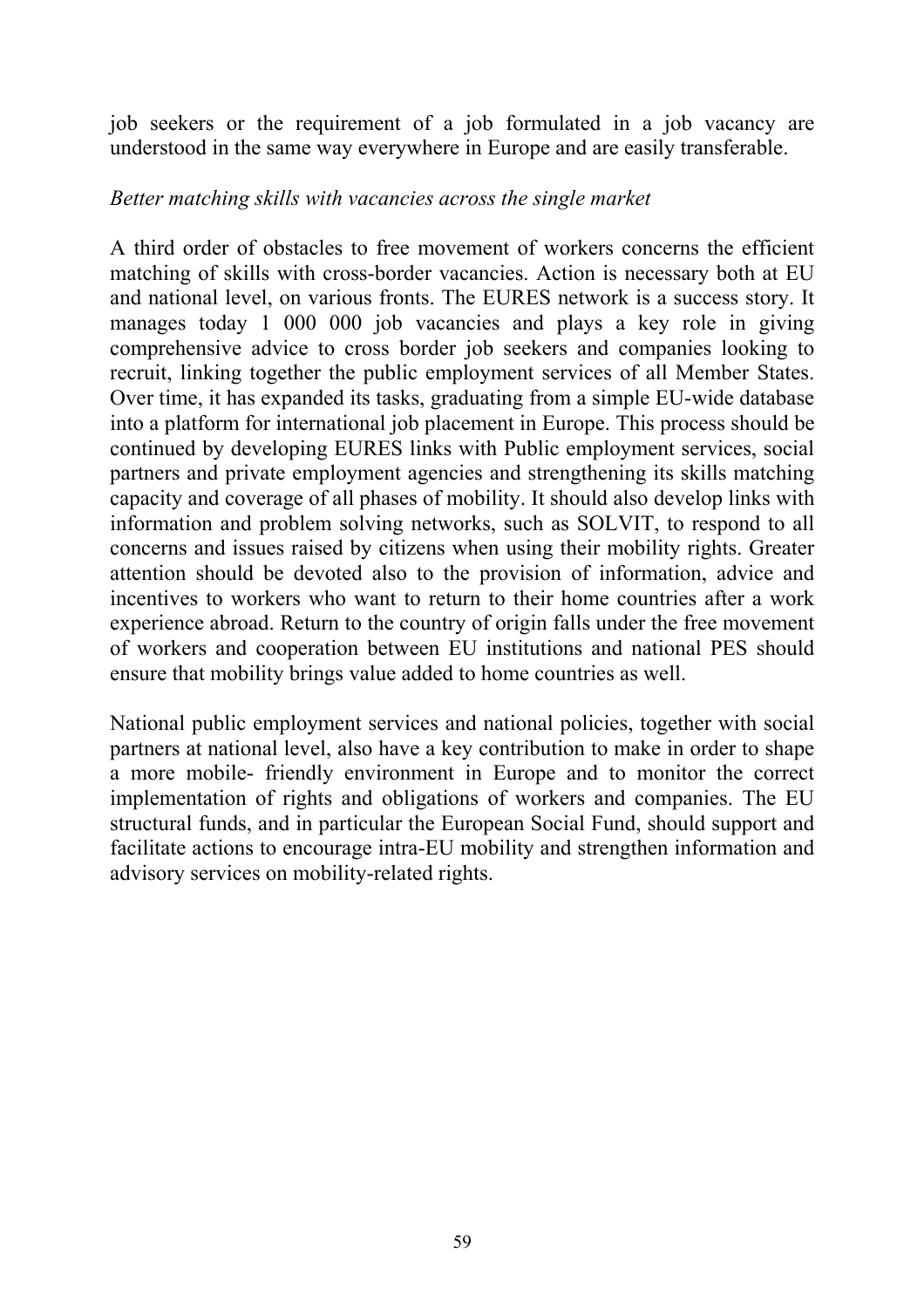job seekers or the requirement of a job formulated in a job vacancy are understood in the same way everywhere in Europe and are easily transferable.

#### *Better matching skills with vacancies across the single market*

A third order of obstacles to free movement of workers concerns the efficient matching of skills with cross-border vacancies. Action is necessary both at EU and national level, on various fronts. The EURES network is a success story. It manages today 1 000 000 job vacancies and plays a key role in giving comprehensive advice to cross border job seekers and companies looking to recruit, linking together the public employment services of all Member States. Over time, it has expanded its tasks, graduating from a simple EU-wide database into a platform for international job placement in Europe. This process should be continued by developing EURES links with Public employment services, social partners and private employment agencies and strengthening its skills matching capacity and coverage of all phases of mobility. It should also develop links with information and problem solving networks, such as SOLVIT, to respond to all concerns and issues raised by citizens when using their mobility rights. Greater attention should be devoted also to the provision of information, advice and incentives to workers who want to return to their home countries after a work experience abroad. Return to the country of origin falls under the free movement of workers and cooperation between EU institutions and national PES should ensure that mobility brings value added to home countries as well.

National public employment services and national policies, together with social partners at national level, also have a key contribution to make in order to shape a more mobile- friendly environment in Europe and to monitor the correct implementation of rights and obligations of workers and companies. The EU structural funds, and in particular the European Social Fund, should support and facilitate actions to encourage intra-EU mobility and strengthen information and advisory services on mobility-related rights.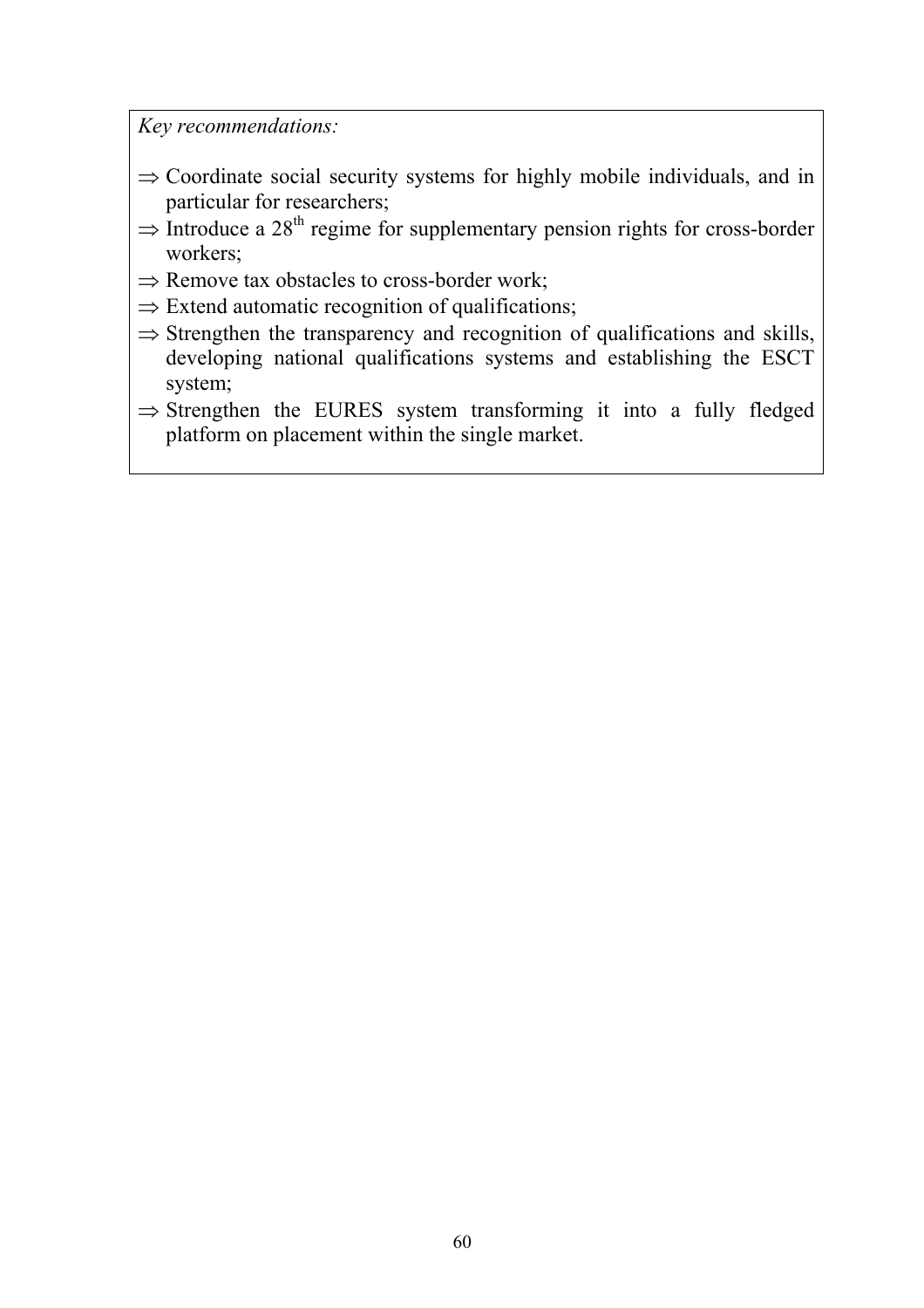*Key recommendations:* 

- $\Rightarrow$  Coordinate social security systems for highly mobile individuals, and in particular for researchers;
- $\Rightarrow$  Introduce a 28<sup>th</sup> regime for supplementary pension rights for cross-border workers;
- $\Rightarrow$  Remove tax obstacles to cross-border work;
- $\Rightarrow$  Extend automatic recognition of qualifications;
- $\Rightarrow$  Strengthen the transparency and recognition of qualifications and skills, developing national qualifications systems and establishing the ESCT system;
- $\Rightarrow$  Strengthen the EURES system transforming it into a fully fledged platform on placement within the single market.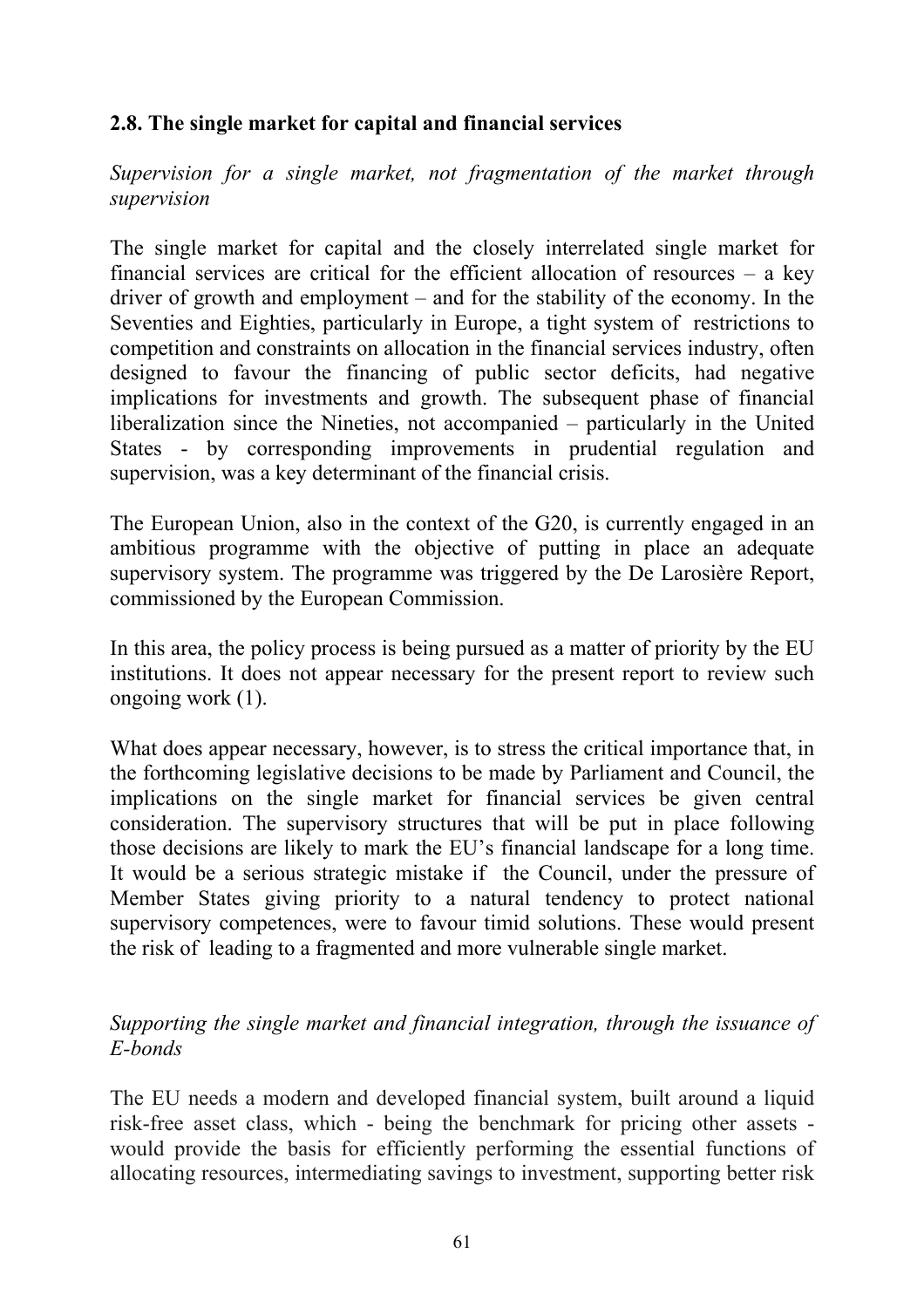## **2.8. The single market for capital and financial services**

*Supervision for a single market, not fragmentation of the market through supervision*

The single market for capital and the closely interrelated single market for financial services are critical for the efficient allocation of resources – a key driver of growth and employment – and for the stability of the economy. In the Seventies and Eighties, particularly in Europe, a tight system of restrictions to competition and constraints on allocation in the financial services industry, often designed to favour the financing of public sector deficits, had negative implications for investments and growth. The subsequent phase of financial liberalization since the Nineties, not accompanied – particularly in the United States - by corresponding improvements in prudential regulation and supervision, was a key determinant of the financial crisis.

The European Union, also in the context of the G20, is currently engaged in an ambitious programme with the objective of putting in place an adequate supervisory system. The programme was triggered by the De Larosière Report, commissioned by the European Commission.

In this area, the policy process is being pursued as a matter of priority by the EU institutions. It does not appear necessary for the present report to review such ongoing work (1).

What does appear necessary, however, is to stress the critical importance that, in the forthcoming legislative decisions to be made by Parliament and Council, the implications on the single market for financial services be given central consideration. The supervisory structures that will be put in place following those decisions are likely to mark the EU's financial landscape for a long time. It would be a serious strategic mistake if the Council, under the pressure of Member States giving priority to a natural tendency to protect national supervisory competences, were to favour timid solutions. These would present the risk of leading to a fragmented and more vulnerable single market.

## *Supporting the single market and financial integration, through the issuance of E-bonds*

The EU needs a modern and developed financial system, built around a liquid risk-free asset class, which - being the benchmark for pricing other assets would provide the basis for efficiently performing the essential functions of allocating resources, intermediating savings to investment, supporting better risk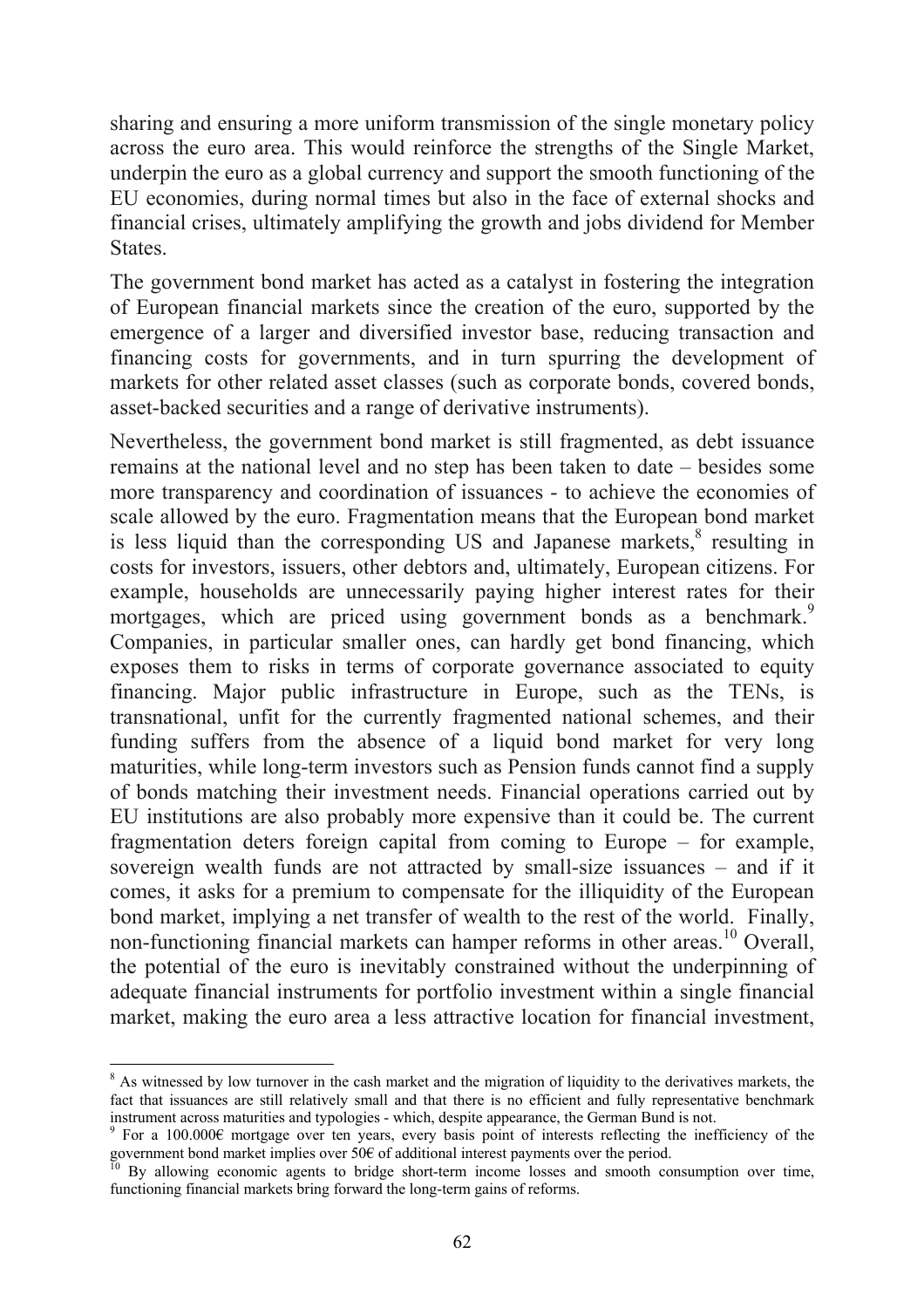sharing and ensuring a more uniform transmission of the single monetary policy across the euro area. This would reinforce the strengths of the Single Market, underpin the euro as a global currency and support the smooth functioning of the EU economies, during normal times but also in the face of external shocks and financial crises, ultimately amplifying the growth and jobs dividend for Member States.

The government bond market has acted as a catalyst in fostering the integration of European financial markets since the creation of the euro, supported by the emergence of a larger and diversified investor base, reducing transaction and financing costs for governments, and in turn spurring the development of markets for other related asset classes (such as corporate bonds, covered bonds, asset-backed securities and a range of derivative instruments).

Nevertheless, the government bond market is still fragmented, as debt issuance remains at the national level and no step has been taken to date – besides some more transparency and coordination of issuances - to achieve the economies of scale allowed by the euro. Fragmentation means that the European bond market is less liquid than the corresponding US and Japanese markets,<sup>8</sup> resulting in costs for investors, issuers, other debtors and, ultimately, European citizens. For example, households are unnecessarily paying higher interest rates for their mortgages, which are priced using government bonds as a benchmark.<sup>9</sup> Companies, in particular smaller ones, can hardly get bond financing, which exposes them to risks in terms of corporate governance associated to equity financing. Major public infrastructure in Europe, such as the TENs, is transnational, unfit for the currently fragmented national schemes, and their funding suffers from the absence of a liquid bond market for very long maturities, while long-term investors such as Pension funds cannot find a supply of bonds matching their investment needs. Financial operations carried out by EU institutions are also probably more expensive than it could be. The current fragmentation deters foreign capital from coming to Europe – for example, sovereign wealth funds are not attracted by small-size issuances – and if it comes, it asks for a premium to compensate for the illiquidity of the European bond market, implying a net transfer of wealth to the rest of the world. Finally, non-functioning financial markets can hamper reforms in other areas.<sup>10</sup> Overall, the potential of the euro is inevitably constrained without the underpinning of adequate financial instruments for portfolio investment within a single financial market, making the euro area a less attractive location for financial investment,

1

<sup>&</sup>lt;sup>8</sup> As witnessed by low turnover in the cash market and the migration of liquidity to the derivatives markets, the fact that issuances are still relatively small and that there is no efficient and fully representative benchmark instrument across maturities and typologies - which, despite appearance, the German Bund is not. 9

 $9$  For a 100.000 $\epsilon$  mortgage over ten years, every basis point of interests reflecting the inefficiency of the government bond market implies over  $50\text{E}$  of additional interest payments over the period.

By allowing economic agents to bridge short-term income losses and smooth consumption over time, functioning financial markets bring forward the long-term gains of reforms.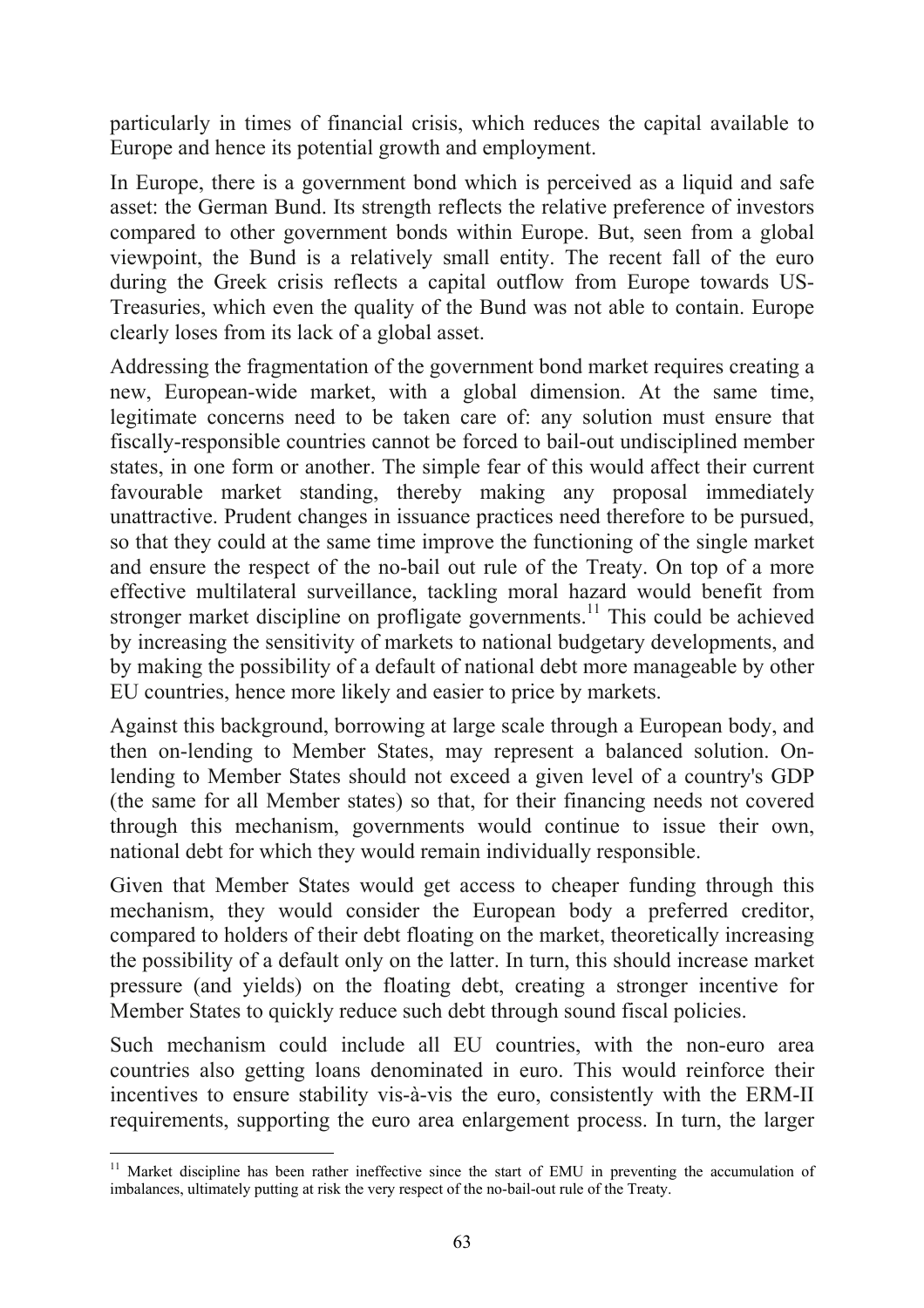particularly in times of financial crisis, which reduces the capital available to Europe and hence its potential growth and employment.

In Europe, there is a government bond which is perceived as a liquid and safe asset: the German Bund. Its strength reflects the relative preference of investors compared to other government bonds within Europe. But, seen from a global viewpoint, the Bund is a relatively small entity. The recent fall of the euro during the Greek crisis reflects a capital outflow from Europe towards US-Treasuries, which even the quality of the Bund was not able to contain. Europe clearly loses from its lack of a global asset.

Addressing the fragmentation of the government bond market requires creating a new, European-wide market, with a global dimension. At the same time, legitimate concerns need to be taken care of: any solution must ensure that fiscally-responsible countries cannot be forced to bail-out undisciplined member states, in one form or another. The simple fear of this would affect their current favourable market standing, thereby making any proposal immediately unattractive. Prudent changes in issuance practices need therefore to be pursued, so that they could at the same time improve the functioning of the single market and ensure the respect of the no-bail out rule of the Treaty. On top of a more effective multilateral surveillance, tackling moral hazard would benefit from stronger market discipline on profligate governments.<sup>11</sup> This could be achieved by increasing the sensitivity of markets to national budgetary developments, and by making the possibility of a default of national debt more manageable by other EU countries, hence more likely and easier to price by markets.

Against this background, borrowing at large scale through a European body, and then on-lending to Member States, may represent a balanced solution. Onlending to Member States should not exceed a given level of a country's GDP (the same for all Member states) so that, for their financing needs not covered through this mechanism, governments would continue to issue their own, national debt for which they would remain individually responsible.

Given that Member States would get access to cheaper funding through this mechanism, they would consider the European body a preferred creditor, compared to holders of their debt floating on the market, theoretically increasing the possibility of a default only on the latter. In turn, this should increase market pressure (and yields) on the floating debt, creating a stronger incentive for Member States to quickly reduce such debt through sound fiscal policies.

Such mechanism could include all EU countries, with the non-euro area countries also getting loans denominated in euro. This would reinforce their incentives to ensure stability vis-à-vis the euro, consistently with the ERM-II requirements, supporting the euro area enlargement process. In turn, the larger

1

<sup>&</sup>lt;sup>11</sup> Market discipline has been rather ineffective since the start of EMU in preventing the accumulation of imbalances, ultimately putting at risk the very respect of the no-bail-out rule of the Treaty.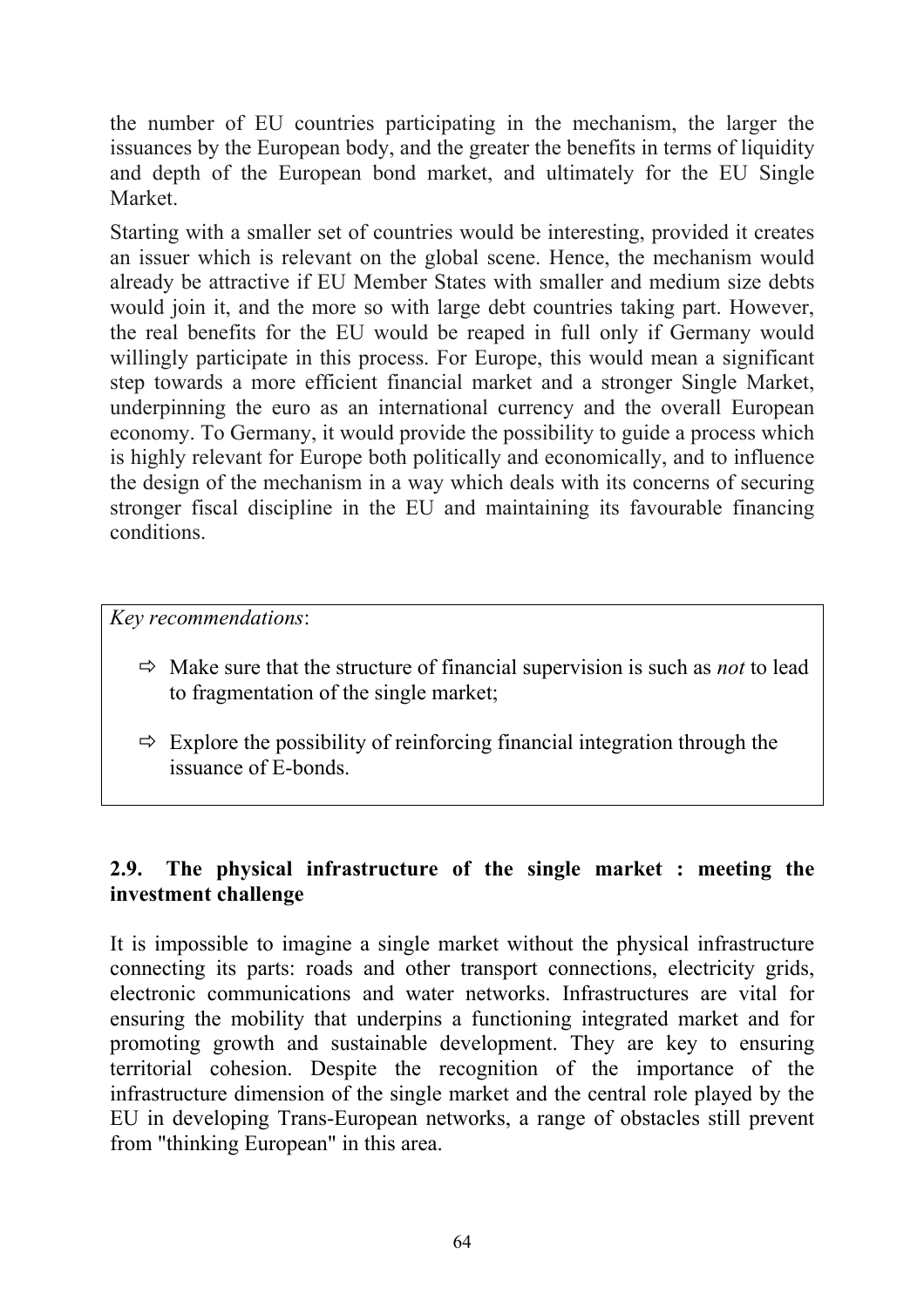the number of EU countries participating in the mechanism, the larger the issuances by the European body, and the greater the benefits in terms of liquidity and depth of the European bond market, and ultimately for the EU Single Market.

Starting with a smaller set of countries would be interesting, provided it creates an issuer which is relevant on the global scene. Hence, the mechanism would already be attractive if EU Member States with smaller and medium size debts would join it, and the more so with large debt countries taking part. However, the real benefits for the EU would be reaped in full only if Germany would willingly participate in this process. For Europe, this would mean a significant step towards a more efficient financial market and a stronger Single Market, underpinning the euro as an international currency and the overall European economy. To Germany, it would provide the possibility to guide a process which is highly relevant for Europe both politically and economically, and to influence the design of the mechanism in a way which deals with its concerns of securing stronger fiscal discipline in the EU and maintaining its favourable financing conditions.

*Key recommendations*:

- $\Rightarrow$  Make sure that the structure of financial supervision is such as *not* to lead to fragmentation of the single market;
- $\Rightarrow$  Explore the possibility of reinforcing financial integration through the issuance of E-bonds.

## **2.9. The physical infrastructure of the single market : meeting the investment challenge**

It is impossible to imagine a single market without the physical infrastructure connecting its parts: roads and other transport connections, electricity grids, electronic communications and water networks. Infrastructures are vital for ensuring the mobility that underpins a functioning integrated market and for promoting growth and sustainable development. They are key to ensuring territorial cohesion. Despite the recognition of the importance of the infrastructure dimension of the single market and the central role played by the EU in developing Trans-European networks, a range of obstacles still prevent from "thinking European" in this area.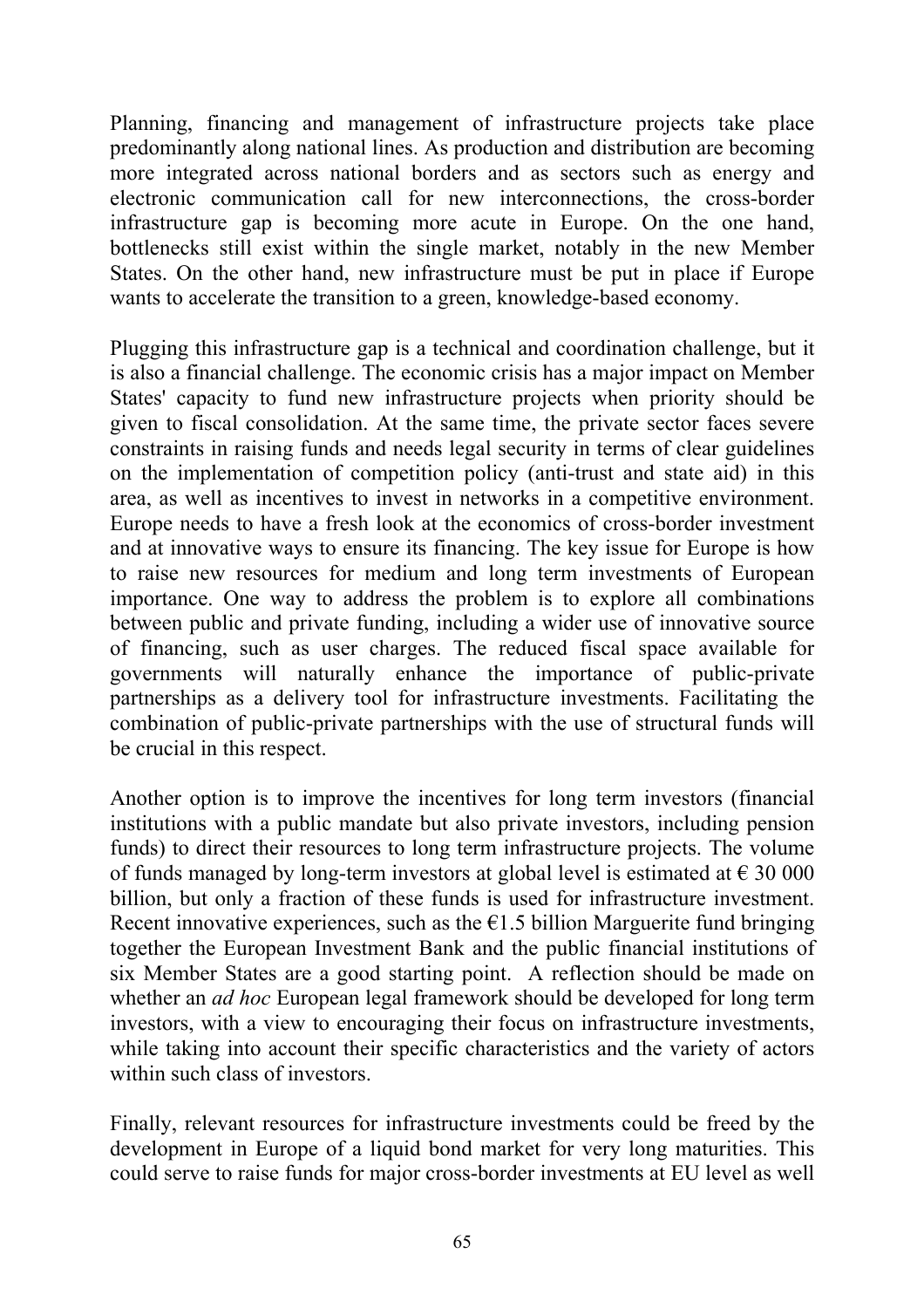Planning, financing and management of infrastructure projects take place predominantly along national lines. As production and distribution are becoming more integrated across national borders and as sectors such as energy and electronic communication call for new interconnections, the cross-border infrastructure gap is becoming more acute in Europe. On the one hand, bottlenecks still exist within the single market, notably in the new Member States. On the other hand, new infrastructure must be put in place if Europe wants to accelerate the transition to a green, knowledge-based economy.

Plugging this infrastructure gap is a technical and coordination challenge, but it is also a financial challenge. The economic crisis has a major impact on Member States' capacity to fund new infrastructure projects when priority should be given to fiscal consolidation. At the same time, the private sector faces severe constraints in raising funds and needs legal security in terms of clear guidelines on the implementation of competition policy (anti-trust and state aid) in this area, as well as incentives to invest in networks in a competitive environment. Europe needs to have a fresh look at the economics of cross-border investment and at innovative ways to ensure its financing. The key issue for Europe is how to raise new resources for medium and long term investments of European importance. One way to address the problem is to explore all combinations between public and private funding, including a wider use of innovative source of financing, such as user charges. The reduced fiscal space available for governments will naturally enhance the importance of public-private partnerships as a delivery tool for infrastructure investments. Facilitating the combination of public-private partnerships with the use of structural funds will be crucial in this respect.

Another option is to improve the incentives for long term investors (financial institutions with a public mandate but also private investors, including pension funds) to direct their resources to long term infrastructure projects. The volume of funds managed by long-term investors at global level is estimated at  $\epsilon$  30 000 billion, but only a fraction of these funds is used for infrastructure investment. Recent innovative experiences, such as the  $\epsilon$ 1.5 billion Marguerite fund bringing together the European Investment Bank and the public financial institutions of six Member States are a good starting point. A reflection should be made on whether an *ad hoc* European legal framework should be developed for long term investors, with a view to encouraging their focus on infrastructure investments, while taking into account their specific characteristics and the variety of actors within such class of investors.

Finally, relevant resources for infrastructure investments could be freed by the development in Europe of a liquid bond market for very long maturities. This could serve to raise funds for major cross-border investments at EU level as well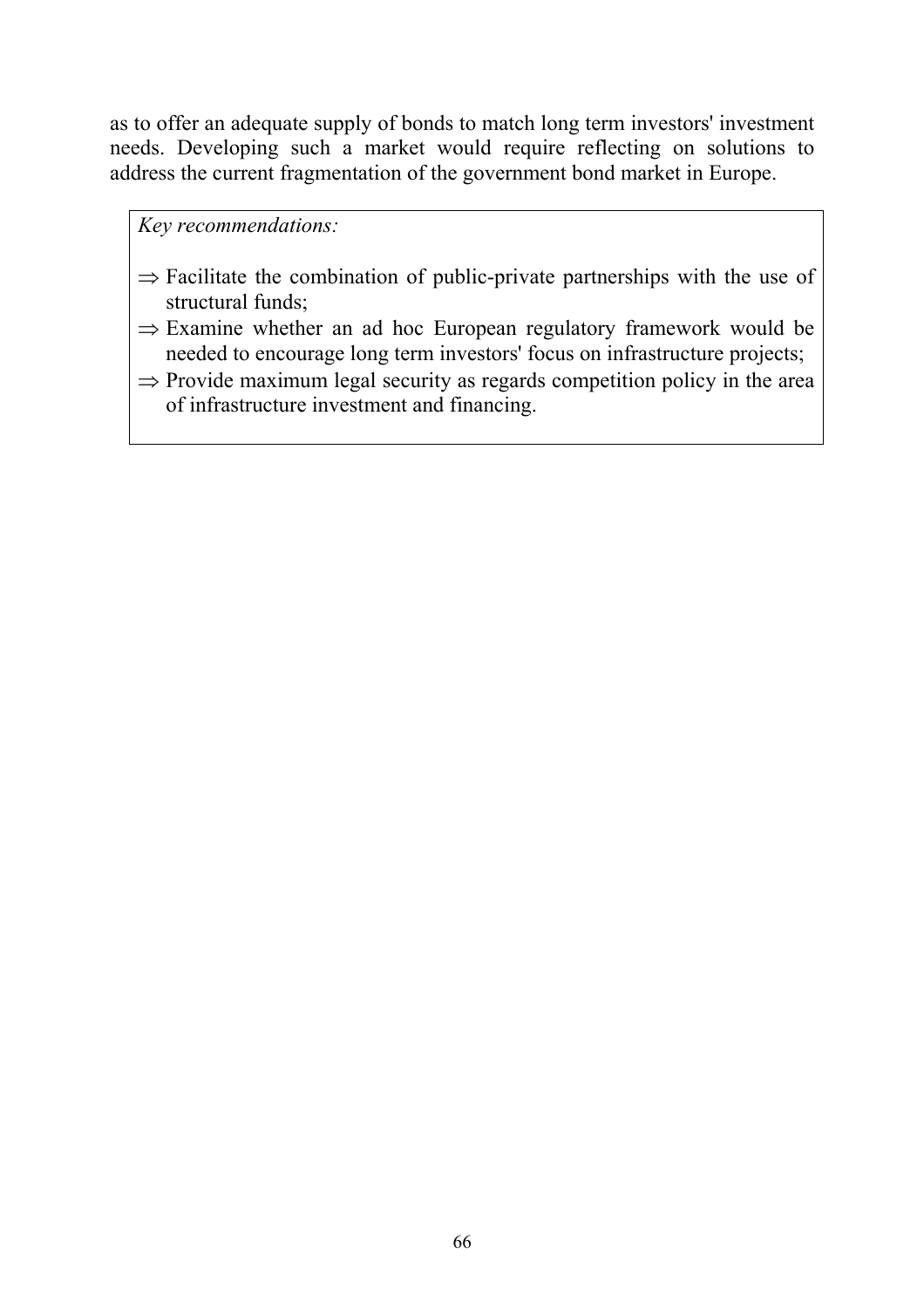as to offer an adequate supply of bonds to match long term investors' investment needs. Developing such a market would require reflecting on solutions to address the current fragmentation of the government bond market in Europe.

*Key recommendations:* 

- $\Rightarrow$  Facilitate the combination of public-private partnerships with the use of structural funds;
- ⇒ Examine whether an ad hoc European regulatory framework would be needed to encourage long term investors' focus on infrastructure projects;
- $\Rightarrow$  Provide maximum legal security as regards competition policy in the area of infrastructure investment and financing.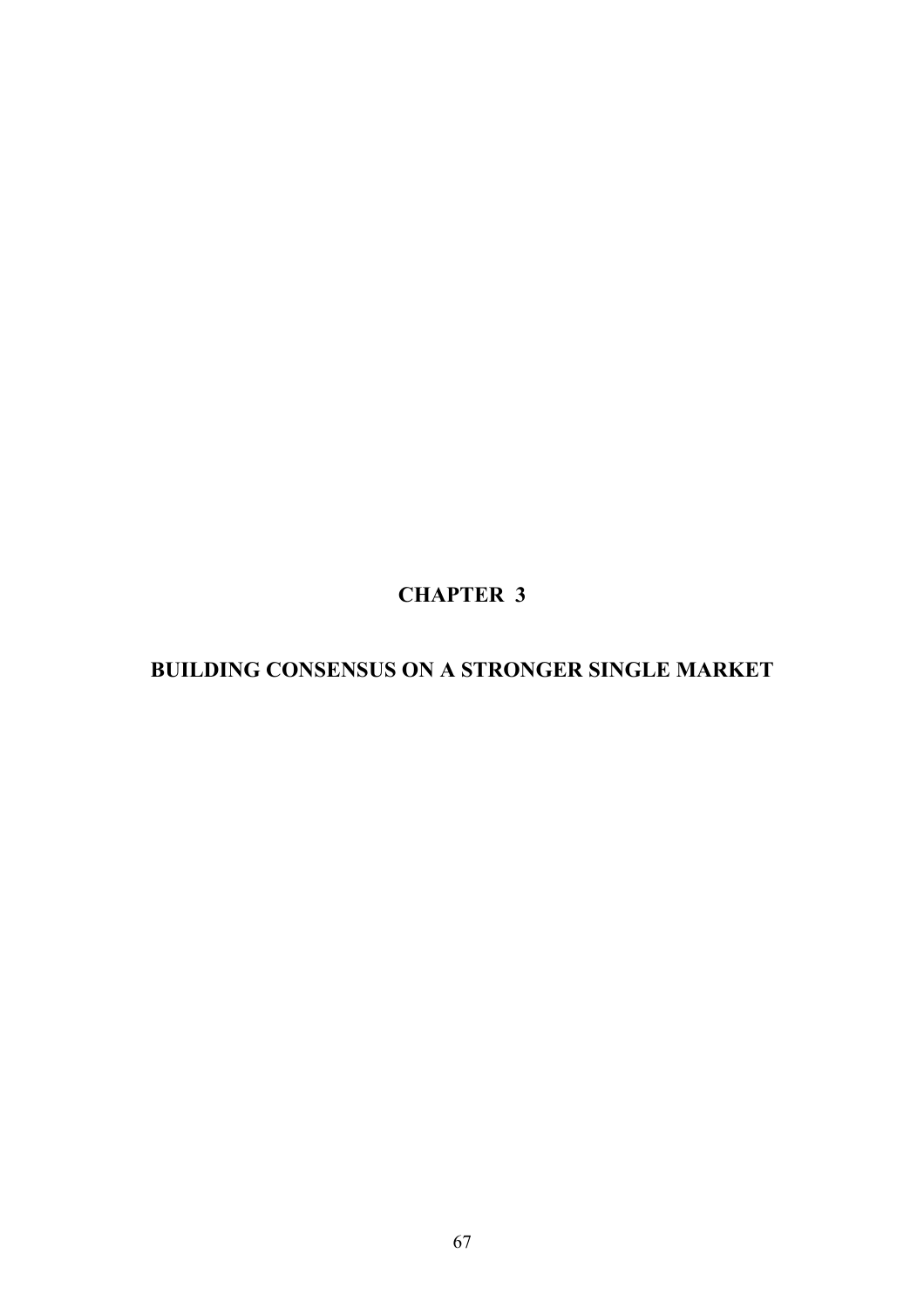# **CHAPTER 3**

## **BUILDING CONSENSUS ON A STRONGER SINGLE MARKET**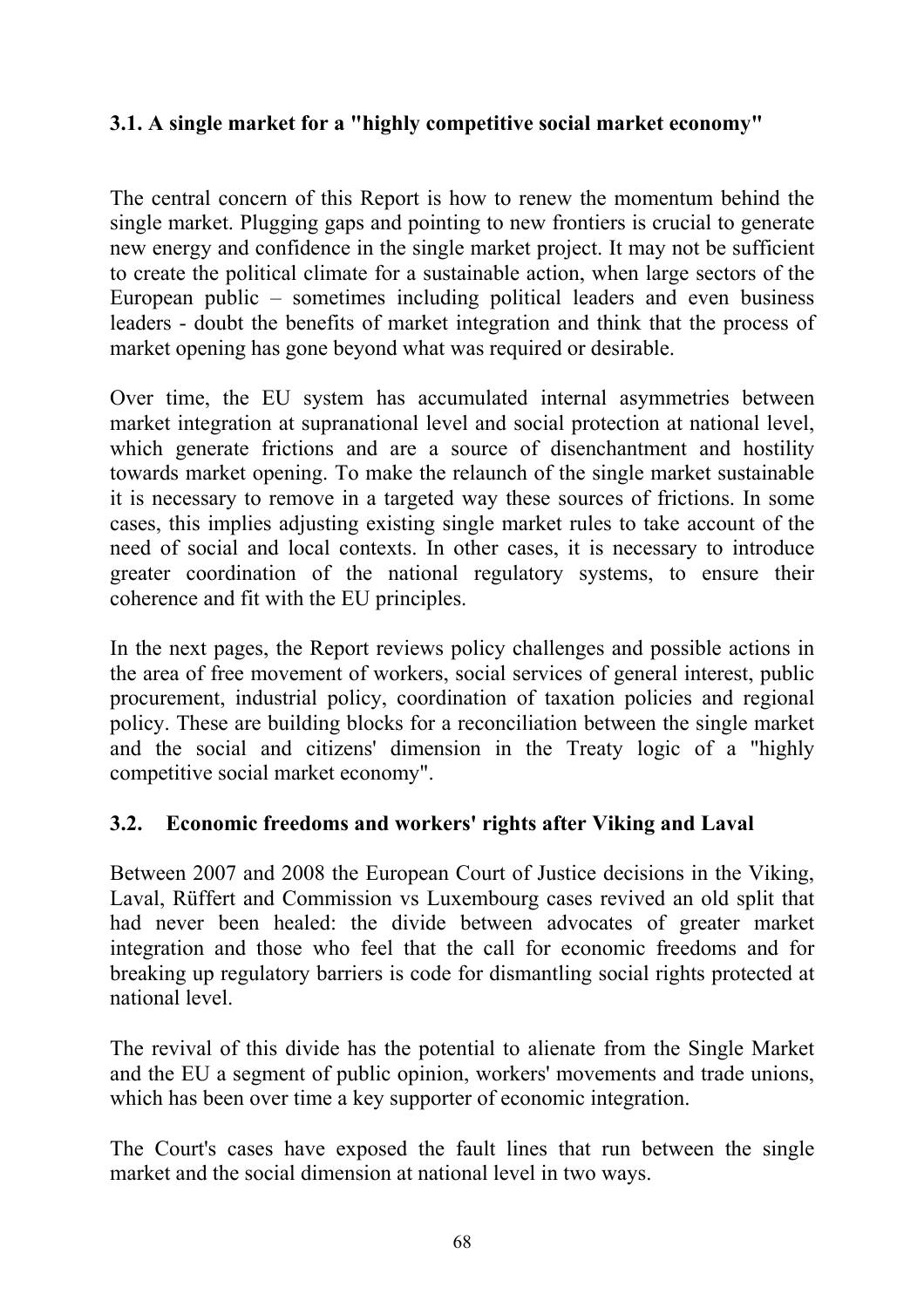## **3.1. A single market for a "highly competitive social market economy"**

The central concern of this Report is how to renew the momentum behind the single market. Plugging gaps and pointing to new frontiers is crucial to generate new energy and confidence in the single market project. It may not be sufficient to create the political climate for a sustainable action, when large sectors of the European public – sometimes including political leaders and even business leaders - doubt the benefits of market integration and think that the process of market opening has gone beyond what was required or desirable.

Over time, the EU system has accumulated internal asymmetries between market integration at supranational level and social protection at national level, which generate frictions and are a source of disenchantment and hostility towards market opening. To make the relaunch of the single market sustainable it is necessary to remove in a targeted way these sources of frictions. In some cases, this implies adjusting existing single market rules to take account of the need of social and local contexts. In other cases, it is necessary to introduce greater coordination of the national regulatory systems, to ensure their coherence and fit with the EU principles.

In the next pages, the Report reviews policy challenges and possible actions in the area of free movement of workers, social services of general interest, public procurement, industrial policy, coordination of taxation policies and regional policy. These are building blocks for a reconciliation between the single market and the social and citizens' dimension in the Treaty logic of a "highly competitive social market economy".

#### **3.2. Economic freedoms and workers' rights after Viking and Laval**

Between 2007 and 2008 the European Court of Justice decisions in the Viking, Laval, Rüffert and Commission vs Luxembourg cases revived an old split that had never been healed: the divide between advocates of greater market integration and those who feel that the call for economic freedoms and for breaking up regulatory barriers is code for dismantling social rights protected at national level.

The revival of this divide has the potential to alienate from the Single Market and the EU a segment of public opinion, workers' movements and trade unions, which has been over time a key supporter of economic integration.

The Court's cases have exposed the fault lines that run between the single market and the social dimension at national level in two ways.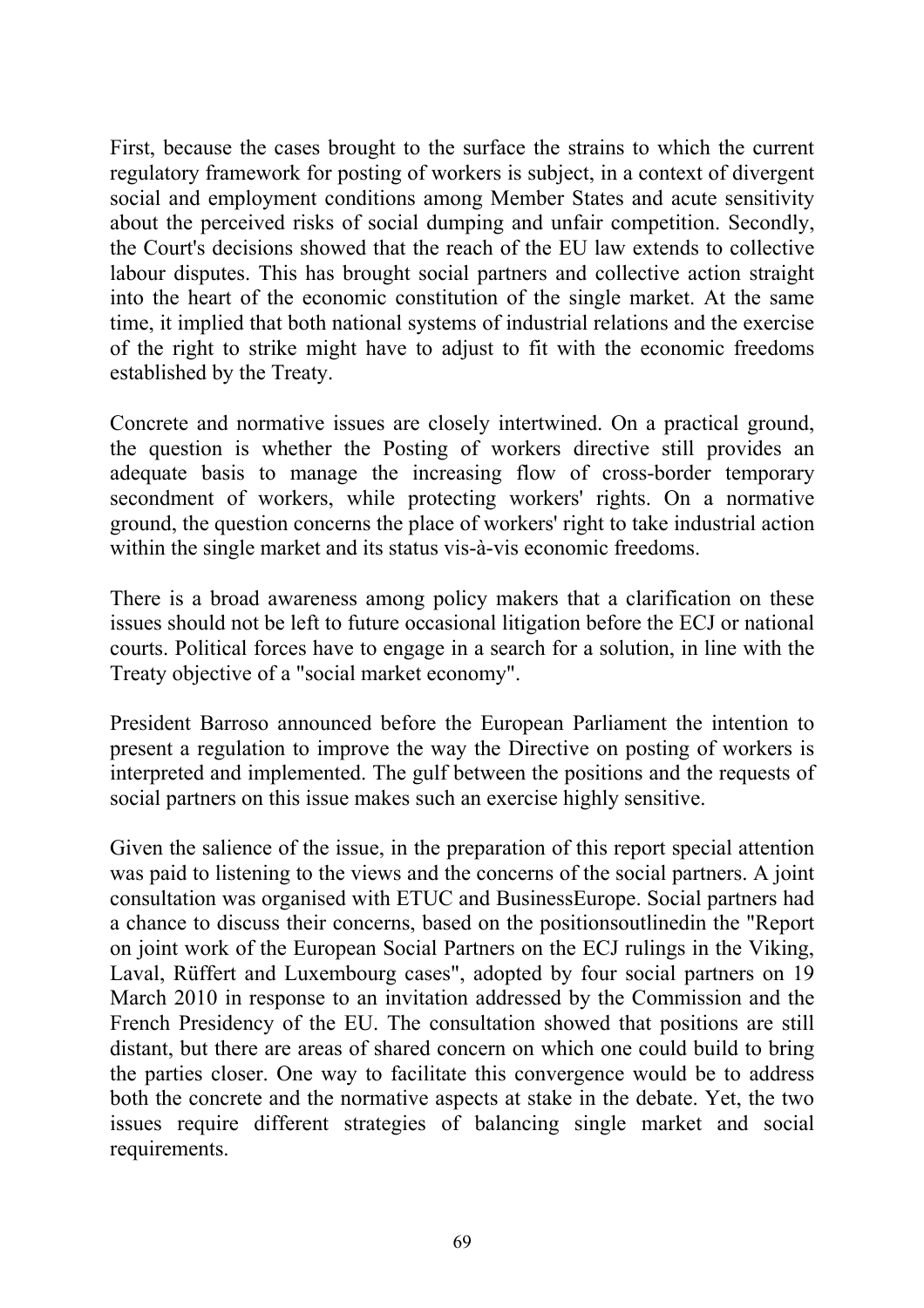First, because the cases brought to the surface the strains to which the current regulatory framework for posting of workers is subject, in a context of divergent social and employment conditions among Member States and acute sensitivity about the perceived risks of social dumping and unfair competition. Secondly, the Court's decisions showed that the reach of the EU law extends to collective labour disputes. This has brought social partners and collective action straight into the heart of the economic constitution of the single market. At the same time, it implied that both national systems of industrial relations and the exercise of the right to strike might have to adjust to fit with the economic freedoms established by the Treaty.

Concrete and normative issues are closely intertwined. On a practical ground, the question is whether the Posting of workers directive still provides an adequate basis to manage the increasing flow of cross-border temporary secondment of workers, while protecting workers' rights. On a normative ground, the question concerns the place of workers' right to take industrial action within the single market and its status vis-à-vis economic freedoms.

There is a broad awareness among policy makers that a clarification on these issues should not be left to future occasional litigation before the ECJ or national courts. Political forces have to engage in a search for a solution, in line with the Treaty objective of a "social market economy".

President Barroso announced before the European Parliament the intention to present a regulation to improve the way the Directive on posting of workers is interpreted and implemented. The gulf between the positions and the requests of social partners on this issue makes such an exercise highly sensitive.

Given the salience of the issue, in the preparation of this report special attention was paid to listening to the views and the concerns of the social partners. A joint consultation was organised with ETUC and BusinessEurope. Social partners had a chance to discuss their concerns, based on the positionsoutlinedin the "Report on joint work of the European Social Partners on the ECJ rulings in the Viking, Laval, Rüffert and Luxembourg cases", adopted by four social partners on 19 March 2010 in response to an invitation addressed by the Commission and the French Presidency of the EU. The consultation showed that positions are still distant, but there are areas of shared concern on which one could build to bring the parties closer. One way to facilitate this convergence would be to address both the concrete and the normative aspects at stake in the debate. Yet, the two issues require different strategies of balancing single market and social requirements.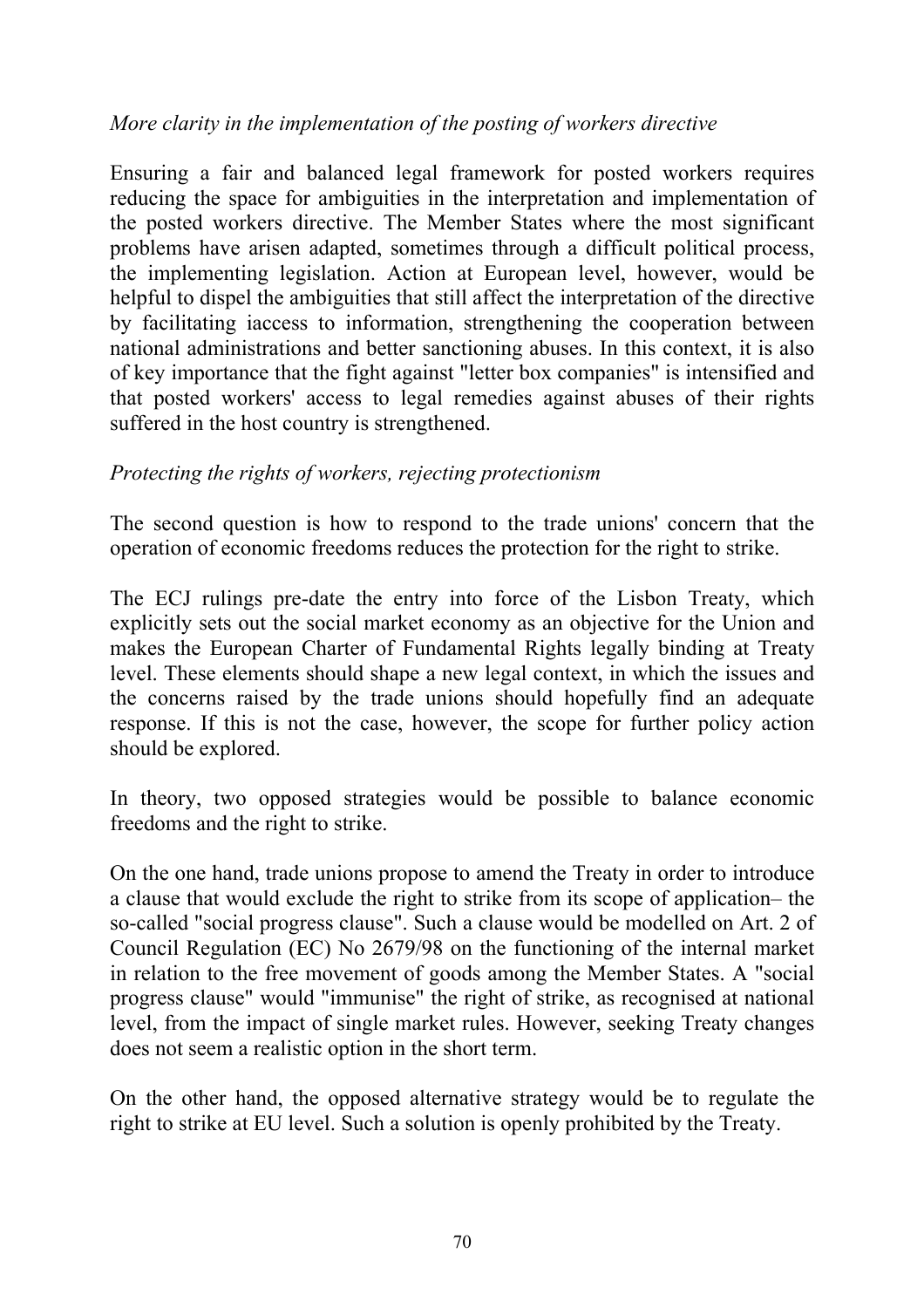#### *More clarity in the implementation of the posting of workers directive*

Ensuring a fair and balanced legal framework for posted workers requires reducing the space for ambiguities in the interpretation and implementation of the posted workers directive. The Member States where the most significant problems have arisen adapted, sometimes through a difficult political process, the implementing legislation. Action at European level, however, would be helpful to dispel the ambiguities that still affect the interpretation of the directive by facilitating iaccess to information, strengthening the cooperation between national administrations and better sanctioning abuses. In this context, it is also of key importance that the fight against "letter box companies" is intensified and that posted workers' access to legal remedies against abuses of their rights suffered in the host country is strengthened.

#### *Protecting the rights of workers, rejecting protectionism*

The second question is how to respond to the trade unions' concern that the operation of economic freedoms reduces the protection for the right to strike.

The ECJ rulings pre-date the entry into force of the Lisbon Treaty, which explicitly sets out the social market economy as an objective for the Union and makes the European Charter of Fundamental Rights legally binding at Treaty level. These elements should shape a new legal context, in which the issues and the concerns raised by the trade unions should hopefully find an adequate response. If this is not the case, however, the scope for further policy action should be explored.

In theory, two opposed strategies would be possible to balance economic freedoms and the right to strike.

On the one hand, trade unions propose to amend the Treaty in order to introduce a clause that would exclude the right to strike from its scope of application– the so-called "social progress clause". Such a clause would be modelled on Art. 2 of Council Regulation (EC) No 2679/98 on the functioning of the internal market in relation to the free movement of goods among the Member States. A "social progress clause" would "immunise" the right of strike, as recognised at national level, from the impact of single market rules. However, seeking Treaty changes does not seem a realistic option in the short term.

On the other hand, the opposed alternative strategy would be to regulate the right to strike at EU level. Such a solution is openly prohibited by the Treaty.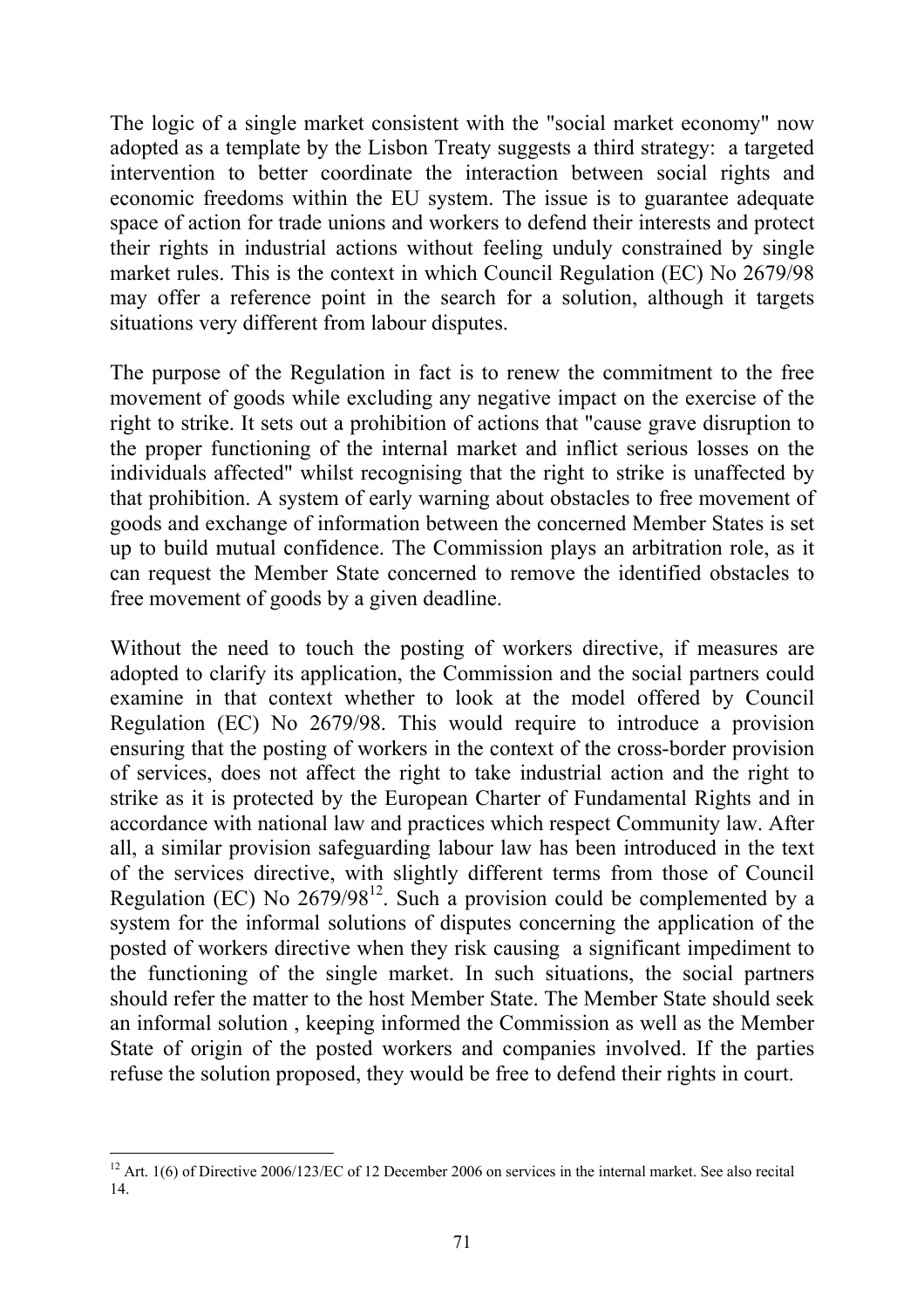The logic of a single market consistent with the "social market economy" now adopted as a template by the Lisbon Treaty suggests a third strategy: a targeted intervention to better coordinate the interaction between social rights and economic freedoms within the EU system. The issue is to guarantee adequate space of action for trade unions and workers to defend their interests and protect their rights in industrial actions without feeling unduly constrained by single market rules. This is the context in which Council Regulation (EC) No 2679/98 may offer a reference point in the search for a solution, although it targets situations very different from labour disputes.

The purpose of the Regulation in fact is to renew the commitment to the free movement of goods while excluding any negative impact on the exercise of the right to strike. It sets out a prohibition of actions that "cause grave disruption to the proper functioning of the internal market and inflict serious losses on the individuals affected" whilst recognising that the right to strike is unaffected by that prohibition. A system of early warning about obstacles to free movement of goods and exchange of information between the concerned Member States is set up to build mutual confidence. The Commission plays an arbitration role, as it can request the Member State concerned to remove the identified obstacles to free movement of goods by a given deadline.

Without the need to touch the posting of workers directive, if measures are adopted to clarify its application, the Commission and the social partners could examine in that context whether to look at the model offered by Council Regulation (EC) No 2679/98. This would require to introduce a provision ensuring that the posting of workers in the context of the cross-border provision of services, does not affect the right to take industrial action and the right to strike as it is protected by the European Charter of Fundamental Rights and in accordance with national law and practices which respect Community law. After all, a similar provision safeguarding labour law has been introduced in the text of the services directive, with slightly different terms from those of Council Regulation (EC) No  $2679/98^{12}$ . Such a provision could be complemented by a system for the informal solutions of disputes concerning the application of the posted of workers directive when they risk causing a significant impediment to the functioning of the single market. In such situations, the social partners should refer the matter to the host Member State. The Member State should seek an informal solution , keeping informed the Commission as well as the Member State of origin of the posted workers and companies involved. If the parties refuse the solution proposed, they would be free to defend their rights in court.

<sup>1</sup>  $12$  Art. 1(6) of Directive 2006/123/EC of 12 December 2006 on services in the internal market. See also recital 14.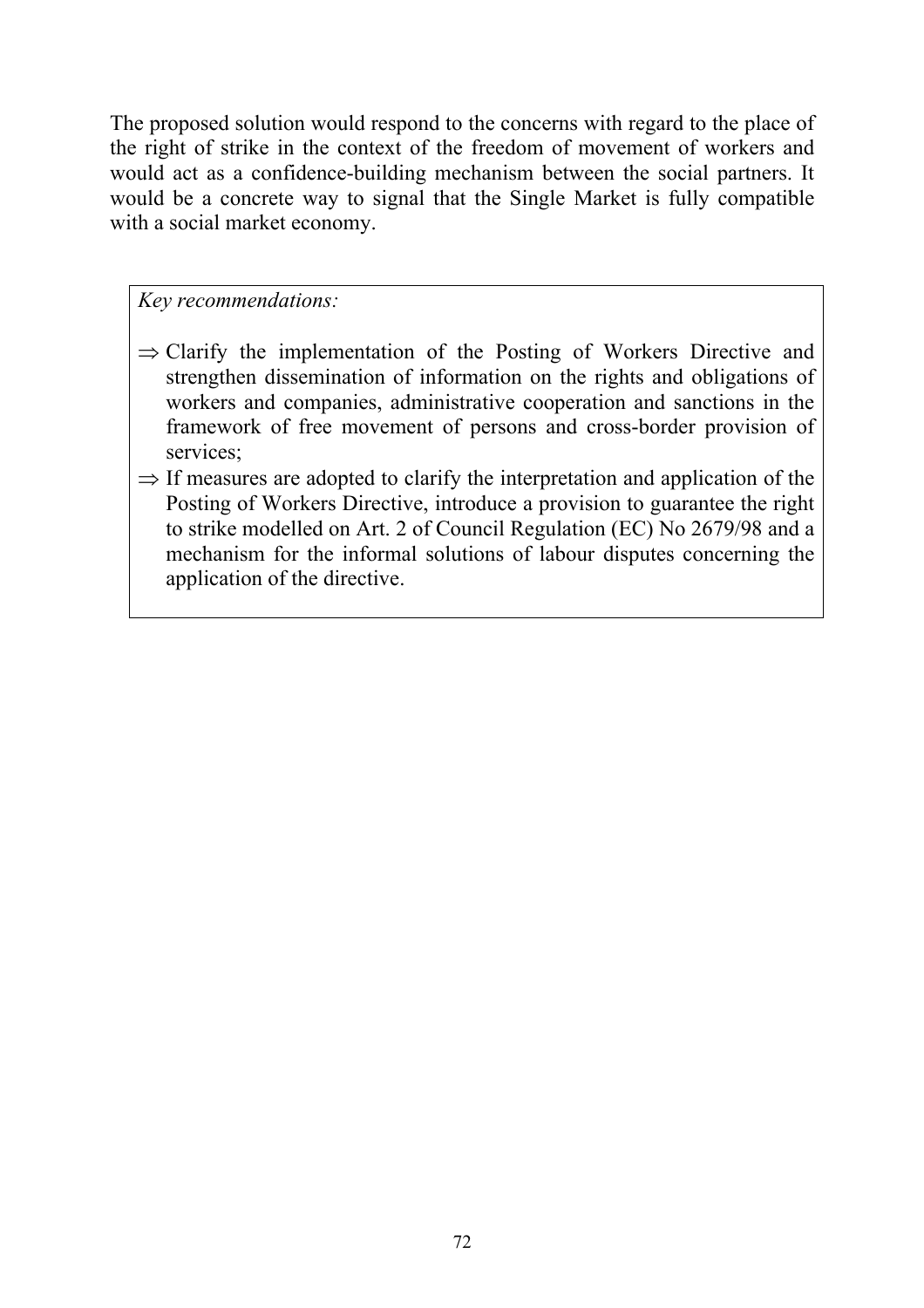The proposed solution would respond to the concerns with regard to the place of the right of strike in the context of the freedom of movement of workers and would act as a confidence-building mechanism between the social partners. It would be a concrete way to signal that the Single Market is fully compatible with a social market economy.

*Key recommendations:* 

- $\Rightarrow$  Clarify the implementation of the Posting of Workers Directive and strengthen dissemination of information on the rights and obligations of workers and companies, administrative cooperation and sanctions in the framework of free movement of persons and cross-border provision of services;
- $\Rightarrow$  If measures are adopted to clarify the interpretation and application of the Posting of Workers Directive, introduce a provision to guarantee the right to strike modelled on Art. 2 of Council Regulation (EC) No 2679/98 and a mechanism for the informal solutions of labour disputes concerning the application of the directive.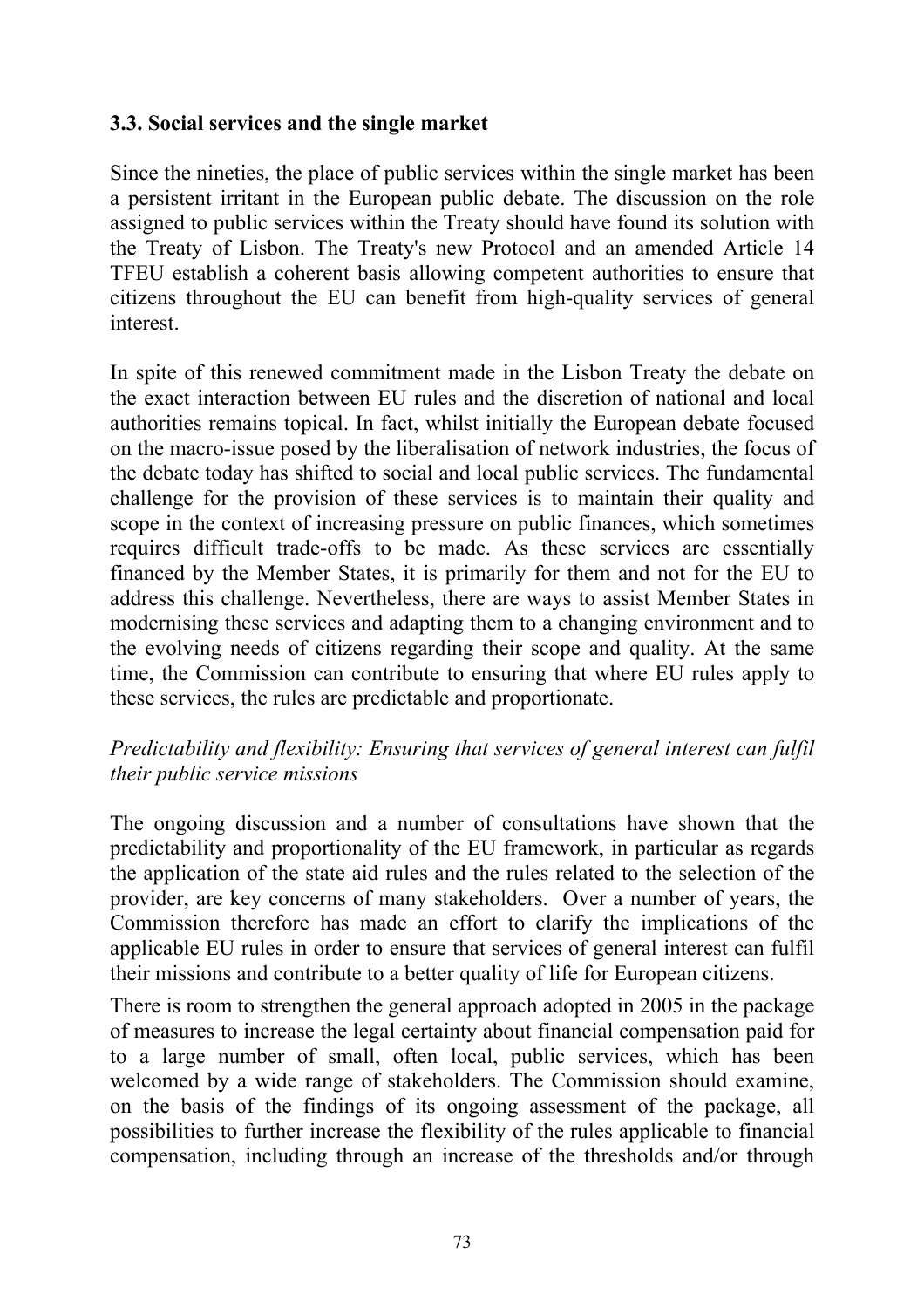#### **3.3. Social services and the single market**

Since the nineties, the place of public services within the single market has been a persistent irritant in the European public debate. The discussion on the role assigned to public services within the Treaty should have found its solution with the Treaty of Lisbon. The Treaty's new Protocol and an amended Article 14 TFEU establish a coherent basis allowing competent authorities to ensure that citizens throughout the EU can benefit from high-quality services of general interest.

In spite of this renewed commitment made in the Lisbon Treaty the debate on the exact interaction between EU rules and the discretion of national and local authorities remains topical. In fact, whilst initially the European debate focused on the macro-issue posed by the liberalisation of network industries, the focus of the debate today has shifted to social and local public services. The fundamental challenge for the provision of these services is to maintain their quality and scope in the context of increasing pressure on public finances, which sometimes requires difficult trade-offs to be made. As these services are essentially financed by the Member States, it is primarily for them and not for the EU to address this challenge. Nevertheless, there are ways to assist Member States in modernising these services and adapting them to a changing environment and to the evolving needs of citizens regarding their scope and quality. At the same time, the Commission can contribute to ensuring that where EU rules apply to these services, the rules are predictable and proportionate.

#### *Predictability and flexibility: Ensuring that services of general interest can fulfil their public service missions*

The ongoing discussion and a number of consultations have shown that the predictability and proportionality of the EU framework, in particular as regards the application of the state aid rules and the rules related to the selection of the provider, are key concerns of many stakeholders. Over a number of years, the Commission therefore has made an effort to clarify the implications of the applicable EU rules in order to ensure that services of general interest can fulfil their missions and contribute to a better quality of life for European citizens.

There is room to strengthen the general approach adopted in 2005 in the package of measures to increase the legal certainty about financial compensation paid for to a large number of small, often local, public services, which has been welcomed by a wide range of stakeholders. The Commission should examine, on the basis of the findings of its ongoing assessment of the package, all possibilities to further increase the flexibility of the rules applicable to financial compensation, including through an increase of the thresholds and/or through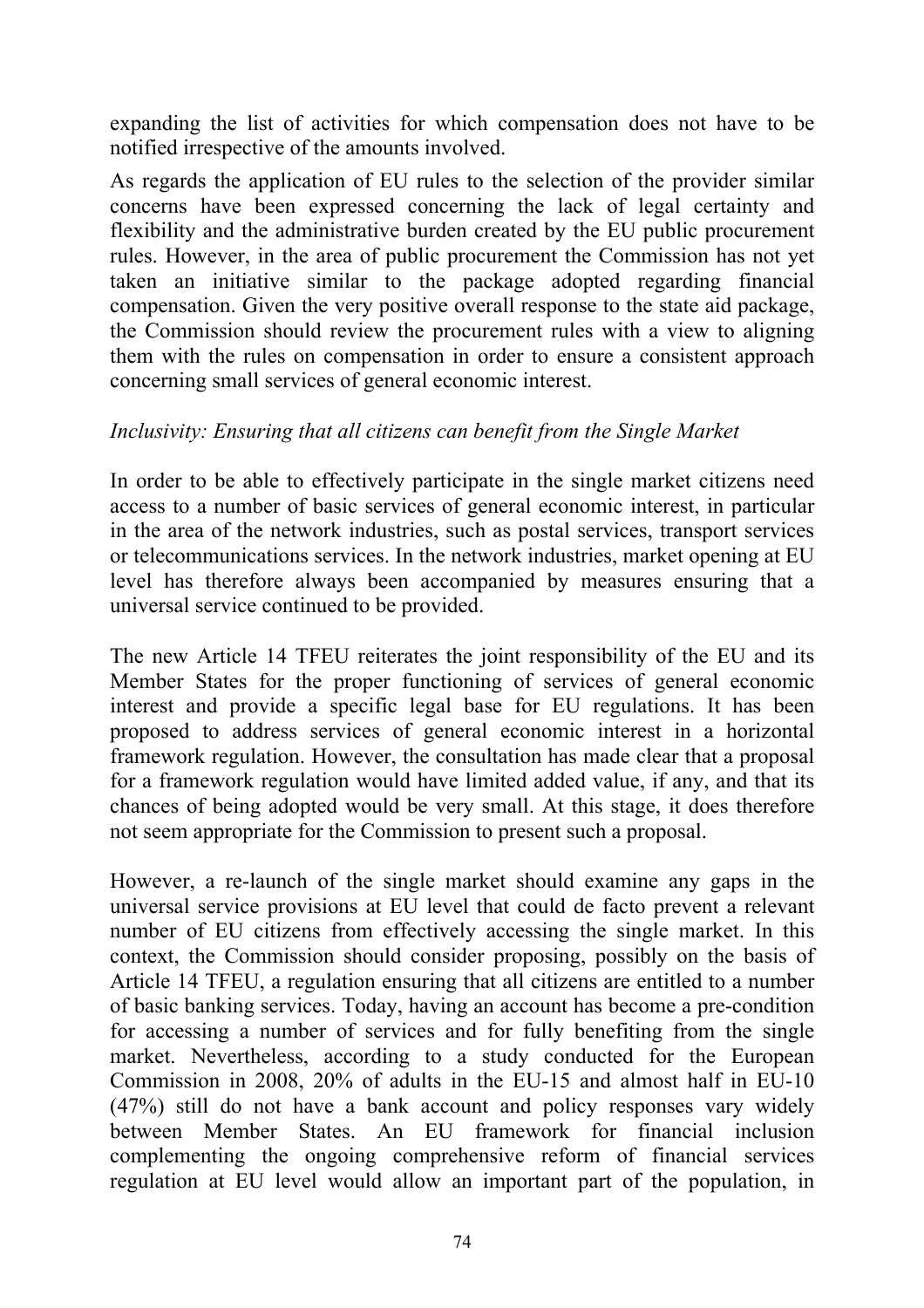expanding the list of activities for which compensation does not have to be notified irrespective of the amounts involved.

As regards the application of EU rules to the selection of the provider similar concerns have been expressed concerning the lack of legal certainty and flexibility and the administrative burden created by the EU public procurement rules. However, in the area of public procurement the Commission has not yet taken an initiative similar to the package adopted regarding financial compensation. Given the very positive overall response to the state aid package, the Commission should review the procurement rules with a view to aligning them with the rules on compensation in order to ensure a consistent approach concerning small services of general economic interest.

#### *Inclusivity: Ensuring that all citizens can benefit from the Single Market*

In order to be able to effectively participate in the single market citizens need access to a number of basic services of general economic interest, in particular in the area of the network industries, such as postal services, transport services or telecommunications services. In the network industries, market opening at EU level has therefore always been accompanied by measures ensuring that a universal service continued to be provided.

The new Article 14 TFEU reiterates the joint responsibility of the EU and its Member States for the proper functioning of services of general economic interest and provide a specific legal base for EU regulations. It has been proposed to address services of general economic interest in a horizontal framework regulation. However, the consultation has made clear that a proposal for a framework regulation would have limited added value, if any, and that its chances of being adopted would be very small. At this stage, it does therefore not seem appropriate for the Commission to present such a proposal.

However, a re-launch of the single market should examine any gaps in the universal service provisions at EU level that could de facto prevent a relevant number of EU citizens from effectively accessing the single market. In this context, the Commission should consider proposing, possibly on the basis of Article 14 TFEU, a regulation ensuring that all citizens are entitled to a number of basic banking services. Today, having an account has become a pre-condition for accessing a number of services and for fully benefiting from the single market. Nevertheless, according to a study conducted for the European Commission in 2008, 20% of adults in the EU-15 and almost half in EU-10 (47%) still do not have a bank account and policy responses vary widely between Member States. An EU framework for financial inclusion complementing the ongoing comprehensive reform of financial services regulation at EU level would allow an important part of the population, in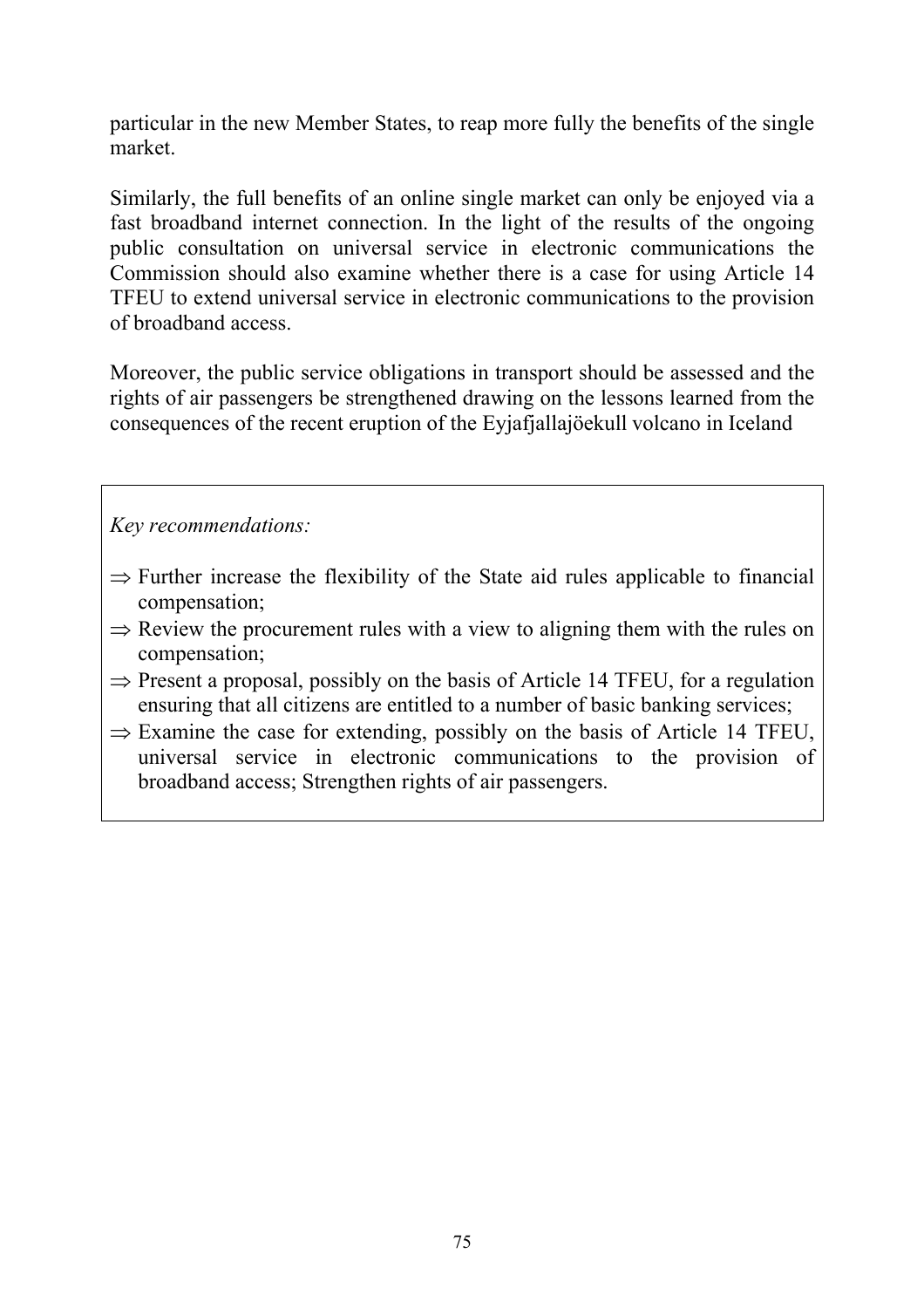particular in the new Member States, to reap more fully the benefits of the single market.

Similarly, the full benefits of an online single market can only be enjoyed via a fast broadband internet connection. In the light of the results of the ongoing public consultation on universal service in electronic communications the Commission should also examine whether there is a case for using Article 14 TFEU to extend universal service in electronic communications to the provision of broadband access.

Moreover, the public service obligations in transport should be assessed and the rights of air passengers be strengthened drawing on the lessons learned from the consequences of the recent eruption of the Eyjafjallajöekull volcano in Iceland

- $\Rightarrow$  Further increase the flexibility of the State aid rules applicable to financial compensation;
- $\Rightarrow$  Review the procurement rules with a view to aligning them with the rules on compensation;
- $\Rightarrow$  Present a proposal, possibly on the basis of Article 14 TFEU, for a regulation ensuring that all citizens are entitled to a number of basic banking services;
- $\Rightarrow$  Examine the case for extending, possibly on the basis of Article 14 TFEU. universal service in electronic communications to the provision of broadband access; Strengthen rights of air passengers.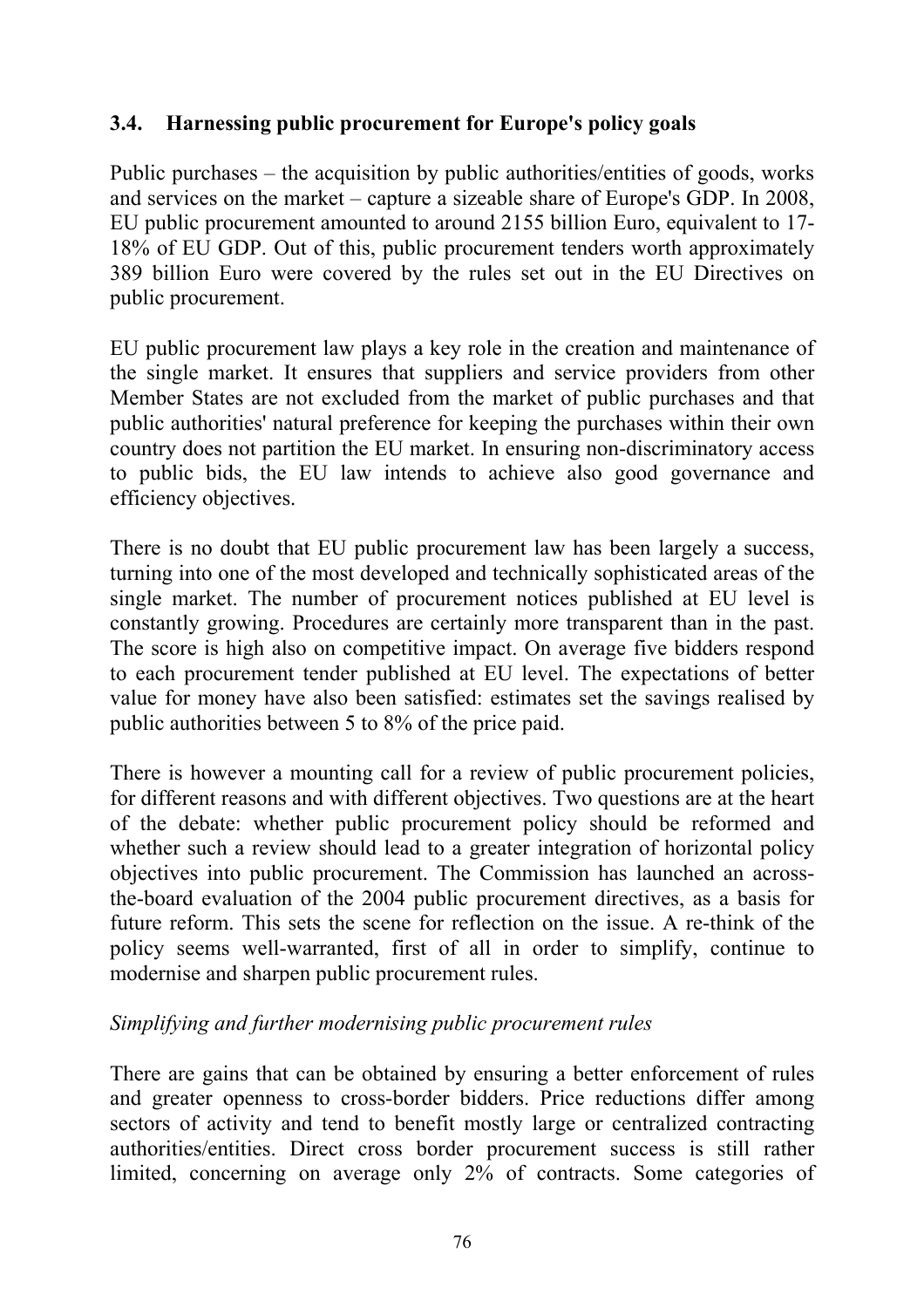### **3.4. Harnessing public procurement for Europe's policy goals**

Public purchases – the acquisition by public authorities/entities of goods, works and services on the market – capture a sizeable share of Europe's GDP. In 2008, EU public procurement amounted to around 2155 billion Euro, equivalent to 17- 18% of EU GDP. Out of this, public procurement tenders worth approximately 389 billion Euro were covered by the rules set out in the EU Directives on public procurement.

EU public procurement law plays a key role in the creation and maintenance of the single market. It ensures that suppliers and service providers from other Member States are not excluded from the market of public purchases and that public authorities' natural preference for keeping the purchases within their own country does not partition the EU market. In ensuring non-discriminatory access to public bids, the EU law intends to achieve also good governance and efficiency objectives.

There is no doubt that EU public procurement law has been largely a success, turning into one of the most developed and technically sophisticated areas of the single market. The number of procurement notices published at EU level is constantly growing. Procedures are certainly more transparent than in the past. The score is high also on competitive impact. On average five bidders respond to each procurement tender published at EU level. The expectations of better value for money have also been satisfied: estimates set the savings realised by public authorities between 5 to 8% of the price paid.

There is however a mounting call for a review of public procurement policies, for different reasons and with different objectives. Two questions are at the heart of the debate: whether public procurement policy should be reformed and whether such a review should lead to a greater integration of horizontal policy objectives into public procurement. The Commission has launched an acrossthe-board evaluation of the 2004 public procurement directives, as a basis for future reform. This sets the scene for reflection on the issue. A re-think of the policy seems well-warranted, first of all in order to simplify, continue to modernise and sharpen public procurement rules.

#### *Simplifying and further modernising public procurement rules*

There are gains that can be obtained by ensuring a better enforcement of rules and greater openness to cross-border bidders. Price reductions differ among sectors of activity and tend to benefit mostly large or centralized contracting authorities/entities. Direct cross border procurement success is still rather limited, concerning on average only 2% of contracts. Some categories of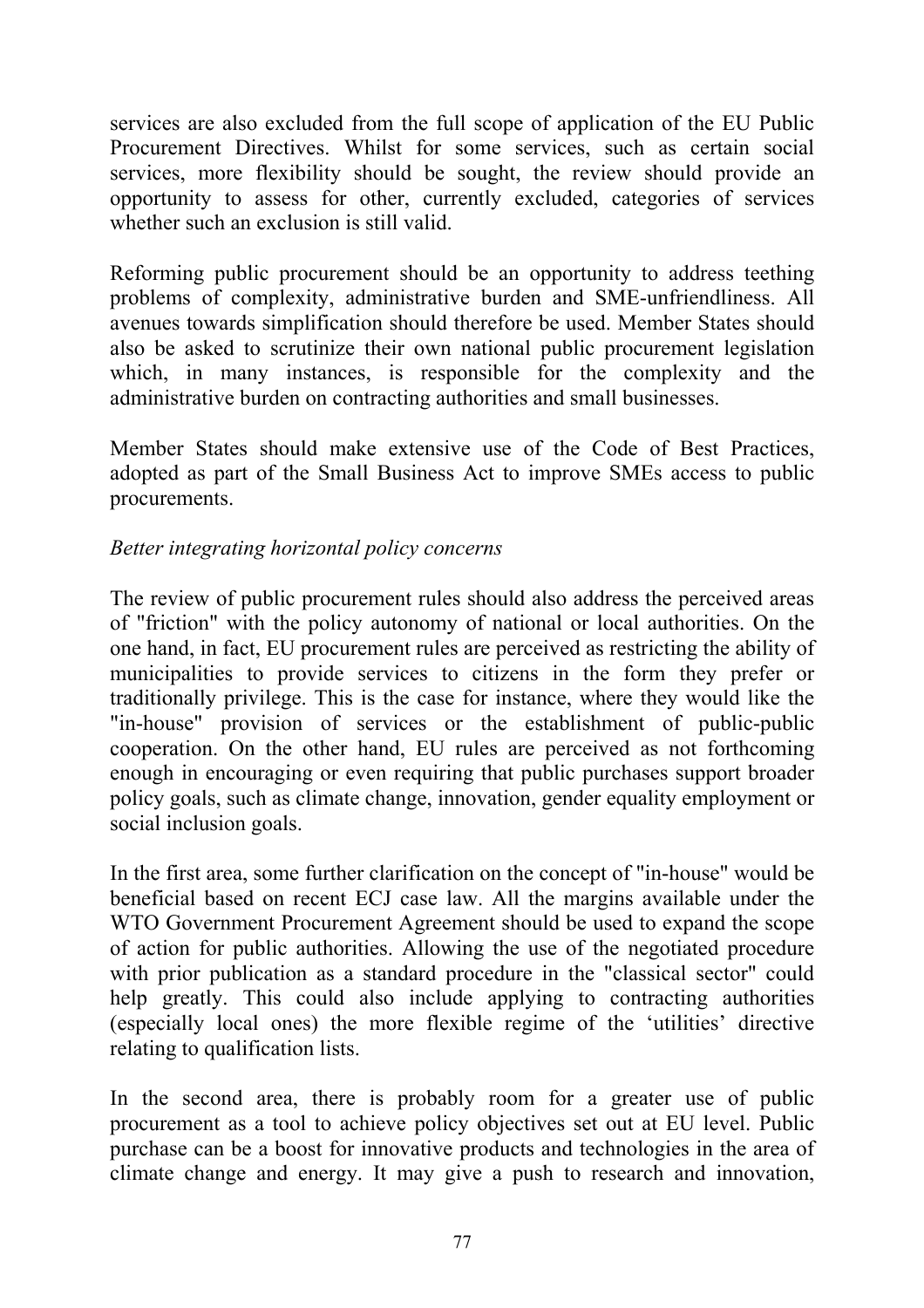services are also excluded from the full scope of application of the EU Public Procurement Directives. Whilst for some services, such as certain social services, more flexibility should be sought, the review should provide an opportunity to assess for other, currently excluded, categories of services whether such an exclusion is still valid.

Reforming public procurement should be an opportunity to address teething problems of complexity, administrative burden and SME-unfriendliness. All avenues towards simplification should therefore be used. Member States should also be asked to scrutinize their own national public procurement legislation which, in many instances, is responsible for the complexity and the administrative burden on contracting authorities and small businesses.

Member States should make extensive use of the Code of Best Practices, adopted as part of the Small Business Act to improve SMEs access to public procurements.

#### *Better integrating horizontal policy concerns*

The review of public procurement rules should also address the perceived areas of "friction" with the policy autonomy of national or local authorities. On the one hand, in fact, EU procurement rules are perceived as restricting the ability of municipalities to provide services to citizens in the form they prefer or traditionally privilege. This is the case for instance, where they would like the "in-house" provision of services or the establishment of public-public cooperation. On the other hand, EU rules are perceived as not forthcoming enough in encouraging or even requiring that public purchases support broader policy goals, such as climate change, innovation, gender equality employment or social inclusion goals.

In the first area, some further clarification on the concept of "in-house" would be beneficial based on recent ECJ case law. All the margins available under the WTO Government Procurement Agreement should be used to expand the scope of action for public authorities. Allowing the use of the negotiated procedure with prior publication as a standard procedure in the "classical sector" could help greatly. This could also include applying to contracting authorities (especially local ones) the more flexible regime of the 'utilities' directive relating to qualification lists.

In the second area, there is probably room for a greater use of public procurement as a tool to achieve policy objectives set out at EU level. Public purchase can be a boost for innovative products and technologies in the area of climate change and energy. It may give a push to research and innovation,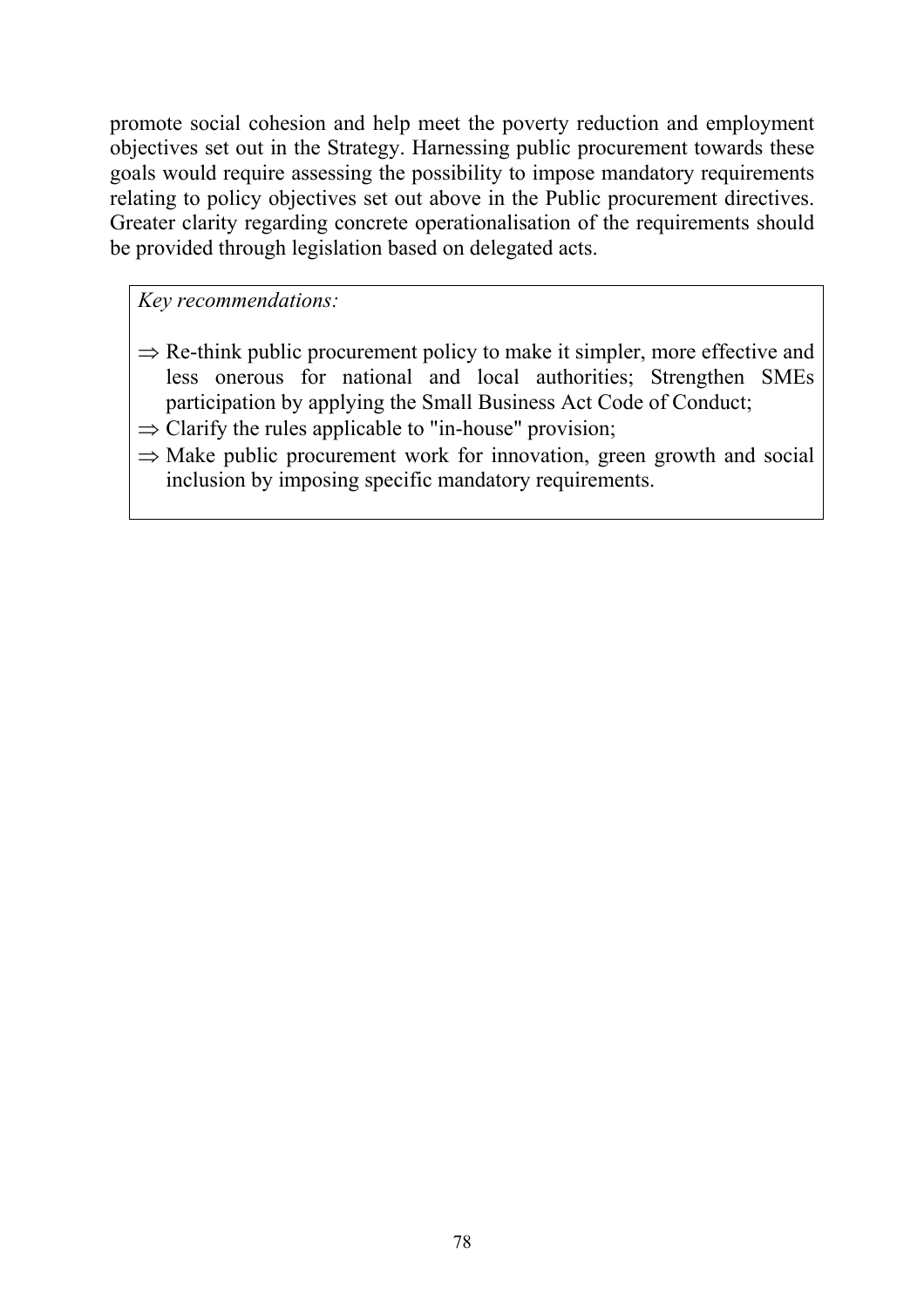promote social cohesion and help meet the poverty reduction and employment objectives set out in the Strategy. Harnessing public procurement towards these goals would require assessing the possibility to impose mandatory requirements relating to policy objectives set out above in the Public procurement directives. Greater clarity regarding concrete operationalisation of the requirements should be provided through legislation based on delegated acts.

- $\Rightarrow$  Re-think public procurement policy to make it simpler, more effective and less onerous for national and local authorities; Strengthen SMEs participation by applying the Small Business Act Code of Conduct;
- $\Rightarrow$  Clarify the rules applicable to "in-house" provision;
- $\Rightarrow$  Make public procurement work for innovation, green growth and social inclusion by imposing specific mandatory requirements.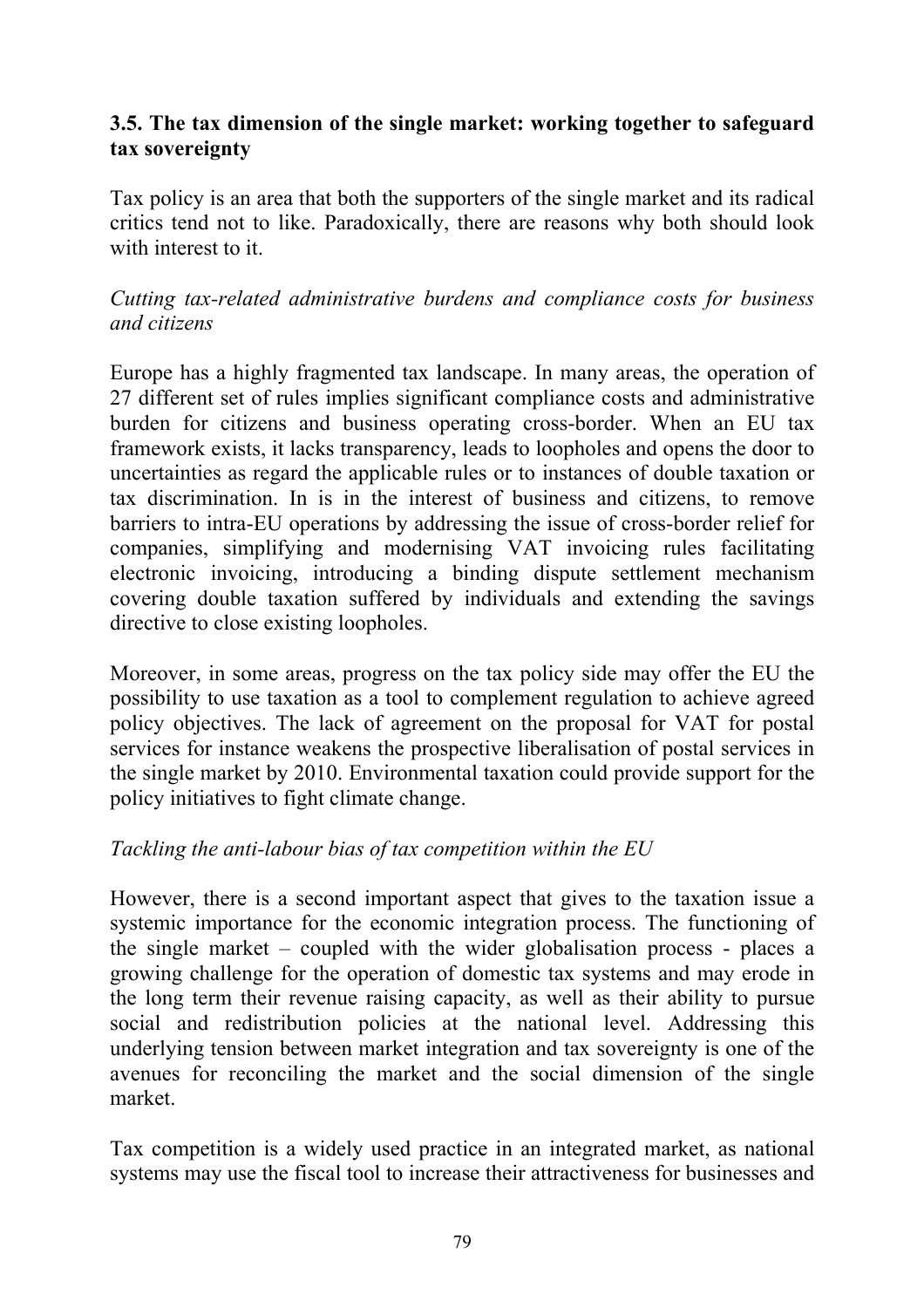#### **3.5. The tax dimension of the single market: working together to safeguard tax sovereignty**

Tax policy is an area that both the supporters of the single market and its radical critics tend not to like. Paradoxically, there are reasons why both should look with interest to it.

*Cutting tax-related administrative burdens and compliance costs for business and citizens* 

Europe has a highly fragmented tax landscape. In many areas, the operation of 27 different set of rules implies significant compliance costs and administrative burden for citizens and business operating cross-border. When an EU tax framework exists, it lacks transparency, leads to loopholes and opens the door to uncertainties as regard the applicable rules or to instances of double taxation or tax discrimination. In is in the interest of business and citizens, to remove barriers to intra-EU operations by addressing the issue of cross-border relief for companies, simplifying and modernising VAT invoicing rules facilitating electronic invoicing, introducing a binding dispute settlement mechanism covering double taxation suffered by individuals and extending the savings directive to close existing loopholes.

Moreover, in some areas, progress on the tax policy side may offer the EU the possibility to use taxation as a tool to complement regulation to achieve agreed policy objectives. The lack of agreement on the proposal for VAT for postal services for instance weakens the prospective liberalisation of postal services in the single market by 2010. Environmental taxation could provide support for the policy initiatives to fight climate change.

### *Tackling the anti-labour bias of tax competition within the EU*

However, there is a second important aspect that gives to the taxation issue a systemic importance for the economic integration process. The functioning of the single market – coupled with the wider globalisation process - places a growing challenge for the operation of domestic tax systems and may erode in the long term their revenue raising capacity, as well as their ability to pursue social and redistribution policies at the national level. Addressing this underlying tension between market integration and tax sovereignty is one of the avenues for reconciling the market and the social dimension of the single market.

Tax competition is a widely used practice in an integrated market, as national systems may use the fiscal tool to increase their attractiveness for businesses and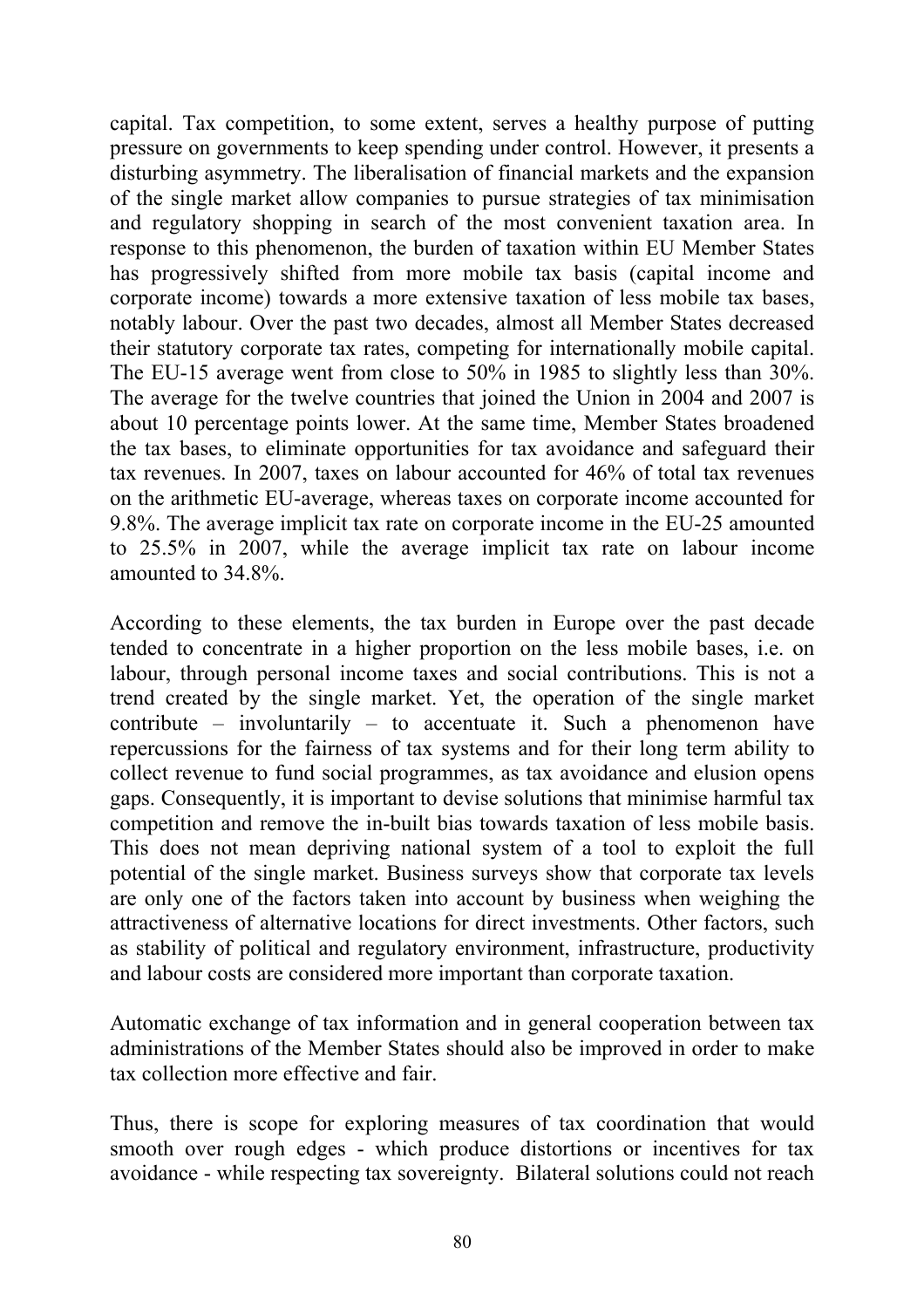capital. Tax competition, to some extent, serves a healthy purpose of putting pressure on governments to keep spending under control. However, it presents a disturbing asymmetry. The liberalisation of financial markets and the expansion of the single market allow companies to pursue strategies of tax minimisation and regulatory shopping in search of the most convenient taxation area. In response to this phenomenon, the burden of taxation within EU Member States has progressively shifted from more mobile tax basis (capital income and corporate income) towards a more extensive taxation of less mobile tax bases, notably labour. Over the past two decades, almost all Member States decreased their statutory corporate tax rates, competing for internationally mobile capital. The EU-15 average went from close to 50% in 1985 to slightly less than 30%. The average for the twelve countries that joined the Union in 2004 and 2007 is about 10 percentage points lower. At the same time, Member States broadened the tax bases, to eliminate opportunities for tax avoidance and safeguard their tax revenues. In 2007, taxes on labour accounted for 46% of total tax revenues on the arithmetic EU-average, whereas taxes on corporate income accounted for 9.8%. The average implicit tax rate on corporate income in the EU-25 amounted to 25.5% in 2007, while the average implicit tax rate on labour income amounted to 34.8%.

According to these elements, the tax burden in Europe over the past decade tended to concentrate in a higher proportion on the less mobile bases, i.e. on labour, through personal income taxes and social contributions. This is not a trend created by the single market. Yet, the operation of the single market contribute – involuntarily – to accentuate it. Such a phenomenon have repercussions for the fairness of tax systems and for their long term ability to collect revenue to fund social programmes, as tax avoidance and elusion opens gaps. Consequently, it is important to devise solutions that minimise harmful tax competition and remove the in-built bias towards taxation of less mobile basis. This does not mean depriving national system of a tool to exploit the full potential of the single market. Business surveys show that corporate tax levels are only one of the factors taken into account by business when weighing the attractiveness of alternative locations for direct investments. Other factors, such as stability of political and regulatory environment, infrastructure, productivity and labour costs are considered more important than corporate taxation.

Automatic exchange of tax information and in general cooperation between tax administrations of the Member States should also be improved in order to make tax collection more effective and fair.

Thus, there is scope for exploring measures of tax coordination that would smooth over rough edges - which produce distortions or incentives for tax avoidance - while respecting tax sovereignty. Bilateral solutions could not reach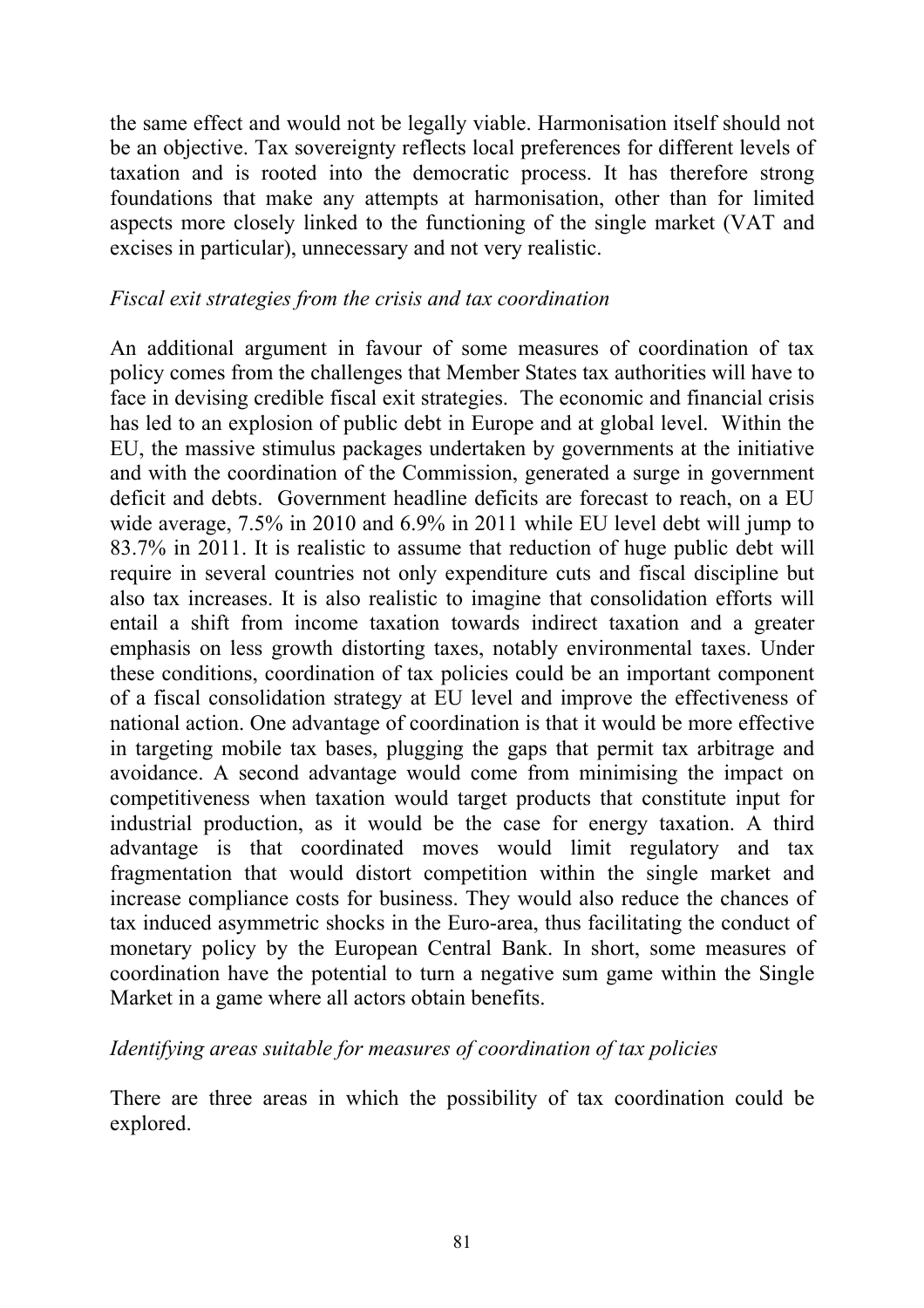the same effect and would not be legally viable. Harmonisation itself should not be an objective. Tax sovereignty reflects local preferences for different levels of taxation and is rooted into the democratic process. It has therefore strong foundations that make any attempts at harmonisation, other than for limited aspects more closely linked to the functioning of the single market (VAT and excises in particular), unnecessary and not very realistic.

#### *Fiscal exit strategies from the crisis and tax coordination*

An additional argument in favour of some measures of coordination of tax policy comes from the challenges that Member States tax authorities will have to face in devising credible fiscal exit strategies. The economic and financial crisis has led to an explosion of public debt in Europe and at global level. Within the EU, the massive stimulus packages undertaken by governments at the initiative and with the coordination of the Commission, generated a surge in government deficit and debts. Government headline deficits are forecast to reach, on a EU wide average, 7.5% in 2010 and 6.9% in 2011 while EU level debt will jump to 83.7% in 2011. It is realistic to assume that reduction of huge public debt will require in several countries not only expenditure cuts and fiscal discipline but also tax increases. It is also realistic to imagine that consolidation efforts will entail a shift from income taxation towards indirect taxation and a greater emphasis on less growth distorting taxes, notably environmental taxes. Under these conditions, coordination of tax policies could be an important component of a fiscal consolidation strategy at EU level and improve the effectiveness of national action. One advantage of coordination is that it would be more effective in targeting mobile tax bases, plugging the gaps that permit tax arbitrage and avoidance. A second advantage would come from minimising the impact on competitiveness when taxation would target products that constitute input for industrial production, as it would be the case for energy taxation. A third advantage is that coordinated moves would limit regulatory and tax fragmentation that would distort competition within the single market and increase compliance costs for business. They would also reduce the chances of tax induced asymmetric shocks in the Euro-area, thus facilitating the conduct of monetary policy by the European Central Bank. In short, some measures of coordination have the potential to turn a negative sum game within the Single Market in a game where all actors obtain benefits.

#### *Identifying areas suitable for measures of coordination of tax policies*

There are three areas in which the possibility of tax coordination could be explored.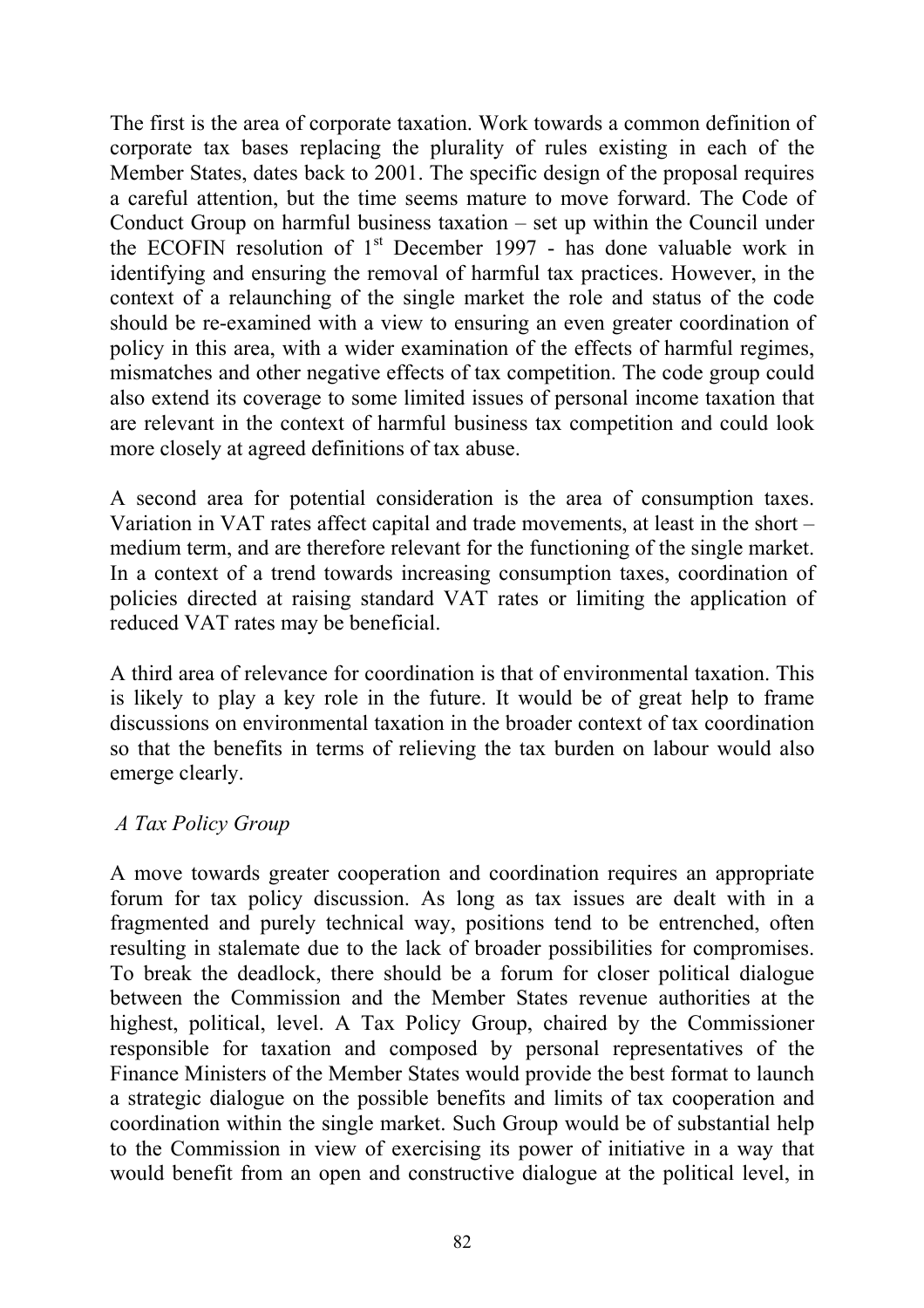The first is the area of corporate taxation. Work towards a common definition of corporate tax bases replacing the plurality of rules existing in each of the Member States, dates back to 2001. The specific design of the proposal requires a careful attention, but the time seems mature to move forward. The Code of Conduct Group on harmful business taxation – set up within the Council under the ECOFIN resolution of  $1<sup>st</sup>$  December 1997 - has done valuable work in identifying and ensuring the removal of harmful tax practices. However, in the context of a relaunching of the single market the role and status of the code should be re-examined with a view to ensuring an even greater coordination of policy in this area, with a wider examination of the effects of harmful regimes, mismatches and other negative effects of tax competition. The code group could also extend its coverage to some limited issues of personal income taxation that are relevant in the context of harmful business tax competition and could look more closely at agreed definitions of tax abuse.

A second area for potential consideration is the area of consumption taxes. Variation in VAT rates affect capital and trade movements, at least in the short – medium term, and are therefore relevant for the functioning of the single market. In a context of a trend towards increasing consumption taxes, coordination of policies directed at raising standard VAT rates or limiting the application of reduced VAT rates may be beneficial.

A third area of relevance for coordination is that of environmental taxation. This is likely to play a key role in the future. It would be of great help to frame discussions on environmental taxation in the broader context of tax coordination so that the benefits in terms of relieving the tax burden on labour would also emerge clearly.

#### *A Tax Policy Group*

A move towards greater cooperation and coordination requires an appropriate forum for tax policy discussion. As long as tax issues are dealt with in a fragmented and purely technical way, positions tend to be entrenched, often resulting in stalemate due to the lack of broader possibilities for compromises. To break the deadlock, there should be a forum for closer political dialogue between the Commission and the Member States revenue authorities at the highest, political, level. A Tax Policy Group, chaired by the Commissioner responsible for taxation and composed by personal representatives of the Finance Ministers of the Member States would provide the best format to launch a strategic dialogue on the possible benefits and limits of tax cooperation and coordination within the single market. Such Group would be of substantial help to the Commission in view of exercising its power of initiative in a way that would benefit from an open and constructive dialogue at the political level, in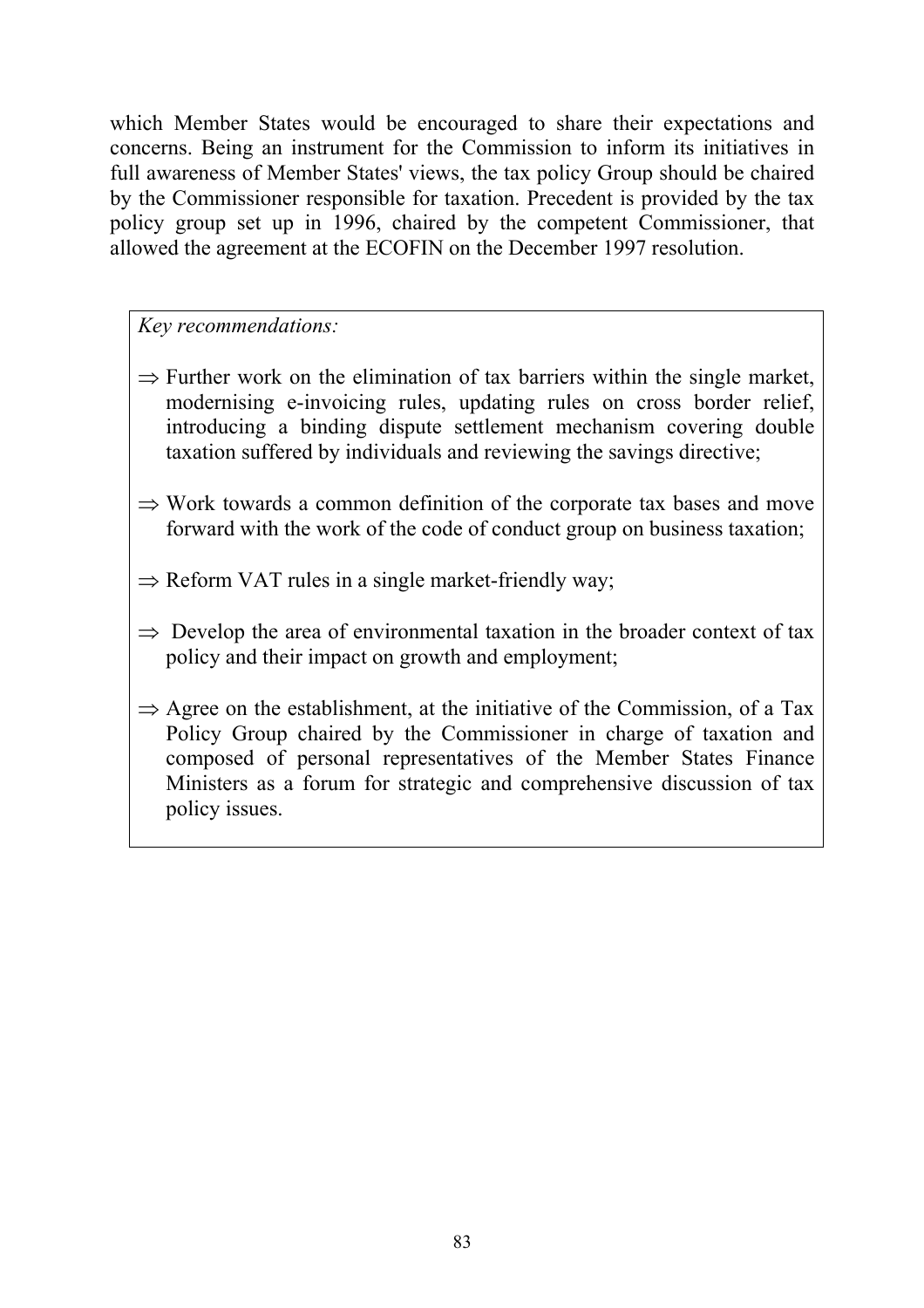which Member States would be encouraged to share their expectations and concerns. Being an instrument for the Commission to inform its initiatives in full awareness of Member States' views, the tax policy Group should be chaired by the Commissioner responsible for taxation. Precedent is provided by the tax policy group set up in 1996, chaired by the competent Commissioner, that allowed the agreement at the ECOFIN on the December 1997 resolution.

- $\Rightarrow$  Further work on the elimination of tax barriers within the single market, modernising e-invoicing rules, updating rules on cross border relief, introducing a binding dispute settlement mechanism covering double taxation suffered by individuals and reviewing the savings directive;
- $\Rightarrow$  Work towards a common definition of the corporate tax bases and move forward with the work of the code of conduct group on business taxation;
- $\Rightarrow$  Reform VAT rules in a single market-friendly way;
- $\Rightarrow$  Develop the area of environmental taxation in the broader context of tax policy and their impact on growth and employment;
- $\Rightarrow$  Agree on the establishment, at the initiative of the Commission, of a Tax Policy Group chaired by the Commissioner in charge of taxation and composed of personal representatives of the Member States Finance Ministers as a forum for strategic and comprehensive discussion of tax policy issues.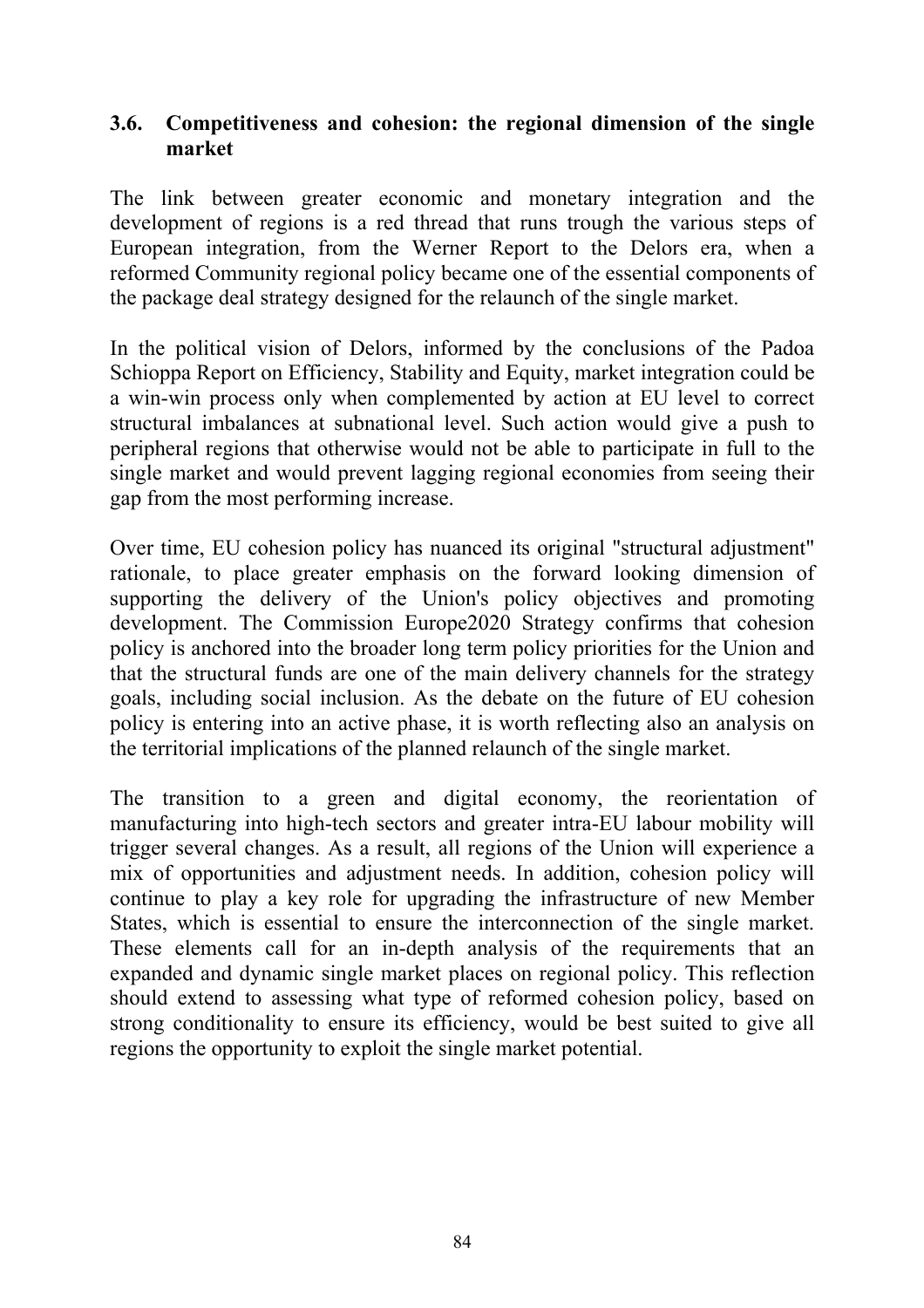#### **3.6. Competitiveness and cohesion: the regional dimension of the single market**

The link between greater economic and monetary integration and the development of regions is a red thread that runs trough the various steps of European integration, from the Werner Report to the Delors era, when a reformed Community regional policy became one of the essential components of the package deal strategy designed for the relaunch of the single market.

In the political vision of Delors, informed by the conclusions of the Padoa Schioppa Report on Efficiency, Stability and Equity, market integration could be a win-win process only when complemented by action at EU level to correct structural imbalances at subnational level. Such action would give a push to peripheral regions that otherwise would not be able to participate in full to the single market and would prevent lagging regional economies from seeing their gap from the most performing increase.

Over time, EU cohesion policy has nuanced its original "structural adjustment" rationale, to place greater emphasis on the forward looking dimension of supporting the delivery of the Union's policy objectives and promoting development. The Commission Europe2020 Strategy confirms that cohesion policy is anchored into the broader long term policy priorities for the Union and that the structural funds are one of the main delivery channels for the strategy goals, including social inclusion. As the debate on the future of EU cohesion policy is entering into an active phase, it is worth reflecting also an analysis on the territorial implications of the planned relaunch of the single market.

The transition to a green and digital economy, the reorientation of manufacturing into high-tech sectors and greater intra-EU labour mobility will trigger several changes. As a result, all regions of the Union will experience a mix of opportunities and adjustment needs. In addition, cohesion policy will continue to play a key role for upgrading the infrastructure of new Member States, which is essential to ensure the interconnection of the single market. These elements call for an in-depth analysis of the requirements that an expanded and dynamic single market places on regional policy. This reflection should extend to assessing what type of reformed cohesion policy, based on strong conditionality to ensure its efficiency, would be best suited to give all regions the opportunity to exploit the single market potential.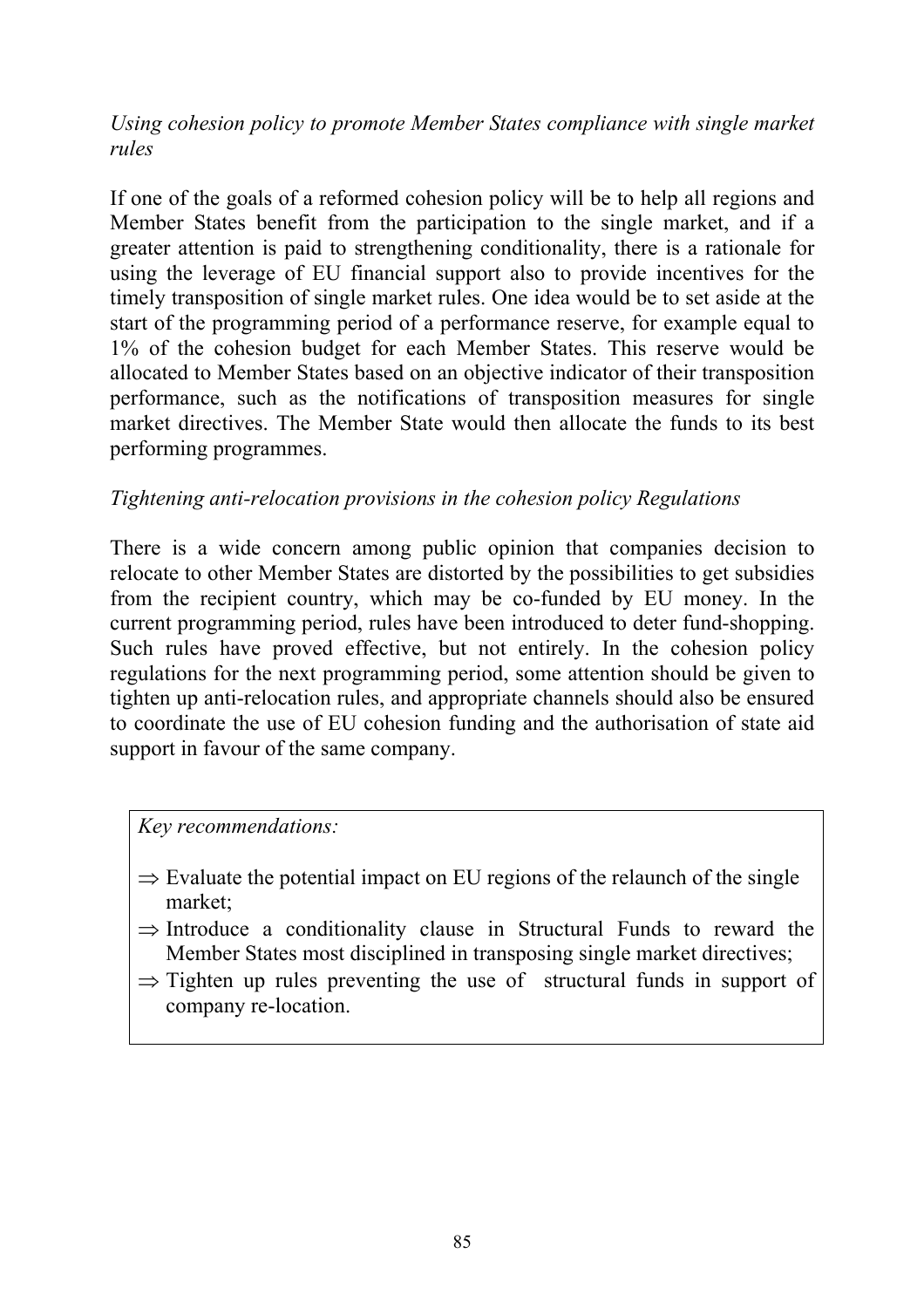#### *Using cohesion policy to promote Member States compliance with single market rules*

If one of the goals of a reformed cohesion policy will be to help all regions and Member States benefit from the participation to the single market, and if a greater attention is paid to strengthening conditionality, there is a rationale for using the leverage of EU financial support also to provide incentives for the timely transposition of single market rules. One idea would be to set aside at the start of the programming period of a performance reserve, for example equal to 1% of the cohesion budget for each Member States. This reserve would be allocated to Member States based on an objective indicator of their transposition performance, such as the notifications of transposition measures for single market directives. The Member State would then allocate the funds to its best performing programmes.

#### *Tightening anti-relocation provisions in the cohesion policy Regulations*

There is a wide concern among public opinion that companies decision to relocate to other Member States are distorted by the possibilities to get subsidies from the recipient country, which may be co-funded by EU money. In the current programming period, rules have been introduced to deter fund-shopping. Such rules have proved effective, but not entirely. In the cohesion policy regulations for the next programming period, some attention should be given to tighten up anti-relocation rules, and appropriate channels should also be ensured to coordinate the use of EU cohesion funding and the authorisation of state aid support in favour of the same company.

- $\Rightarrow$  Evaluate the potential impact on EU regions of the relaunch of the single market;
- $\Rightarrow$  Introduce a conditionality clause in Structural Funds to reward the Member States most disciplined in transposing single market directives;
- $\Rightarrow$  Tighten up rules preventing the use of structural funds in support of company re-location.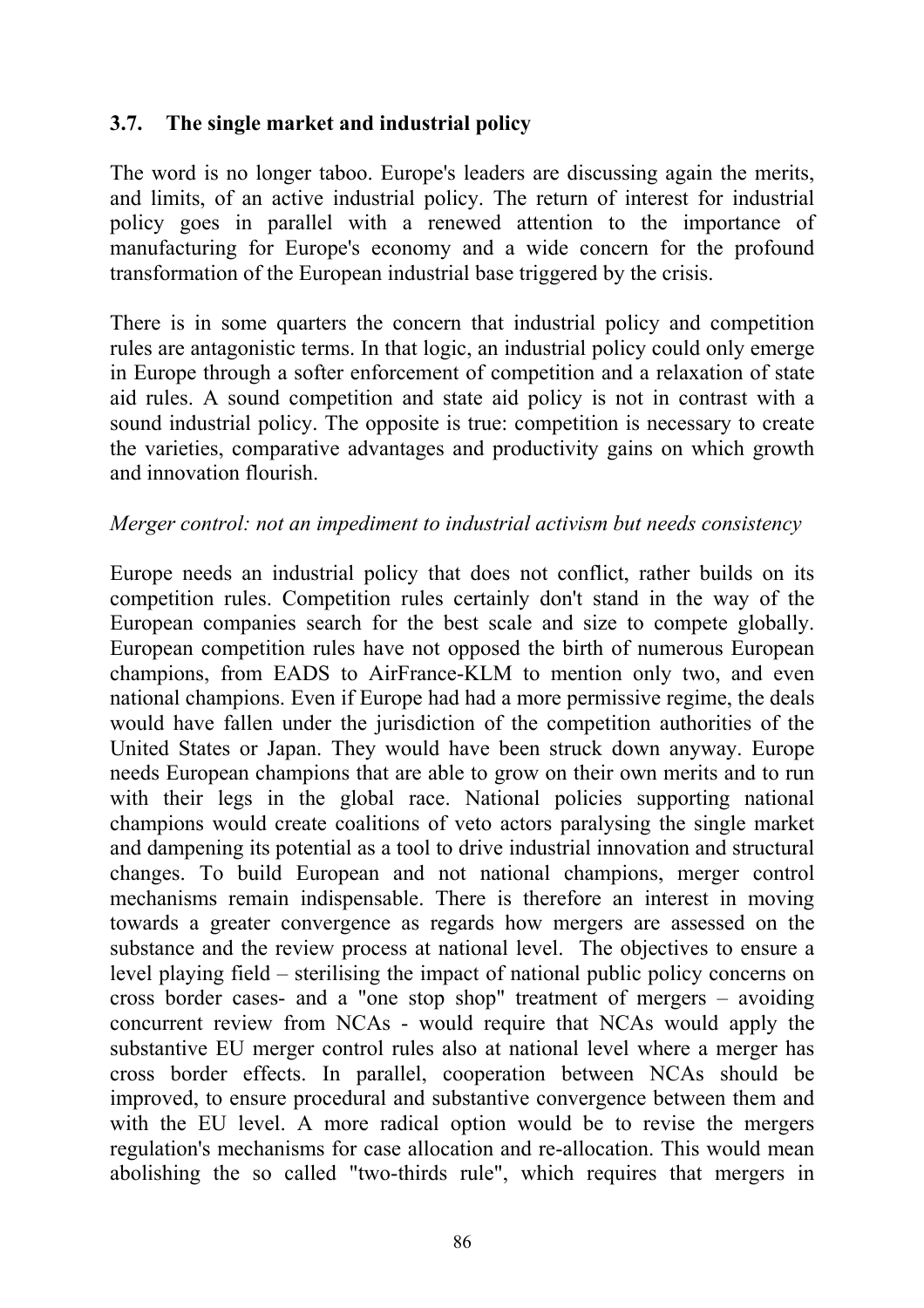#### **3.7. The single market and industrial policy**

The word is no longer taboo. Europe's leaders are discussing again the merits, and limits, of an active industrial policy. The return of interest for industrial policy goes in parallel with a renewed attention to the importance of manufacturing for Europe's economy and a wide concern for the profound transformation of the European industrial base triggered by the crisis.

There is in some quarters the concern that industrial policy and competition rules are antagonistic terms. In that logic, an industrial policy could only emerge in Europe through a softer enforcement of competition and a relaxation of state aid rules. A sound competition and state aid policy is not in contrast with a sound industrial policy. The opposite is true: competition is necessary to create the varieties, comparative advantages and productivity gains on which growth and innovation flourish.

#### *Merger control: not an impediment to industrial activism but needs consistency*

Europe needs an industrial policy that does not conflict, rather builds on its competition rules. Competition rules certainly don't stand in the way of the European companies search for the best scale and size to compete globally. European competition rules have not opposed the birth of numerous European champions, from EADS to AirFrance-KLM to mention only two, and even national champions. Even if Europe had had a more permissive regime, the deals would have fallen under the jurisdiction of the competition authorities of the United States or Japan. They would have been struck down anyway. Europe needs European champions that are able to grow on their own merits and to run with their legs in the global race. National policies supporting national champions would create coalitions of veto actors paralysing the single market and dampening its potential as a tool to drive industrial innovation and structural changes. To build European and not national champions, merger control mechanisms remain indispensable. There is therefore an interest in moving towards a greater convergence as regards how mergers are assessed on the substance and the review process at national level. The objectives to ensure a level playing field – sterilising the impact of national public policy concerns on cross border cases- and a "one stop shop" treatment of mergers – avoiding concurrent review from NCAs - would require that NCAs would apply the substantive EU merger control rules also at national level where a merger has cross border effects. In parallel, cooperation between NCAs should be improved, to ensure procedural and substantive convergence between them and with the EU level. A more radical option would be to revise the mergers regulation's mechanisms for case allocation and re-allocation. This would mean abolishing the so called "two-thirds rule", which requires that mergers in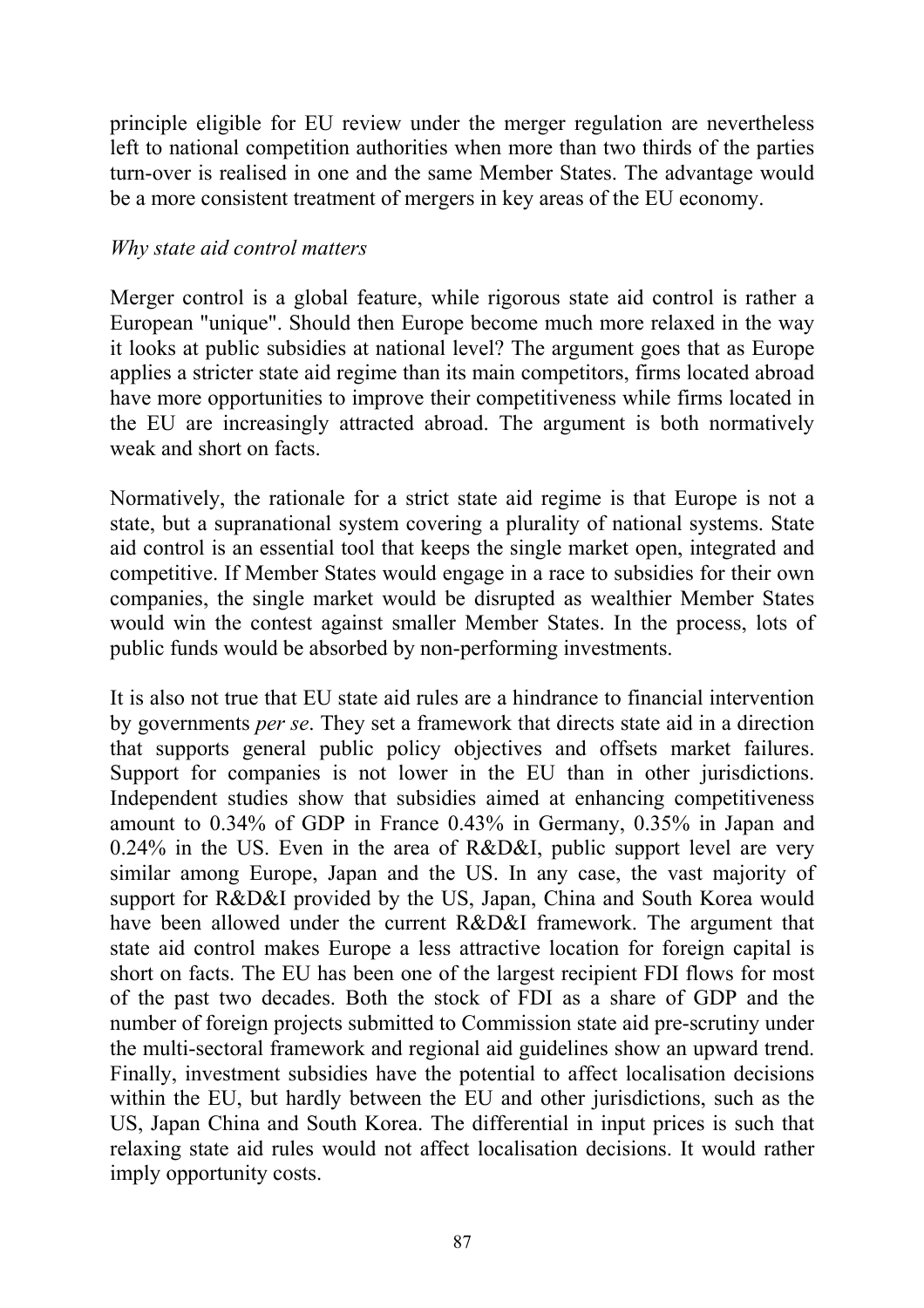principle eligible for EU review under the merger regulation are nevertheless left to national competition authorities when more than two thirds of the parties turn-over is realised in one and the same Member States. The advantage would be a more consistent treatment of mergers in key areas of the EU economy.

#### *Why state aid control matters*

Merger control is a global feature, while rigorous state aid control is rather a European "unique". Should then Europe become much more relaxed in the way it looks at public subsidies at national level? The argument goes that as Europe applies a stricter state aid regime than its main competitors, firms located abroad have more opportunities to improve their competitiveness while firms located in the EU are increasingly attracted abroad. The argument is both normatively weak and short on facts.

Normatively, the rationale for a strict state aid regime is that Europe is not a state, but a supranational system covering a plurality of national systems. State aid control is an essential tool that keeps the single market open, integrated and competitive. If Member States would engage in a race to subsidies for their own companies, the single market would be disrupted as wealthier Member States would win the contest against smaller Member States. In the process, lots of public funds would be absorbed by non-performing investments.

It is also not true that EU state aid rules are a hindrance to financial intervention by governments *per se*. They set a framework that directs state aid in a direction that supports general public policy objectives and offsets market failures. Support for companies is not lower in the EU than in other jurisdictions. Independent studies show that subsidies aimed at enhancing competitiveness amount to 0.34% of GDP in France 0.43% in Germany, 0.35% in Japan and 0.24% in the US. Even in the area of R&D&I, public support level are very similar among Europe, Japan and the US. In any case, the vast majority of support for R&D&I provided by the US, Japan, China and South Korea would have been allowed under the current R&D&I framework. The argument that state aid control makes Europe a less attractive location for foreign capital is short on facts. The EU has been one of the largest recipient FDI flows for most of the past two decades. Both the stock of FDI as a share of GDP and the number of foreign projects submitted to Commission state aid pre-scrutiny under the multi-sectoral framework and regional aid guidelines show an upward trend. Finally, investment subsidies have the potential to affect localisation decisions within the EU, but hardly between the EU and other jurisdictions, such as the US, Japan China and South Korea. The differential in input prices is such that relaxing state aid rules would not affect localisation decisions. It would rather imply opportunity costs.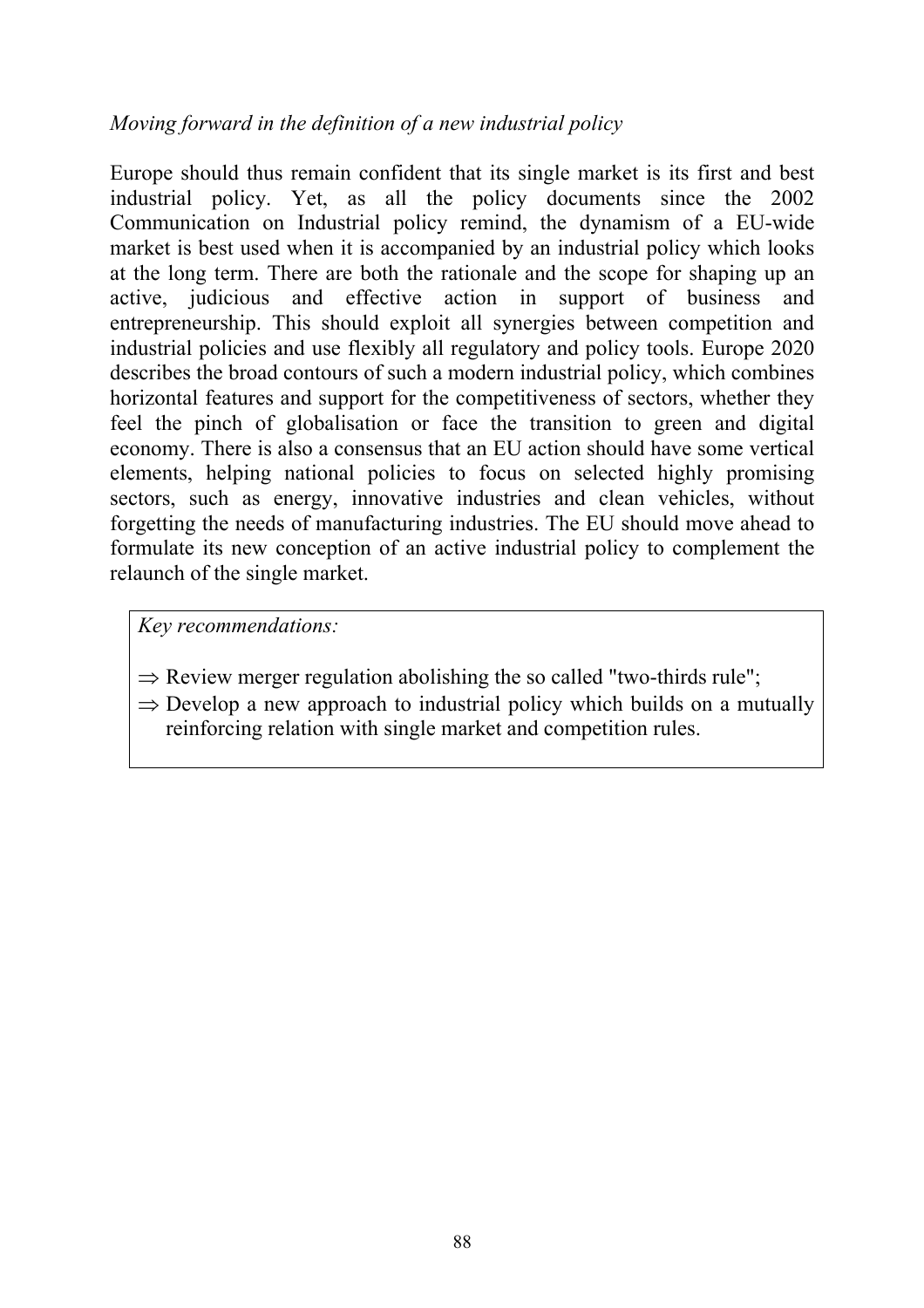#### *Moving forward in the definition of a new industrial policy*

Europe should thus remain confident that its single market is its first and best industrial policy. Yet, as all the policy documents since the 2002 Communication on Industrial policy remind, the dynamism of a EU-wide market is best used when it is accompanied by an industrial policy which looks at the long term. There are both the rationale and the scope for shaping up an active, judicious and effective action in support of business and entrepreneurship. This should exploit all synergies between competition and industrial policies and use flexibly all regulatory and policy tools. Europe 2020 describes the broad contours of such a modern industrial policy, which combines horizontal features and support for the competitiveness of sectors, whether they feel the pinch of globalisation or face the transition to green and digital economy. There is also a consensus that an EU action should have some vertical elements, helping national policies to focus on selected highly promising sectors, such as energy, innovative industries and clean vehicles, without forgetting the needs of manufacturing industries. The EU should move ahead to formulate its new conception of an active industrial policy to complement the relaunch of the single market.

- $\Rightarrow$  Review merger regulation abolishing the so called "two-thirds rule";
- $\Rightarrow$  Develop a new approach to industrial policy which builds on a mutually reinforcing relation with single market and competition rules.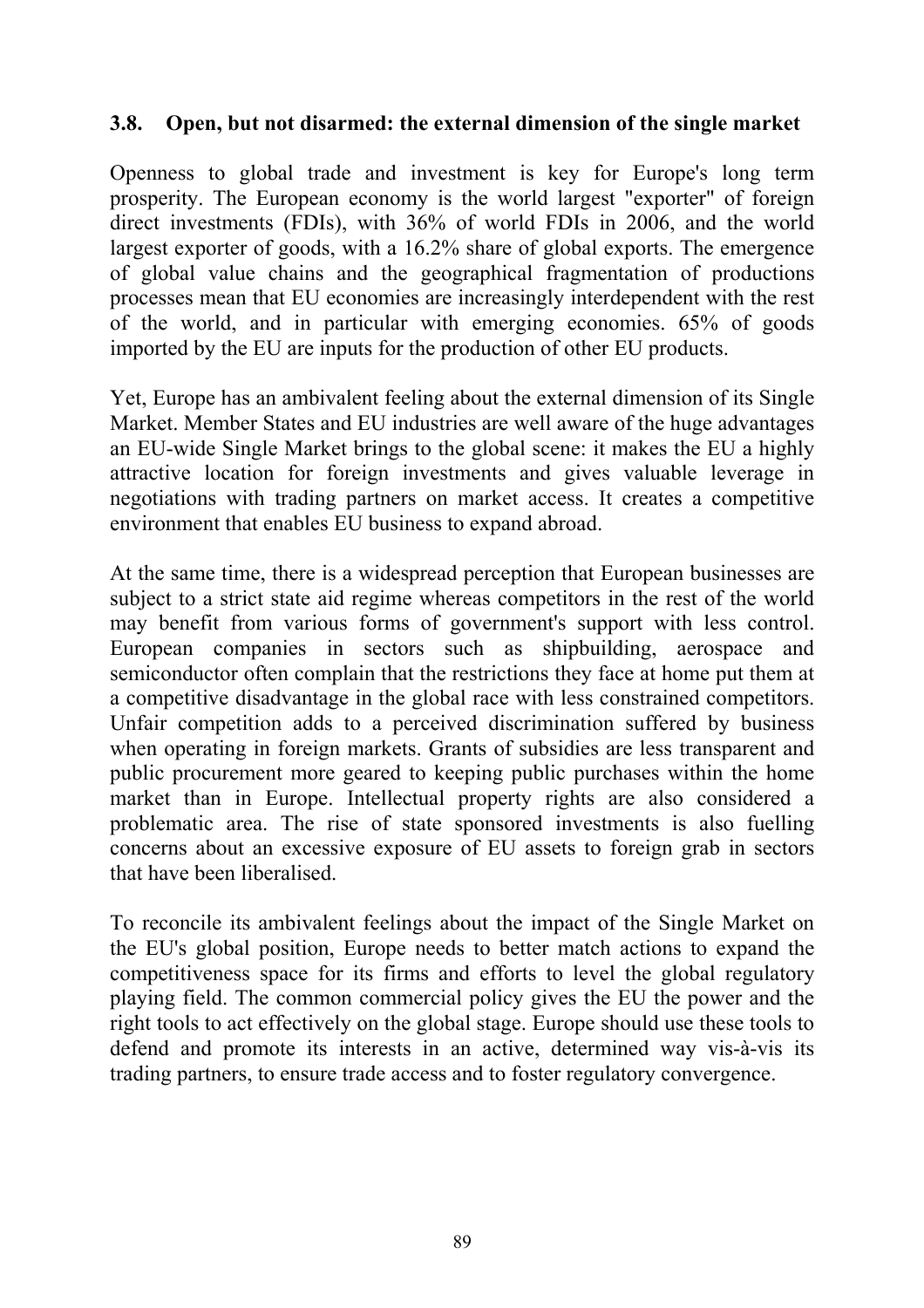#### **3.8. Open, but not disarmed: the external dimension of the single market**

Openness to global trade and investment is key for Europe's long term prosperity. The European economy is the world largest "exporter" of foreign direct investments (FDIs), with 36% of world FDIs in 2006, and the world largest exporter of goods, with a 16.2% share of global exports. The emergence of global value chains and the geographical fragmentation of productions processes mean that EU economies are increasingly interdependent with the rest of the world, and in particular with emerging economies. 65% of goods imported by the EU are inputs for the production of other EU products.

Yet, Europe has an ambivalent feeling about the external dimension of its Single Market. Member States and EU industries are well aware of the huge advantages an EU-wide Single Market brings to the global scene: it makes the EU a highly attractive location for foreign investments and gives valuable leverage in negotiations with trading partners on market access. It creates a competitive environment that enables EU business to expand abroad.

At the same time, there is a widespread perception that European businesses are subject to a strict state aid regime whereas competitors in the rest of the world may benefit from various forms of government's support with less control. European companies in sectors such as shipbuilding, aerospace and semiconductor often complain that the restrictions they face at home put them at a competitive disadvantage in the global race with less constrained competitors. Unfair competition adds to a perceived discrimination suffered by business when operating in foreign markets. Grants of subsidies are less transparent and public procurement more geared to keeping public purchases within the home market than in Europe. Intellectual property rights are also considered a problematic area. The rise of state sponsored investments is also fuelling concerns about an excessive exposure of EU assets to foreign grab in sectors that have been liberalised.

To reconcile its ambivalent feelings about the impact of the Single Market on the EU's global position, Europe needs to better match actions to expand the competitiveness space for its firms and efforts to level the global regulatory playing field. The common commercial policy gives the EU the power and the right tools to act effectively on the global stage. Europe should use these tools to defend and promote its interests in an active, determined way vis-à-vis its trading partners, to ensure trade access and to foster regulatory convergence.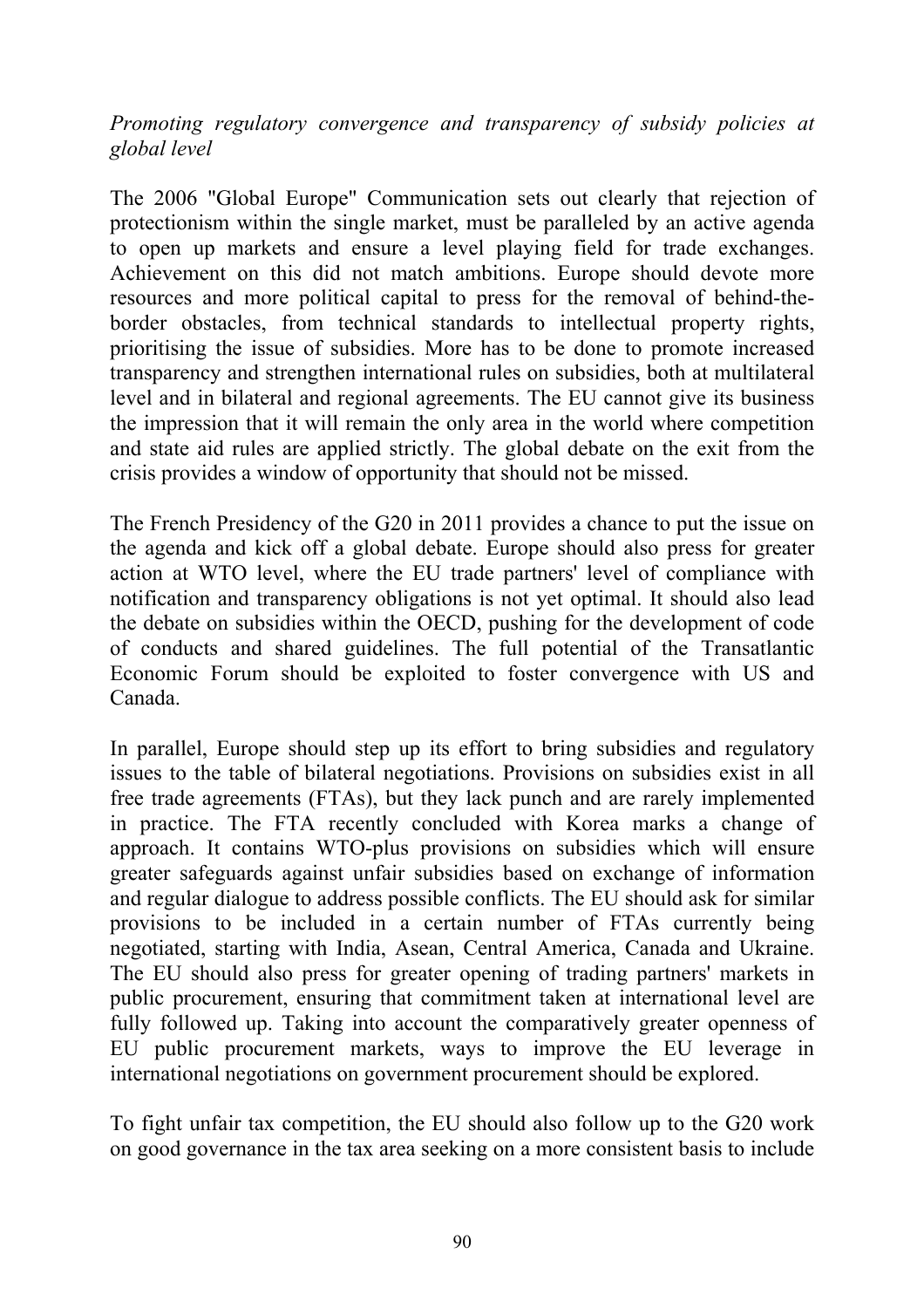*Promoting regulatory convergence and transparency of subsidy policies at global level*

The 2006 "Global Europe" Communication sets out clearly that rejection of protectionism within the single market, must be paralleled by an active agenda to open up markets and ensure a level playing field for trade exchanges. Achievement on this did not match ambitions. Europe should devote more resources and more political capital to press for the removal of behind-theborder obstacles, from technical standards to intellectual property rights, prioritising the issue of subsidies. More has to be done to promote increased transparency and strengthen international rules on subsidies, both at multilateral level and in bilateral and regional agreements. The EU cannot give its business the impression that it will remain the only area in the world where competition and state aid rules are applied strictly. The global debate on the exit from the crisis provides a window of opportunity that should not be missed.

The French Presidency of the G20 in 2011 provides a chance to put the issue on the agenda and kick off a global debate. Europe should also press for greater action at WTO level, where the EU trade partners' level of compliance with notification and transparency obligations is not yet optimal. It should also lead the debate on subsidies within the OECD, pushing for the development of code of conducts and shared guidelines. The full potential of the Transatlantic Economic Forum should be exploited to foster convergence with US and Canada.

In parallel, Europe should step up its effort to bring subsidies and regulatory issues to the table of bilateral negotiations. Provisions on subsidies exist in all free trade agreements (FTAs), but they lack punch and are rarely implemented in practice. The FTA recently concluded with Korea marks a change of approach. It contains WTO-plus provisions on subsidies which will ensure greater safeguards against unfair subsidies based on exchange of information and regular dialogue to address possible conflicts. The EU should ask for similar provisions to be included in a certain number of FTAs currently being negotiated, starting with India, Asean, Central America, Canada and Ukraine. The EU should also press for greater opening of trading partners' markets in public procurement, ensuring that commitment taken at international level are fully followed up. Taking into account the comparatively greater openness of EU public procurement markets, ways to improve the EU leverage in international negotiations on government procurement should be explored.

To fight unfair tax competition, the EU should also follow up to the G20 work on good governance in the tax area seeking on a more consistent basis to include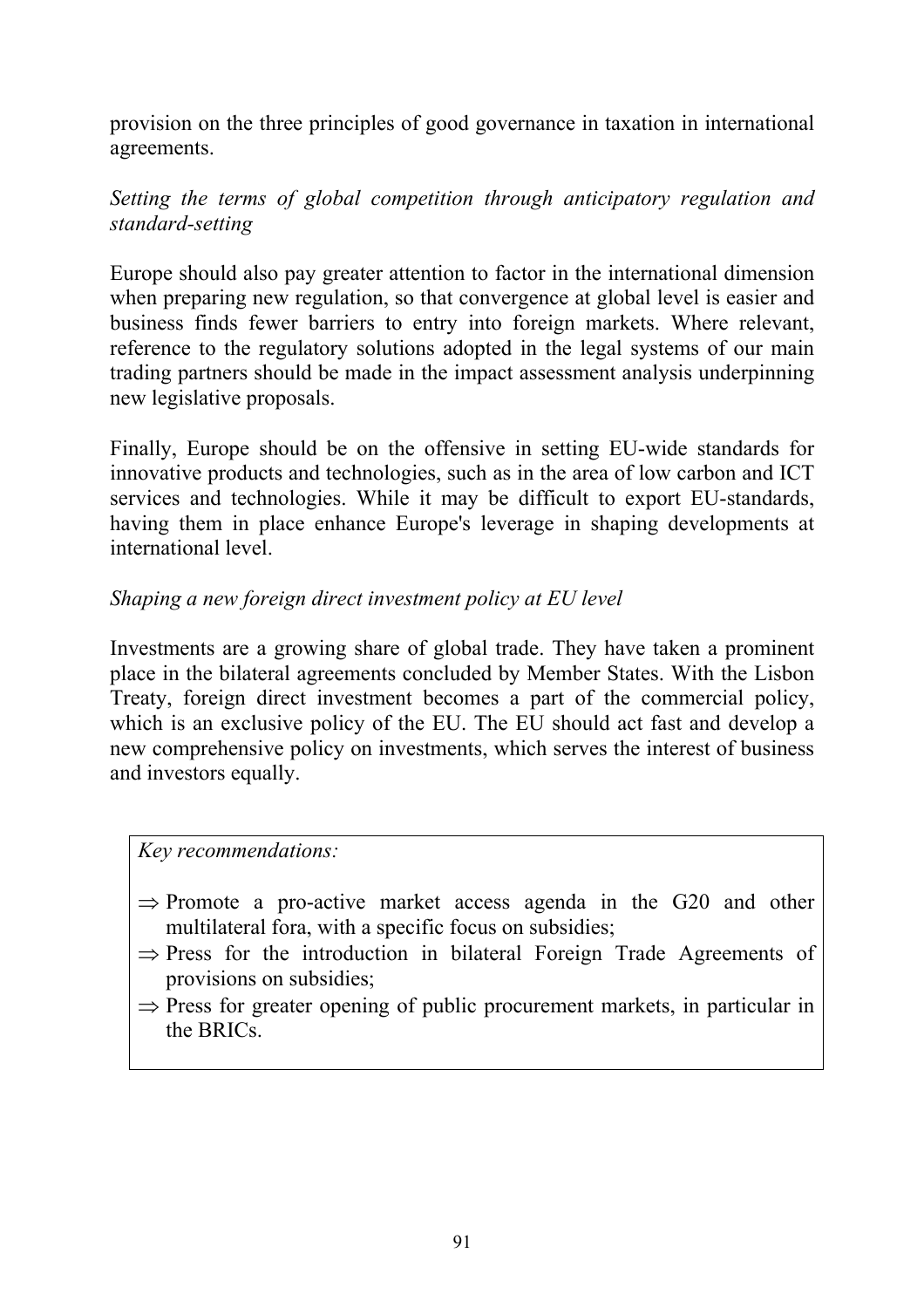provision on the three principles of good governance in taxation in international agreements.

*Setting the terms of global competition through anticipatory regulation and standard-setting* 

Europe should also pay greater attention to factor in the international dimension when preparing new regulation, so that convergence at global level is easier and business finds fewer barriers to entry into foreign markets. Where relevant, reference to the regulatory solutions adopted in the legal systems of our main trading partners should be made in the impact assessment analysis underpinning new legislative proposals.

Finally, Europe should be on the offensive in setting EU-wide standards for innovative products and technologies, such as in the area of low carbon and ICT services and technologies. While it may be difficult to export EU-standards, having them in place enhance Europe's leverage in shaping developments at international level.

#### *Shaping a new foreign direct investment policy at EU level*

Investments are a growing share of global trade. They have taken a prominent place in the bilateral agreements concluded by Member States. With the Lisbon Treaty, foreign direct investment becomes a part of the commercial policy, which is an exclusive policy of the EU. The EU should act fast and develop a new comprehensive policy on investments, which serves the interest of business and investors equally.

- $\Rightarrow$  Promote a pro-active market access agenda in the G20 and other multilateral fora, with a specific focus on subsidies;
- $\Rightarrow$  Press for the introduction in bilateral Foreign Trade Agreements of provisions on subsidies;
- $\Rightarrow$  Press for greater opening of public procurement markets, in particular in the BRICs.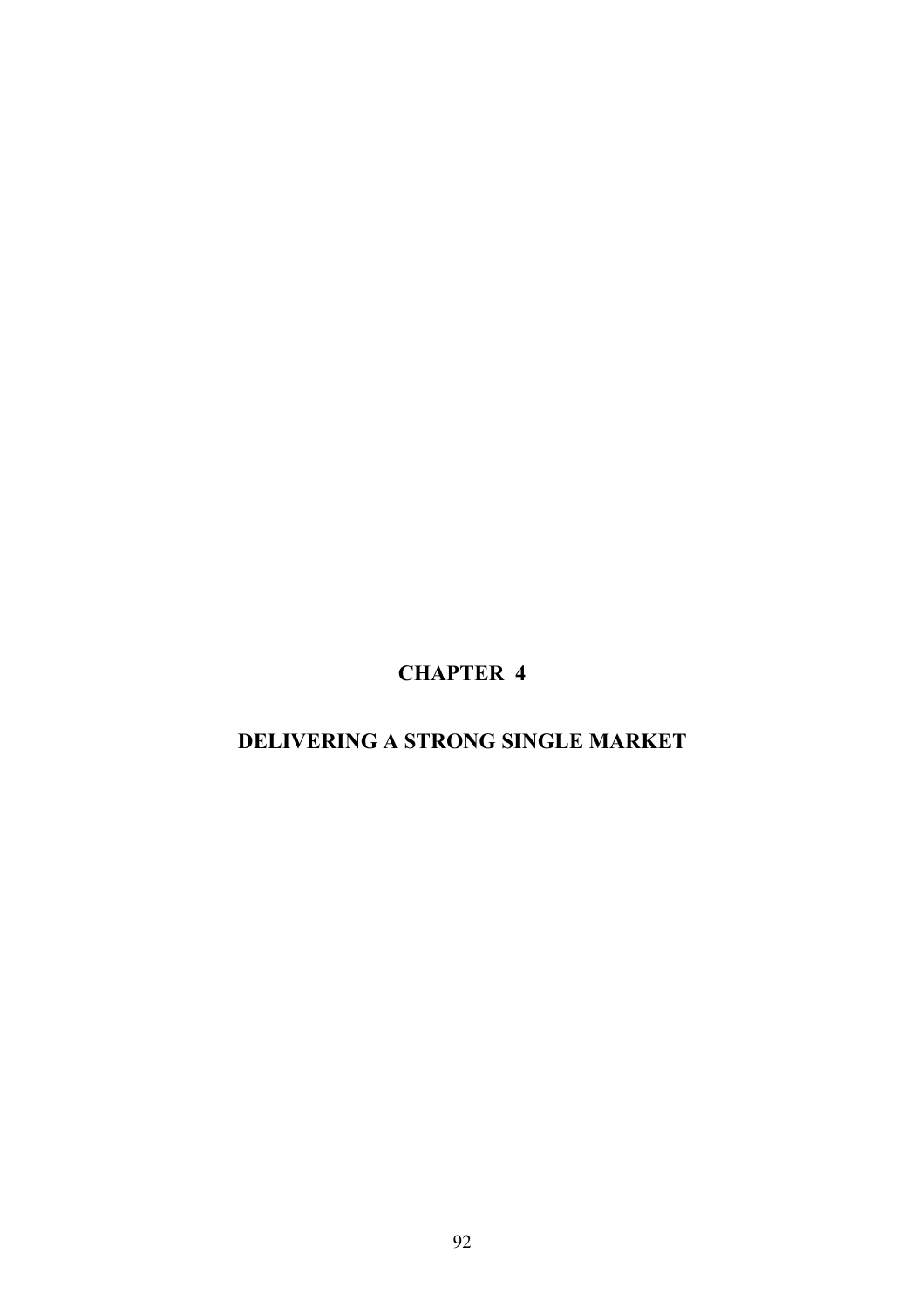# **CHAPTER 4**

# **DELIVERING A STRONG SINGLE MARKET**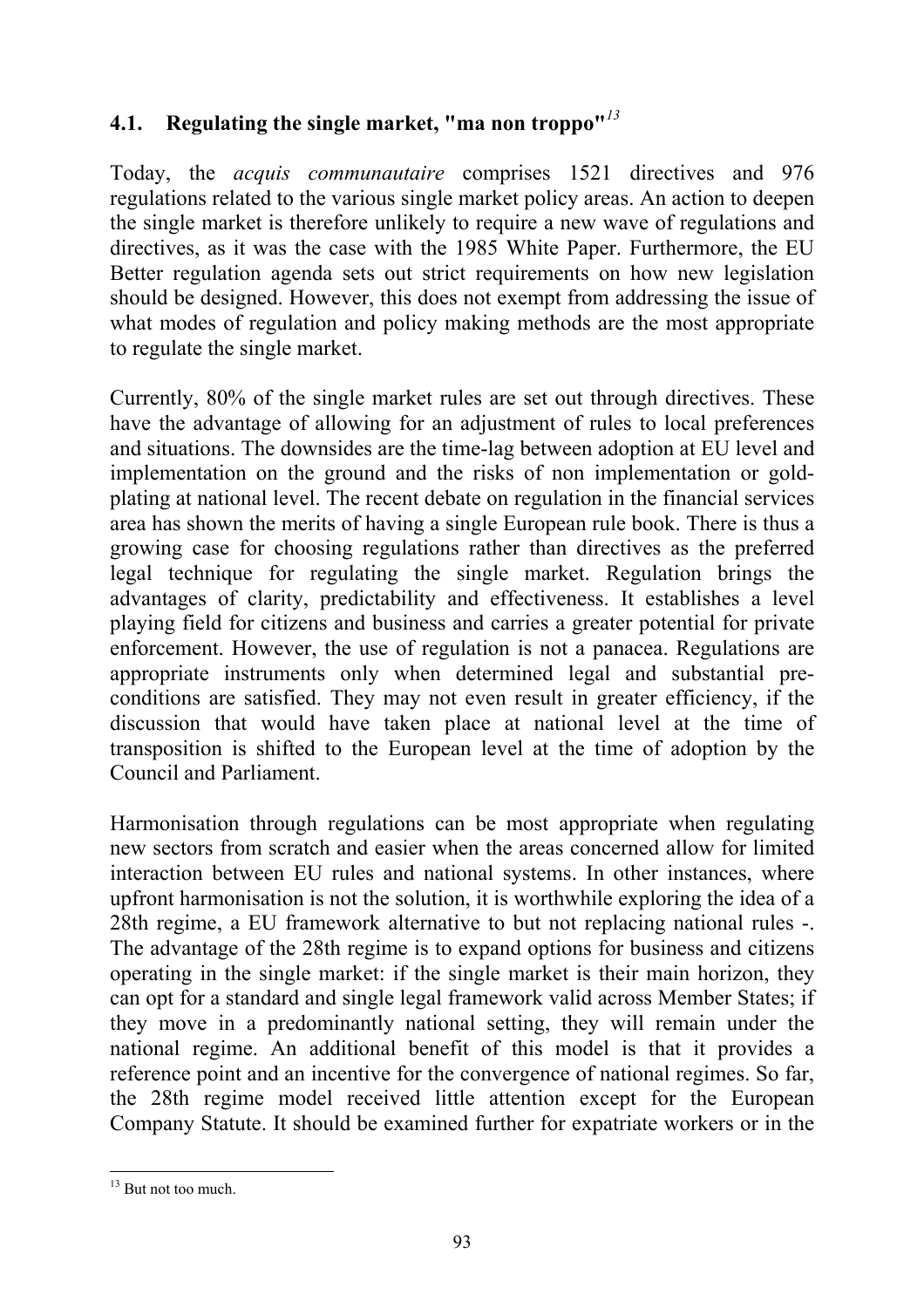### **4.1. Regulating the single market, "ma non troppo"***<sup>13</sup>*

Today, the *acquis communautaire* comprises 1521 directives and 976 regulations related to the various single market policy areas. An action to deepen the single market is therefore unlikely to require a new wave of regulations and directives, as it was the case with the 1985 White Paper. Furthermore, the EU Better regulation agenda sets out strict requirements on how new legislation should be designed. However, this does not exempt from addressing the issue of what modes of regulation and policy making methods are the most appropriate to regulate the single market.

Currently, 80% of the single market rules are set out through directives. These have the advantage of allowing for an adjustment of rules to local preferences and situations. The downsides are the time-lag between adoption at EU level and implementation on the ground and the risks of non implementation or goldplating at national level. The recent debate on regulation in the financial services area has shown the merits of having a single European rule book. There is thus a growing case for choosing regulations rather than directives as the preferred legal technique for regulating the single market. Regulation brings the advantages of clarity, predictability and effectiveness. It establishes a level playing field for citizens and business and carries a greater potential for private enforcement. However, the use of regulation is not a panacea. Regulations are appropriate instruments only when determined legal and substantial preconditions are satisfied. They may not even result in greater efficiency, if the discussion that would have taken place at national level at the time of transposition is shifted to the European level at the time of adoption by the Council and Parliament.

Harmonisation through regulations can be most appropriate when regulating new sectors from scratch and easier when the areas concerned allow for limited interaction between EU rules and national systems. In other instances, where upfront harmonisation is not the solution, it is worthwhile exploring the idea of a 28th regime, a EU framework alternative to but not replacing national rules -. The advantage of the 28th regime is to expand options for business and citizens operating in the single market: if the single market is their main horizon, they can opt for a standard and single legal framework valid across Member States; if they move in a predominantly national setting, they will remain under the national regime. An additional benefit of this model is that it provides a reference point and an incentive for the convergence of national regimes. So far, the 28th regime model received little attention except for the European Company Statute. It should be examined further for expatriate workers or in the

<sup>1</sup> <sup>13</sup> But not too much.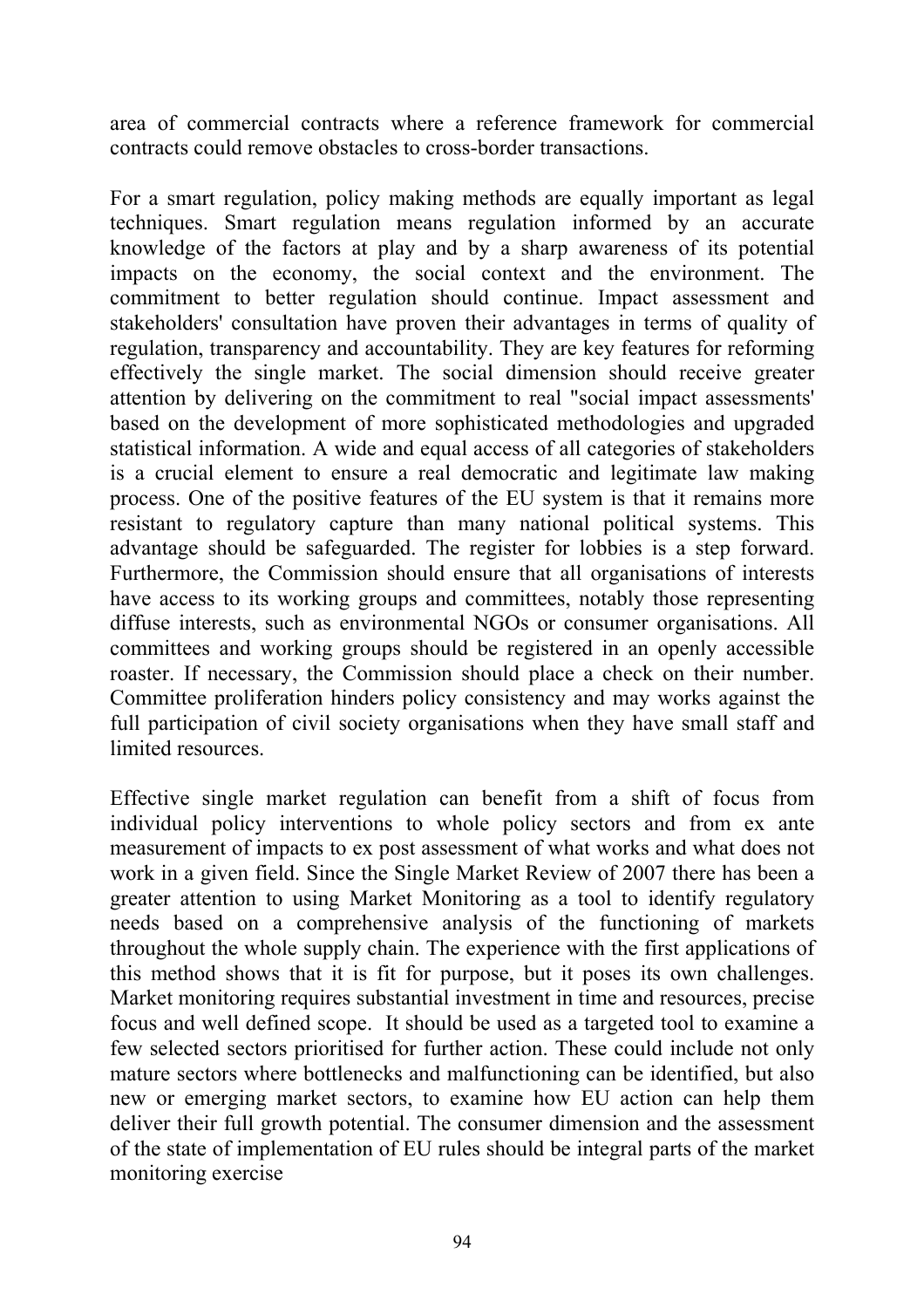area of commercial contracts where a reference framework for commercial contracts could remove obstacles to cross-border transactions.

For a smart regulation, policy making methods are equally important as legal techniques. Smart regulation means regulation informed by an accurate knowledge of the factors at play and by a sharp awareness of its potential impacts on the economy, the social context and the environment. The commitment to better regulation should continue. Impact assessment and stakeholders' consultation have proven their advantages in terms of quality of regulation, transparency and accountability. They are key features for reforming effectively the single market. The social dimension should receive greater attention by delivering on the commitment to real "social impact assessments' based on the development of more sophisticated methodologies and upgraded statistical information. A wide and equal access of all categories of stakeholders is a crucial element to ensure a real democratic and legitimate law making process. One of the positive features of the EU system is that it remains more resistant to regulatory capture than many national political systems. This advantage should be safeguarded. The register for lobbies is a step forward. Furthermore, the Commission should ensure that all organisations of interests have access to its working groups and committees, notably those representing diffuse interests, such as environmental NGOs or consumer organisations. All committees and working groups should be registered in an openly accessible roaster. If necessary, the Commission should place a check on their number. Committee proliferation hinders policy consistency and may works against the full participation of civil society organisations when they have small staff and limited resources.

Effective single market regulation can benefit from a shift of focus from individual policy interventions to whole policy sectors and from ex ante measurement of impacts to ex post assessment of what works and what does not work in a given field. Since the Single Market Review of 2007 there has been a greater attention to using Market Monitoring as a tool to identify regulatory needs based on a comprehensive analysis of the functioning of markets throughout the whole supply chain. The experience with the first applications of this method shows that it is fit for purpose, but it poses its own challenges. Market monitoring requires substantial investment in time and resources, precise focus and well defined scope. It should be used as a targeted tool to examine a few selected sectors prioritised for further action. These could include not only mature sectors where bottlenecks and malfunctioning can be identified, but also new or emerging market sectors, to examine how EU action can help them deliver their full growth potential. The consumer dimension and the assessment of the state of implementation of EU rules should be integral parts of the market monitoring exercise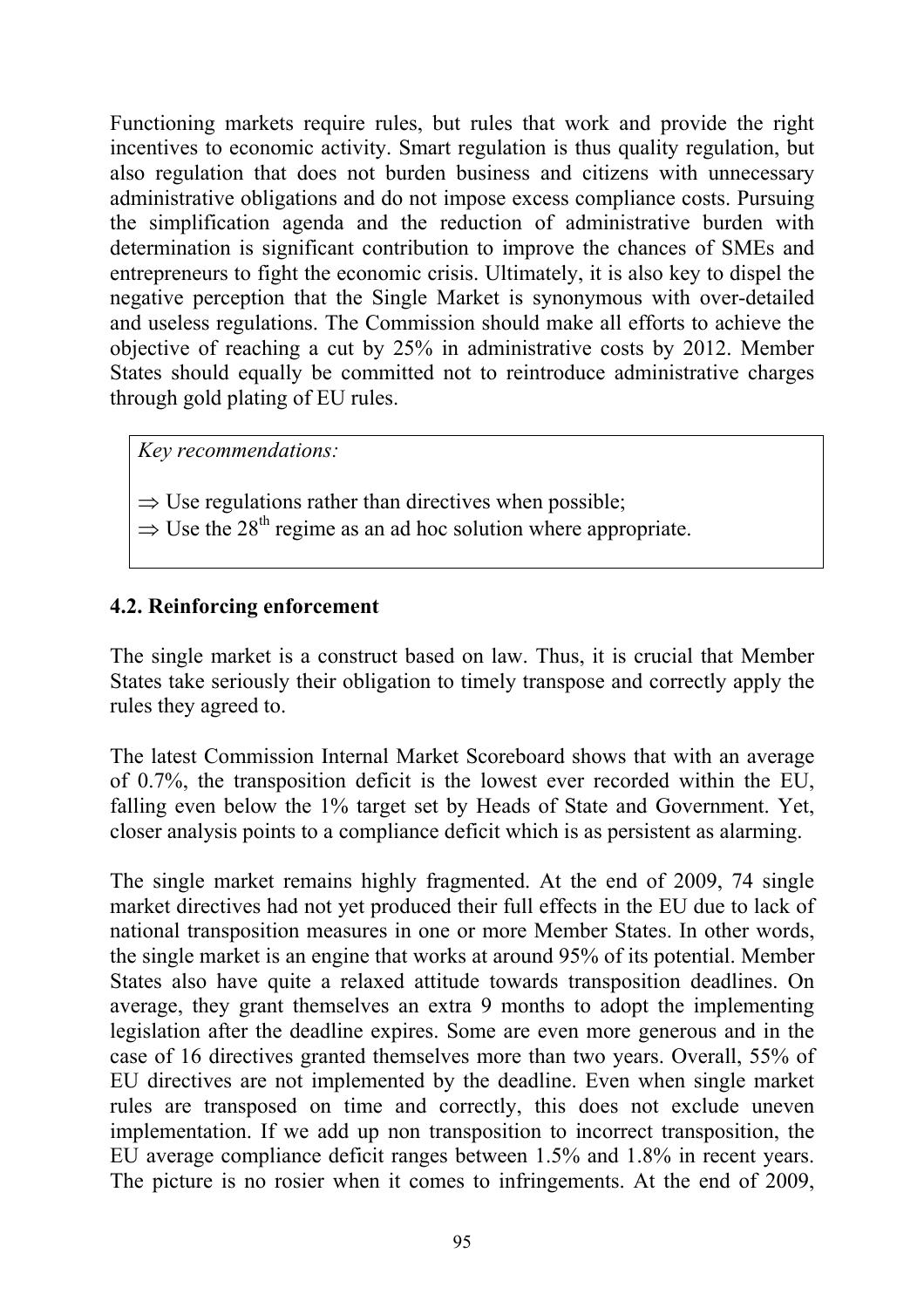Functioning markets require rules, but rules that work and provide the right incentives to economic activity. Smart regulation is thus quality regulation, but also regulation that does not burden business and citizens with unnecessary administrative obligations and do not impose excess compliance costs. Pursuing the simplification agenda and the reduction of administrative burden with determination is significant contribution to improve the chances of SMEs and entrepreneurs to fight the economic crisis. Ultimately, it is also key to dispel the negative perception that the Single Market is synonymous with over-detailed and useless regulations. The Commission should make all efforts to achieve the objective of reaching a cut by 25% in administrative costs by 2012. Member States should equally be committed not to reintroduce administrative charges through gold plating of EU rules.

*Key recommendations:* 

- $\Rightarrow$  Use regulations rather than directives when possible;
- $\Rightarrow$  Use the 28<sup>th</sup> regime as an ad hoc solution where appropriate.

### **4.2. Reinforcing enforcement**

The single market is a construct based on law. Thus, it is crucial that Member States take seriously their obligation to timely transpose and correctly apply the rules they agreed to.

The latest Commission Internal Market Scoreboard shows that with an average of 0.7%, the transposition deficit is the lowest ever recorded within the EU, falling even below the 1% target set by Heads of State and Government. Yet, closer analysis points to a compliance deficit which is as persistent as alarming.

The single market remains highly fragmented. At the end of 2009, 74 single market directives had not yet produced their full effects in the EU due to lack of national transposition measures in one or more Member States. In other words, the single market is an engine that works at around 95% of its potential. Member States also have quite a relaxed attitude towards transposition deadlines. On average, they grant themselves an extra 9 months to adopt the implementing legislation after the deadline expires. Some are even more generous and in the case of 16 directives granted themselves more than two years. Overall, 55% of EU directives are not implemented by the deadline. Even when single market rules are transposed on time and correctly, this does not exclude uneven implementation. If we add up non transposition to incorrect transposition, the EU average compliance deficit ranges between 1.5% and 1.8% in recent years. The picture is no rosier when it comes to infringements. At the end of 2009,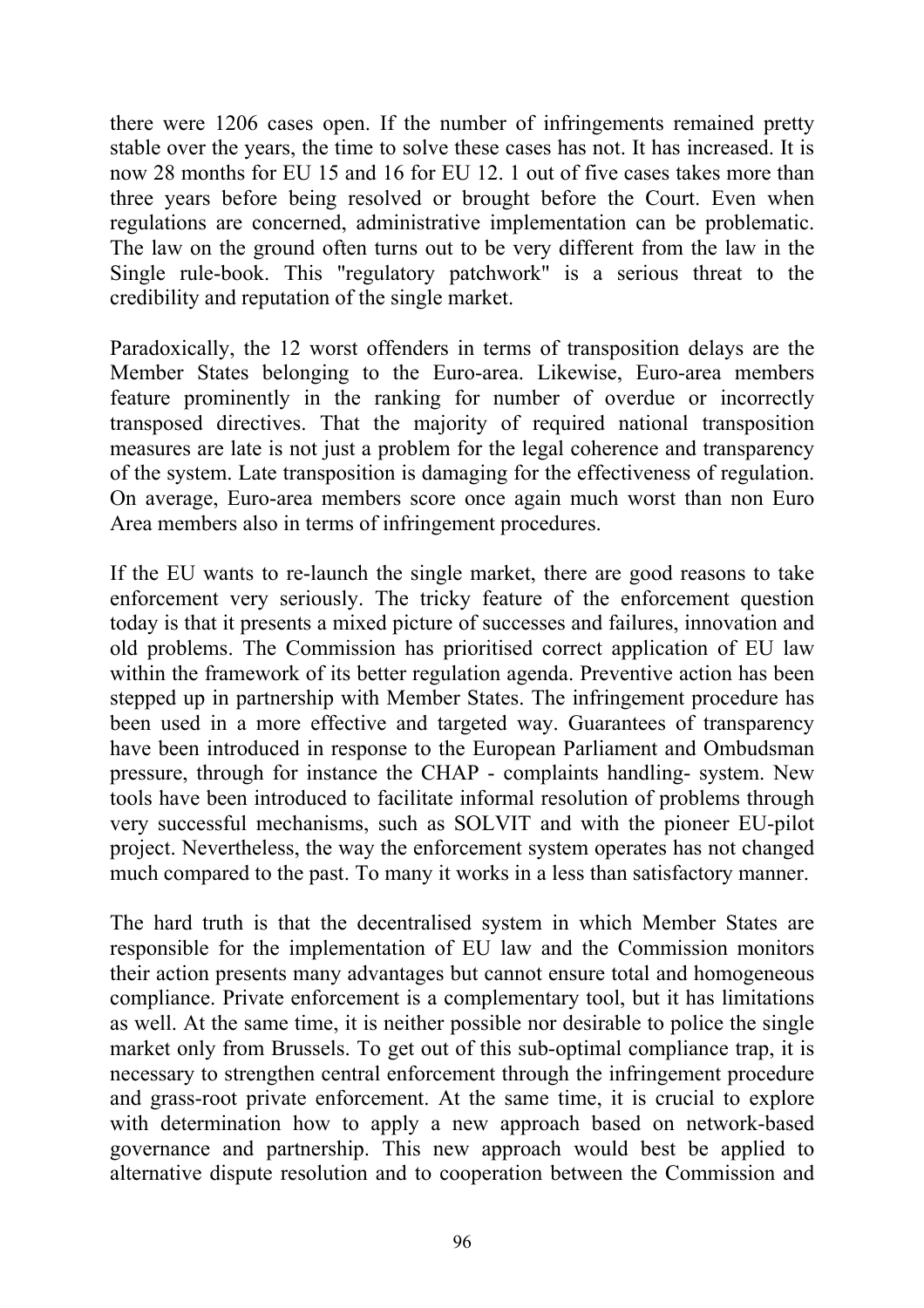there were 1206 cases open. If the number of infringements remained pretty stable over the years, the time to solve these cases has not. It has increased. It is now 28 months for EU 15 and 16 for EU 12. 1 out of five cases takes more than three years before being resolved or brought before the Court. Even when regulations are concerned, administrative implementation can be problematic. The law on the ground often turns out to be very different from the law in the Single rule-book. This "regulatory patchwork" is a serious threat to the credibility and reputation of the single market.

Paradoxically, the 12 worst offenders in terms of transposition delays are the Member States belonging to the Euro-area. Likewise, Euro-area members feature prominently in the ranking for number of overdue or incorrectly transposed directives. That the majority of required national transposition measures are late is not just a problem for the legal coherence and transparency of the system. Late transposition is damaging for the effectiveness of regulation. On average, Euro-area members score once again much worst than non Euro Area members also in terms of infringement procedures.

If the EU wants to re-launch the single market, there are good reasons to take enforcement very seriously. The tricky feature of the enforcement question today is that it presents a mixed picture of successes and failures, innovation and old problems. The Commission has prioritised correct application of EU law within the framework of its better regulation agenda. Preventive action has been stepped up in partnership with Member States. The infringement procedure has been used in a more effective and targeted way. Guarantees of transparency have been introduced in response to the European Parliament and Ombudsman pressure, through for instance the CHAP - complaints handling- system. New tools have been introduced to facilitate informal resolution of problems through very successful mechanisms, such as SOLVIT and with the pioneer EU-pilot project. Nevertheless, the way the enforcement system operates has not changed much compared to the past. To many it works in a less than satisfactory manner.

The hard truth is that the decentralised system in which Member States are responsible for the implementation of EU law and the Commission monitors their action presents many advantages but cannot ensure total and homogeneous compliance. Private enforcement is a complementary tool, but it has limitations as well. At the same time, it is neither possible nor desirable to police the single market only from Brussels. To get out of this sub-optimal compliance trap, it is necessary to strengthen central enforcement through the infringement procedure and grass-root private enforcement. At the same time, it is crucial to explore with determination how to apply a new approach based on network-based governance and partnership. This new approach would best be applied to alternative dispute resolution and to cooperation between the Commission and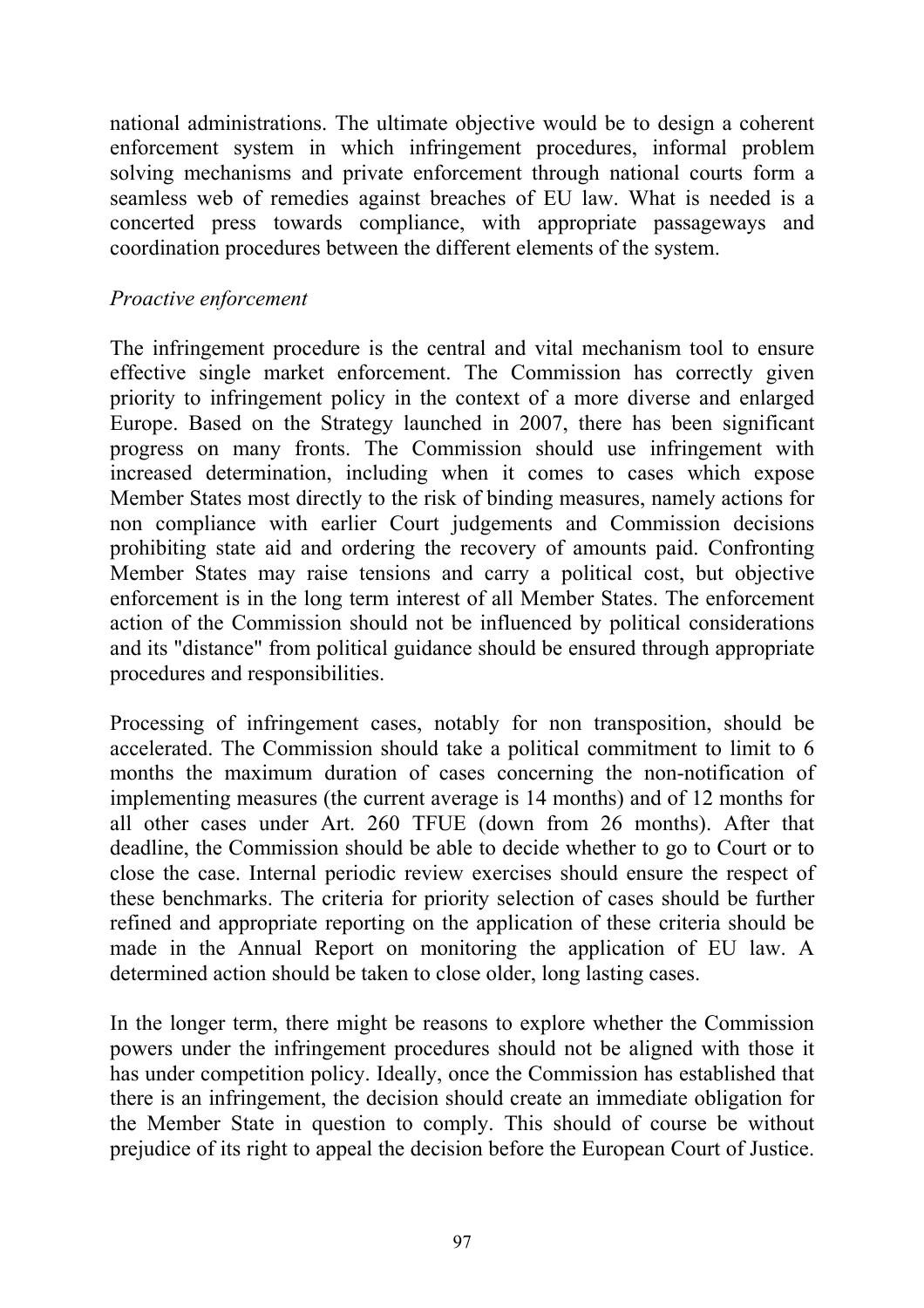national administrations. The ultimate objective would be to design a coherent enforcement system in which infringement procedures, informal problem solving mechanisms and private enforcement through national courts form a seamless web of remedies against breaches of EU law. What is needed is a concerted press towards compliance, with appropriate passageways and coordination procedures between the different elements of the system.

#### *Proactive enforcement*

The infringement procedure is the central and vital mechanism tool to ensure effective single market enforcement. The Commission has correctly given priority to infringement policy in the context of a more diverse and enlarged Europe. Based on the Strategy launched in 2007, there has been significant progress on many fronts. The Commission should use infringement with increased determination, including when it comes to cases which expose Member States most directly to the risk of binding measures, namely actions for non compliance with earlier Court judgements and Commission decisions prohibiting state aid and ordering the recovery of amounts paid. Confronting Member States may raise tensions and carry a political cost, but objective enforcement is in the long term interest of all Member States. The enforcement action of the Commission should not be influenced by political considerations and its "distance" from political guidance should be ensured through appropriate procedures and responsibilities.

Processing of infringement cases, notably for non transposition, should be accelerated. The Commission should take a political commitment to limit to 6 months the maximum duration of cases concerning the non-notification of implementing measures (the current average is 14 months) and of 12 months for all other cases under Art. 260 TFUE (down from 26 months). After that deadline, the Commission should be able to decide whether to go to Court or to close the case. Internal periodic review exercises should ensure the respect of these benchmarks. The criteria for priority selection of cases should be further refined and appropriate reporting on the application of these criteria should be made in the Annual Report on monitoring the application of EU law. A determined action should be taken to close older, long lasting cases.

In the longer term, there might be reasons to explore whether the Commission powers under the infringement procedures should not be aligned with those it has under competition policy. Ideally, once the Commission has established that there is an infringement, the decision should create an immediate obligation for the Member State in question to comply. This should of course be without prejudice of its right to appeal the decision before the European Court of Justice.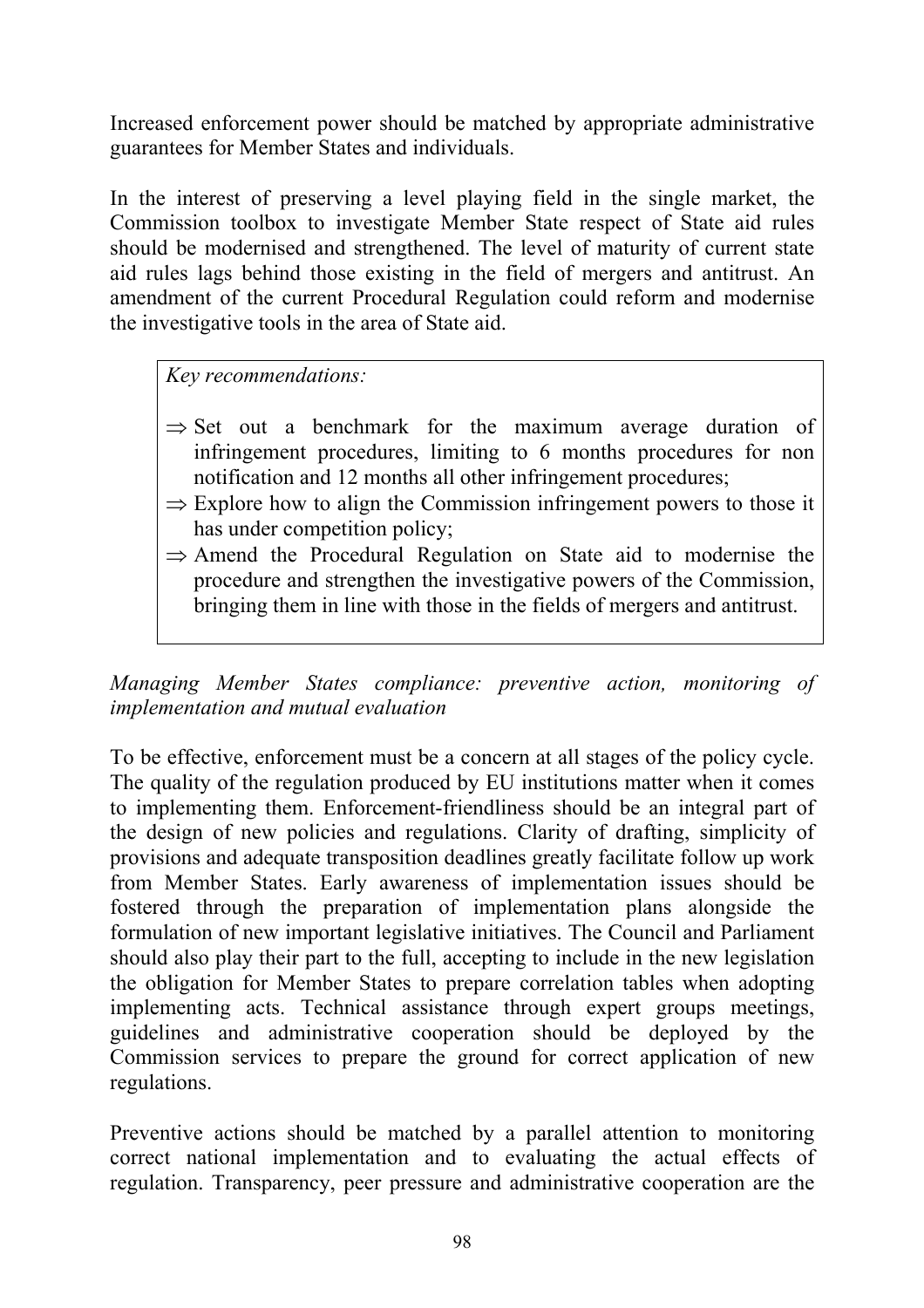Increased enforcement power should be matched by appropriate administrative guarantees for Member States and individuals.

In the interest of preserving a level playing field in the single market, the Commission toolbox to investigate Member State respect of State aid rules should be modernised and strengthened. The level of maturity of current state aid rules lags behind those existing in the field of mergers and antitrust. An amendment of the current Procedural Regulation could reform and modernise the investigative tools in the area of State aid.

*Key recommendations:* 

- $\Rightarrow$  Set out a benchmark for the maximum average duration of infringement procedures, limiting to 6 months procedures for non notification and 12 months all other infringement procedures;
- $\Rightarrow$  Explore how to align the Commission infringement powers to those it has under competition policy;
- $\Rightarrow$  Amend the Procedural Regulation on State aid to modernise the procedure and strengthen the investigative powers of the Commission, bringing them in line with those in the fields of mergers and antitrust.

*Managing Member States compliance: preventive action, monitoring of implementation and mutual evaluation* 

To be effective, enforcement must be a concern at all stages of the policy cycle. The quality of the regulation produced by EU institutions matter when it comes to implementing them. Enforcement-friendliness should be an integral part of the design of new policies and regulations. Clarity of drafting, simplicity of provisions and adequate transposition deadlines greatly facilitate follow up work from Member States. Early awareness of implementation issues should be fostered through the preparation of implementation plans alongside the formulation of new important legislative initiatives. The Council and Parliament should also play their part to the full, accepting to include in the new legislation the obligation for Member States to prepare correlation tables when adopting implementing acts. Technical assistance through expert groups meetings, guidelines and administrative cooperation should be deployed by the Commission services to prepare the ground for correct application of new regulations.

Preventive actions should be matched by a parallel attention to monitoring correct national implementation and to evaluating the actual effects of regulation. Transparency, peer pressure and administrative cooperation are the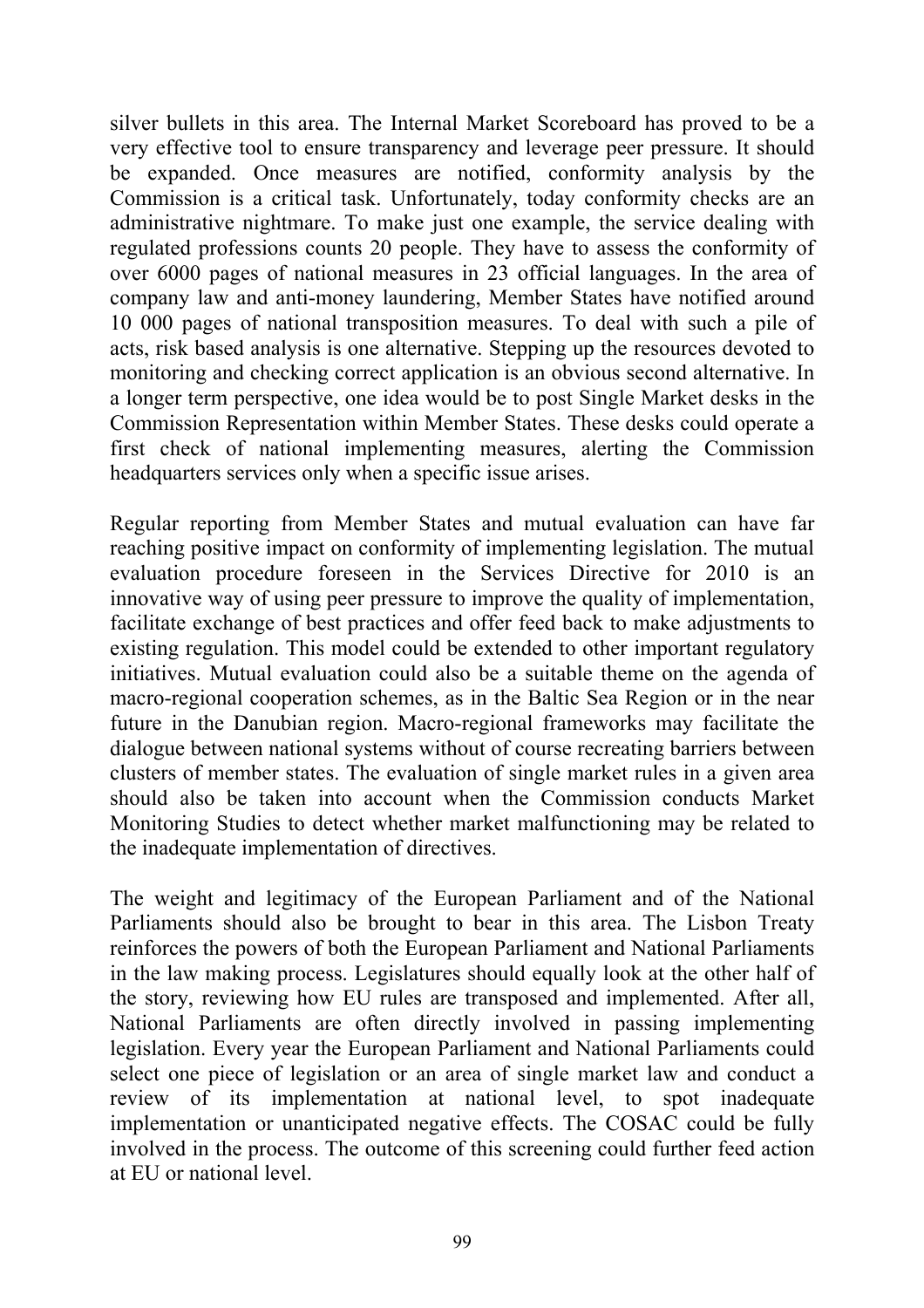silver bullets in this area. The Internal Market Scoreboard has proved to be a very effective tool to ensure transparency and leverage peer pressure. It should be expanded. Once measures are notified, conformity analysis by the Commission is a critical task. Unfortunately, today conformity checks are an administrative nightmare. To make just one example, the service dealing with regulated professions counts 20 people. They have to assess the conformity of over 6000 pages of national measures in 23 official languages. In the area of company law and anti-money laundering, Member States have notified around 10 000 pages of national transposition measures. To deal with such a pile of acts, risk based analysis is one alternative. Stepping up the resources devoted to monitoring and checking correct application is an obvious second alternative. In a longer term perspective, one idea would be to post Single Market desks in the Commission Representation within Member States. These desks could operate a first check of national implementing measures, alerting the Commission headquarters services only when a specific issue arises.

Regular reporting from Member States and mutual evaluation can have far reaching positive impact on conformity of implementing legislation. The mutual evaluation procedure foreseen in the Services Directive for 2010 is an innovative way of using peer pressure to improve the quality of implementation, facilitate exchange of best practices and offer feed back to make adjustments to existing regulation. This model could be extended to other important regulatory initiatives. Mutual evaluation could also be a suitable theme on the agenda of macro-regional cooperation schemes, as in the Baltic Sea Region or in the near future in the Danubian region. Macro-regional frameworks may facilitate the dialogue between national systems without of course recreating barriers between clusters of member states. The evaluation of single market rules in a given area should also be taken into account when the Commission conducts Market Monitoring Studies to detect whether market malfunctioning may be related to the inadequate implementation of directives.

The weight and legitimacy of the European Parliament and of the National Parliaments should also be brought to bear in this area. The Lisbon Treaty reinforces the powers of both the European Parliament and National Parliaments in the law making process. Legislatures should equally look at the other half of the story, reviewing how EU rules are transposed and implemented. After all, National Parliaments are often directly involved in passing implementing legislation. Every year the European Parliament and National Parliaments could select one piece of legislation or an area of single market law and conduct a review of its implementation at national level, to spot inadequate implementation or unanticipated negative effects. The COSAC could be fully involved in the process. The outcome of this screening could further feed action at EU or national level.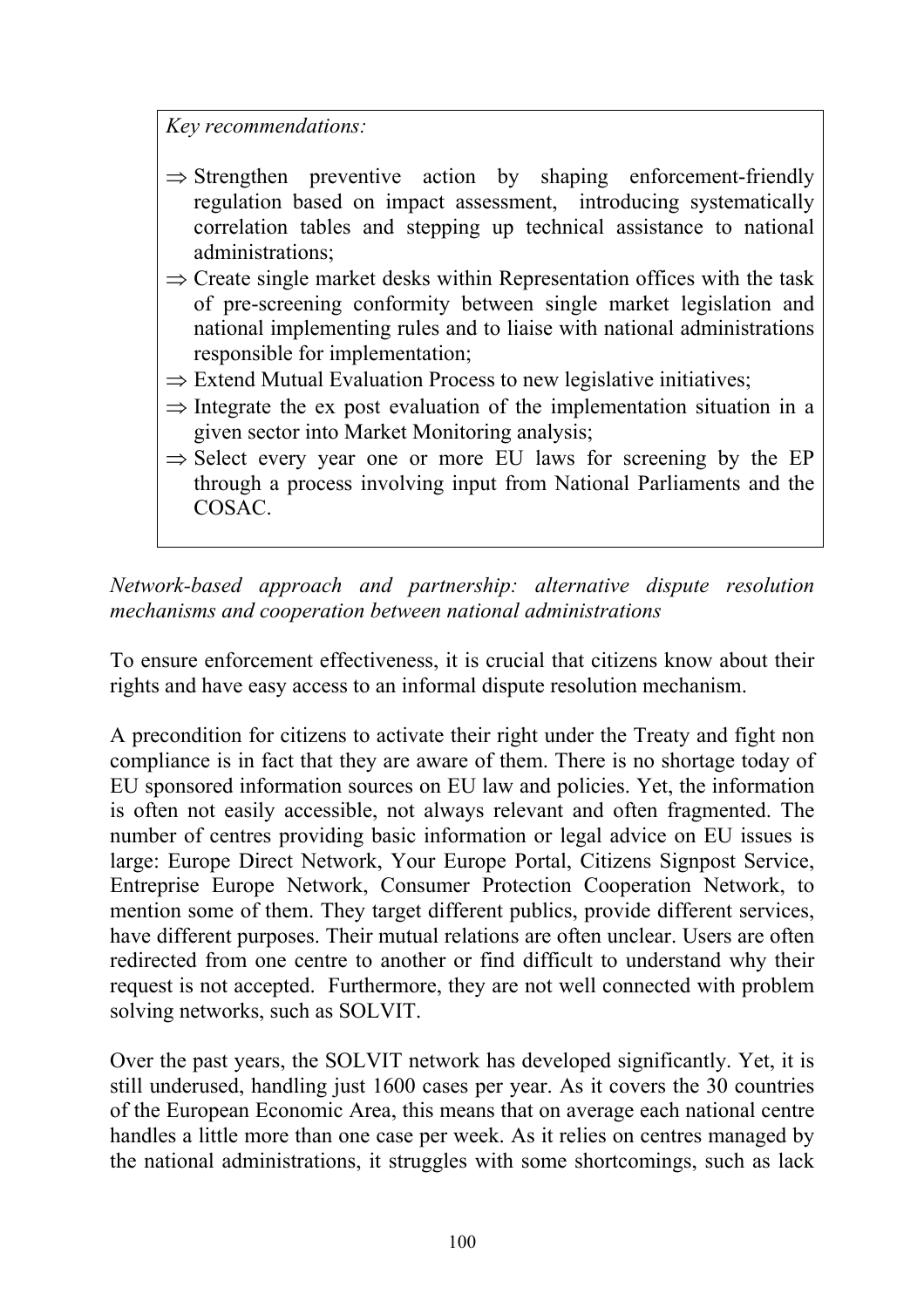*Key recommendations:* 

- $\Rightarrow$  Strengthen preventive action by shaping enforcement-friendly regulation based on impact assessment, introducing systematically correlation tables and stepping up technical assistance to national administrations;
- $\Rightarrow$  Create single market desks within Representation offices with the task of pre-screening conformity between single market legislation and national implementing rules and to liaise with national administrations responsible for implementation;
- $\Rightarrow$  Extend Mutual Evaluation Process to new legislative initiatives;
- $\Rightarrow$  Integrate the ex post evaluation of the implementation situation in a given sector into Market Monitoring analysis;
- $\Rightarrow$  Select every year one or more EU laws for screening by the EP through a process involving input from National Parliaments and the COSAC.

*Network-based approach and partnership: alternative dispute resolution mechanisms and cooperation between national administrations* 

To ensure enforcement effectiveness, it is crucial that citizens know about their rights and have easy access to an informal dispute resolution mechanism.

A precondition for citizens to activate their right under the Treaty and fight non compliance is in fact that they are aware of them. There is no shortage today of EU sponsored information sources on EU law and policies. Yet, the information is often not easily accessible, not always relevant and often fragmented. The number of centres providing basic information or legal advice on EU issues is large: Europe Direct Network, Your Europe Portal, Citizens Signpost Service, Entreprise Europe Network, Consumer Protection Cooperation Network, to mention some of them. They target different publics, provide different services, have different purposes. Their mutual relations are often unclear. Users are often redirected from one centre to another or find difficult to understand why their request is not accepted. Furthermore, they are not well connected with problem solving networks, such as SOLVIT.

Over the past years, the SOLVIT network has developed significantly. Yet, it is still underused, handling just 1600 cases per year. As it covers the 30 countries of the European Economic Area, this means that on average each national centre handles a little more than one case per week. As it relies on centres managed by the national administrations, it struggles with some shortcomings, such as lack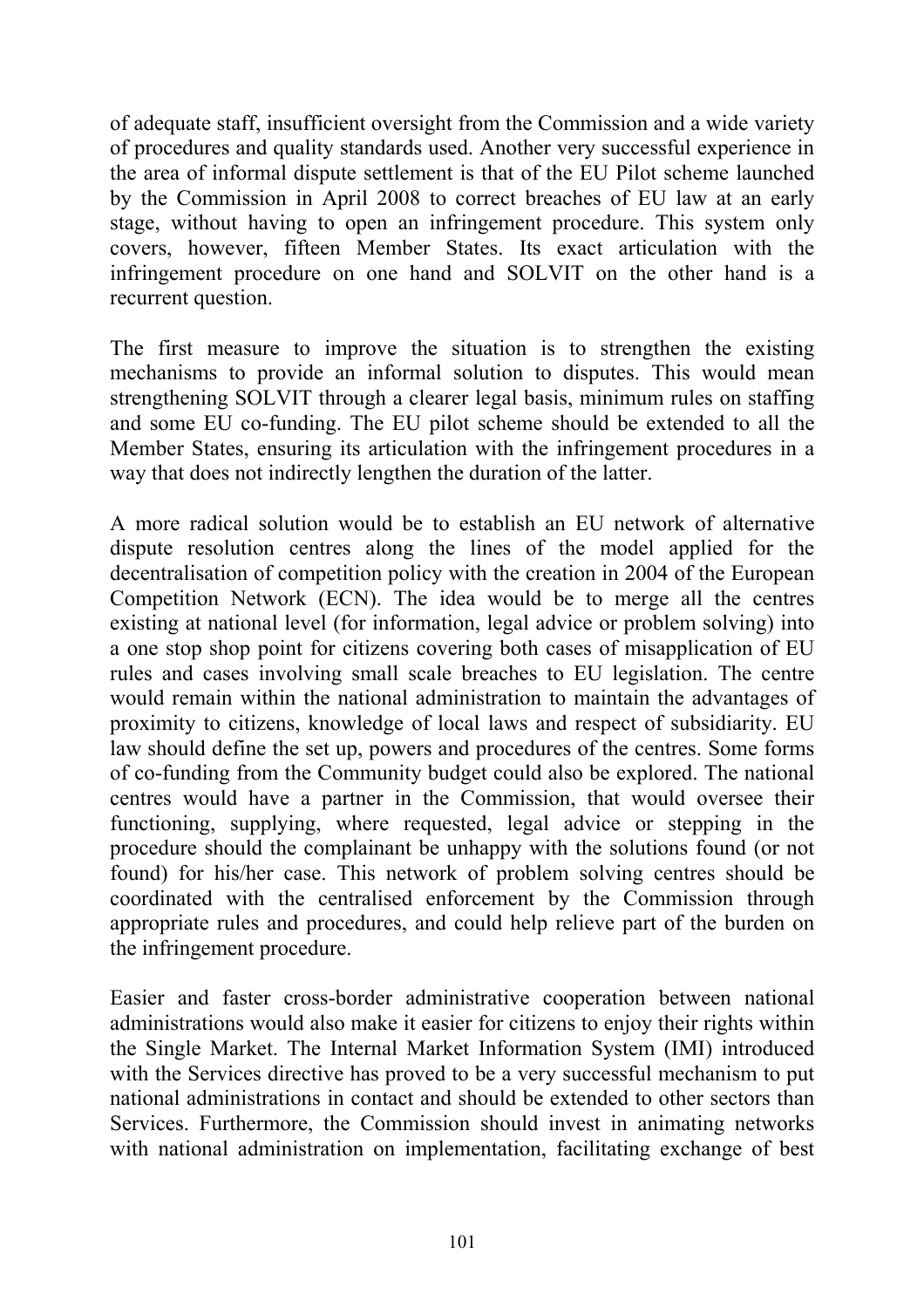of adequate staff, insufficient oversight from the Commission and a wide variety of procedures and quality standards used. Another very successful experience in the area of informal dispute settlement is that of the EU Pilot scheme launched by the Commission in April 2008 to correct breaches of EU law at an early stage, without having to open an infringement procedure. This system only covers, however, fifteen Member States. Its exact articulation with the infringement procedure on one hand and SOLVIT on the other hand is a recurrent question.

The first measure to improve the situation is to strengthen the existing mechanisms to provide an informal solution to disputes. This would mean strengthening SOLVIT through a clearer legal basis, minimum rules on staffing and some EU co-funding. The EU pilot scheme should be extended to all the Member States, ensuring its articulation with the infringement procedures in a way that does not indirectly lengthen the duration of the latter.

A more radical solution would be to establish an EU network of alternative dispute resolution centres along the lines of the model applied for the decentralisation of competition policy with the creation in 2004 of the European Competition Network (ECN). The idea would be to merge all the centres existing at national level (for information, legal advice or problem solving) into a one stop shop point for citizens covering both cases of misapplication of EU rules and cases involving small scale breaches to EU legislation. The centre would remain within the national administration to maintain the advantages of proximity to citizens, knowledge of local laws and respect of subsidiarity. EU law should define the set up, powers and procedures of the centres. Some forms of co-funding from the Community budget could also be explored. The national centres would have a partner in the Commission, that would oversee their functioning, supplying, where requested, legal advice or stepping in the procedure should the complainant be unhappy with the solutions found (or not found) for his/her case. This network of problem solving centres should be coordinated with the centralised enforcement by the Commission through appropriate rules and procedures, and could help relieve part of the burden on the infringement procedure.

Easier and faster cross-border administrative cooperation between national administrations would also make it easier for citizens to enjoy their rights within the Single Market. The Internal Market Information System (IMI) introduced with the Services directive has proved to be a very successful mechanism to put national administrations in contact and should be extended to other sectors than Services. Furthermore, the Commission should invest in animating networks with national administration on implementation, facilitating exchange of best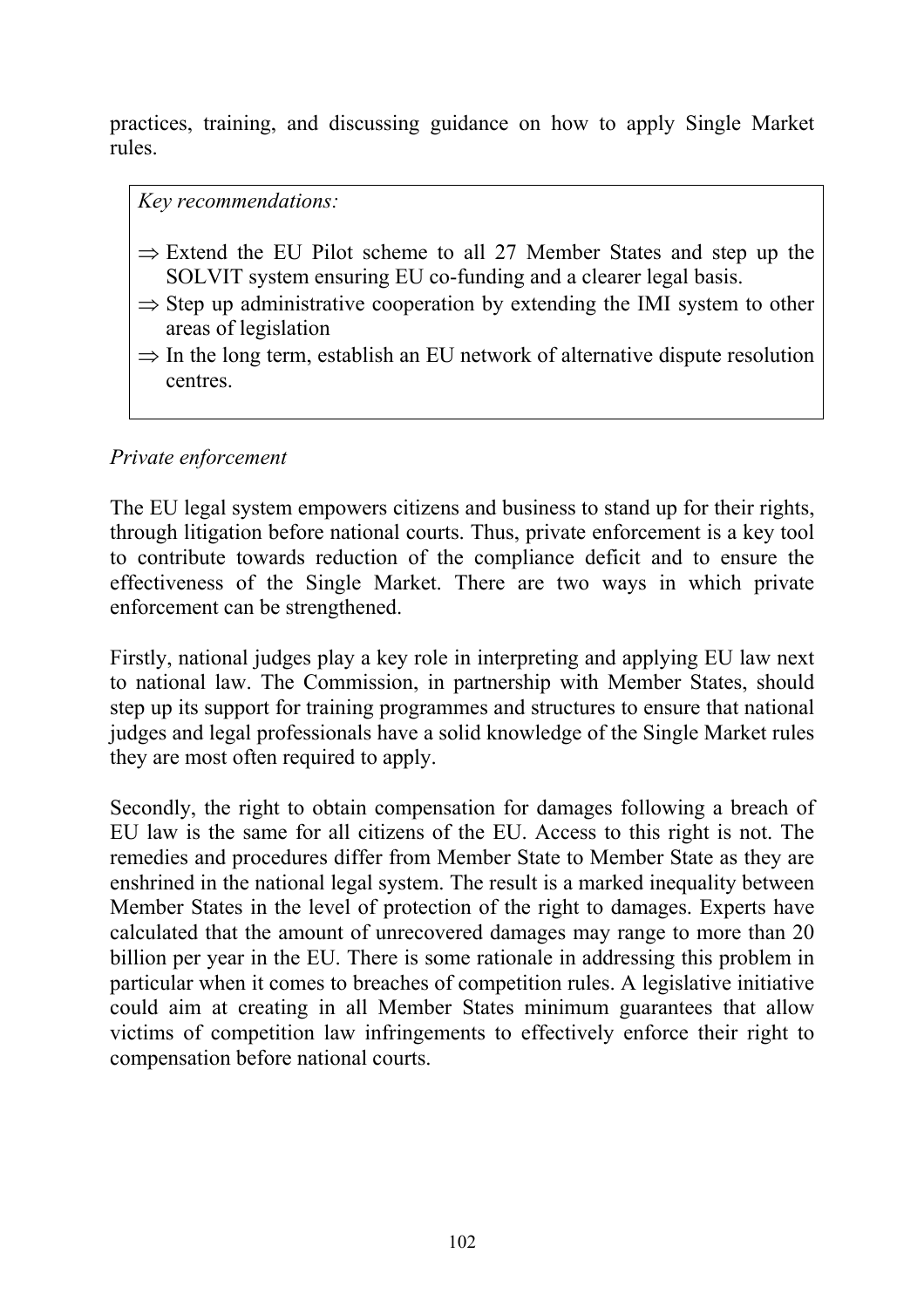practices, training, and discussing guidance on how to apply Single Market rules.

*Key recommendations:* 

- $\Rightarrow$  Extend the EU Pilot scheme to all 27 Member States and step up the SOLVIT system ensuring EU co-funding and a clearer legal basis.
- $\Rightarrow$  Step up administrative cooperation by extending the IMI system to other areas of legislation
- $\Rightarrow$  In the long term, establish an EU network of alternative dispute resolution centres.

#### *Private enforcement*

The EU legal system empowers citizens and business to stand up for their rights, through litigation before national courts. Thus, private enforcement is a key tool to contribute towards reduction of the compliance deficit and to ensure the effectiveness of the Single Market. There are two ways in which private enforcement can be strengthened.

Firstly, national judges play a key role in interpreting and applying EU law next to national law. The Commission, in partnership with Member States, should step up its support for training programmes and structures to ensure that national judges and legal professionals have a solid knowledge of the Single Market rules they are most often required to apply.

Secondly, the right to obtain compensation for damages following a breach of EU law is the same for all citizens of the EU. Access to this right is not. The remedies and procedures differ from Member State to Member State as they are enshrined in the national legal system. The result is a marked inequality between Member States in the level of protection of the right to damages. Experts have calculated that the amount of unrecovered damages may range to more than 20 billion per year in the EU. There is some rationale in addressing this problem in particular when it comes to breaches of competition rules. A legislative initiative could aim at creating in all Member States minimum guarantees that allow victims of competition law infringements to effectively enforce their right to compensation before national courts.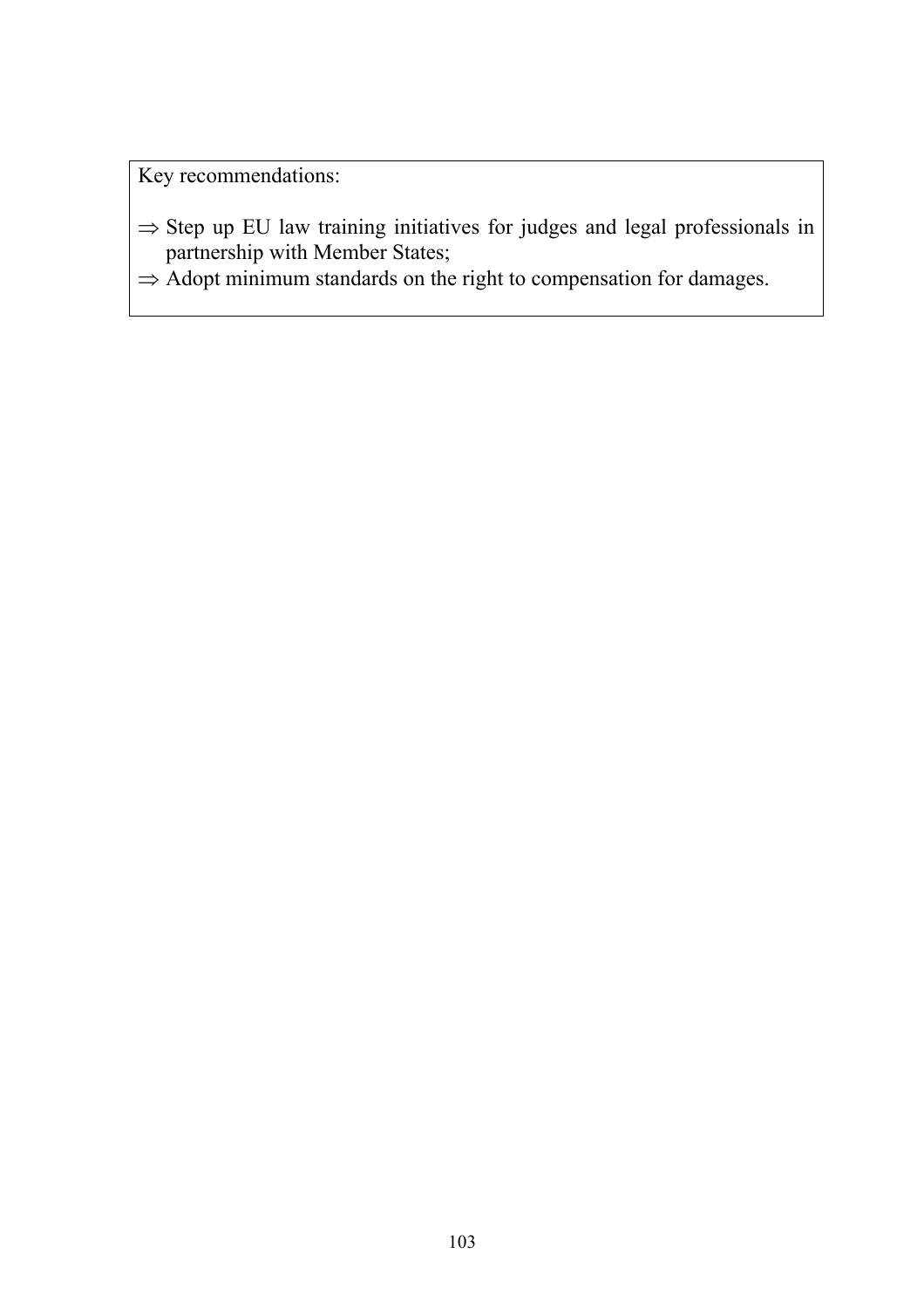- $\Rightarrow$  Step up EU law training initiatives for judges and legal professionals in partnership with Member States;
- $\Rightarrow$  Adopt minimum standards on the right to compensation for damages.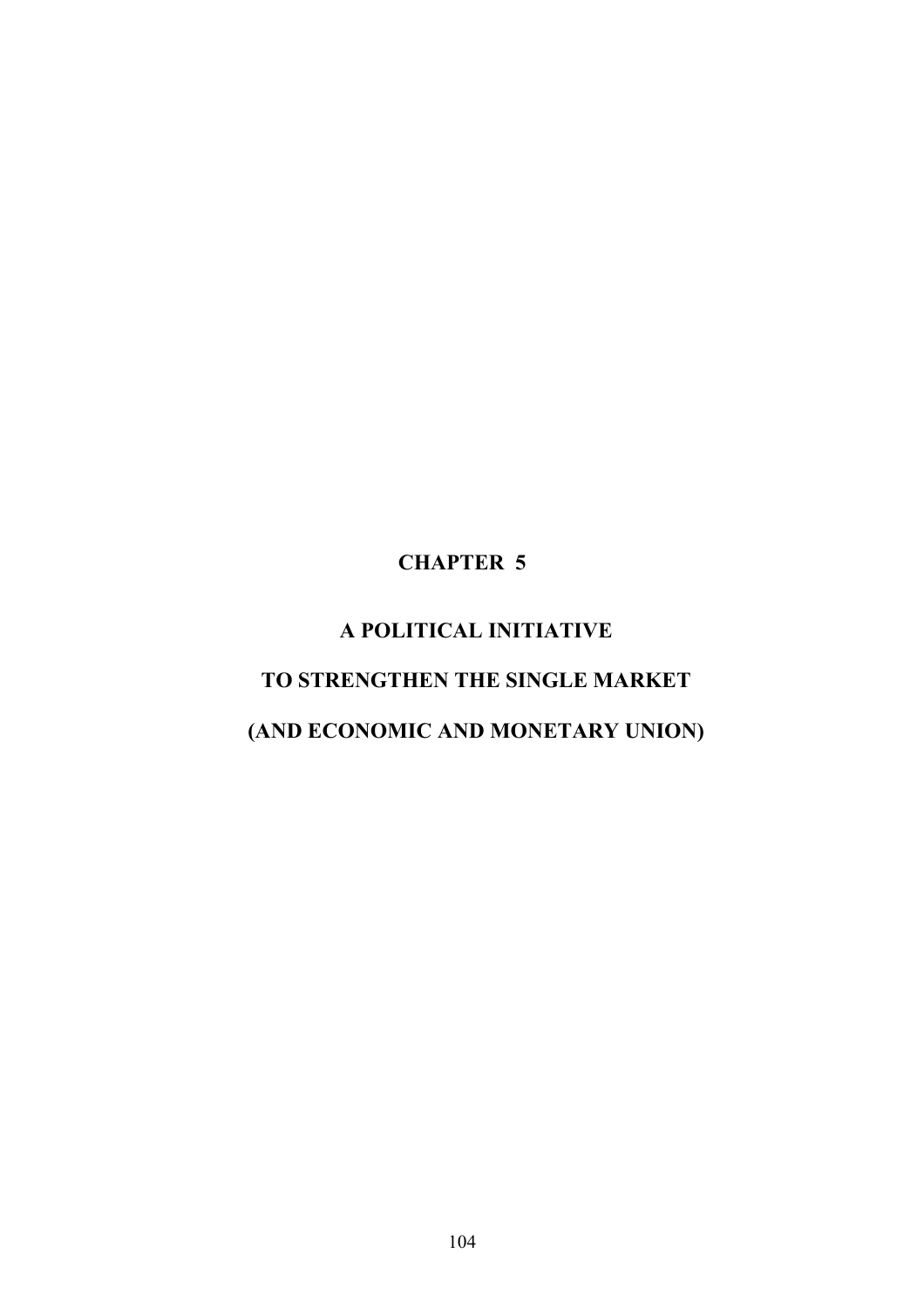# **CHAPTER 5**

# **A POLITICAL INITIATIVE**

# **TO STRENGTHEN THE SINGLE MARKET**

# **(AND ECONOMIC AND MONETARY UNION)**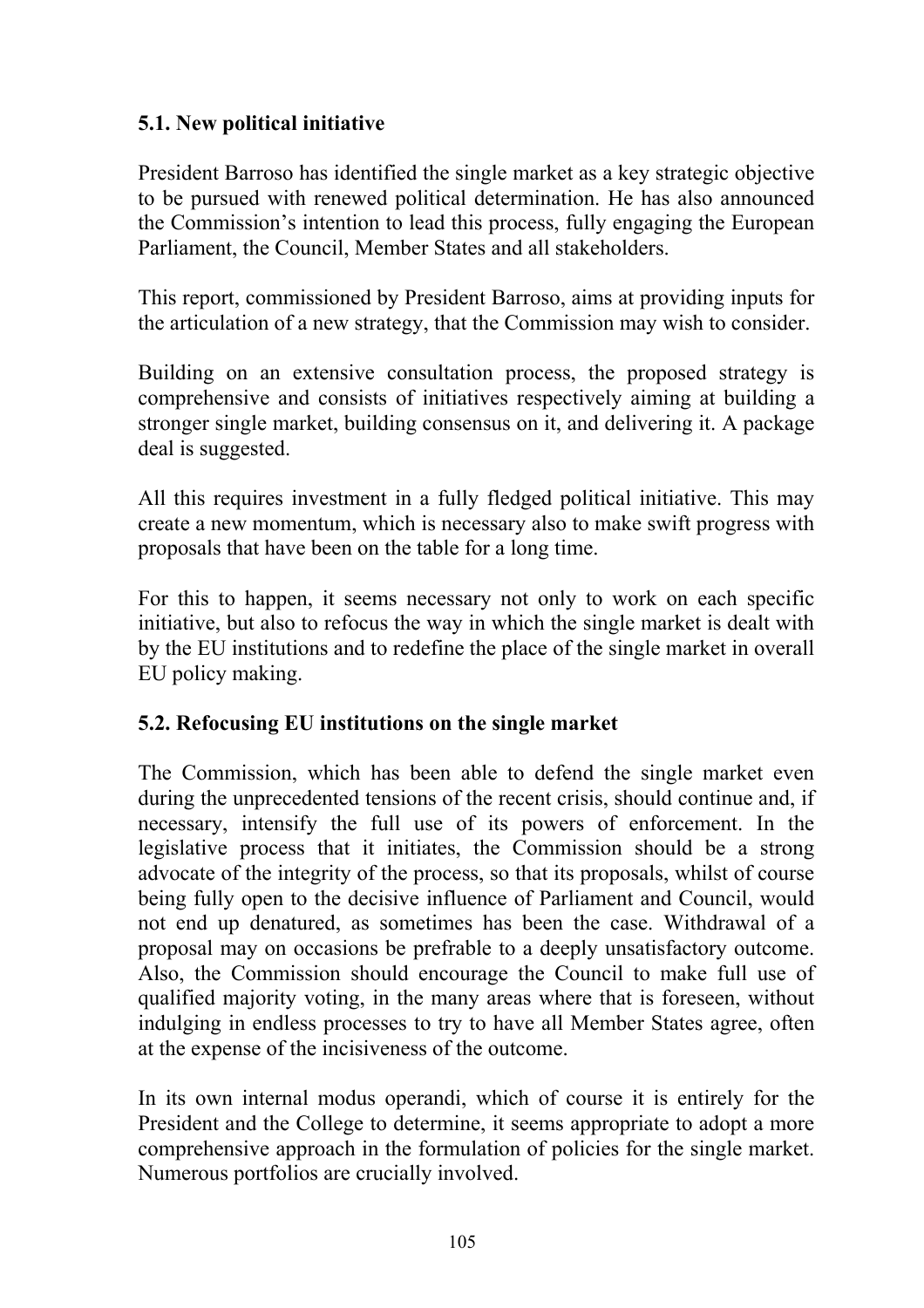### **5.1. New political initiative**

President Barroso has identified the single market as a key strategic objective to be pursued with renewed political determination. He has also announced the Commission's intention to lead this process, fully engaging the European Parliament, the Council, Member States and all stakeholders.

This report, commissioned by President Barroso, aims at providing inputs for the articulation of a new strategy, that the Commission may wish to consider.

Building on an extensive consultation process, the proposed strategy is comprehensive and consists of initiatives respectively aiming at building a stronger single market, building consensus on it, and delivering it. A package deal is suggested.

All this requires investment in a fully fledged political initiative. This may create a new momentum, which is necessary also to make swift progress with proposals that have been on the table for a long time.

For this to happen, it seems necessary not only to work on each specific initiative, but also to refocus the way in which the single market is dealt with by the EU institutions and to redefine the place of the single market in overall EU policy making.

#### **5.2. Refocusing EU institutions on the single market**

The Commission, which has been able to defend the single market even during the unprecedented tensions of the recent crisis, should continue and, if necessary, intensify the full use of its powers of enforcement. In the legislative process that it initiates, the Commission should be a strong advocate of the integrity of the process, so that its proposals, whilst of course being fully open to the decisive influence of Parliament and Council, would not end up denatured, as sometimes has been the case. Withdrawal of a proposal may on occasions be prefrable to a deeply unsatisfactory outcome. Also, the Commission should encourage the Council to make full use of qualified majority voting, in the many areas where that is foreseen, without indulging in endless processes to try to have all Member States agree, often at the expense of the incisiveness of the outcome.

In its own internal modus operandi, which of course it is entirely for the President and the College to determine, it seems appropriate to adopt a more comprehensive approach in the formulation of policies for the single market. Numerous portfolios are crucially involved.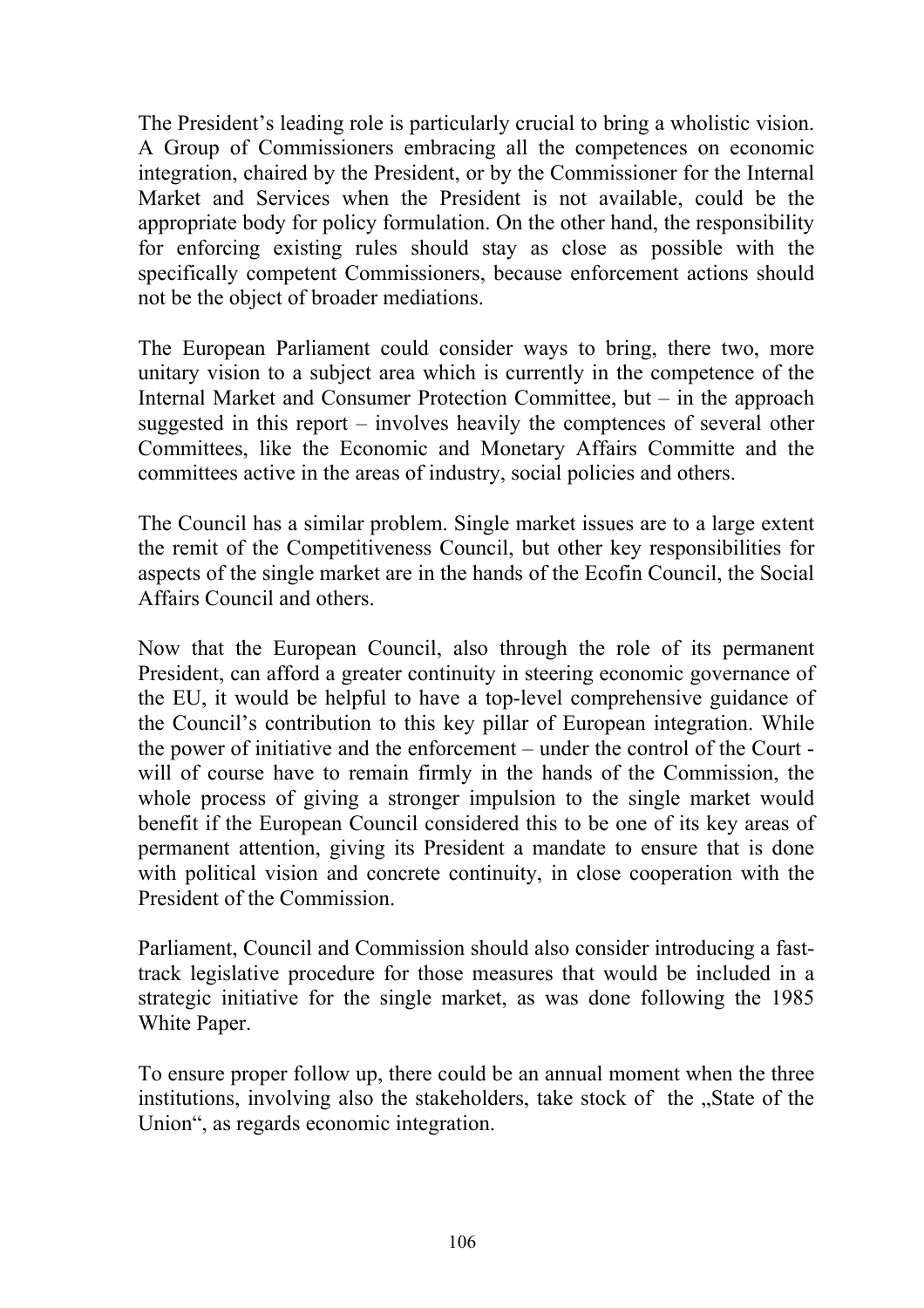The President's leading role is particularly crucial to bring a wholistic vision. A Group of Commissioners embracing all the competences on economic integration, chaired by the President, or by the Commissioner for the Internal Market and Services when the President is not available, could be the appropriate body for policy formulation. On the other hand, the responsibility for enforcing existing rules should stay as close as possible with the specifically competent Commissioners, because enforcement actions should not be the object of broader mediations.

The European Parliament could consider ways to bring, there two, more unitary vision to a subject area which is currently in the competence of the Internal Market and Consumer Protection Committee, but – in the approach suggested in this report – involves heavily the comptences of several other Committees, like the Economic and Monetary Affairs Committe and the committees active in the areas of industry, social policies and others.

The Council has a similar problem. Single market issues are to a large extent the remit of the Competitiveness Council, but other key responsibilities for aspects of the single market are in the hands of the Ecofin Council, the Social Affairs Council and others.

Now that the European Council, also through the role of its permanent President, can afford a greater continuity in steering economic governance of the EU, it would be helpful to have a top-level comprehensive guidance of the Council's contribution to this key pillar of European integration. While the power of initiative and the enforcement – under the control of the Court will of course have to remain firmly in the hands of the Commission, the whole process of giving a stronger impulsion to the single market would benefit if the European Council considered this to be one of its key areas of permanent attention, giving its President a mandate to ensure that is done with political vision and concrete continuity, in close cooperation with the President of the Commission.

Parliament, Council and Commission should also consider introducing a fasttrack legislative procedure for those measures that would be included in a strategic initiative for the single market, as was done following the 1985 White Paper.

To ensure proper follow up, there could be an annual moment when the three institutions, involving also the stakeholders, take stock of the "State of the Union", as regards economic integration.